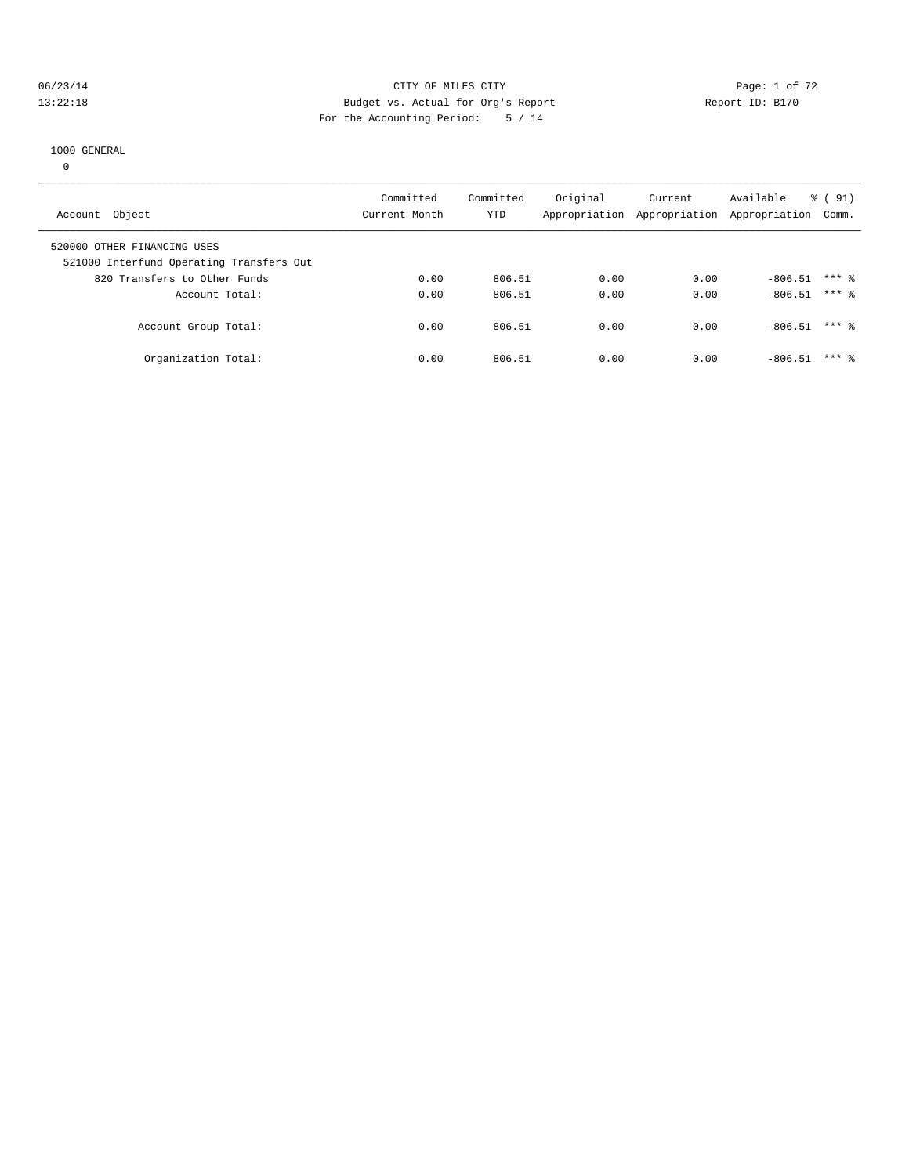#### 06/23/14 Page: 1 of 72 13:22:18 Budget vs. Actual for Org's Report Report ID: B170 For the Accounting Period: 5 / 14

#### 1000 GENERAL

0

| Account Object                                                          | Committed<br>Current Month | Committed<br><b>YTD</b> | Original<br>Appropriation | Current | Available<br>Appropriation Appropriation | $\frac{6}{6}$ (91)<br>Comm. |
|-------------------------------------------------------------------------|----------------------------|-------------------------|---------------------------|---------|------------------------------------------|-----------------------------|
| 520000 OTHER FINANCING USES<br>521000 Interfund Operating Transfers Out |                            |                         |                           |         |                                          |                             |
| 820 Transfers to Other Funds                                            | 0.00                       | 806.51                  | 0.00                      | 0.00    | $-806.51$                                | $***$ 2                     |
| Account Total:                                                          | 0.00                       | 806.51                  | 0.00                      | 0.00    | $-806.51$                                | $***$ 2                     |
| Account Group Total:                                                    | 0.00                       | 806.51                  | 0.00                      | 0.00    | $-806.51$                                | $***$ %                     |
| Organization Total:                                                     | 0.00                       | 806.51                  | 0.00                      | 0.00    | $-806.51$                                | $***$ 2                     |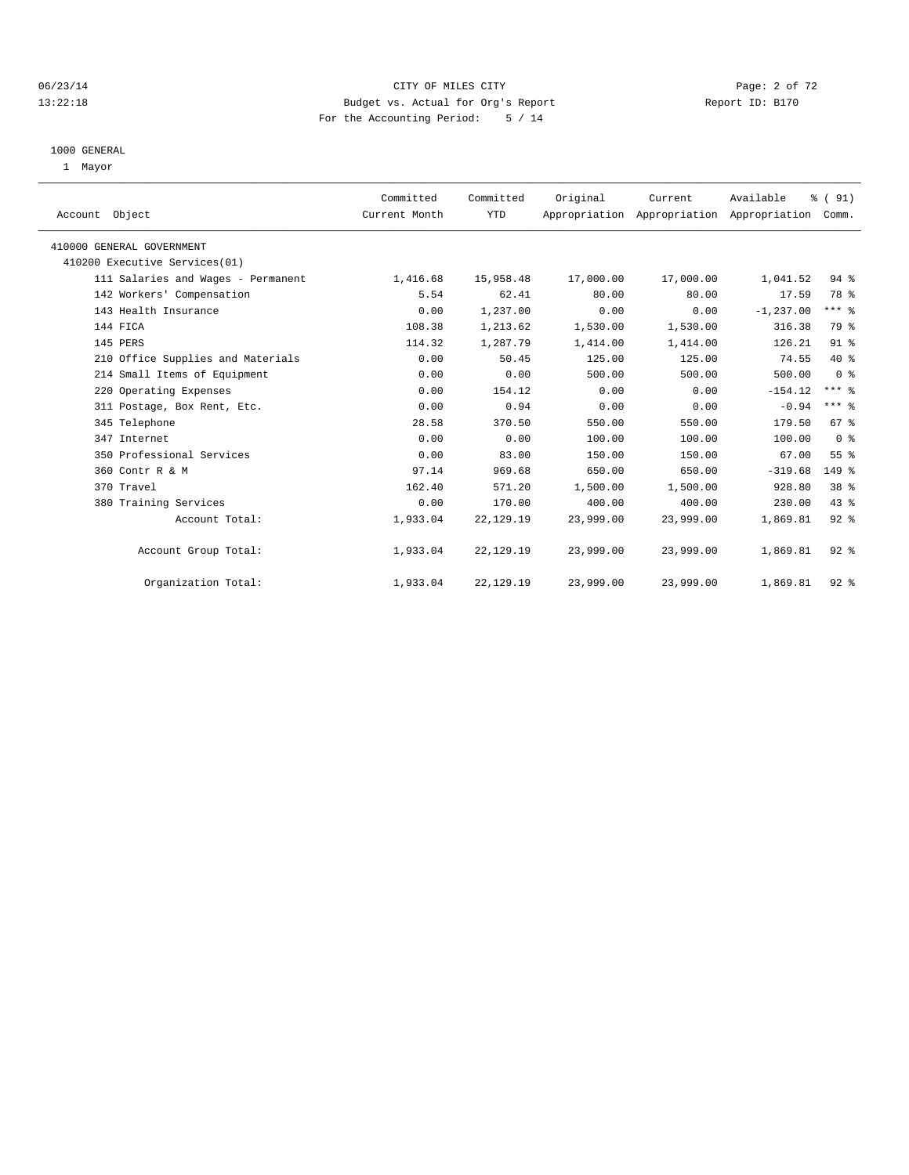## 06/23/14 Page: 2 of 72 13:22:18 Budget vs. Actual for Org's Report Report ID: B170 For the Accounting Period: 5 / 14

#### 1000 GENERAL

1 Mayor

| Account Object                     | Committed<br>Current Month | Committed<br><b>YTD</b> | Original  | Current<br>Appropriation Appropriation Appropriation | Available    | % (91)<br>Comm. |  |
|------------------------------------|----------------------------|-------------------------|-----------|------------------------------------------------------|--------------|-----------------|--|
| 410000 GENERAL GOVERNMENT          |                            |                         |           |                                                      |              |                 |  |
| 410200 Executive Services(01)      |                            |                         |           |                                                      |              |                 |  |
| 111 Salaries and Wages - Permanent | 1,416.68                   | 15,958.48               | 17,000.00 | 17,000.00                                            | 1,041.52     | 94 %            |  |
| 142 Workers' Compensation          | 5.54                       | 62.41                   | 80.00     | 80.00                                                | 17.59        | 78 %            |  |
| 143 Health Insurance               | 0.00                       | 1,237.00                | 0.00      | 0.00                                                 | $-1, 237.00$ | $***$ $_{8}$    |  |
| 144 FICA                           | 108.38                     | 1,213.62                | 1,530.00  | 1,530.00                                             | 316.38       | 79 %            |  |
| 145 PERS                           | 114.32                     | 1,287.79                | 1,414.00  | 1,414.00                                             | 126.21       | 91.8            |  |
| 210 Office Supplies and Materials  | 0.00                       | 50.45                   | 125.00    | 125.00                                               | 74.55        | $40*$           |  |
| 214 Small Items of Equipment       | 0.00                       | 0.00                    | 500.00    | 500.00                                               | 500.00       | 0 <sup>8</sup>  |  |
| 220 Operating Expenses             | 0.00                       | 154.12                  | 0.00      | 0.00                                                 | $-154.12$    | $***$ $%$       |  |
| 311 Postage, Box Rent, Etc.        | 0.00                       | 0.94                    | 0.00      | 0.00                                                 | $-0.94$      | $***$ $%$       |  |
| 345 Telephone                      | 28.58                      | 370.50                  | 550.00    | 550.00                                               | 179.50       | 67 %            |  |
| 347 Internet                       | 0.00                       | 0.00                    | 100.00    | 100.00                                               | 100.00       | 0 <sup>8</sup>  |  |
| 350 Professional Services          | 0.00                       | 83.00                   | 150.00    | 150.00                                               | 67.00        | 55 %            |  |
| 360 Contr R & M                    | 97.14                      | 969.68                  | 650.00    | 650.00                                               | $-319.68$    | $149$ $%$       |  |
| 370 Travel                         | 162.40                     | 571.20                  | 1,500.00  | 1,500.00                                             | 928.80       | 38 %            |  |
| 380 Training Services              | 0.00                       | 170.00                  | 400.00    | 400.00                                               | 230.00       | $43*$           |  |
| Account Total:                     | 1,933.04                   | 22, 129. 19             | 23,999.00 | 23,999.00                                            | 1,869.81     | $92$ $%$        |  |
| Account Group Total:               | 1,933.04                   | 22,129.19               | 23,999.00 | 23,999.00                                            | 1,869.81     | $92$ $%$        |  |
| Organization Total:                | 1,933.04                   | 22, 129. 19             | 23,999.00 | 23,999.00                                            | 1,869.81     | $92*$           |  |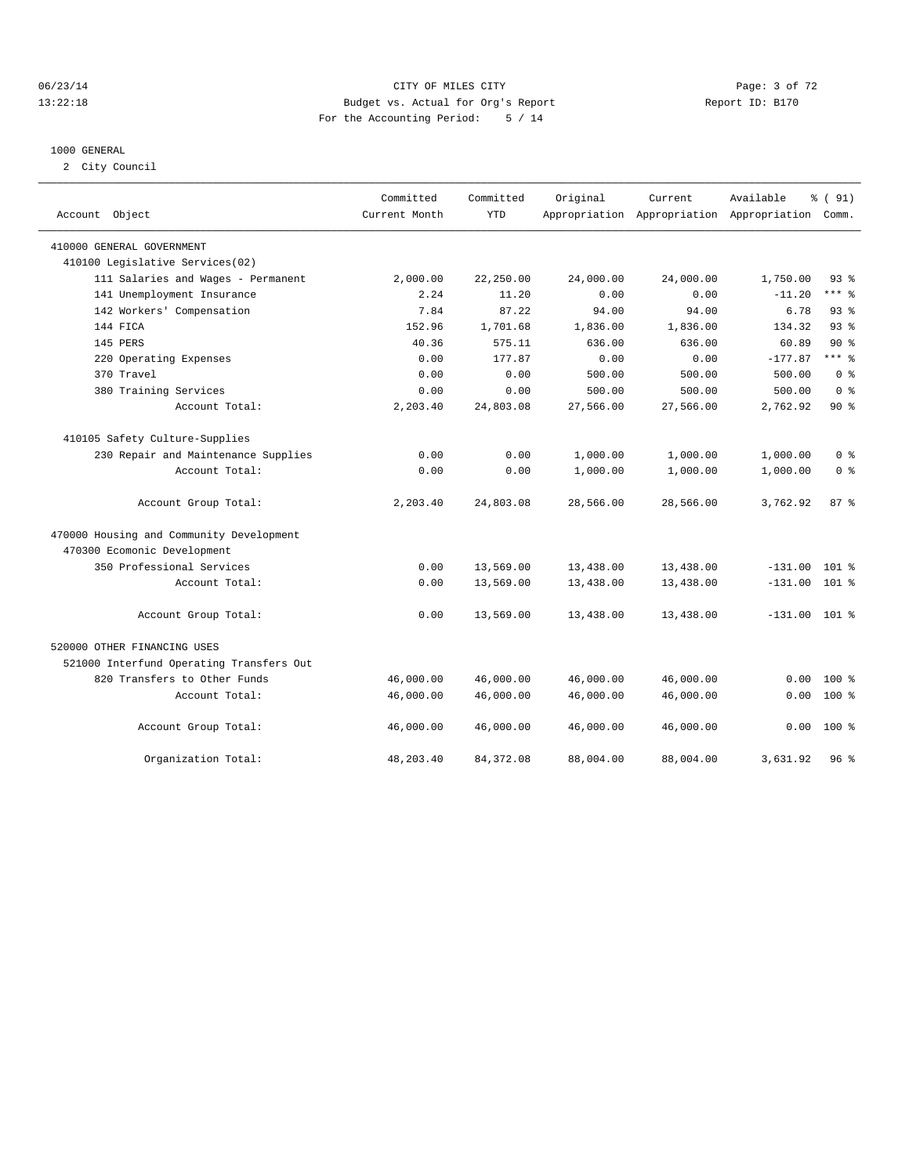## 06/23/14 Page: 3 of 72 13:22:18 Budget vs. Actual for Org's Report Report ID: B170 For the Accounting Period: 5 / 14

#### 1000 GENERAL

2 City Council

|                                          | Committed     | Committed  | Original  | Current                                   | Available       | % (91)         |
|------------------------------------------|---------------|------------|-----------|-------------------------------------------|-----------------|----------------|
| Account Object                           | Current Month | <b>YTD</b> |           | Appropriation Appropriation Appropriation |                 | Comm.          |
| 410000 GENERAL GOVERNMENT                |               |            |           |                                           |                 |                |
| 410100 Legislative Services(02)          |               |            |           |                                           |                 |                |
| 111 Salaries and Wages - Permanent       | 2,000.00      | 22,250.00  | 24,000.00 | 24,000.00                                 | 1,750.00        | $93*$          |
| 141 Unemployment Insurance               | 2.24          | 11.20      | 0.00      | 0.00                                      | $-11.20$        | $***$ $-$      |
| 142 Workers' Compensation                | 7.84          | 87.22      | 94.00     | 94.00                                     | 6.78            | $93*$          |
| 144 FICA                                 | 152.96        | 1,701.68   | 1,836.00  | 1,836.00                                  | 134.32          | 93%            |
| 145 PERS                                 | 40.36         | 575.11     | 636.00    | 636.00                                    | 60.89           | $90*$          |
| 220 Operating Expenses                   | 0.00          | 177.87     | 0.00      | 0.00                                      | $-177.87$       | $***$ 8        |
| 370 Travel                               | 0.00          | 0.00       | 500.00    | 500.00                                    | 500.00          | 0 <sup>8</sup> |
| 380 Training Services                    | 0.00          | 0.00       | 500.00    | 500.00                                    | 500.00          | 0 <sup>8</sup> |
| Account Total:                           | 2,203.40      | 24,803.08  | 27,566.00 | 27,566.00                                 | 2,762.92        | $90*$          |
| 410105 Safety Culture-Supplies           |               |            |           |                                           |                 |                |
| 230 Repair and Maintenance Supplies      | 0.00          | 0.00       | 1,000.00  | 1,000.00                                  | 1,000.00        | 0 <sup>8</sup> |
| Account Total:                           | 0.00          | 0.00       | 1,000.00  | 1,000.00                                  | 1,000.00        | 0 <sup>8</sup> |
| Account Group Total:                     | 2,203.40      | 24,803.08  | 28,566.00 | 28,566.00                                 | 3,762.92        | 87%            |
| 470000 Housing and Community Development |               |            |           |                                           |                 |                |
| 470300 Ecomonic Development              |               |            |           |                                           |                 |                |
| 350 Professional Services                | 0.00          | 13,569.00  | 13,438.00 | 13,438.00                                 | $-131.00$       | $101$ %        |
| Account Total:                           | 0.00          | 13,569.00  | 13,438.00 | 13,438.00                                 | $-131.00$ 101 % |                |
| Account Group Total:                     | 0.00          | 13,569.00  | 13,438.00 | 13,438.00                                 | $-131.00$ 101 % |                |
| 520000 OTHER FINANCING USES              |               |            |           |                                           |                 |                |
| 521000 Interfund Operating Transfers Out |               |            |           |                                           |                 |                |
| 820 Transfers to Other Funds             | 46,000.00     | 46,000.00  | 46,000.00 | 46,000.00                                 | 0.00            | $100*$         |
| Account Total:                           | 46,000.00     | 46,000.00  | 46,000.00 | 46,000.00                                 | 0.00            | $100*$         |
| Account Group Total:                     | 46,000.00     | 46,000.00  | 46,000.00 | 46,000.00                                 | 0.00            | $100*$         |
| Organization Total:                      | 48,203.40     | 84, 372.08 | 88,004.00 | 88,004.00                                 | 3,631.92        | $96*$          |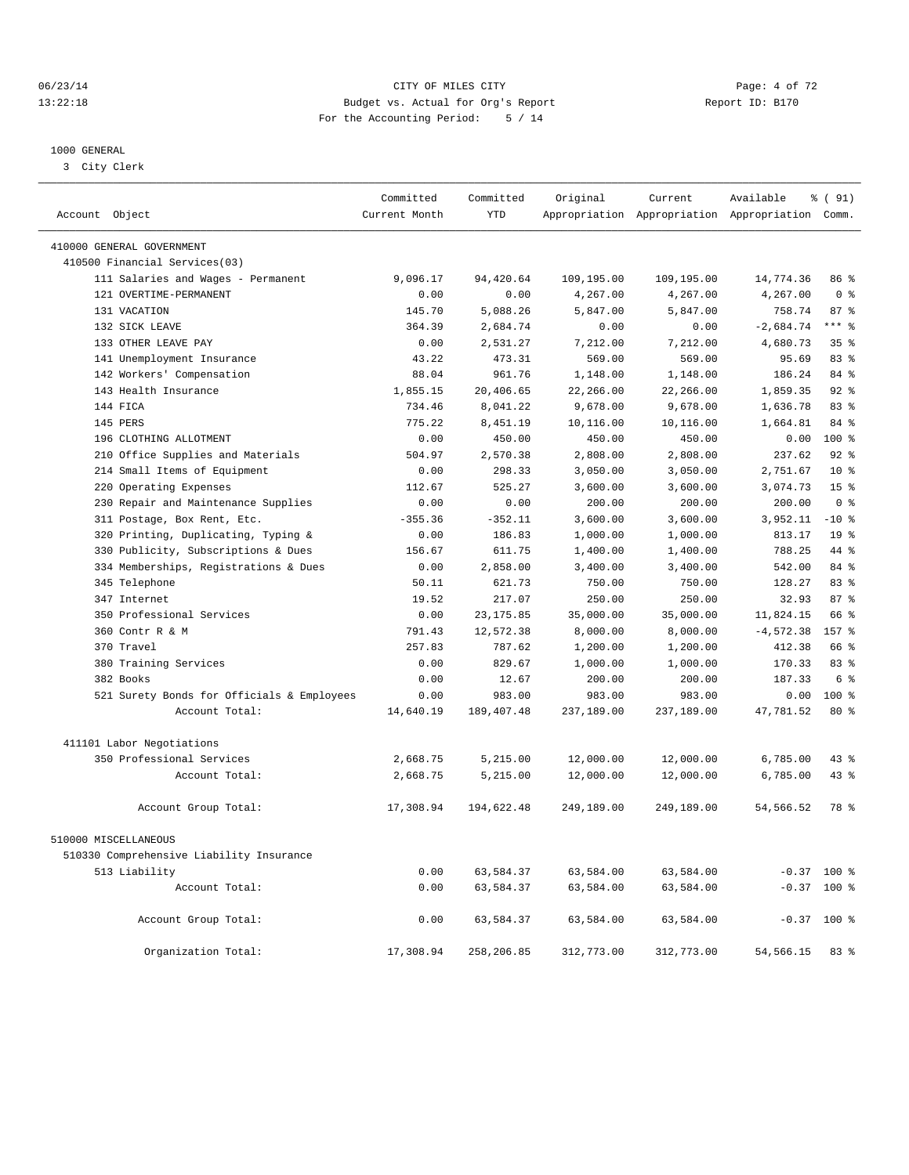## 06/23/14 Page: 4 of 72 13:22:18 Budget vs. Actual for Org's Report Report ID: B170 For the Accounting Period: 5 / 14

#### 1000 GENERAL

3 City Clerk

| Account Object                             | Committed<br>Current Month | Committed<br><b>YTD</b> | Original              | Current               | Available<br>Appropriation Appropriation Appropriation Comm. | % (91)                  |
|--------------------------------------------|----------------------------|-------------------------|-----------------------|-----------------------|--------------------------------------------------------------|-------------------------|
|                                            |                            |                         |                       |                       |                                                              |                         |
| 410000 GENERAL GOVERNMENT                  |                            |                         |                       |                       |                                                              |                         |
| 410500 Financial Services(03)              |                            |                         |                       |                       |                                                              |                         |
| 111 Salaries and Wages - Permanent         | 9,096.17                   | 94,420.64               | 109,195.00            | 109,195.00            | 14,774.36                                                    | 86 %                    |
| 121 OVERTIME-PERMANENT                     | 0.00                       | 0.00                    | 4,267.00              | 4,267.00              | 4,267.00                                                     | 0 <sup>8</sup>          |
| 131 VACATION                               | 145.70                     | 5,088.26                | 5,847.00              | 5,847.00              | 758.74                                                       | 87%                     |
| 132 SICK LEAVE                             | 364.39                     | 2,684.74                | 0.00                  | 0.00                  | $-2,684.74$                                                  | $***$ $%$               |
| 133 OTHER LEAVE PAY                        | 0.00                       | 2,531.27                | 7,212.00              | 7,212.00              | 4,680.73                                                     | $35*$                   |
| 141 Unemployment Insurance                 | 43.22                      | 473.31                  | 569.00                | 569.00<br>1,148.00    | 95.69                                                        | 83%                     |
| 142 Workers' Compensation                  | 88.04                      | 961.76                  | 1,148.00              |                       | 186.24                                                       | 84 %<br>92 <sup>°</sup> |
| 143 Health Insurance<br>144 FICA           | 1,855.15<br>734.46         | 20,406.65<br>8,041.22   | 22,266.00<br>9,678.00 | 22,266.00<br>9,678.00 | 1,859.35                                                     | 83 <sup>8</sup>         |
| 145 PERS                                   | 775.22                     | 8,451.19                | 10,116.00             | 10,116.00             | 1,636.78<br>1,664.81                                         | 84 %                    |
| 196 CLOTHING ALLOTMENT                     | 0.00                       | 450.00                  | 450.00                | 450.00                | 0.00                                                         | $100$ %                 |
| 210 Office Supplies and Materials          | 504.97                     | 2,570.38                | 2,808.00              | 2,808.00              | 237.62                                                       | 92%                     |
| Small Items of Equipment<br>214            | 0.00                       | 298.33                  | 3,050.00              | 3,050.00              | 2,751.67                                                     | $10*$                   |
| Operating Expenses<br>220                  | 112.67                     | 525.27                  | 3,600.00              | 3,600.00              | 3,074.73                                                     | 15 <sup>8</sup>         |
| 230 Repair and Maintenance Supplies        | 0.00                       | 0.00                    | 200.00                | 200.00                | 200.00                                                       | 0 <sup>8</sup>          |
| 311 Postage, Box Rent, Etc.                | $-355.36$                  | $-352.11$               | 3,600.00              | 3,600.00              | 3,952.11                                                     | $-10$ %                 |
| 320 Printing, Duplicating, Typing &        | 0.00                       | 186.83                  | 1,000.00              | 1,000.00              | 813.17                                                       | 19 <sup>°</sup>         |
| Publicity, Subscriptions & Dues<br>330     | 156.67                     | 611.75                  | 1,400.00              | 1,400.00              | 788.25                                                       | 44 %                    |
| 334 Memberships, Registrations & Dues      | 0.00                       | 2,858.00                | 3,400.00              | 3,400.00              | 542.00                                                       | 84 %                    |
| 345 Telephone                              | 50.11                      | 621.73                  | 750.00                | 750.00                | 128.27                                                       | $83*$                   |
| 347 Internet                               | 19.52                      | 217.07                  | 250.00                | 250.00                | 32.93                                                        | 87%                     |
| 350 Professional Services                  | 0.00                       | 23, 175.85              | 35,000.00             | 35,000.00             | 11,824.15                                                    | 66 %                    |
| 360 Contr R & M                            | 791.43                     | 12,572.38               | 8,000.00              | 8,000.00              | $-4,572.38$                                                  | 157 <sub>8</sub>        |
| 370 Travel                                 | 257.83                     | 787.62                  | 1,200.00              | 1,200.00              | 412.38                                                       | 66 %                    |
| 380 Training Services                      | 0.00                       | 829.67                  | 1,000.00              | 1,000.00              | 170.33                                                       | $83*$                   |
| 382 Books                                  | 0.00                       | 12.67                   | 200.00                | 200.00                | 187.33                                                       | 6 %                     |
| 521 Surety Bonds for Officials & Employees | 0.00                       | 983.00                  | 983.00                | 983.00                | 0.00                                                         | 100 %                   |
| Account Total:                             | 14,640.19                  | 189, 407. 48            | 237,189.00            | 237,189.00            | 47,781.52                                                    | $80*$                   |
| 411101 Labor Negotiations                  |                            |                         |                       |                       |                                                              |                         |
| 350 Professional Services                  | 2,668.75                   | 5,215.00                | 12,000.00             | 12,000.00             | 6,785.00                                                     | 43 %                    |
| Account Total:                             | 2,668.75                   | 5,215.00                | 12,000.00             | 12,000.00             | 6,785.00                                                     | 43 %                    |
|                                            |                            |                         |                       |                       |                                                              |                         |
| Account Group Total:                       | 17,308.94                  | 194,622.48              | 249,189.00            | 249,189.00            | 54,566.52                                                    | 78 %                    |
| 510000 MISCELLANEOUS                       |                            |                         |                       |                       |                                                              |                         |
| 510330 Comprehensive Liability Insurance   |                            |                         |                       |                       |                                                              |                         |
| 513 Liability                              | 0.00                       | 63,584.37               | 63,584.00             | 63,584.00             |                                                              | $-0.37$ 100 %           |
| Account Total:                             | 0.00                       | 63,584.37               | 63,584.00             | 63,584.00             |                                                              | $-0.37$ 100 %           |
|                                            |                            |                         |                       |                       |                                                              |                         |
| Account Group Total:                       | 0.00                       | 63,584.37               | 63,584.00             | 63,584.00             |                                                              | $-0.37$ 100 %           |
| Organization Total:                        | 17,308.94                  | 258,206.85              | 312,773.00            | 312,773.00            | 54,566.15                                                    | 83 %                    |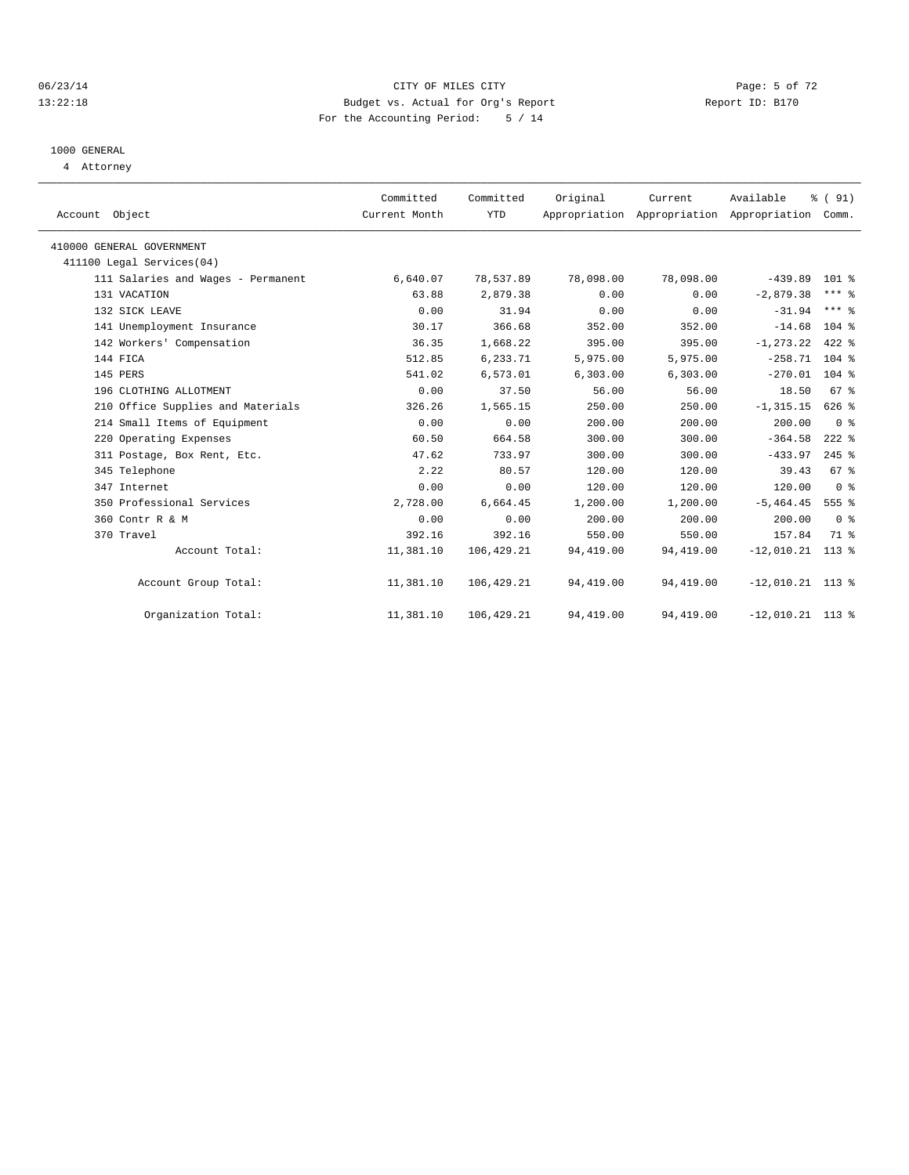#### 06/23/14 Page: 5 of 72 13:22:18 Budget vs. Actual for Org's Report Report ID: B170 For the Accounting Period: 5 / 14

# 1000 GENERAL

4 Attorney

| Account Object                     | Committed<br>Current Month | Committed<br><b>YTD</b> | Original  | Current   | Available<br>Appropriation Appropriation Appropriation | % (91)<br>Comm.     |
|------------------------------------|----------------------------|-------------------------|-----------|-----------|--------------------------------------------------------|---------------------|
| 410000 GENERAL GOVERNMENT          |                            |                         |           |           |                                                        |                     |
| 411100 Legal Services(04)          |                            |                         |           |           |                                                        |                     |
| 111 Salaries and Wages - Permanent | 6,640.07                   | 78,537.89               | 78,098.00 | 78,098.00 | $-439.89$                                              | $101$ %             |
| 131 VACATION                       | 63.88                      | 2,879.38                | 0.00      | 0.00      | $-2,879.38$                                            | $***$ $%$           |
| 132 SICK LEAVE                     | 0.00                       | 31.94                   | 0.00      | 0.00      | $-31.94$                                               | $***$ $%$           |
| 141 Unemployment Insurance         | 30.17                      | 366.68                  | 352.00    | 352.00    | $-14.68$                                               | 104 %               |
| 142 Workers' Compensation          | 36.35                      | 1,668.22                | 395.00    | 395.00    | $-1, 273.22$                                           | $422$ %             |
| 144 FICA                           | 512.85                     | 6,233.71                | 5,975.00  | 5,975.00  | $-258.71$ 104 %                                        |                     |
| 145 PERS                           | 541.02                     | 6,573.01                | 6, 303.00 | 6,303.00  | $-270.01$ 104 %                                        |                     |
| 196 CLOTHING ALLOTMENT             | 0.00                       | 37.50                   | 56.00     | 56.00     | 18.50                                                  | 67 %                |
| 210 Office Supplies and Materials  | 326.26                     | 1,565.15                | 250.00    | 250.00    | $-1, 315.15$                                           | $626$ %             |
| 214 Small Items of Equipment       | 0.00                       | 0.00                    | 200.00    | 200.00    | 200.00                                                 | 0 <sup>8</sup>      |
| 220 Operating Expenses             | 60.50                      | 664.58                  | 300.00    | 300.00    | $-364.58$                                              | $222$ %             |
| 311 Postage, Box Rent, Etc.        | 47.62                      | 733.97                  | 300.00    | 300.00    | $-433.97$                                              | $245$ $\frac{6}{5}$ |
| 345 Telephone                      | 2.22                       | 80.57                   | 120.00    | 120.00    | 39.43                                                  | 67 <sup>8</sup>     |
| 347 Internet                       | 0.00                       | 0.00                    | 120.00    | 120.00    | 120.00                                                 | 0 <sup>8</sup>      |
| 350 Professional Services          | 2,728.00                   | 6,664.45                | 1,200.00  | 1,200.00  | $-5,464.45$                                            | 555 %               |
| 360 Contr R & M                    | 0.00                       | 0.00                    | 200.00    | 200.00    | 200.00                                                 | 0 <sup>8</sup>      |
| 370 Travel                         | 392.16                     | 392.16                  | 550.00    | 550.00    | 157.84                                                 | 71.8                |
| Account Total:                     | 11,381.10                  | 106,429.21              | 94,419.00 | 94,419.00 | $-12,010.21$ 113 %                                     |                     |
| Account Group Total:               | 11,381.10                  | 106,429.21              | 94,419.00 | 94,419.00 | $-12,010.21$ 113 %                                     |                     |
| Organization Total:                | 11,381.10                  | 106,429.21              | 94,419.00 | 94,419.00 | $-12,010.21$ 113 %                                     |                     |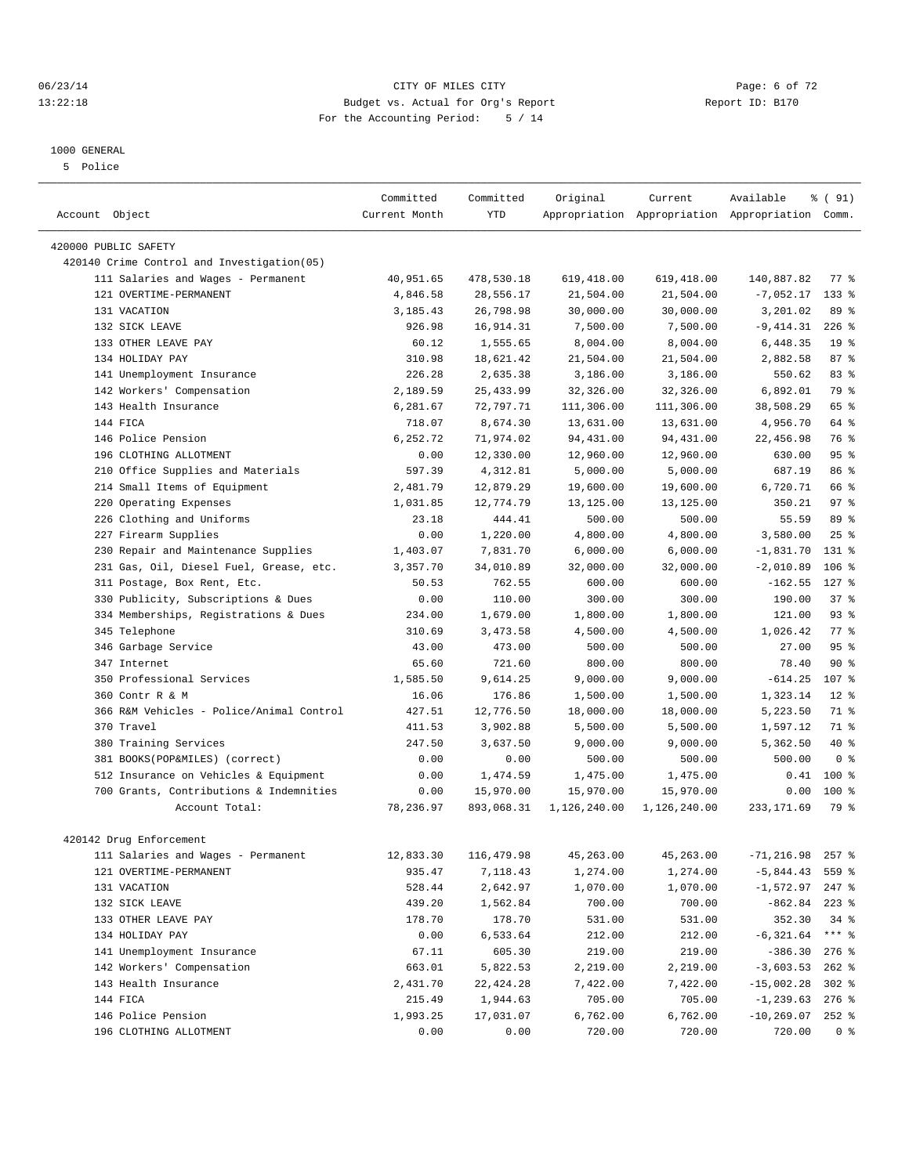#### 06/23/14 Page: 6 of 72 13:22:18 Budget vs. Actual for Org's Report Report ID: B170 For the Accounting Period: 5 / 14

#### 1000 GENERAL

5 Police

|                                             | Committed     | Committed  | Original     | Current      | Available                                       | % (91)           |  |
|---------------------------------------------|---------------|------------|--------------|--------------|-------------------------------------------------|------------------|--|
| Account Object                              | Current Month | <b>YTD</b> |              |              | Appropriation Appropriation Appropriation Comm. |                  |  |
|                                             |               |            |              |              |                                                 |                  |  |
| 420000 PUBLIC SAFETY                        |               |            |              |              |                                                 |                  |  |
| 420140 Crime Control and Investigation (05) |               |            |              |              |                                                 |                  |  |
| 111 Salaries and Wages - Permanent          | 40,951.65     | 478,530.18 | 619,418.00   | 619,418.00   | 140,887.82                                      | $77*$            |  |
| 121 OVERTIME-PERMANENT                      | 4,846.58      | 28,556.17  | 21,504.00    | 21,504.00    | $-7,052.17$                                     | $133$ %          |  |
| 131 VACATION                                | 3,185.43      | 26,798.98  | 30,000.00    | 30,000.00    | 3,201.02                                        | 89 %             |  |
| 132 SICK LEAVE                              | 926.98        | 16,914.31  | 7,500.00     | 7,500.00     | $-9,414.31$                                     | $226$ %          |  |
| 133 OTHER LEAVE PAY                         | 60.12         | 1,555.65   | 8,004.00     | 8,004.00     | 6,448.35                                        | 19 <sup>°</sup>  |  |
| 134 HOLIDAY PAY                             | 310.98        | 18,621.42  | 21,504.00    | 21,504.00    | 2,882.58                                        | 87%              |  |
| 141 Unemployment Insurance                  | 226.28        | 2,635.38   | 3,186.00     | 3,186.00     | 550.62                                          | 83 %             |  |
| 142 Workers' Compensation                   | 2,189.59      | 25, 433.99 | 32,326.00    | 32,326.00    | 6,892.01                                        | 79 %             |  |
| 143 Health Insurance                        | 6,281.67      | 72,797.71  | 111,306.00   | 111,306.00   | 38,508.29                                       | 65 %             |  |
| 144 FICA                                    | 718.07        | 8,674.30   | 13,631.00    | 13,631.00    | 4,956.70                                        | 64 %             |  |
| 146 Police Pension                          | 6,252.72      | 71,974.02  | 94,431.00    | 94,431.00    | 22,456.98                                       | 76 %             |  |
| 196 CLOTHING ALLOTMENT                      | 0.00          | 12,330.00  | 12,960.00    | 12,960.00    | 630.00                                          | 95%              |  |
| Office Supplies and Materials<br>210        | 597.39        | 4,312.81   | 5,000.00     | 5,000.00     | 687.19                                          | 86 %             |  |
| 214 Small Items of Equipment                | 2,481.79      | 12,879.29  | 19,600.00    | 19,600.00    | 6,720.71                                        | 66 %             |  |
| 220 Operating Expenses                      | 1,031.85      | 12,774.79  | 13,125.00    | 13, 125.00   | 350.21                                          | 97%              |  |
| 226 Clothing and Uniforms                   | 23.18         | 444.41     | 500.00       | 500.00       | 55.59                                           | 89 %             |  |
| 227 Firearm Supplies                        | 0.00          | 1,220.00   | 4,800.00     | 4,800.00     | 3,580.00                                        | 25%              |  |
| Repair and Maintenance Supplies<br>230      | 1,403.07      | 7,831.70   | 6,000.00     | 6,000.00     | $-1,831.70$                                     | $131*$           |  |
| 231 Gas, Oil, Diesel Fuel, Grease, etc.     | 3,357.70      | 34,010.89  | 32,000.00    | 32,000.00    | $-2,010.89$                                     | $106$ %          |  |
| 311 Postage, Box Rent, Etc.                 | 50.53         | 762.55     | 600.00       | 600.00       | $-162.55$                                       | $127$ %          |  |
| 330 Publicity, Subscriptions & Dues         | 0.00          | 110.00     | 300.00       | 300.00       | 190.00                                          | 37%              |  |
| 334 Memberships, Registrations & Dues       | 234.00        | 1,679.00   | 1,800.00     | 1,800.00     | 121.00                                          | 93%              |  |
| 345 Telephone                               | 310.69        | 3,473.58   | 4,500.00     | 4,500.00     | 1,026.42                                        | 77.8             |  |
| 346 Garbage Service                         | 43.00         | 473.00     | 500.00       | 500.00       | 27.00                                           | 95%              |  |
| 347 Internet                                | 65.60         | 721.60     | 800.00       | 800.00       | 78.40                                           | $90*$            |  |
| 350 Professional Services                   | 1,585.50      | 9,614.25   | 9,000.00     | 9,000.00     | $-614.25$                                       | 107 <sub>8</sub> |  |
| 360 Contr R & M                             | 16.06         | 176.86     | 1,500.00     | 1,500.00     | 1,323.14                                        | $12*$            |  |
| 366 R&M Vehicles - Police/Animal Control    | 427.51        | 12,776.50  | 18,000.00    | 18,000.00    | 5,223.50                                        | 71 %             |  |
| 370 Travel                                  | 411.53        | 3,902.88   | 5,500.00     | 5,500.00     | 1,597.12                                        | 71 %             |  |
| 380 Training Services                       | 247.50        | 3,637.50   | 9,000.00     | 9,000.00     | 5,362.50                                        | 40 %             |  |
| 381 BOOKS(POP&MILES) (correct)              | 0.00          | 0.00       | 500.00       | 500.00       | 500.00                                          | 0 <sup>8</sup>   |  |
| 512 Insurance on Vehicles & Equipment       | 0.00          | 1,474.59   | 1,475.00     | 1,475.00     | 0.41                                            | $100*$           |  |
| 700 Grants, Contributions & Indemnities     | 0.00          | 15,970.00  | 15,970.00    | 15,970.00    | 0.00                                            | $100*$           |  |
| Account Total:                              | 78,236.97     | 893,068.31 | 1,126,240.00 | 1,126,240.00 | 233, 171.69                                     | 79 %             |  |
|                                             |               |            |              |              |                                                 |                  |  |
| 420142 Drug Enforcement                     |               |            |              |              |                                                 |                  |  |
| 111 Salaries and Wages - Permanent          | 12,833.30     | 116,479.98 | 45,263.00    | 45,263.00    | $-71, 216.98$ 257 %                             |                  |  |
| 121 OVERTIME-PERMANENT                      | 935.47        | 7,118.43   | 1,274.00     | 1,274.00     | $-5,844.43$                                     | 559 %            |  |
| 131 VACATION                                | 528.44        | 2,642.97   | 1,070.00     | 1,070.00     | $-1,572.97$                                     | 247 %            |  |
| 132 SICK LEAVE                              | 439.20        | 1,562.84   | 700.00       | 700.00       | $-862.84$ 223 %                                 |                  |  |
| 133 OTHER LEAVE PAY                         | 178.70        | 178.70     | 531.00       | 531.00       | 352.30                                          | $34$ $%$         |  |
| 134 HOLIDAY PAY                             | 0.00          | 6,533.64   | 212.00       | 212.00       | $-6,321.64$                                     | $***$ $-$        |  |
| 141 Unemployment Insurance                  | 67.11         | 605.30     | 219.00       | 219.00       | $-386.30$                                       | $276$ %          |  |
| 142 Workers' Compensation                   | 663.01        | 5,822.53   | 2,219.00     | 2,219.00     | $-3,603.53$                                     | $262$ %          |  |
| 143 Health Insurance                        | 2,431.70      | 22, 424.28 | 7,422.00     | 7,422.00     | $-15,002.28$                                    | $302$ $%$        |  |
| 144 FICA                                    | 215.49        | 1,944.63   | 705.00       | 705.00       | $-1, 239.63$ 276 %                              |                  |  |
| 146 Police Pension                          | 1,993.25      | 17,031.07  | 6,762.00     | 6,762.00     | $-10, 269.07$ 252 %                             |                  |  |
| 196 CLOTHING ALLOTMENT                      | 0.00          | 0.00       | 720.00       | 720.00       | 720.00                                          | $0$ %            |  |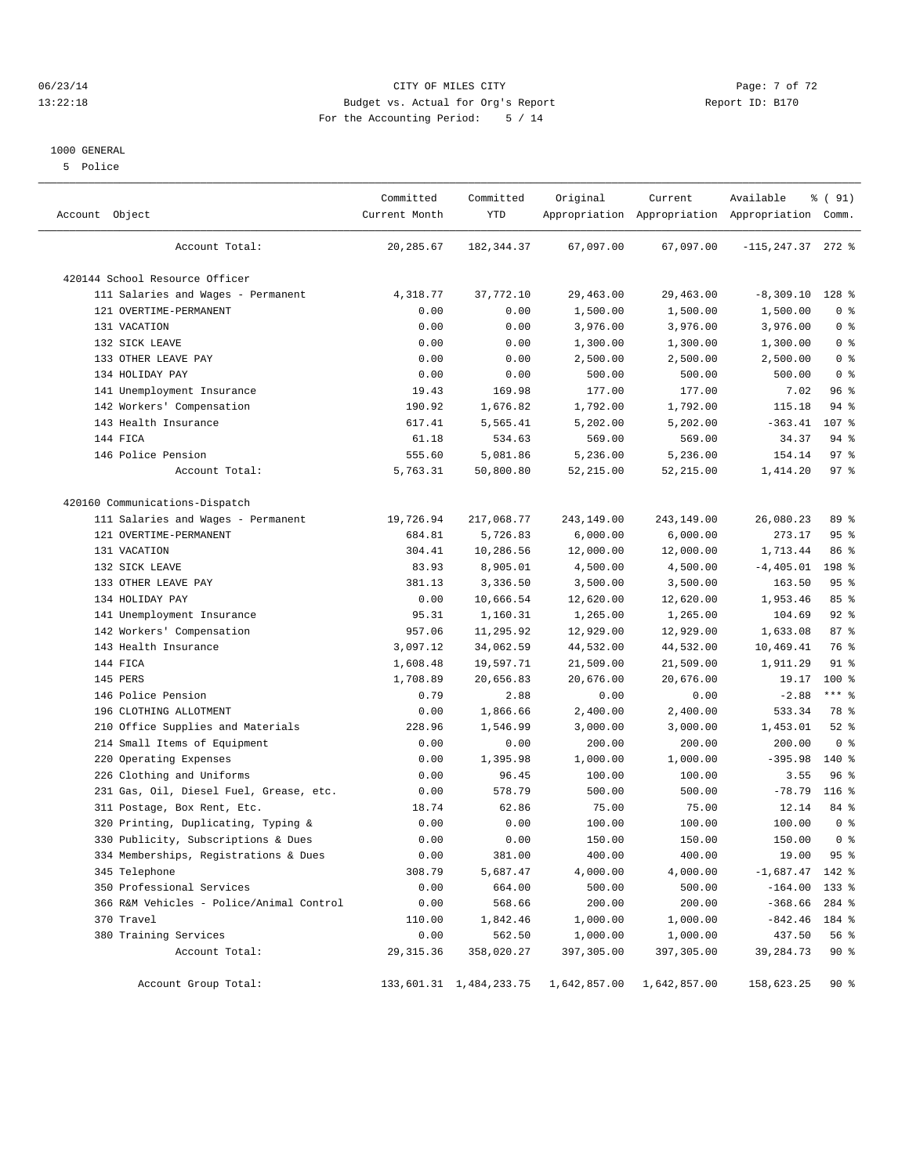#### 06/23/14 Page: 7 of 72 13:22:18 Budget vs. Actual for Org's Report Report ID: B170 For the Accounting Period: 5 / 14

#### 1000 GENERAL

5 Police

| Account Object                           | Committed<br>Current Month | Committed<br><b>YTD</b> | Original     | Current      | Available<br>Appropriation Appropriation Appropriation Comm. | % ( 91)        |  |
|------------------------------------------|----------------------------|-------------------------|--------------|--------------|--------------------------------------------------------------|----------------|--|
| Account Total:                           | 20,285.67                  | 182,344.37              | 67,097.00    | 67,097.00    | $-115, 247.37$ 272 %                                         |                |  |
| 420144 School Resource Officer           |                            |                         |              |              |                                                              |                |  |
| 111 Salaries and Wages - Permanent       | 4,318.77                   | 37,772.10               | 29,463.00    | 29,463.00    | $-8,309.10$                                                  | 128 %          |  |
| 121 OVERTIME-PERMANENT                   | 0.00                       | 0.00                    | 1,500.00     | 1,500.00     | 1,500.00                                                     | 0 <sup>8</sup> |  |
| 131 VACATION                             | 0.00                       | 0.00                    | 3,976.00     | 3,976.00     | 3,976.00                                                     | 0 <sup>8</sup> |  |
| 132 SICK LEAVE                           | 0.00                       | 0.00                    | 1,300.00     | 1,300.00     | 1,300.00                                                     | 0 <sup>8</sup> |  |
| 133 OTHER LEAVE PAY                      | 0.00                       | 0.00                    | 2,500.00     | 2,500.00     | 2,500.00                                                     | 0 <sup>8</sup> |  |
| 134 HOLIDAY PAY                          | 0.00                       | 0.00                    | 500.00       | 500.00       | 500.00                                                       | 0 <sup>8</sup> |  |
| 141 Unemployment Insurance               | 19.43                      | 169.98                  | 177.00       | 177.00       | 7.02                                                         | 96%            |  |
| 142 Workers' Compensation                | 190.92                     | 1,676.82                | 1,792.00     | 1,792.00     | 115.18                                                       | $94$ $%$       |  |
| 143 Health Insurance                     | 617.41                     | 5,565.41                | 5,202.00     | 5,202.00     | $-363.41$                                                    | 107 %          |  |
| 144 FICA                                 | 61.18                      | 534.63                  | 569.00       | 569.00       | 34.37                                                        | 94 %           |  |
| 146 Police Pension                       | 555.60                     | 5,081.86                | 5,236.00     | 5,236.00     | 154.14                                                       | 97%            |  |
| Account Total:                           | 5,763.31                   | 50,800.80               | 52,215.00    | 52, 215.00   | 1,414.20                                                     | 97%            |  |
|                                          |                            |                         |              |              |                                                              |                |  |
| 420160 Communications-Dispatch           |                            |                         |              |              |                                                              |                |  |
| 111 Salaries and Wages - Permanent       | 19,726.94                  | 217,068.77              | 243,149.00   | 243,149.00   | 26,080.23                                                    | 89 %           |  |
| 121 OVERTIME-PERMANENT                   | 684.81                     | 5,726.83                | 6,000.00     | 6,000.00     | 273.17                                                       | 95%            |  |
| 131 VACATION                             | 304.41                     | 10,286.56               | 12,000.00    | 12,000.00    | 1,713.44                                                     | 86 %           |  |
| 132 SICK LEAVE                           | 83.93                      | 8,905.01                | 4,500.00     | 4,500.00     | $-4, 405.01$                                                 | 198 %          |  |
| 133 OTHER LEAVE PAY                      | 381.13                     | 3,336.50                | 3,500.00     | 3,500.00     | 163.50                                                       | 95%            |  |
| 134 HOLIDAY PAY                          | 0.00                       | 10,666.54               | 12,620.00    | 12,620.00    | 1,953.46                                                     | 85%            |  |
| 141 Unemployment Insurance               | 95.31                      | 1,160.31                | 1,265.00     | 1,265.00     | 104.69                                                       | $92$ $%$       |  |
| 142 Workers' Compensation                | 957.06                     | 11,295.92               | 12,929.00    | 12,929.00    | 1,633.08                                                     | 87%            |  |
| 143 Health Insurance                     | 3,097.12                   | 34,062.59               | 44,532.00    | 44,532.00    | 10,469.41                                                    | 76 %           |  |
| 144 FICA                                 | 1,608.48                   | 19,597.71               | 21,509.00    | 21,509.00    | 1,911.29                                                     | $91$ %         |  |
| 145 PERS                                 | 1,708.89                   | 20,656.83               | 20,676.00    | 20,676.00    | 19.17                                                        | $100*$         |  |
| 146 Police Pension                       | 0.79                       | 2.88                    | 0.00         | 0.00         | $-2.88$                                                      | $***$ $-$      |  |
| 196 CLOTHING ALLOTMENT                   | 0.00                       | 1,866.66                | 2,400.00     | 2,400.00     | 533.34                                                       | 78 %           |  |
| 210 Office Supplies and Materials        | 228.96                     | 1,546.99                | 3,000.00     | 3,000.00     | 1,453.01                                                     | $52$ $%$       |  |
| 214 Small Items of Equipment             | 0.00                       | 0.00                    | 200.00       | 200.00       | 200.00                                                       | 0 <sup>8</sup> |  |
| 220 Operating Expenses                   | 0.00                       | 1,395.98                | 1,000.00     | 1,000.00     | $-395.98$                                                    | $140*$         |  |
| 226 Clothing and Uniforms                | 0.00                       | 96.45                   | 100.00       | 100.00       | 3.55                                                         | 96%            |  |
| 231 Gas, Oil, Diesel Fuel, Grease, etc.  | 0.00                       | 578.79                  | 500.00       | 500.00       | $-78.79$                                                     | $116$ %        |  |
| 311 Postage, Box Rent, Etc.              | 18.74                      | 62.86                   | 75.00        | 75.00        | 12.14                                                        | 84 %           |  |
| 320 Printing, Duplicating, Typing &      | 0.00                       | 0.00                    | 100.00       | 100.00       | 100.00                                                       | 0 <sup>8</sup> |  |
| 330 Publicity, Subscriptions & Dues      | 0.00                       | 0.00                    | 150.00       | 150.00       | 150.00                                                       | 0 <sup>8</sup> |  |
| 334 Memberships, Registrations & Dues    | 0.00                       | 381.00                  | 400.00       | 400.00       | 19.00                                                        | 95%            |  |
| 345 Telephone                            | 308.79                     | 5,687.47                | 4,000.00     | 4,000.00     | $-1,687.47$                                                  | 142 %          |  |
| 350 Professional Services                | 0.00                       | 664.00                  | 500.00       | 500.00       | $-164.00$                                                    | 133 %          |  |
| 366 R&M Vehicles - Police/Animal Control | 0.00                       | 568.66                  | 200.00       | 200.00       | $-368.66$                                                    | 284 %          |  |
| 370 Travel                               | 110.00                     | 1,842.46                | 1,000.00     | 1,000.00     | $-842.46$                                                    | 184 %          |  |
| 380 Training Services                    | 0.00                       | 562.50                  | 1,000.00     | 1,000.00     | 437.50                                                       | 56 %           |  |
| Account Total:                           | 29, 315.36                 | 358,020.27              | 397,305.00   | 397,305.00   | 39, 284. 73                                                  | 90%            |  |
| Account Group Total:                     |                            | 133,601.31 1,484,233.75 | 1,642,857.00 | 1,642,857.00 | 158,623.25                                                   | 90%            |  |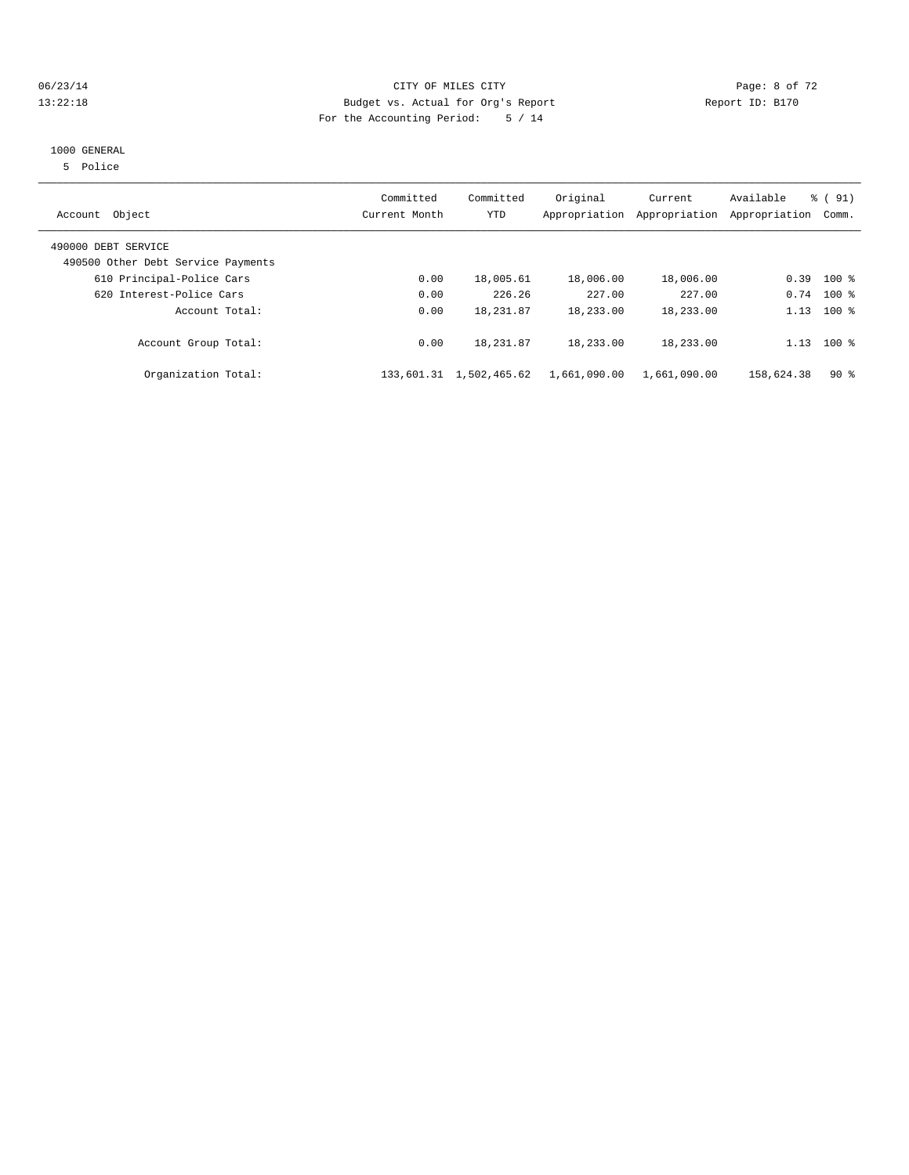#### 06/23/14 CITY OF MILES CITY Page: 8 of 72 13:22:18 Budget vs. Actual for Org's Report Report ID: B170 For the Accounting Period: 5 / 14

#### 1000 GENERAL

5 Police

| Account Object                                            | Committed<br>Current Month | Committed<br><b>YTD</b> | Original<br>Appropriation | Current<br>Appropriation | Available<br>Appropriation | % (91)<br>Comm. |
|-----------------------------------------------------------|----------------------------|-------------------------|---------------------------|--------------------------|----------------------------|-----------------|
| 490000 DEBT SERVICE<br>490500 Other Debt Service Payments |                            |                         |                           |                          |                            |                 |
| 610 Principal-Police Cars                                 | 0.00                       | 18,005.61               | 18,006.00                 | 18,006.00                | 0.39                       | $100$ %         |
| 620 Interest-Police Cars                                  | 0.00                       | 226.26                  | 227.00                    | 227.00                   |                            | $0.74$ 100 %    |
| Account Total:                                            | 0.00                       | 18,231.87               | 18,233.00                 | 18,233.00                | 1.13                       | $100*$          |
| Account Group Total:                                      | 0.00                       | 18, 231.87              | 18,233.00                 | 18,233.00                | 1.13                       | $100$ %         |
| Organization Total:                                       | 133,601.31                 | 1,502,465.62            | 1,661,090.00              | 1,661,090.00             | 158,624.38                 | 90%             |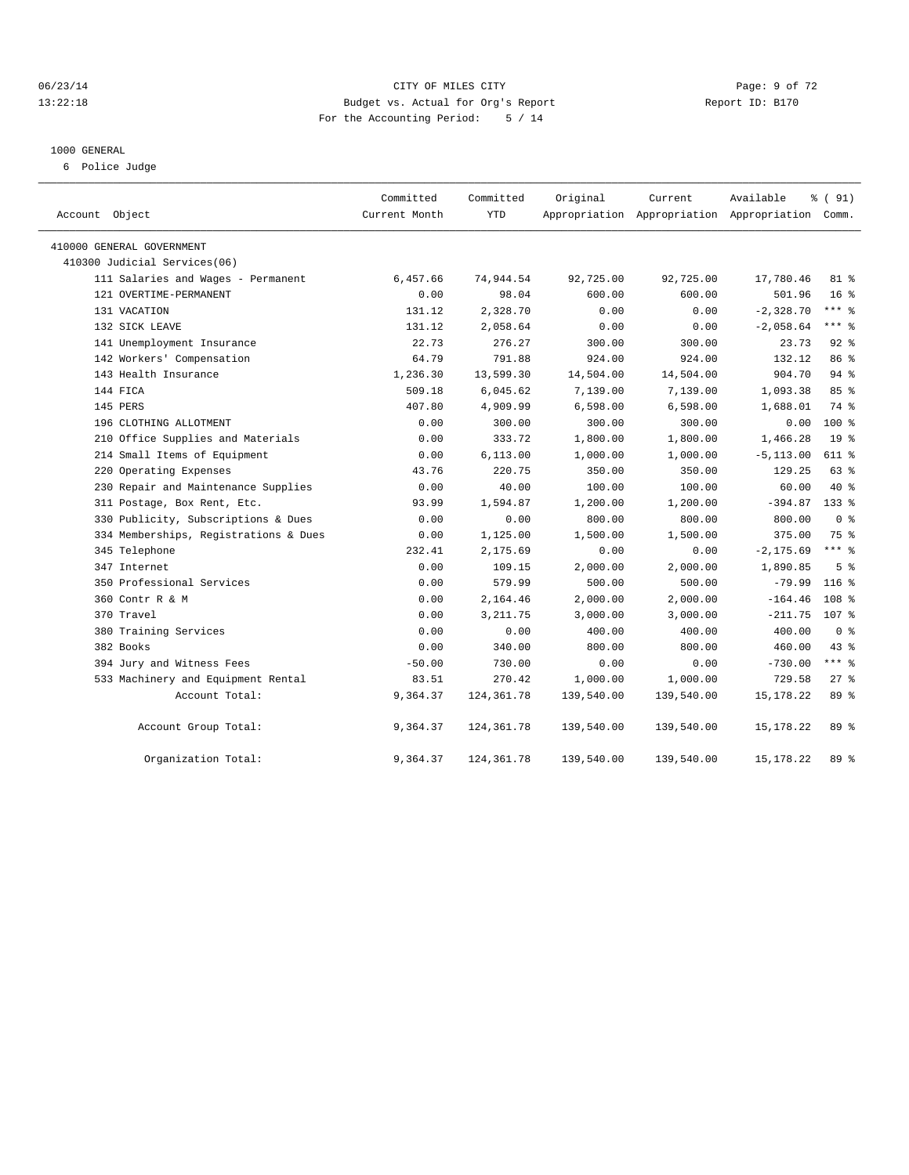#### 06/23/14 Page: 9 of 72 13:22:18 Budget vs. Actual for Org's Report Report ID: B170 For the Accounting Period: 5 / 14

#### 1000 GENERAL

6 Police Judge

| Account Object                        | Committed<br>Current Month | Committed<br><b>YTD</b> | Original   | Current<br>Appropriation Appropriation Appropriation Comm. | Available    | % (91)           |
|---------------------------------------|----------------------------|-------------------------|------------|------------------------------------------------------------|--------------|------------------|
| 410000 GENERAL GOVERNMENT             |                            |                         |            |                                                            |              |                  |
| 410300 Judicial Services(06)          |                            |                         |            |                                                            |              |                  |
| 111 Salaries and Wages - Permanent    | 6,457.66                   | 74,944.54               | 92,725.00  | 92,725.00                                                  | 17,780.46    | $81*$            |
| 121 OVERTIME-PERMANENT                | 0.00                       | 98.04                   | 600.00     | 600.00                                                     | 501.96       | 16 <sup>8</sup>  |
| 131 VACATION                          | 131.12                     | 2,328.70                | 0.00       | 0.00                                                       | $-2,328.70$  | $***$ $%$        |
| 132 SICK LEAVE                        | 131.12                     | 2,058.64                | 0.00       | 0.00                                                       | $-2,058.64$  | $***$ $%$        |
| 141 Unemployment Insurance            | 22.73                      | 276.27                  | 300.00     | 300.00                                                     | 23.73        | $92$ $%$         |
| 142 Workers' Compensation             | 64.79                      | 791.88                  | 924.00     | 924.00                                                     | 132.12       | 86 %             |
| 143 Health Insurance                  | 1,236.30                   | 13,599.30               | 14,504.00  | 14,504.00                                                  | 904.70       | $94$ $%$         |
| 144 FICA                              | 509.18                     | 6,045.62                | 7,139.00   | 7,139.00                                                   | 1,093.38     | 85%              |
| 145 PERS                              | 407.80                     | 4,909.99                | 6,598.00   | 6,598.00                                                   | 1,688.01     | 74 %             |
| 196 CLOTHING ALLOTMENT                | 0.00                       | 300.00                  | 300.00     | 300.00                                                     | 0.00         | $100*$           |
| 210 Office Supplies and Materials     | 0.00                       | 333.72                  | 1,800.00   | 1,800.00                                                   | 1,466.28     | 19 <sup>°</sup>  |
| 214 Small Items of Equipment          | 0.00                       | 6, 113.00               | 1,000.00   | 1,000.00                                                   | $-5, 113.00$ | 611 %            |
| 220 Operating Expenses                | 43.76                      | 220.75                  | 350.00     | 350.00                                                     | 129.25       | 63 %             |
| 230 Repair and Maintenance Supplies   | 0.00                       | 40.00                   | 100.00     | 100.00                                                     | 60.00        | 40 %             |
| 311 Postage, Box Rent, Etc.           | 93.99                      | 1,594.87                | 1,200.00   | 1,200.00                                                   | $-394.87$    | $133$ $%$        |
| 330 Publicity, Subscriptions & Dues   | 0.00                       | 0.00                    | 800.00     | 800.00                                                     | 800.00       | 0 <sup>8</sup>   |
| 334 Memberships, Registrations & Dues | 0.00                       | 1,125.00                | 1,500.00   | 1,500.00                                                   | 375.00       | 75 %             |
| 345 Telephone                         | 232.41                     | 2,175.69                | 0.00       | 0.00                                                       | $-2, 175.69$ | $***$ 8          |
| 347 Internet                          | 0.00                       | 109.15                  | 2,000.00   | 2,000.00                                                   | 1,890.85     | 5 <sup>8</sup>   |
| 350 Professional Services             | 0.00                       | 579.99                  | 500.00     | 500.00                                                     | $-79.99$     | $116$ %          |
| 360 Contr R & M                       | 0.00                       | 2,164.46                | 2,000.00   | 2,000.00                                                   | $-164.46$    | 108 %            |
| 370 Travel                            | 0.00                       | 3, 211.75               | 3,000.00   | 3,000.00                                                   | $-211.75$    | 107 <sub>8</sub> |
| 380 Training Services                 | 0.00                       | 0.00                    | 400.00     | 400.00                                                     | 400.00       | 0 <sup>8</sup>   |
| 382 Books                             | 0.00                       | 340.00                  | 800.00     | 800.00                                                     | 460.00       | $43$ $%$         |
| 394 Jury and Witness Fees             | $-50.00$                   | 730.00                  | 0.00       | 0.00                                                       | $-730.00$    | $***$ $-$        |
| 533 Machinery and Equipment Rental    | 83.51                      | 270.42                  | 1,000.00   | 1,000.00                                                   | 729.58       | $27*$            |
| Account Total:                        | 9,364.37                   | 124, 361.78             | 139,540.00 | 139,540.00                                                 | 15, 178. 22  | 89 %             |
| Account Group Total:                  | 9,364.37                   | 124,361.78              | 139,540.00 | 139,540.00                                                 | 15, 178. 22  | $89*$            |
| Organization Total:                   | 9,364.37                   | 124, 361.78             | 139,540.00 | 139,540.00                                                 | 15, 178. 22  | 89 %             |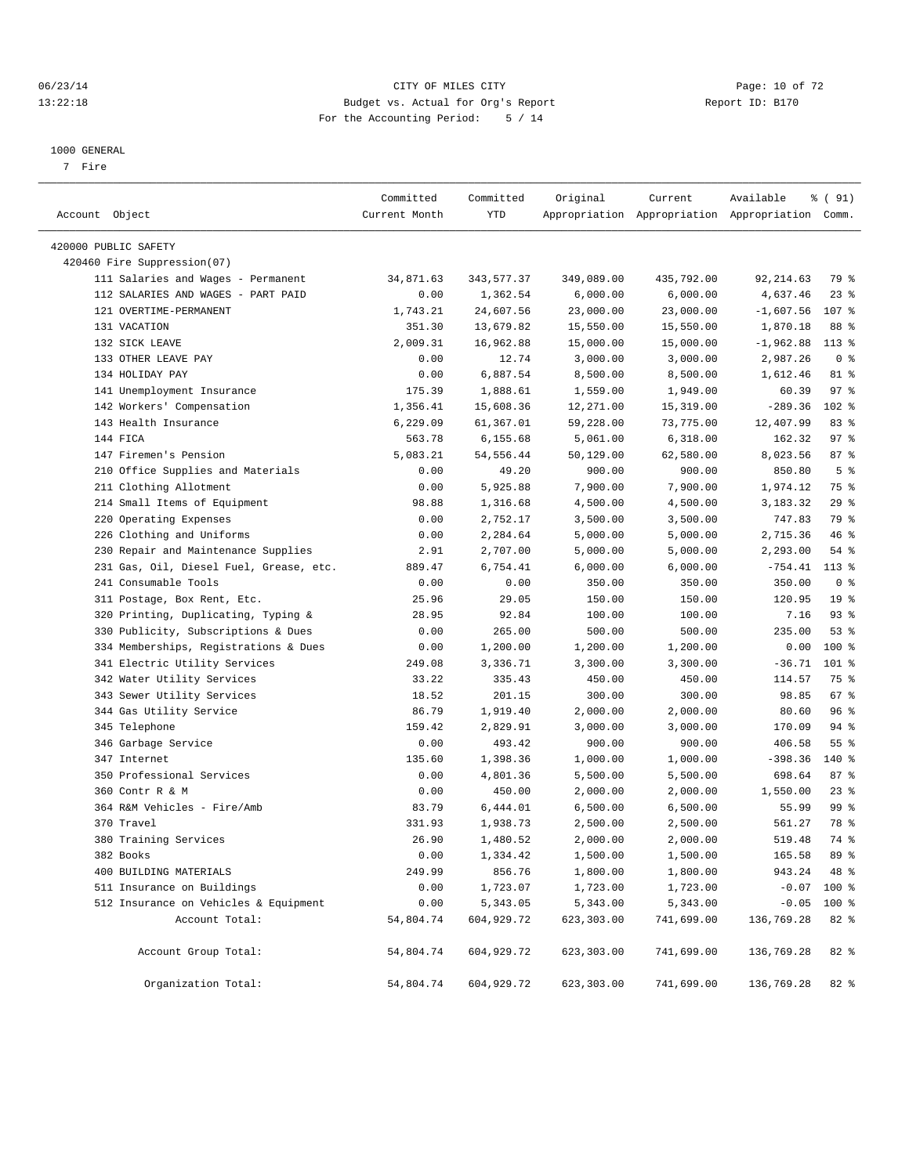#### 06/23/14 Page: 10 of 72 13:22:18 Budget vs. Actual for Org's Report Report ID: B170 For the Accounting Period: 5 / 14

————————————————————————————————————————————————————————————————————————————————————————————————————————————————————————————————————

#### 1000 GENERAL

7 Fire

|                                         | Committed     | Committed  | Original   | Current    | Available                                       | % ( 91)         |  |
|-----------------------------------------|---------------|------------|------------|------------|-------------------------------------------------|-----------------|--|
| Account Object                          | Current Month | YTD        |            |            | Appropriation Appropriation Appropriation Comm. |                 |  |
| 420000 PUBLIC SAFETY                    |               |            |            |            |                                                 |                 |  |
| 420460 Fire Suppression(07)             |               |            |            |            |                                                 |                 |  |
| 111 Salaries and Wages - Permanent      | 34,871.63     | 343,577.37 | 349,089.00 | 435,792.00 | 92, 214.63                                      | 79 %            |  |
| 112 SALARIES AND WAGES - PART PAID      | 0.00          | 1,362.54   | 6,000.00   | 6,000.00   | 4,637.46                                        | $23$ $%$        |  |
| 121 OVERTIME-PERMANENT                  | 1,743.21      | 24,607.56  | 23,000.00  | 23,000.00  | $-1,607.56$                                     | 107 %           |  |
| 131 VACATION                            | 351.30        | 13,679.82  | 15,550.00  | 15,550.00  | 1,870.18                                        | 88 %            |  |
| 132 SICK LEAVE                          | 2,009.31      | 16,962.88  | 15,000.00  | 15,000.00  | $-1,962.88$                                     | $113*$          |  |
| 133 OTHER LEAVE PAY                     | 0.00          | 12.74      | 3,000.00   | 3,000.00   | 2,987.26                                        | 0 <sup>8</sup>  |  |
| 134 HOLIDAY PAY                         | 0.00          | 6,887.54   | 8,500.00   | 8,500.00   | 1,612.46                                        | 81 %            |  |
| 141 Unemployment Insurance              | 175.39        | 1,888.61   | 1,559.00   | 1,949.00   | 60.39                                           | 97%             |  |
| 142 Workers' Compensation               | 1,356.41      | 15,608.36  | 12,271.00  | 15,319.00  | $-289.36$                                       | 102 %           |  |
| 143 Health Insurance                    | 6,229.09      | 61,367.01  | 59,228.00  | 73,775.00  | 12,407.99                                       | 83%             |  |
| 144 FICA                                | 563.78        | 6,155.68   | 5,061.00   | 6,318.00   | 162.32                                          | 97%             |  |
| 147 Firemen's Pension                   | 5,083.21      | 54, 556.44 | 50,129.00  | 62,580.00  | 8,023.56                                        | 87%             |  |
| 210 Office Supplies and Materials       | 0.00          | 49.20      | 900.00     | 900.00     | 850.80                                          | 5 <sup>8</sup>  |  |
| 211 Clothing Allotment                  | 0.00          | 5,925.88   | 7,900.00   | 7,900.00   | 1,974.12                                        | 75 %            |  |
| 214 Small Items of Equipment            | 98.88         | 1,316.68   | 4,500.00   | 4,500.00   | 3,183.32                                        | $29$ %          |  |
| 220 Operating Expenses                  | 0.00          | 2,752.17   | 3,500.00   | 3,500.00   | 747.83                                          | 79 %            |  |
| 226 Clothing and Uniforms               | 0.00          | 2,284.64   | 5,000.00   | 5,000.00   | 2,715.36                                        | 46 %            |  |
| 230 Repair and Maintenance Supplies     | 2.91          | 2,707.00   | 5,000.00   | 5,000.00   | 2,293.00                                        | 54 %            |  |
| 231 Gas, Oil, Diesel Fuel, Grease, etc. | 889.47        | 6,754.41   | 6,000.00   | 6,000.00   | $-754.41$                                       | $113*$          |  |
| 241 Consumable Tools                    | 0.00          | 0.00       | 350.00     | 350.00     | 350.00                                          | 0 <sup>8</sup>  |  |
| 311 Postage, Box Rent, Etc.             | 25.96         | 29.05      | 150.00     | 150.00     | 120.95                                          | 19 <sup>°</sup> |  |
| 320 Printing, Duplicating, Typing &     | 28.95         | 92.84      | 100.00     | 100.00     | 7.16                                            | 93%             |  |
| 330 Publicity, Subscriptions & Dues     | 0.00          | 265.00     | 500.00     | 500.00     | 235.00                                          | 53%             |  |
| 334 Memberships, Registrations & Dues   | 0.00          | 1,200.00   | 1,200.00   | 1,200.00   | 0.00                                            | 100 %           |  |
| 341 Electric Utility Services           | 249.08        | 3,336.71   | 3,300.00   | 3,300.00   | $-36.71$                                        | 101 %           |  |
| 342 Water Utility Services              | 33.22         | 335.43     | 450.00     | 450.00     | 114.57                                          | 75 %            |  |
| 343 Sewer Utility Services              | 18.52         | 201.15     | 300.00     | 300.00     | 98.85                                           | 67%             |  |
| 344 Gas Utility Service                 | 86.79         | 1,919.40   | 2,000.00   | 2,000.00   | 80.60                                           | 96 %            |  |
| 345 Telephone                           | 159.42        | 2,829.91   | 3,000.00   | 3,000.00   | 170.09                                          | 94 %            |  |
| 346 Garbage Service                     | 0.00          | 493.42     | 900.00     | 900.00     | 406.58                                          | $55$ $%$        |  |
| 347 Internet                            | 135.60        | 1,398.36   | 1,000.00   | 1,000.00   | $-398.36$                                       | 140 %           |  |
| 350 Professional Services               | 0.00          | 4,801.36   | 5,500.00   | 5,500.00   | 698.64                                          | 87%             |  |
| 360 Contr R & M                         | 0.00          | 450.00     | 2,000.00   | 2,000.00   | 1,550.00                                        | $23$ $%$        |  |
| 364 R&M Vehicles - Fire/Amb             | 83.79         | 6,444.01   | 6,500.00   | 6,500.00   | 55.99                                           | 99 %            |  |
| 370 Travel                              | 331.93        | 1,938.73   | 2,500.00   | 2,500.00   | 561.27                                          | 78 %            |  |
| 380 Training Services                   | 26.90         | 1,480.52   | 2,000.00   | 2,000.00   | 519.48                                          | 74 %            |  |
| 382 Books                               | 0.00          | 1,334.42   | 1,500.00   | 1,500.00   | 165.58                                          | 89 %            |  |
| 400 BUILDING MATERIALS                  | 249.99        | 856.76     | 1,800.00   | 1,800.00   | 943.24                                          | 48 %            |  |
| 511 Insurance on Buildings              | 0.00          | 1,723.07   | 1,723.00   | 1,723.00   | $-0.07$                                         | 100 %           |  |
| 512 Insurance on Vehicles & Equipment   | 0.00          | 5,343.05   | 5,343.00   | 5,343.00   | $-0.05$                                         | 100 %           |  |
| Account Total:                          | 54,804.74     | 604,929.72 | 623,303.00 | 741,699.00 | 136,769.28                                      | 82 %            |  |
| Account Group Total:                    | 54,804.74     | 604,929.72 | 623,303.00 | 741,699.00 | 136,769.28                                      | 82 %            |  |
| Organization Total:                     | 54,804.74     | 604,929.72 | 623,303.00 | 741,699.00 | 136,769.28                                      | 82 %            |  |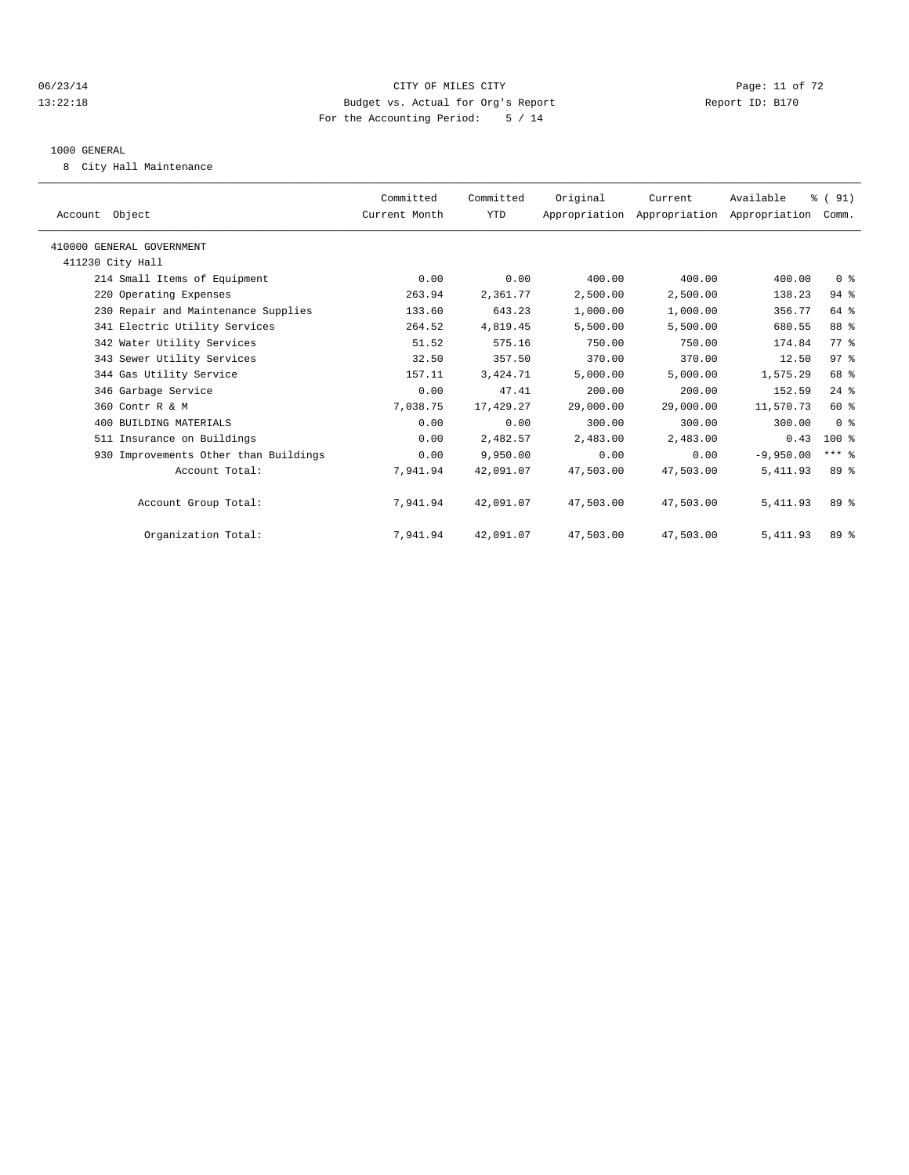#### 06/23/14 Page: 11 of 72 13:22:18 Budget vs. Actual for Org's Report Report ID: B170 For the Accounting Period: 5 / 14

#### 1000 GENERAL

8 City Hall Maintenance

| Account Object                        | Committed<br>Current Month | Committed<br><b>YTD</b> | Original  | Current   | Available<br>Appropriation Appropriation Appropriation | % (91)<br>Comm. |  |
|---------------------------------------|----------------------------|-------------------------|-----------|-----------|--------------------------------------------------------|-----------------|--|
| 410000 GENERAL GOVERNMENT             |                            |                         |           |           |                                                        |                 |  |
| 411230 City Hall                      |                            |                         |           |           |                                                        |                 |  |
| 214 Small Items of Equipment          | 0.00                       | 0.00                    | 400.00    | 400.00    | 400.00                                                 | 0 <sup>8</sup>  |  |
| 220 Operating Expenses                | 263.94                     | 2,361.77                | 2,500.00  | 2,500.00  | 138.23                                                 | $94$ %          |  |
| 230 Repair and Maintenance Supplies   | 133.60                     | 643.23                  | 1,000.00  | 1,000.00  | 356.77                                                 | 64 %            |  |
| 341 Electric Utility Services         | 264.52                     | 4,819.45                | 5,500.00  | 5,500.00  | 680.55                                                 | 88 %            |  |
| 342 Water Utility Services            | 51.52                      | 575.16                  | 750.00    | 750.00    | 174.84                                                 | 77.8            |  |
| 343 Sewer Utility Services            | 32.50                      | 357.50                  | 370.00    | 370.00    | 12.50                                                  | 97 <sub>8</sub> |  |
| 344 Gas Utility Service               | 157.11                     | 3,424.71                | 5,000.00  | 5,000.00  | 1,575.29                                               | 68 %            |  |
| 346 Garbage Service                   | 0.00                       | 47.41                   | 200.00    | 200.00    | 152.59                                                 | $24$ $%$        |  |
| 360 Contr R & M                       | 7,038.75                   | 17,429.27               | 29,000.00 | 29,000.00 | 11,570.73                                              | $60*$           |  |
| 400 BUILDING MATERIALS                | 0.00                       | 0.00                    | 300.00    | 300.00    | 300.00                                                 | 0 <sup>8</sup>  |  |
| 511 Insurance on Buildings            | 0.00                       | 2,482.57                | 2,483.00  | 2,483.00  | 0.43                                                   | $100*$          |  |
| 930 Improvements Other than Buildings | 0.00                       | 9,950.00                | 0.00      | 0.00      | $-9,950,00$                                            | $***$ $-$       |  |
| Account Total:                        | 7,941.94                   | 42,091.07               | 47,503.00 | 47,503.00 | 5, 411.93                                              | 89 <sup>8</sup> |  |
| Account Group Total:                  | 7,941.94                   | 42,091.07               | 47,503.00 | 47,503.00 | 5, 411.93                                              | 89 %            |  |
| Organization Total:                   | 7,941.94                   | 42,091.07               | 47,503.00 | 47,503.00 | 5, 411.93                                              | 89 %            |  |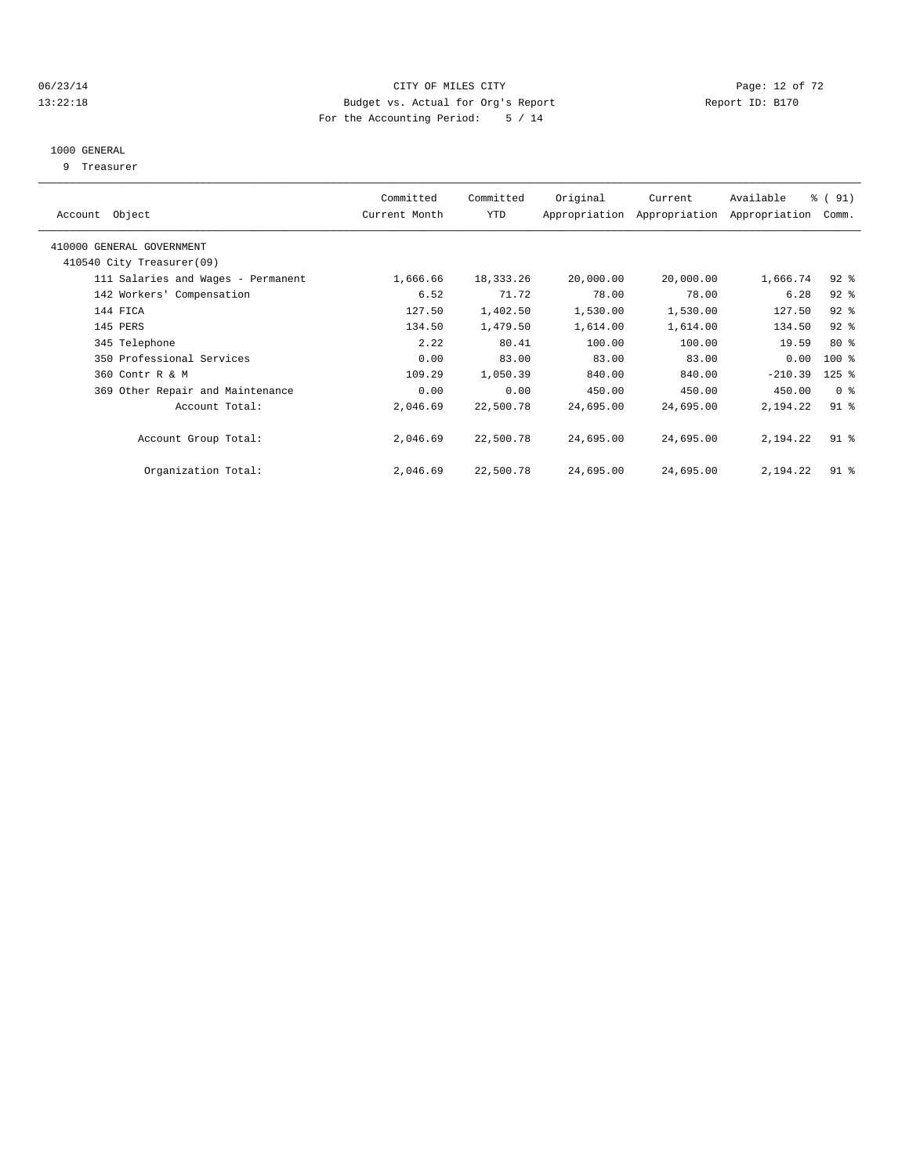#### 06/23/14 Page: 12 of 72 13:22:18 Budget vs. Actual for Org's Report Report ID: B170 For the Accounting Period: 5 / 14

#### 1000 GENERAL

9 Treasurer

| Account Object                     | Committed<br>Current Month | Committed<br>YTD | Original  | Current<br>Appropriation Appropriation | Available<br>Appropriation | $\frac{1}{6}$ (91)<br>Comm. |  |
|------------------------------------|----------------------------|------------------|-----------|----------------------------------------|----------------------------|-----------------------------|--|
|                                    |                            |                  |           |                                        |                            |                             |  |
| 410000 GENERAL GOVERNMENT          |                            |                  |           |                                        |                            |                             |  |
| 410540 City Treasurer(09)          |                            |                  |           |                                        |                            |                             |  |
| 111 Salaries and Wages - Permanent | 1,666.66                   | 18,333.26        | 20,000.00 | 20,000.00                              | 1,666.74                   | $92$ $%$                    |  |
| 142 Workers' Compensation          | 6.52                       | 71.72            | 78.00     | 78.00                                  | 6.28                       | $92$ $%$                    |  |
| 144 FICA                           | 127.50                     | 1,402.50         | 1,530.00  | 1,530.00                               | 127.50                     | $92$ $%$                    |  |
| 145 PERS                           | 134.50                     | 1,479.50         | 1,614.00  | 1,614.00                               | 134.50                     | $92$ $%$                    |  |
| 345 Telephone                      | 2.22                       | 80.41            | 100.00    | 100.00                                 | 19.59                      | $80*$                       |  |
| 350 Professional Services          | 0.00                       | 83.00            | 83.00     | 83.00                                  | 0.00                       | $100$ %                     |  |
| 360 Contr R & M                    | 109.29                     | 1,050.39         | 840.00    | 840.00                                 | $-210.39$                  | $125$ $%$                   |  |
| 369 Other Repair and Maintenance   | 0.00                       | 0.00             | 450.00    | 450.00                                 | 450.00                     | 0 <sup>8</sup>              |  |
| Account Total:                     | 2,046.69                   | 22,500.78        | 24,695.00 | 24,695.00                              | 2,194.22                   | $91$ $8$                    |  |
|                                    |                            |                  |           |                                        |                            |                             |  |
| Account Group Total:               | 2,046.69                   | 22,500.78        | 24,695.00 | 24,695.00                              | 2,194.22                   | $91$ %                      |  |
|                                    | 2,046.69                   | 22,500.78        | 24,695.00 | 24,695.00                              | 2,194.22                   | $91$ %                      |  |
| Organization Total:                |                            |                  |           |                                        |                            |                             |  |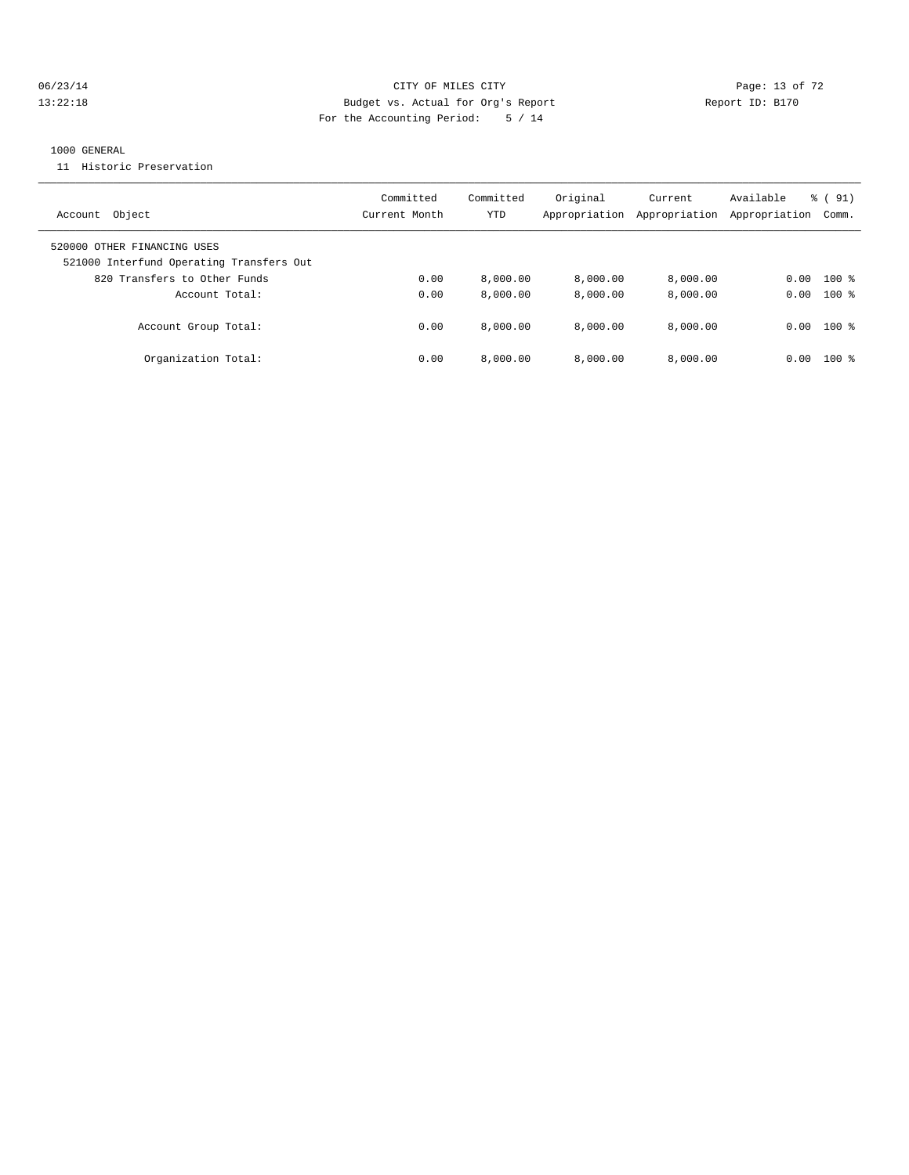#### 06/23/14 Page: 13 of 72 13:22:18 Budget vs. Actual for Org's Report Report ID: B170 For the Accounting Period: 5 / 14

#### 1000 GENERAL

11 Historic Preservation

| Object<br>Account                                                       | Committed<br>Current Month | Committed<br>YTD | Original<br>Appropriation | Current<br>Appropriation | Available<br>Appropriation | $\frac{1}{6}$ (91)<br>Comm. |
|-------------------------------------------------------------------------|----------------------------|------------------|---------------------------|--------------------------|----------------------------|-----------------------------|
| 520000 OTHER FINANCING USES<br>521000 Interfund Operating Transfers Out |                            |                  |                           |                          |                            |                             |
| 820 Transfers to Other Funds                                            | 0.00                       | 8,000.00         | 8,000.00                  | 8,000.00                 | 0.00                       | $100$ %                     |
| Account Total:                                                          | 0.00                       | 8,000.00         | 8,000.00                  | 8,000.00                 | 0.00                       | $100*$                      |
| Account Group Total:                                                    | 0.00                       | 8.000.00         | 8.000.00                  | 8.000.00                 | 0.00                       | $100*$                      |
| Organization Total:                                                     | 0.00                       | 8,000.00         | 8.000.00                  | 8.000.00                 | 0.00                       | $100$ $\approx$             |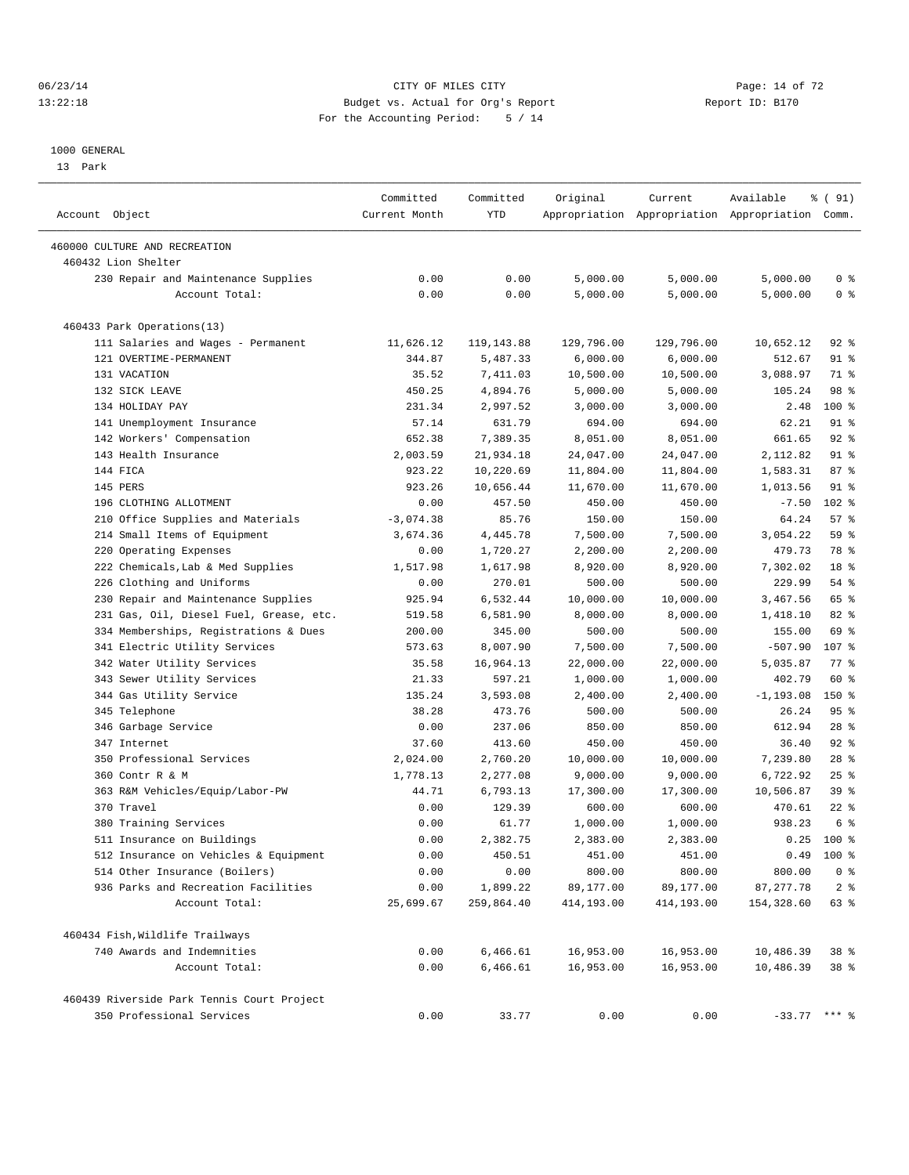#### 06/23/14 Page: 14 of 72 13:22:18 Budget vs. Actual for Org's Report Report ID: B170 For the Accounting Period: 5 / 14

————————————————————————————————————————————————————————————————————————————————————————————————————————————————————————————————————

#### 1000 GENERAL

13 Park

| Account Object                             | Committed<br>Current Month | Committed<br>YTD | Original   | Current    | Available<br>Appropriation Appropriation Appropriation Comm. | % ( 91)         |
|--------------------------------------------|----------------------------|------------------|------------|------------|--------------------------------------------------------------|-----------------|
| 460000 CULTURE AND RECREATION              |                            |                  |            |            |                                                              |                 |
| 460432 Lion Shelter                        |                            |                  |            |            |                                                              |                 |
| 230 Repair and Maintenance Supplies        | 0.00                       | 0.00             | 5,000.00   | 5,000.00   | 5,000.00                                                     | 0 <sup>8</sup>  |
| Account Total:                             | 0.00                       | 0.00             | 5,000.00   | 5,000.00   | 5,000.00                                                     | 0 <sup>8</sup>  |
| 460433 Park Operations(13)                 |                            |                  |            |            |                                                              |                 |
| 111 Salaries and Wages - Permanent         | 11,626.12                  | 119,143.88       | 129,796.00 | 129,796.00 | 10,652.12                                                    | 92 %            |
| 121 OVERTIME-PERMANENT                     | 344.87                     | 5,487.33         | 6,000.00   | 6,000.00   | 512.67                                                       | $91$ %          |
| 131 VACATION                               | 35.52                      | 7,411.03         | 10,500.00  | 10,500.00  | 3,088.97                                                     | 71 %            |
| 132 SICK LEAVE                             | 450.25                     | 4,894.76         | 5,000.00   | 5,000.00   | 105.24                                                       | 98 %            |
| 134 HOLIDAY PAY                            | 231.34                     | 2,997.52         | 3,000.00   | 3,000.00   | 2.48                                                         | 100 %           |
| 141 Unemployment Insurance                 | 57.14                      | 631.79           | 694.00     | 694.00     | 62.21                                                        | $91$ %          |
| 142 Workers' Compensation                  | 652.38                     | 7,389.35         | 8,051.00   | 8,051.00   | 661.65                                                       | $92$ $%$        |
| 143 Health Insurance                       | 2,003.59                   | 21,934.18        | 24,047.00  | 24,047.00  | 2,112.82                                                     | $91$ %          |
| 144 FICA                                   | 923.22                     | 10,220.69        | 11,804.00  | 11,804.00  | 1,583.31                                                     | 87%             |
| 145 PERS                                   | 923.26                     | 10,656.44        | 11,670.00  | 11,670.00  | 1,013.56                                                     | 91 %            |
| 196 CLOTHING ALLOTMENT                     | 0.00                       | 457.50           | 450.00     | 450.00     | $-7.50$                                                      | $102*$          |
| 210 Office Supplies and Materials          | $-3,074.38$                | 85.76            | 150.00     | 150.00     | 64.24                                                        | 57%             |
| 214 Small Items of Equipment               | 3,674.36                   | 4,445.78         | 7,500.00   | 7,500.00   | 3,054.22                                                     | 59 %            |
| 220 Operating Expenses                     | 0.00                       | 1,720.27         | 2,200.00   | 2,200.00   | 479.73                                                       | 78 %            |
| 222 Chemicals, Lab & Med Supplies          | 1,517.98                   | 1,617.98         | 8,920.00   | 8,920.00   | 7,302.02                                                     | 18 <sup>°</sup> |
| 226 Clothing and Uniforms                  | 0.00                       | 270.01           | 500.00     | 500.00     | 229.99                                                       | 54 %            |
| 230 Repair and Maintenance Supplies        | 925.94                     | 6,532.44         | 10,000.00  | 10,000.00  | 3,467.56                                                     | 65 %            |
| 231 Gas, Oil, Diesel Fuel, Grease, etc.    | 519.58                     | 6,581.90         | 8,000.00   | 8,000.00   | 1,418.10                                                     | $82$ $%$        |
| 334 Memberships, Registrations & Dues      | 200.00                     | 345.00           | 500.00     | 500.00     | 155.00                                                       | 69 %            |
| 341 Electric Utility Services              | 573.63                     | 8,007.90         | 7,500.00   | 7,500.00   | $-507.90$                                                    | 107 %           |
| 342 Water Utility Services                 | 35.58                      | 16,964.13        | 22,000.00  | 22,000.00  | 5,035.87                                                     | $77$ $%$        |
| 343 Sewer Utility Services                 | 21.33                      | 597.21           | 1,000.00   | 1,000.00   | 402.79                                                       | 60 %            |
| 344 Gas Utility Service                    | 135.24                     | 3,593.08         | 2,400.00   | 2,400.00   | $-1, 193.08$                                                 | $150*$          |
| 345 Telephone                              | 38.28                      | 473.76           | 500.00     | 500.00     | 26.24                                                        | 95%             |
| 346 Garbage Service                        | 0.00                       | 237.06           | 850.00     | 850.00     | 612.94                                                       | $28$ %          |
| 347 Internet                               | 37.60                      | 413.60           | 450.00     | 450.00     | 36.40                                                        | $92$ $%$        |
| 350 Professional Services                  | 2,024.00                   | 2,760.20         | 10,000.00  | 10,000.00  | 7,239.80                                                     | $28$ %          |
| 360 Contr R & M                            | 1,778.13                   | 2,277.08         | 9,000.00   | 9,000.00   | 6,722.92                                                     | $25$ $%$        |
| 363 R&M Vehicles/Equip/Labor-PW            | 44.71                      | 6,793.13         | 17,300.00  | 17,300.00  | 10,506.87                                                    | 39 %            |
| 370 Travel                                 | 0.00                       | 129.39           | 600.00     | 600.00     | 470.61                                                       | $22$ %          |
| 380 Training Services                      | 0.00                       | 61.77            | 1,000.00   | 1,000.00   | 938.23                                                       | 6 <sup>°</sup>  |
| 511 Insurance on Buildings                 | 0.00                       | 2,382.75         | 2,383.00   | 2,383.00   | 0.25                                                         | 100 %           |
| 512 Insurance on Vehicles & Equipment      | 0.00                       | 450.51           | 451.00     | 451.00     | 0.49                                                         | $100*$          |
| 514 Other Insurance (Boilers)              | 0.00                       | 0.00             | 800.00     | 800.00     | 800.00                                                       | 0 <sup>8</sup>  |
| 936 Parks and Recreation Facilities        | 0.00                       | 1,899.22         | 89,177.00  | 89,177.00  | 87, 277.78                                                   | 2 <sup>8</sup>  |
| Account Total:                             | 25,699.67                  | 259,864.40       | 414,193.00 | 414,193.00 | 154,328.60                                                   | 63 %            |
| 460434 Fish, Wildlife Trailways            |                            |                  |            |            |                                                              |                 |
| 740 Awards and Indemnities                 | 0.00                       | 6,466.61         | 16,953.00  | 16,953.00  | 10,486.39                                                    | 38 %            |
| Account Total:                             | 0.00                       | 6,466.61         | 16,953.00  | 16,953.00  | 10,486.39                                                    | 38 <sup>8</sup> |
| 460439 Riverside Park Tennis Court Project |                            |                  |            |            |                                                              |                 |
| 350 Professional Services                  | 0.00                       | 33.77            | 0.00       | 0.00       | $-33.77$ *** %                                               |                 |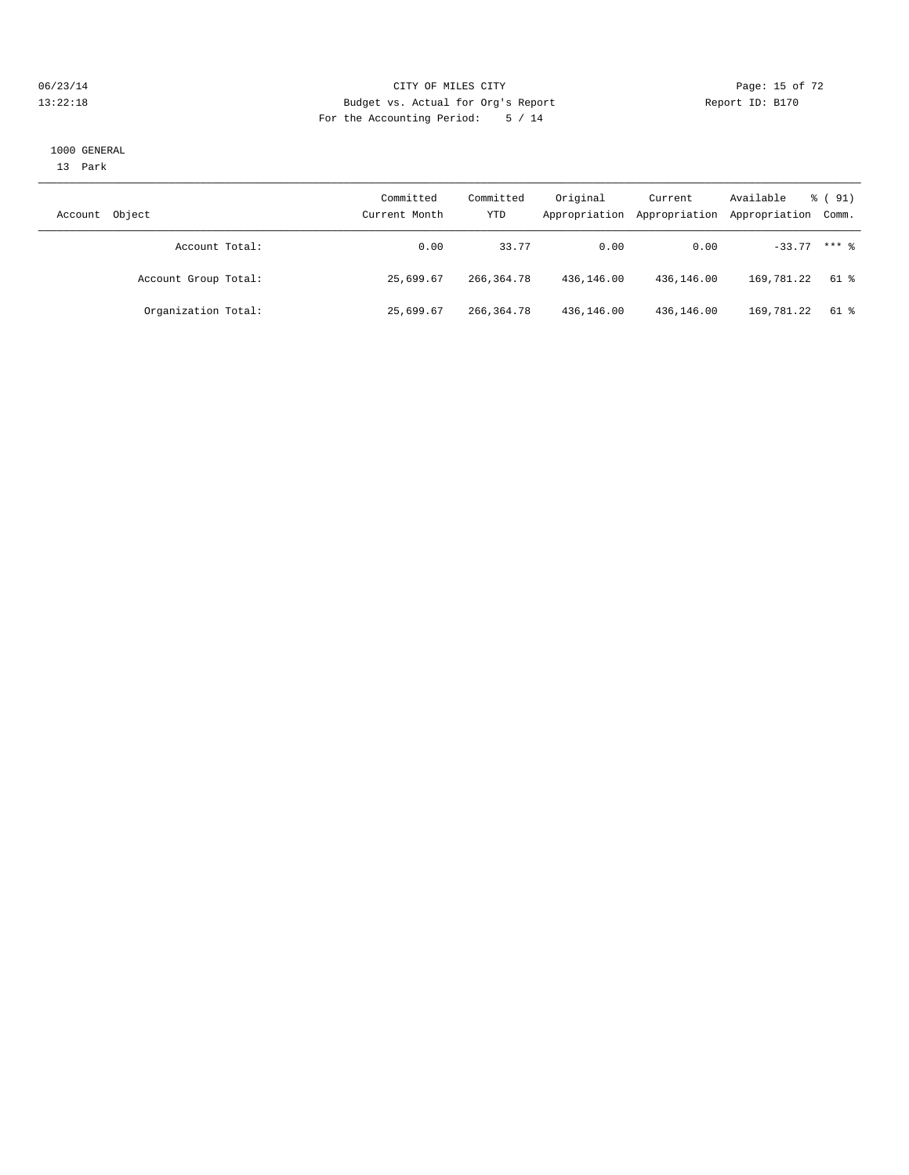#### 06/23/14 Page: 15 of 72 13:22:18 Budget vs. Actual for Org's Report Report ID: B170 For the Accounting Period: 5 / 14

#### 1000 GENERAL

13 Park

| Account | Object               | Committed<br>Current Month | Committed<br>YTD | Original<br>Appropriation | Current<br>Appropriation | Available<br>Appropriation Comm. | $\frac{1}{6}$ (91) |
|---------|----------------------|----------------------------|------------------|---------------------------|--------------------------|----------------------------------|--------------------|
|         | Account Total:       | 0.00                       | 33.77            | 0.00                      | 0.00                     | $-33.77$ *** $%$                 |                    |
|         | Account Group Total: | 25,699.67                  | 266,364.78       | 436,146.00                | 436,146.00               | 169,781.22                       | 61 %               |
|         | Organization Total:  | 25,699.67                  | 266,364.78       | 436,146.00                | 436,146.00               | 169,781.22                       | 61 %               |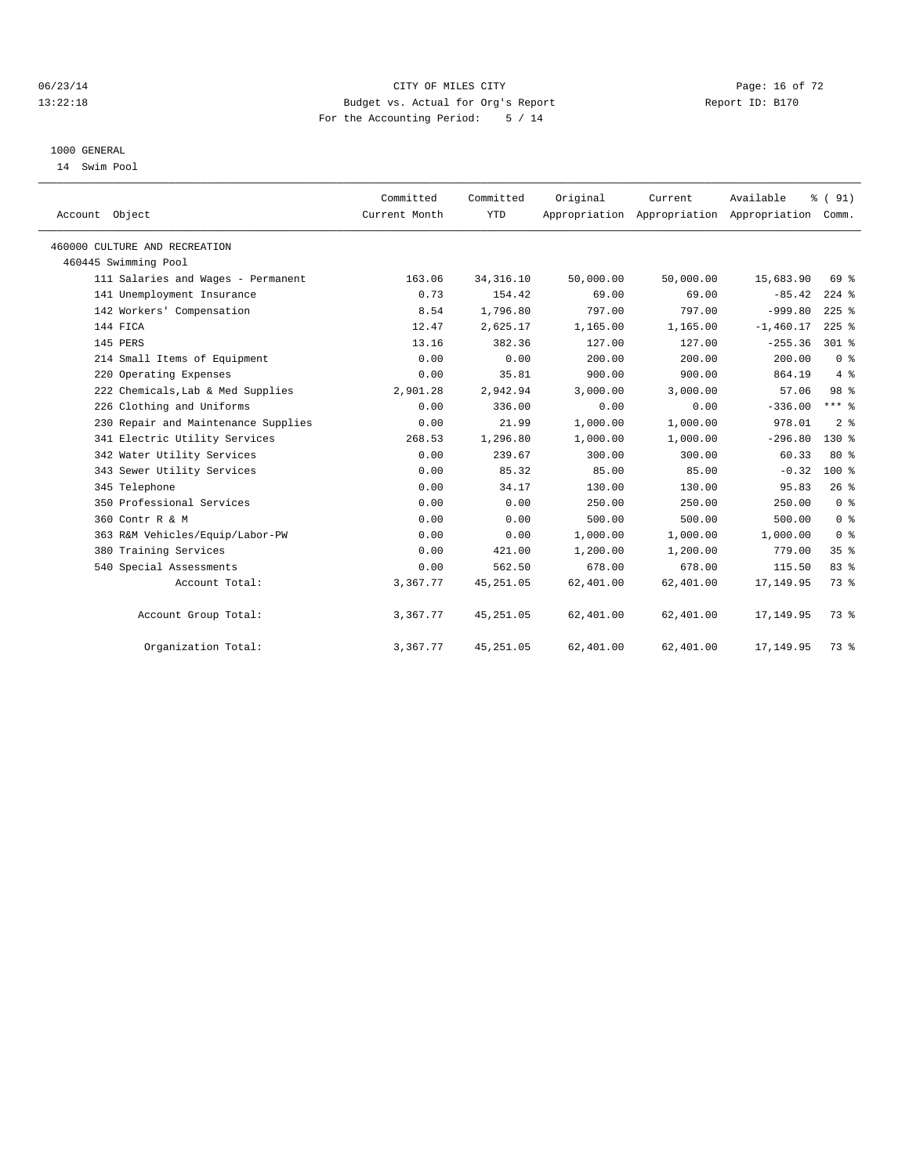#### 06/23/14 Page: 16 of 72 13:22:18 Budget vs. Actual for Org's Report Report ID: B170 For the Accounting Period: 5 / 14

#### 1000 GENERAL

14 Swim Pool

| Account Object                      | Committed<br>Current Month | Committed<br><b>YTD</b> | Original  | Current<br>Appropriation Appropriation Appropriation Comm. | Available   | % (91)          |
|-------------------------------------|----------------------------|-------------------------|-----------|------------------------------------------------------------|-------------|-----------------|
| 460000 CULTURE AND RECREATION       |                            |                         |           |                                                            |             |                 |
| 460445 Swimming Pool                |                            |                         |           |                                                            |             |                 |
| 111 Salaries and Wages - Permanent  | 163.06                     | 34, 316.10              | 50,000.00 | 50,000.00                                                  | 15,683.90   | 69 %            |
| 141 Unemployment Insurance          | 0.73                       | 154.42                  | 69.00     | 69.00                                                      | $-85.42$    | $224$ $%$       |
| 142 Workers' Compensation           | 8.54                       | 1,796.80                | 797.00    | 797.00                                                     | $-999.80$   | $225$ %         |
| 144 FICA                            | 12.47                      | 2,625.17                | 1,165.00  | 1,165.00                                                   | $-1,460.17$ | $225$ %         |
| 145 PERS                            | 13.16                      | 382.36                  | 127.00    | 127.00                                                     | $-255.36$   | $301$ %         |
| 214 Small Items of Equipment        | 0.00                       | 0.00                    | 200.00    | 200.00                                                     | 200.00      | 0 <sup>8</sup>  |
| 220 Operating Expenses              | 0.00                       | 35.81                   | 900.00    | 900.00                                                     | 864.19      | 4%              |
| 222 Chemicals, Lab & Med Supplies   | 2,901.28                   | 2,942.94                | 3,000.00  | 3,000.00                                                   | 57.06       | 98 %            |
| 226 Clothing and Uniforms           | 0.00                       | 336.00                  | 0.00      | 0.00                                                       | $-336.00$   | $***$ $_{8}$    |
| 230 Repair and Maintenance Supplies | 0.00                       | 21.99                   | 1,000.00  | 1,000.00                                                   | 978.01      | 2 <sup>8</sup>  |
| 341 Electric Utility Services       | 268.53                     | 1,296.80                | 1,000.00  | 1,000.00                                                   | $-296.80$   | $130*$          |
| 342 Water Utility Services          | 0.00                       | 239.67                  | 300.00    | 300.00                                                     | 60.33       | 80%             |
| 343 Sewer Utility Services          | 0.00                       | 85.32                   | 85.00     | 85.00                                                      | $-0.32$     | $100*$          |
| 345 Telephone                       | 0.00                       | 34.17                   | 130.00    | 130.00                                                     | 95.83       | 26%             |
| 350 Professional Services           | 0.00                       | 0.00                    | 250.00    | 250.00                                                     | 250.00      | 0 <sup>8</sup>  |
| 360 Contr R & M                     | 0.00                       | 0.00                    | 500.00    | 500.00                                                     | 500.00      | 0 <sup>8</sup>  |
| 363 R&M Vehicles/Equip/Labor-PW     | 0.00                       | 0.00                    | 1,000.00  | 1,000.00                                                   | 1,000.00    | 0 <sup>8</sup>  |
| 380 Training Services               | 0.00                       | 421.00                  | 1,200.00  | 1,200.00                                                   | 779.00      | 35 <sup>8</sup> |
| 540 Special Assessments             | 0.00                       | 562.50                  | 678.00    | 678.00                                                     | 115.50      | 83%             |
| Account Total:                      | 3,367.77                   | 45, 251.05              | 62,401.00 | 62,401.00                                                  | 17,149.95   | 73.8            |
| Account Group Total:                | 3,367.77                   | 45, 251.05              | 62,401.00 | 62,401.00                                                  | 17,149.95   | 73 %            |
| Organization Total:                 | 3,367.77                   | 45, 251.05              | 62,401.00 | 62,401.00                                                  | 17,149.95   | 73 %            |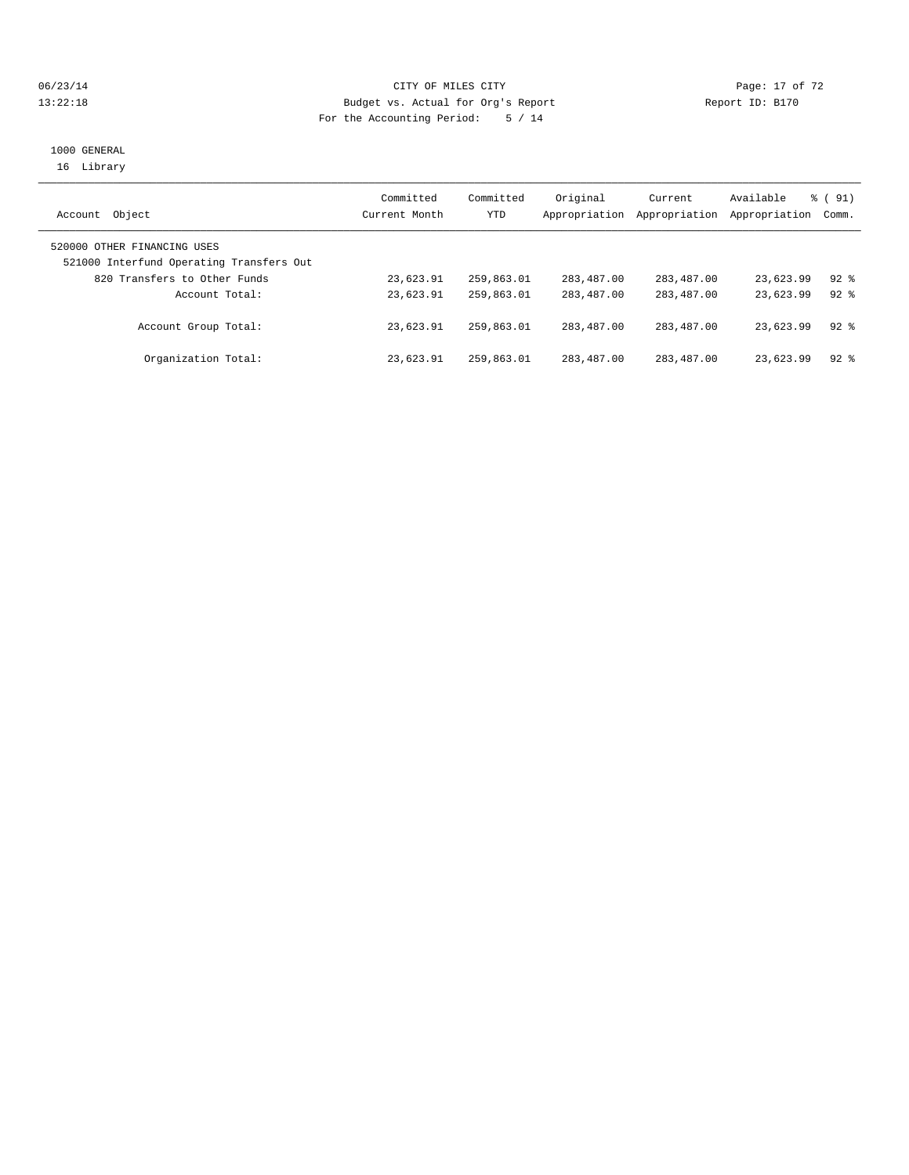#### 06/23/14 Page: 17 of 72 13:22:18 Budget vs. Actual for Org's Report Report ID: B170 For the Accounting Period: 5 / 14

## 1000 GENERAL 16 Library

|                                          | Committed     | Committed  | Original      | Current       | Available     | $\frac{1}{6}$ (91) |
|------------------------------------------|---------------|------------|---------------|---------------|---------------|--------------------|
| Object<br>Account                        | Current Month | <b>YTD</b> | Appropriation | Appropriation | Appropriation | Comm.              |
| 520000 OTHER FINANCING USES              |               |            |               |               |               |                    |
| 521000 Interfund Operating Transfers Out |               |            |               |               |               |                    |
| 820 Transfers to Other Funds             | 23,623.91     | 259,863.01 | 283,487.00    | 283,487.00    | 23,623.99     | $92$ $%$           |
| Account Total:                           | 23,623.91     | 259,863.01 | 283,487.00    | 283,487.00    | 23,623.99     | $92$ $%$           |
| Account Group Total:                     | 23,623.91     | 259,863.01 | 283,487.00    | 283,487.00    | 23,623.99     | $92$ $%$           |
| Organization Total:                      | 23,623.91     | 259,863.01 | 283,487.00    | 283,487.00    | 23,623.99     | $92$ $%$           |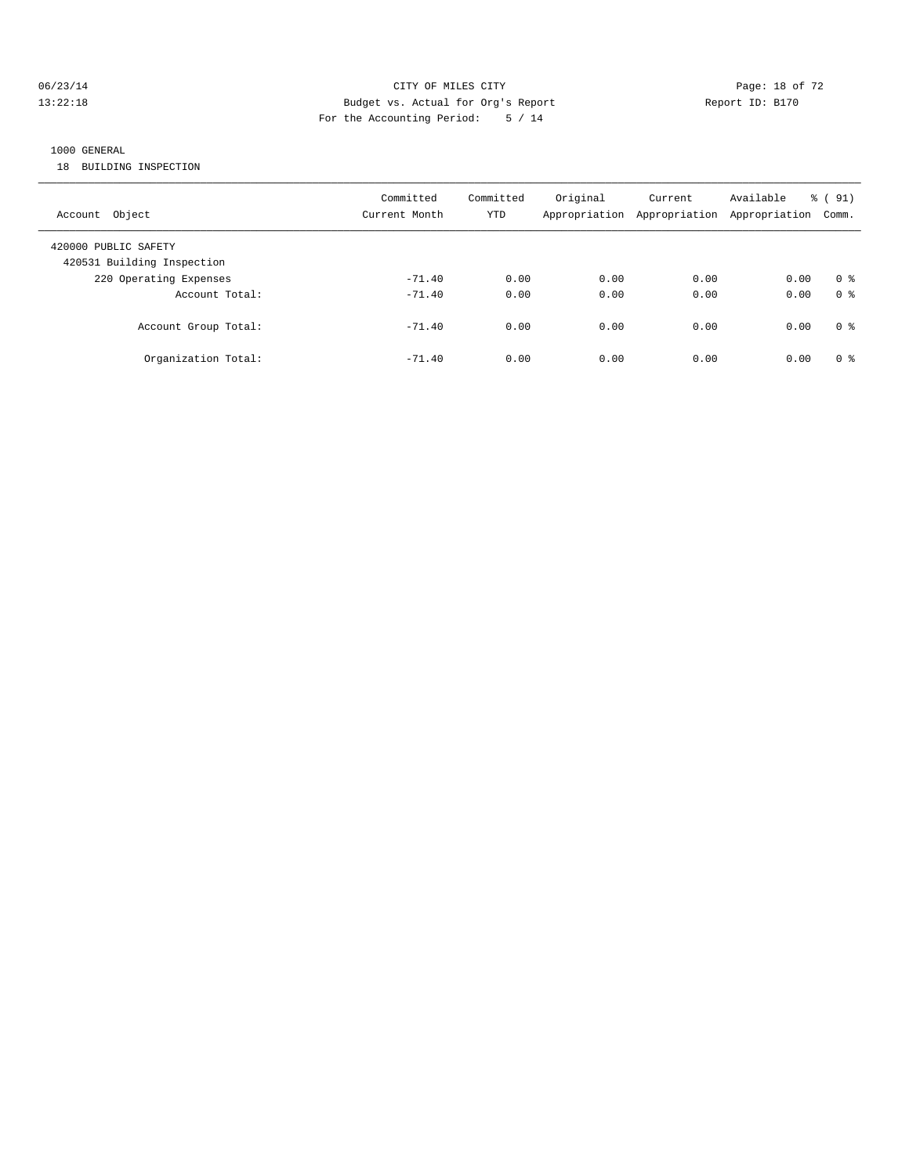#### 06/23/14 Page: 18 of 72 13:22:18 Budget vs. Actual for Org's Report Report ID: B170 For the Accounting Period: 5 / 14

## 1000 GENERAL

18 BUILDING INSPECTION

| Account Object                                     | Committed<br>Current Month | Committed<br>YTD | Original | Current<br>Appropriation Appropriation Appropriation | Available | % (91)<br>Comm. |
|----------------------------------------------------|----------------------------|------------------|----------|------------------------------------------------------|-----------|-----------------|
| 420000 PUBLIC SAFETY<br>420531 Building Inspection |                            |                  |          |                                                      |           |                 |
| 220 Operating Expenses                             | $-71.40$                   | 0.00             | 0.00     | 0.00                                                 | 0.00      | 0 <sup>8</sup>  |
| Account Total:                                     | $-71.40$                   | 0.00             | 0.00     | 0.00                                                 | 0.00      | 0 <sup>8</sup>  |
| Account Group Total:                               | $-71.40$                   | 0.00             | 0.00     | 0.00                                                 | 0.00      | 0 <sup>8</sup>  |
| Organization Total:                                | $-71.40$                   | 0.00             | 0.00     | 0.00                                                 | 0.00      | 0 <sup>8</sup>  |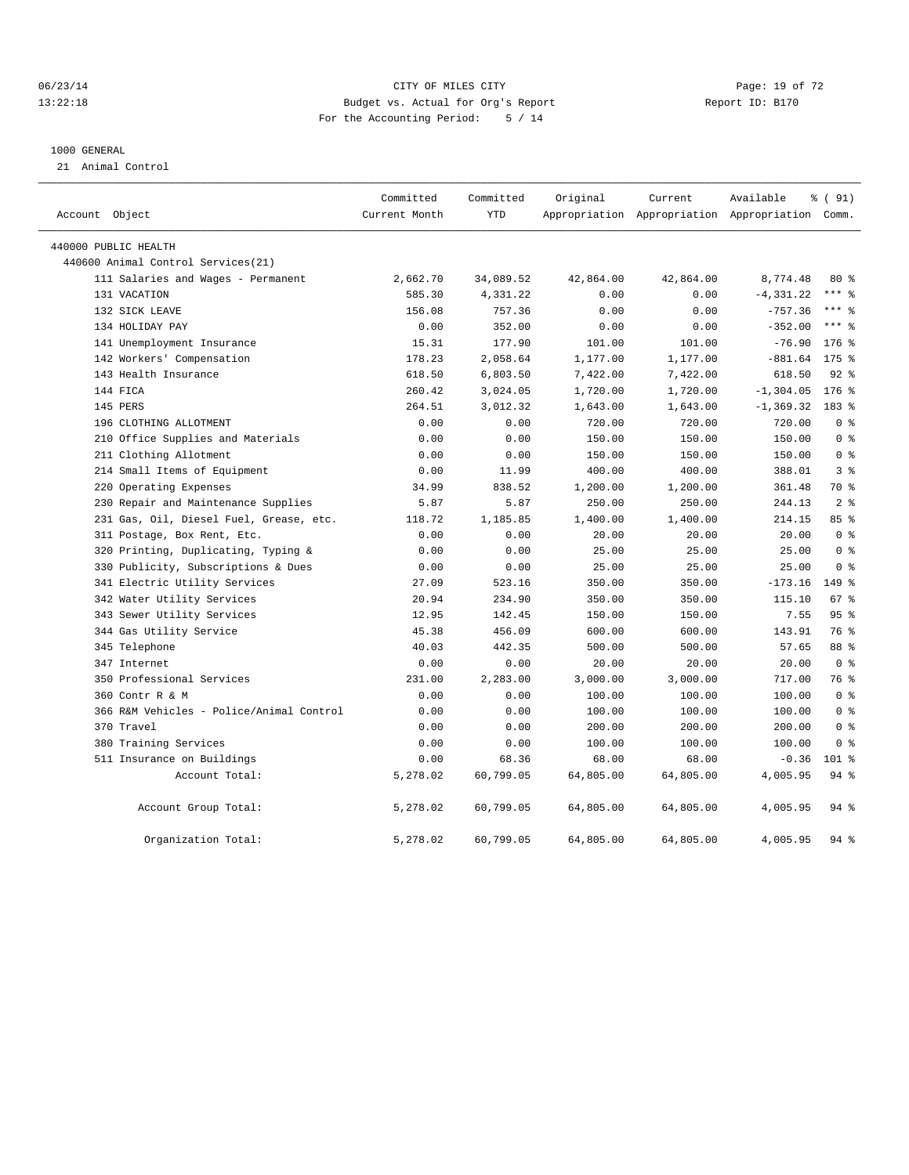#### 06/23/14 Page: 19 of 72 13:22:18 Budget vs. Actual for Org's Report Report ID: B170 For the Accounting Period: 5 / 14

#### 1000 GENERAL

21 Animal Control

| Account Object                           | Committed<br>Current Month | Committed<br><b>YTD</b> | Original  | Current<br>Appropriation Appropriation Appropriation Comm. | Available    | % (91)          |
|------------------------------------------|----------------------------|-------------------------|-----------|------------------------------------------------------------|--------------|-----------------|
| 440000 PUBLIC HEALTH                     |                            |                         |           |                                                            |              |                 |
| 440600 Animal Control Services (21)      |                            |                         |           |                                                            |              |                 |
| 111 Salaries and Wages - Permanent       | 2,662.70                   | 34,089.52               | 42,864.00 | 42,864.00                                                  | 8,774.48     | $80*$           |
| 131 VACATION                             | 585.30                     | 4,331.22                | 0.00      | 0.00                                                       | $-4, 331.22$ | $***$ 8         |
| 132 SICK LEAVE                           | 156.08                     | 757.36                  | 0.00      | 0.00                                                       | $-757.36$    | $***$ $_{8}$    |
| 134 HOLIDAY PAY                          | 0.00                       | 352.00                  | 0.00      | 0.00                                                       | $-352.00$    | $***$ $_{8}$    |
| 141 Unemployment Insurance               | 15.31                      | 177.90                  | 101.00    | 101.00                                                     | $-76.90$     | 176 %           |
| 142 Workers' Compensation                | 178.23                     | 2,058.64                | 1,177.00  | 1,177.00                                                   | $-881.64$    | $175$ %         |
| 143 Health Insurance                     | 618.50                     | 6,803.50                | 7,422.00  | 7,422.00                                                   | 618.50       | $92$ $%$        |
| 144 FICA                                 | 260.42                     | 3,024.05                | 1,720.00  | 1,720.00                                                   | $-1, 304.05$ | $176$ %         |
| 145 PERS                                 | 264.51                     | 3,012.32                | 1,643.00  | 1,643.00                                                   | $-1, 369.32$ | 183 %           |
| 196 CLOTHING ALLOTMENT                   | 0.00                       | 0.00                    | 720.00    | 720.00                                                     | 720.00       | 0 <sup>8</sup>  |
| 210 Office Supplies and Materials        | 0.00                       | 0.00                    | 150.00    | 150.00                                                     | 150.00       | 0 <sup>8</sup>  |
| 211 Clothing Allotment                   | 0.00                       | 0.00                    | 150.00    | 150.00                                                     | 150.00       | 0 <sup>8</sup>  |
| 214 Small Items of Equipment             | 0.00                       | 11.99                   | 400.00    | 400.00                                                     | 388.01       | 3 <sup>8</sup>  |
| 220 Operating Expenses                   | 34.99                      | 838.52                  | 1,200.00  | 1,200.00                                                   | 361.48       | 70 %            |
| 230 Repair and Maintenance Supplies      | 5.87                       | 5.87                    | 250.00    | 250.00                                                     | 244.13       | 2 <sup>8</sup>  |
| 231 Gas, Oil, Diesel Fuel, Grease, etc.  | 118.72                     | 1,185.85                | 1,400.00  | 1,400.00                                                   | 214.15       | 85%             |
| 311 Postage, Box Rent, Etc.              | 0.00                       | 0.00                    | 20.00     | 20.00                                                      | 20.00        | 0 <sup>8</sup>  |
| 320 Printing, Duplicating, Typing &      | 0.00                       | 0.00                    | 25.00     | 25.00                                                      | 25.00        | 0 <sup>8</sup>  |
| 330 Publicity, Subscriptions & Dues      | 0.00                       | 0.00                    | 25.00     | 25.00                                                      | 25.00        | 0 <sup>8</sup>  |
| 341 Electric Utility Services            | 27.09                      | 523.16                  | 350.00    | 350.00                                                     | $-173.16$    | 149 %           |
| 342 Water Utility Services               | 20.94                      | 234.90                  | 350.00    | 350.00                                                     | 115.10       | 67 %            |
| 343 Sewer Utility Services               | 12.95                      | 142.45                  | 150.00    | 150.00                                                     | 7.55         | 95 <sup>8</sup> |
| 344 Gas Utility Service                  | 45.38                      | 456.09                  | 600.00    | 600.00                                                     | 143.91       | 76 %            |
| 345 Telephone                            | 40.03                      | 442.35                  | 500.00    | 500.00                                                     | 57.65        | 88 %            |
| 347 Internet                             | 0.00                       | 0.00                    | 20.00     | 20.00                                                      | 20.00        | 0 <sup>8</sup>  |
| 350 Professional Services                | 231.00                     | 2,283.00                | 3,000.00  | 3,000.00                                                   | 717.00       | 76 %            |
| 360 Contr R & M                          | 0.00                       | 0.00                    | 100.00    | 100.00                                                     | 100.00       | 0 <sup>8</sup>  |
| 366 R&M Vehicles - Police/Animal Control | 0.00                       | 0.00                    | 100.00    | 100.00                                                     | 100.00       | 0 <sup>8</sup>  |
| 370 Travel                               | 0.00                       | 0.00                    | 200.00    | 200.00                                                     | 200.00       | 0 <sup>8</sup>  |
| 380 Training Services                    | 0.00                       | 0.00                    | 100.00    | 100.00                                                     | 100.00       | 0 <sup>8</sup>  |
| 511 Insurance on Buildings               | 0.00                       | 68.36                   | 68.00     | 68.00                                                      | $-0.36$      | $101$ %         |
| Account Total:                           | 5,278.02                   | 60,799.05               | 64,805.00 | 64,805.00                                                  | 4,005.95     | $94$ $%$        |
|                                          |                            |                         |           |                                                            |              |                 |
| Account Group Total:                     | 5,278.02                   | 60,799.05               | 64,805.00 | 64,805.00                                                  | 4,005.95     | $94$ %          |
| Organization Total:                      | 5,278.02                   | 60,799.05               | 64,805.00 | 64,805.00                                                  | 4,005.95     | $94$ $%$        |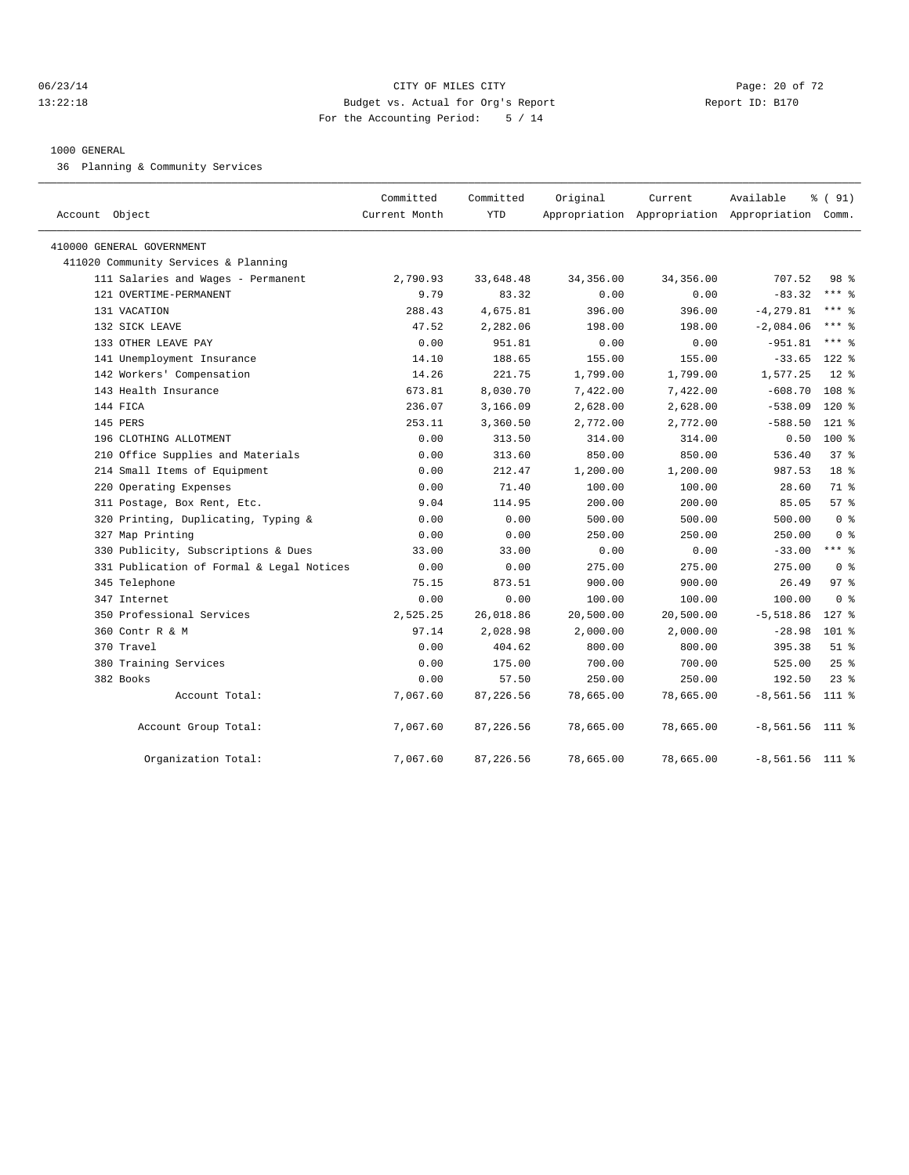#### 06/23/14 Page: 20 of 72 13:22:18 Budget vs. Actual for Org's Report Report ID: B170 For the Accounting Period: 5 / 14

#### 1000 GENERAL

36 Planning & Community Services

| Account Object                            | Committed<br>Current Month | Committed<br><b>YTD</b> | Original  | Current<br>Appropriation Appropriation Appropriation Comm. | Available         | % (91)           |
|-------------------------------------------|----------------------------|-------------------------|-----------|------------------------------------------------------------|-------------------|------------------|
| 410000 GENERAL GOVERNMENT                 |                            |                         |           |                                                            |                   |                  |
| 411020 Community Services & Planning      |                            |                         |           |                                                            |                   |                  |
| 111 Salaries and Wages - Permanent        | 2,790.93                   | 33,648.48               | 34,356.00 | 34,356.00                                                  | 707.52            | 98 %             |
| 121 OVERTIME-PERMANENT                    | 9.79                       | 83.32                   | 0.00      | 0.00                                                       | $-83.32$          | $***$ $%$        |
| 131 VACATION                              | 288.43                     | 4,675.81                | 396.00    | 396.00                                                     | $-4, 279.81$      | $***$ 8          |
| 132 SICK LEAVE                            | 47.52                      | 2,282.06                | 198.00    | 198.00                                                     | $-2,084.06$       | $***$ 8          |
| 133 OTHER LEAVE PAY                       | 0.00                       | 951.81                  | 0.00      | 0.00                                                       | $-951.81$         | $***$ $%$        |
| 141 Unemployment Insurance                | 14.10                      | 188.65                  | 155.00    | 155.00                                                     | $-33.65$          | $122$ $%$        |
| 142 Workers' Compensation                 | 14.26                      | 221.75                  | 1,799.00  | 1,799.00                                                   | 1,577.25          | $12*$            |
| 143 Health Insurance                      | 673.81                     | 8,030.70                | 7,422.00  | 7,422.00                                                   | $-608.70$         | 108 <sup>8</sup> |
| 144 FICA                                  | 236.07                     | 3,166.09                | 2,628.00  | 2,628.00                                                   | $-538.09$         | $120$ %          |
| 145 PERS                                  | 253.11                     | 3,360.50                | 2,772.00  | 2,772.00                                                   | $-588.50$         | $121$ %          |
| 196 CLOTHING ALLOTMENT                    | 0.00                       | 313.50                  | 314.00    | 314.00                                                     | 0.50              | $100*$           |
| 210 Office Supplies and Materials         | 0.00                       | 313.60                  | 850.00    | 850.00                                                     | 536.40            | 37%              |
| 214 Small Items of Equipment              | 0.00                       | 212.47                  | 1,200.00  | 1,200.00                                                   | 987.53            | 18 <sup>°</sup>  |
| 220 Operating Expenses                    | 0.00                       | 71.40                   | 100.00    | 100.00                                                     | 28.60             | 71 %             |
| 311 Postage, Box Rent, Etc.               | 9.04                       | 114.95                  | 200.00    | 200.00                                                     | 85.05             | 57%              |
| 320 Printing, Duplicating, Typing &       | 0.00                       | 0.00                    | 500.00    | 500.00                                                     | 500.00            | 0 <sup>8</sup>   |
| 327 Map Printing                          | 0.00                       | 0.00                    | 250.00    | 250.00                                                     | 250.00            | 0 <sup>8</sup>   |
| 330 Publicity, Subscriptions & Dues       | 33.00                      | 33.00                   | 0.00      | 0.00                                                       | $-33.00$          | $***$ 8          |
| 331 Publication of Formal & Legal Notices | 0.00                       | 0.00                    | 275.00    | 275.00                                                     | 275.00            | 0 <sup>8</sup>   |
| 345 Telephone                             | 75.15                      | 873.51                  | 900.00    | 900.00                                                     | 26.49             | 97 <sub>8</sub>  |
| 347 Internet                              | 0.00                       | 0.00                    | 100.00    | 100.00                                                     | 100.00            | 0 <sup>8</sup>   |
| 350 Professional Services                 | 2,525.25                   | 26,018.86               | 20,500.00 | 20,500.00                                                  | $-5,518.86$       | $127$ %          |
| 360 Contr R & M                           | 97.14                      | 2,028.98                | 2,000.00  | 2,000.00                                                   | $-28.98$          | $101$ %          |
| 370 Travel                                | 0.00                       | 404.62                  | 800.00    | 800.00                                                     | 395.38            | $51$ %           |
| 380 Training Services                     | 0.00                       | 175.00                  | 700.00    | 700.00                                                     | 525.00            | $25$ %           |
| 382 Books                                 | 0.00                       | 57.50                   | 250.00    | 250.00                                                     | 192.50            | $23$ $%$         |
| Account Total:                            | 7,067.60                   | 87,226.56               | 78,665.00 | 78,665.00                                                  | $-8,561.56$       | 111 %            |
| Account Group Total:                      | 7,067.60                   | 87,226.56               | 78,665.00 | 78,665.00                                                  | $-8,561.56$ 111 % |                  |
| Organization Total:                       | 7,067.60                   | 87,226.56               | 78,665.00 | 78,665.00                                                  | $-8,561.56$ 111 % |                  |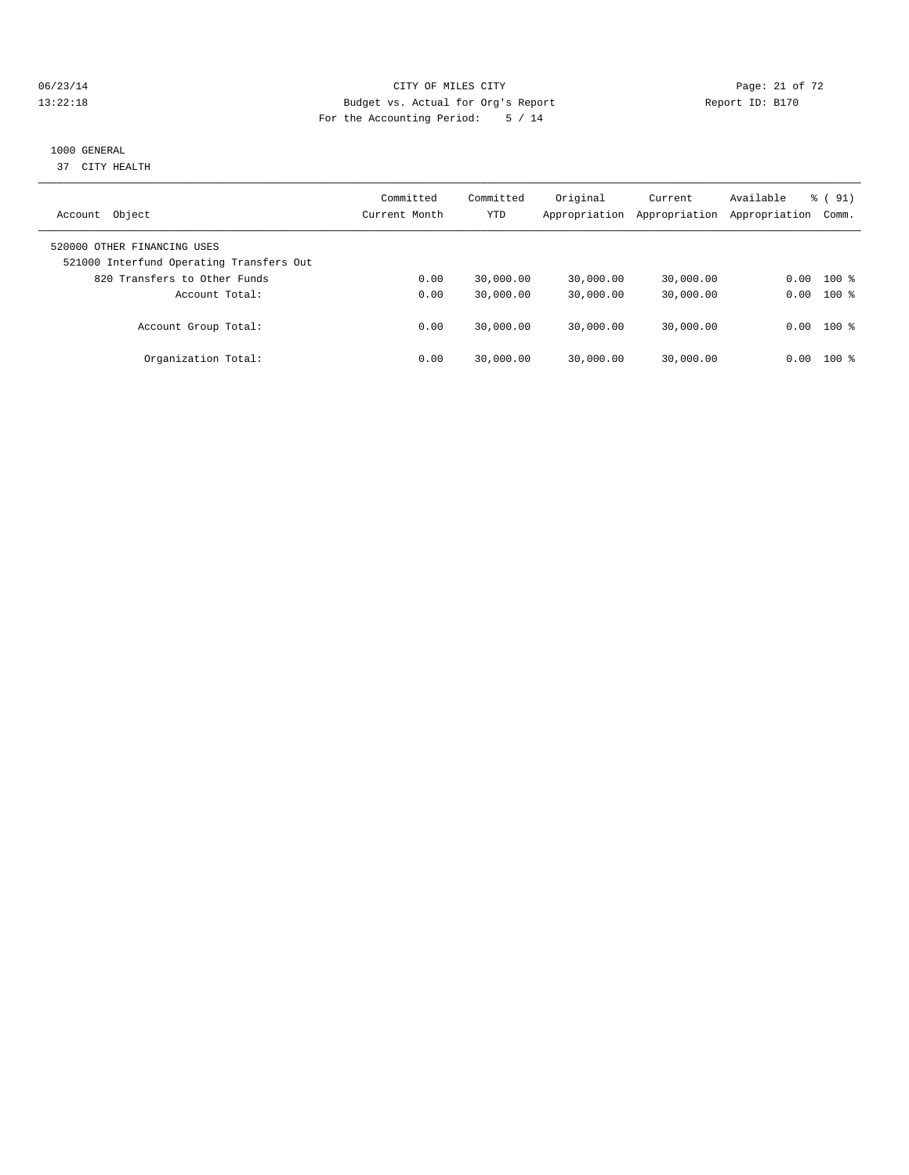#### 06/23/14 Page: 21 of 72 13:22:18 Budget vs. Actual for Org's Report Report ID: B170 For the Accounting Period: 5 / 14

## 1000 GENERAL

37 CITY HEALTH

| Object<br>Account                                                       | Committed<br>Current Month | Committed<br>YTD | Original<br>Appropriation | Current<br>Appropriation | Available<br>Appropriation | $\frac{6}{6}$ (91)<br>Comm. |
|-------------------------------------------------------------------------|----------------------------|------------------|---------------------------|--------------------------|----------------------------|-----------------------------|
| 520000 OTHER FINANCING USES<br>521000 Interfund Operating Transfers Out |                            |                  |                           |                          |                            |                             |
| 820 Transfers to Other Funds                                            | 0.00                       | 30,000.00        | 30,000.00                 | 30,000.00                | 0.00                       | $100*$                      |
| Account Total:                                                          | 0.00                       | 30,000.00        | 30,000.00                 | 30,000.00                | 0.00                       | $100*$                      |
| Account Group Total:                                                    | 0.00                       | 30,000.00        | 30,000.00                 | 30,000.00                | 0.00                       | $100$ %                     |
| Organization Total:                                                     | 0.00                       | 30,000.00        | 30,000.00                 | 30,000.00                | 0.00                       | 100 %                       |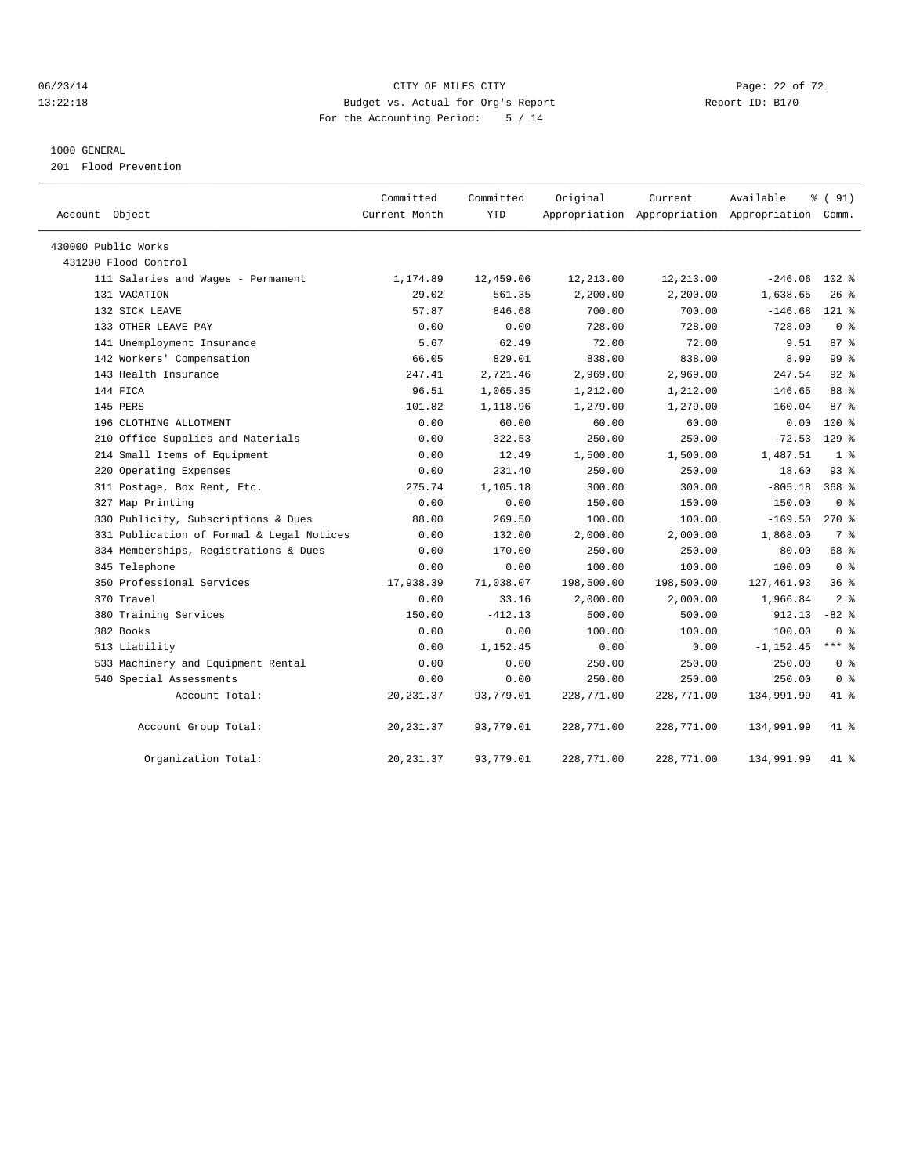## 06/23/14 Page: 22 of 72 13:22:18 Budget vs. Actual for Org's Report Report ID: B170 For the Accounting Period: 5 / 14

#### 1000 GENERAL

201 Flood Prevention

| Account Object                            | Committed<br>Current Month | Committed<br><b>YTD</b> | Original   | Current<br>Appropriation Appropriation Appropriation Comm. | Available    | % (91)           |
|-------------------------------------------|----------------------------|-------------------------|------------|------------------------------------------------------------|--------------|------------------|
| 430000 Public Works                       |                            |                         |            |                                                            |              |                  |
| 431200 Flood Control                      |                            |                         |            |                                                            |              |                  |
| 111 Salaries and Wages - Permanent        | 1,174.89                   | 12,459.06               | 12,213.00  | 12,213.00                                                  | $-246.06$    | $102$ %          |
| 131 VACATION                              | 29.02                      | 561.35                  | 2,200.00   | 2,200.00                                                   | 1,638.65     | $26$ %           |
| 132 SICK LEAVE                            | 57.87                      | 846.68                  | 700.00     | 700.00                                                     | $-146.68$    | 121 %            |
| 133 OTHER LEAVE PAY                       | 0.00                       | 0.00                    | 728.00     | 728.00                                                     | 728.00       | 0 <sup>8</sup>   |
| 141 Unemployment Insurance                | 5.67                       | 62.49                   | 72.00      | 72.00                                                      | 9.51         | 87%              |
| 142 Workers' Compensation                 | 66.05                      | 829.01                  | 838.00     | 838.00                                                     | 8.99         | 99 %             |
| 143 Health Insurance                      | 247.41                     | 2,721.46                | 2,969.00   | 2,969.00                                                   | 247.54       | $92$ $%$         |
| 144 FICA                                  | 96.51                      | 1,065.35                | 1,212.00   | 1,212.00                                                   | 146.65       | 88 %             |
| 145 PERS                                  | 101.82                     | 1,118.96                | 1,279.00   | 1,279.00                                                   | 160.04       | 87 <sup>8</sup>  |
| 196 CLOTHING ALLOTMENT                    | 0.00                       | 60.00                   | 60.00      | 60.00                                                      | 0.00         | $100*$           |
| 210 Office Supplies and Materials         | 0.00                       | 322.53                  | 250.00     | 250.00                                                     | $-72.53$     | $129$ %          |
| 214 Small Items of Equipment              | 0.00                       | 12.49                   | 1,500.00   | 1,500.00                                                   | 1,487.51     | 1 <sup>8</sup>   |
| 220 Operating Expenses                    | 0.00                       | 231.40                  | 250.00     | 250.00                                                     | 18.60        | 93%              |
| 311 Postage, Box Rent, Etc.               | 275.74                     | 1,105.18                | 300.00     | 300.00                                                     | $-805.18$    | 368 <sup>8</sup> |
| 327 Map Printing                          | 0.00                       | 0.00                    | 150.00     | 150.00                                                     | 150.00       | 0 <sup>8</sup>   |
| 330 Publicity, Subscriptions & Dues       | 88.00                      | 269.50                  | 100.00     | 100.00                                                     | $-169.50$    | $270*$           |
| 331 Publication of Formal & Legal Notices | 0.00                       | 132.00                  | 2,000.00   | 2,000.00                                                   | 1,868.00     | 7 %              |
| 334 Memberships, Registrations & Dues     | 0.00                       | 170.00                  | 250.00     | 250.00                                                     | 80.00        | 68 %             |
| 345 Telephone                             | 0.00                       | 0.00                    | 100.00     | 100.00                                                     | 100.00       | 0 <sup>8</sup>   |
| 350 Professional Services                 | 17,938.39                  | 71,038.07               | 198,500.00 | 198,500.00                                                 | 127, 461.93  | 36%              |
| 370 Travel                                | 0.00                       | 33.16                   | 2,000.00   | 2,000.00                                                   | 1,966.84     | 2 <sup>8</sup>   |
| 380 Training Services                     | 150.00                     | $-412.13$               | 500.00     | 500.00                                                     | 912.13       | $-82$ %          |
| 382 Books                                 | 0.00                       | 0.00                    | 100.00     | 100.00                                                     | 100.00       | 0 <sup>8</sup>   |
| 513 Liability                             | 0.00                       | 1,152.45                | 0.00       | 0.00                                                       | $-1, 152.45$ | $***$ 8          |
| 533 Machinery and Equipment Rental        | 0.00                       | 0.00                    | 250.00     | 250.00                                                     | 250.00       | 0 <sup>8</sup>   |
| 540 Special Assessments                   | 0.00                       | 0.00                    | 250.00     | 250.00                                                     | 250.00       | 0 <sup>8</sup>   |
| Account Total:                            | 20, 231.37                 | 93,779.01               | 228,771.00 | 228,771.00                                                 | 134,991.99   | $41*$            |
| Account Group Total:                      | 20, 231.37                 | 93,779.01               | 228,771.00 | 228,771.00                                                 | 134,991.99   | 41 %             |
| Organization Total:                       | 20, 231.37                 | 93,779.01               | 228,771.00 | 228,771.00                                                 | 134,991.99   | 41 %             |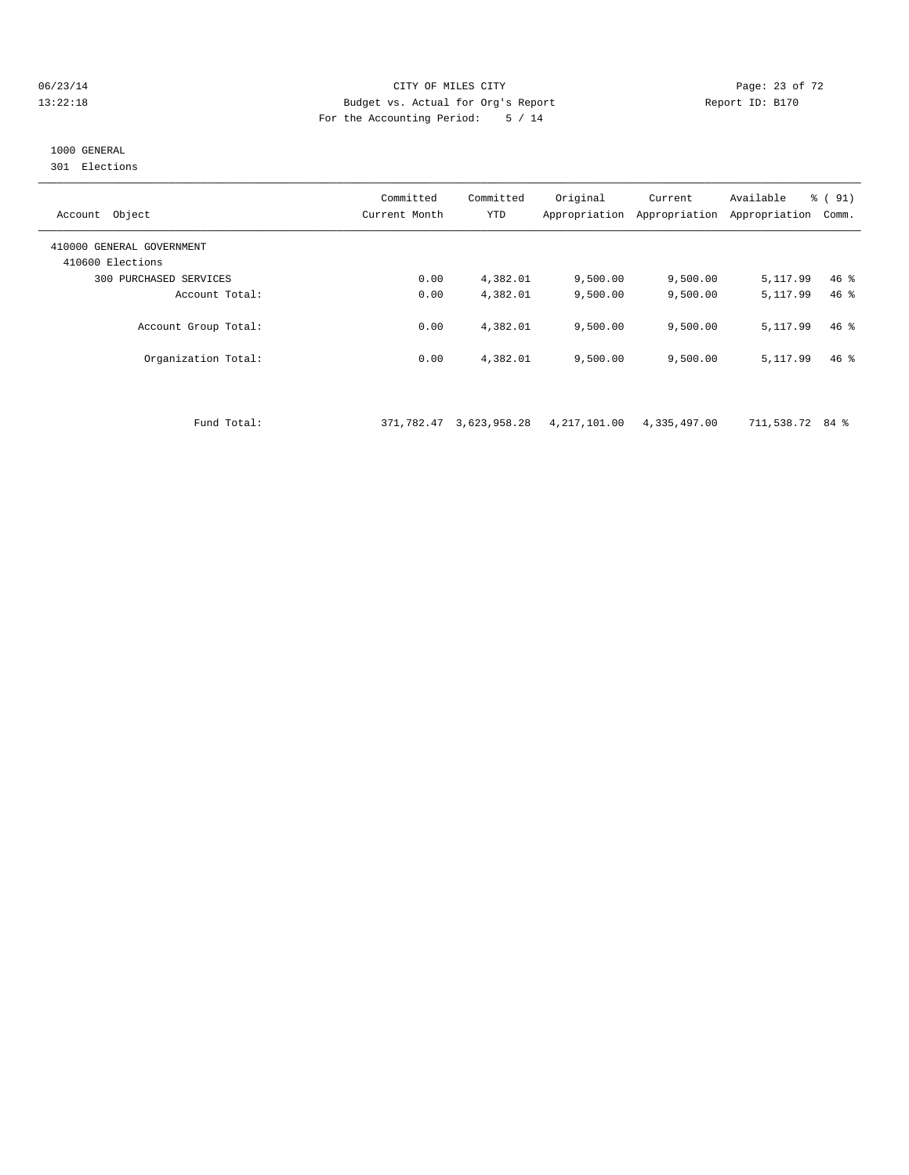#### 06/23/14 Page: 23 of 72 13:22:18 Budget vs. Actual for Org's Report Report ID: B170 For the Accounting Period: 5 / 14

# 1000 GENERAL

301 Elections

| 410000 GENERAL GOVERNMENT<br>410600 Elections                                     |        |
|-----------------------------------------------------------------------------------|--------|
| PURCHASED SERVICES<br>0.00<br>4,382.01<br>9,500.00<br>5,117.99<br>300<br>9,500.00 | $46$ % |
| 0.00<br>4,382.01<br>9.500.00<br>9.500.00<br>5, 117, 99<br>Account Total:          | $46*$  |
| 0.00<br>4,382.01<br>Account Group Total:<br>9.500.00<br>9,500.00<br>5,117.99      | $46*$  |
| 4,382.01<br>Organization Total:<br>0.00<br>9.500.00<br>9,500.00<br>5, 117, 99     | $46*$  |

Fund Total: 371,782.47 3,623,958.28 4,217,101.00 4,335,497.00 711,538.72 84 %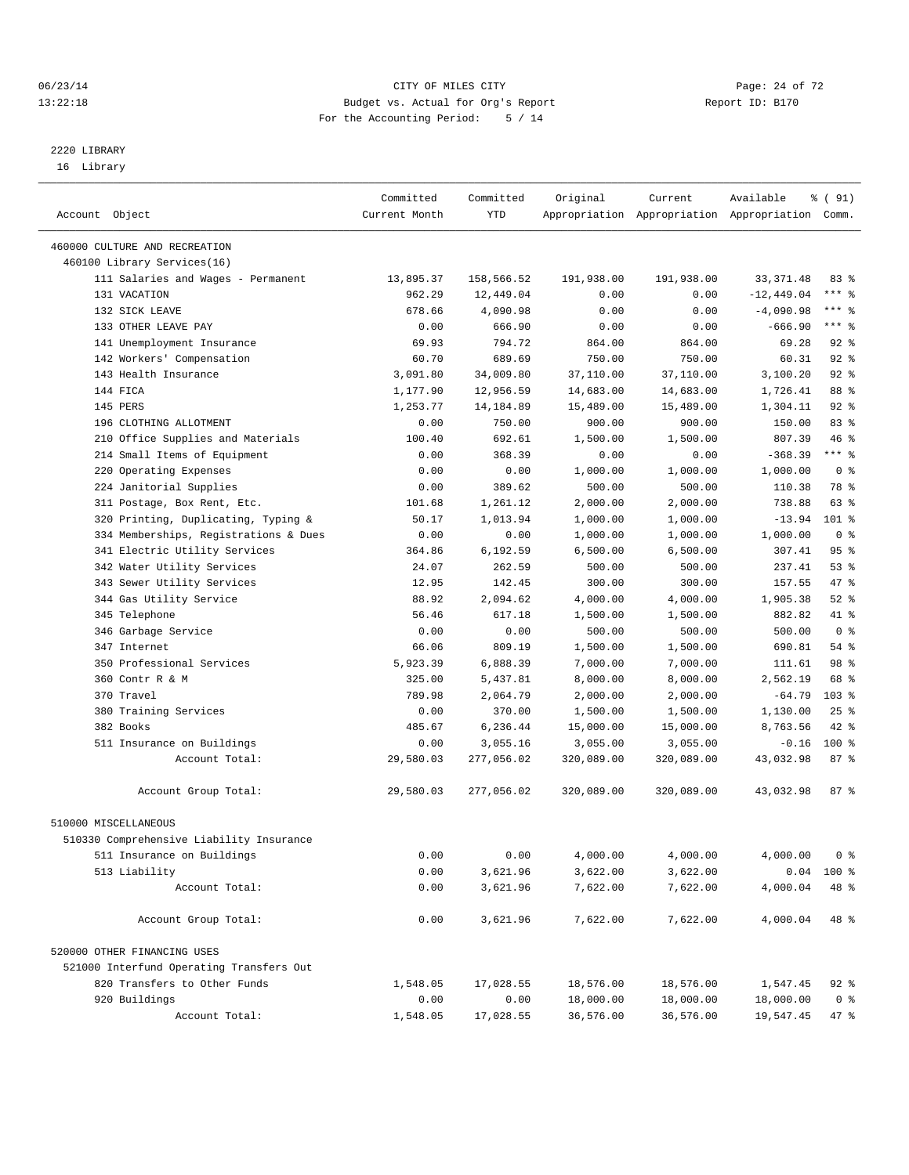#### 06/23/14 Page: 24 of 72 13:22:18 Budget vs. Actual for Org's Report Report ID: B170 For the Accounting Period: 5 / 14

————————————————————————————————————————————————————————————————————————————————————————————————————————————————————————————————————

# 2220 LIBRARY

16 Library

|                                                              | Committed     | Committed  | Original   | Current    | Available                                       | 8 ( 91)         |
|--------------------------------------------------------------|---------------|------------|------------|------------|-------------------------------------------------|-----------------|
| Account Object                                               | Current Month | YTD        |            |            | Appropriation Appropriation Appropriation Comm. |                 |
|                                                              |               |            |            |            |                                                 |                 |
| 460000 CULTURE AND RECREATION<br>460100 Library Services(16) |               |            |            |            |                                                 |                 |
| 111 Salaries and Wages - Permanent                           | 13,895.37     | 158,566.52 | 191,938.00 | 191,938.00 | 33, 371.48                                      | 83%             |
| 131 VACATION                                                 | 962.29        | 12,449.04  | 0.00       | 0.00       | $-12,449.04$                                    | $***$ $_{8}$    |
| 132 SICK LEAVE                                               | 678.66        | 4,090.98   | 0.00       | 0.00       | $-4,090.98$                                     | $***$ $-$       |
| 133 OTHER LEAVE PAY                                          | 0.00          | 666.90     | 0.00       | 0.00       | $-666.90$                                       | $***$ $-$       |
| 141 Unemployment Insurance                                   | 69.93         | 794.72     | 864.00     | 864.00     | 69.28                                           | $92$ $%$        |
| 142 Workers' Compensation                                    | 60.70         | 689.69     | 750.00     | 750.00     | 60.31                                           | $92$ %          |
| 143 Health Insurance                                         | 3,091.80      | 34,009.80  | 37,110.00  | 37,110.00  | 3,100.20                                        | $92$ $%$        |
| 144 FICA                                                     | 1,177.90      | 12,956.59  | 14,683.00  | 14,683.00  | 1,726.41                                        | 88 %            |
| 145 PERS                                                     | 1,253.77      | 14, 184.89 | 15,489.00  | 15,489.00  | 1,304.11                                        | $92$ $%$        |
| 196 CLOTHING ALLOTMENT                                       | 0.00          | 750.00     | 900.00     | 900.00     | 150.00                                          | 83%             |
| 210 Office Supplies and Materials                            | 100.40        | 692.61     | 1,500.00   | 1,500.00   | 807.39                                          | 46%             |
| 214 Small Items of Equipment                                 | 0.00          | 368.39     | 0.00       | 0.00       | $-368.39$                                       | $***$ $-$       |
| 220 Operating Expenses                                       | 0.00          | 0.00       | 1,000.00   | 1,000.00   | 1,000.00                                        | 0 <sup>8</sup>  |
| 224 Janitorial Supplies                                      | 0.00          | 389.62     | 500.00     | 500.00     | 110.38                                          | 78 %            |
| 311 Postage, Box Rent, Etc.                                  | 101.68        | 1,261.12   | 2,000.00   | 2,000.00   | 738.88                                          | 63 %            |
| 320 Printing, Duplicating, Typing &                          | 50.17         | 1,013.94   | 1,000.00   | 1,000.00   | $-13.94$                                        | 101 %           |
| 334 Memberships, Registrations & Dues                        | 0.00          | 0.00       | 1,000.00   | 1,000.00   | 1,000.00                                        | 0 <sup>8</sup>  |
| 341 Electric Utility Services                                | 364.86        | 6,192.59   | 6,500.00   | 6,500.00   | 307.41                                          | 95%             |
| 342 Water Utility Services                                   | 24.07         | 262.59     | 500.00     | 500.00     | 237.41                                          | 53%             |
| 343 Sewer Utility Services                                   | 12.95         | 142.45     | 300.00     | 300.00     | 157.55                                          | 47 %            |
| 344 Gas Utility Service                                      | 88.92         | 2,094.62   | 4,000.00   | 4,000.00   | 1,905.38                                        | $52$ $%$        |
| 345 Telephone                                                | 56.46         | 617.18     | 1,500.00   | 1,500.00   | 882.82                                          | 41 %            |
| 346 Garbage Service                                          | 0.00          | 0.00       | 500.00     | 500.00     | 500.00                                          | 0 <sup>8</sup>  |
| 347 Internet                                                 | 66.06         | 809.19     | 1,500.00   | 1,500.00   | 690.81                                          | $54$ $%$        |
| 350 Professional Services                                    | 5,923.39      | 6,888.39   | 7,000.00   | 7,000.00   | 111.61                                          | 98 %            |
| 360 Contr R & M                                              | 325.00        | 5,437.81   | 8,000.00   | 8,000.00   | 2,562.19                                        | 68 %            |
| 370 Travel                                                   | 789.98        | 2,064.79   | 2,000.00   | 2,000.00   | $-64.79$                                        | $103$ %         |
| 380 Training Services                                        | 0.00          | 370.00     | 1,500.00   | 1,500.00   | 1,130.00                                        | $25$ $%$        |
| 382 Books                                                    | 485.67        | 6,236.44   | 15,000.00  | 15,000.00  | 8,763.56                                        | 42 %            |
| 511 Insurance on Buildings                                   | 0.00          | 3,055.16   | 3,055.00   | 3,055.00   | $-0.16$                                         | $100$ %         |
| Account Total:                                               | 29,580.03     | 277,056.02 | 320,089.00 | 320,089.00 | 43,032.98                                       | 87%             |
| Account Group Total:                                         | 29,580.03     | 277,056.02 | 320,089.00 | 320,089.00 | 43,032.98                                       | 87 <sub>8</sub> |
|                                                              |               |            |            |            |                                                 |                 |
| 510000 MISCELLANEOUS                                         |               |            |            |            |                                                 |                 |
| 510330 Comprehensive Liability Insurance                     |               |            |            |            |                                                 |                 |
| 511 Insurance on Buildings                                   | 0.00          | 0.00       | 4,000.00   | 4,000.00   | 4,000.00                                        | 0 <sup>8</sup>  |
| 513 Liability                                                | 0.00          | 3,621.96   | 3,622.00   | 3,622.00   |                                                 | $0.04$ 100 %    |
| Account Total:                                               | 0.00          | 3,621.96   | 7,622.00   | 7,622.00   | 4,000.04                                        | 48 %            |
| Account Group Total:                                         | 0.00          | 3,621.96   | 7,622.00   | 7,622.00   | 4,000.04                                        | 48 %            |
| 520000 OTHER FINANCING USES                                  |               |            |            |            |                                                 |                 |
| 521000 Interfund Operating Transfers Out                     |               |            |            |            |                                                 |                 |
| 820 Transfers to Other Funds                                 | 1,548.05      | 17,028.55  | 18,576.00  | 18,576.00  | 1,547.45                                        | $92$ $%$        |
| 920 Buildings                                                | 0.00          | 0.00       | 18,000.00  | 18,000.00  | 18,000.00                                       | 0 <sup>8</sup>  |
| Account Total:                                               | 1,548.05      | 17,028.55  | 36,576.00  | 36,576.00  | 19,547.45                                       | 47 %            |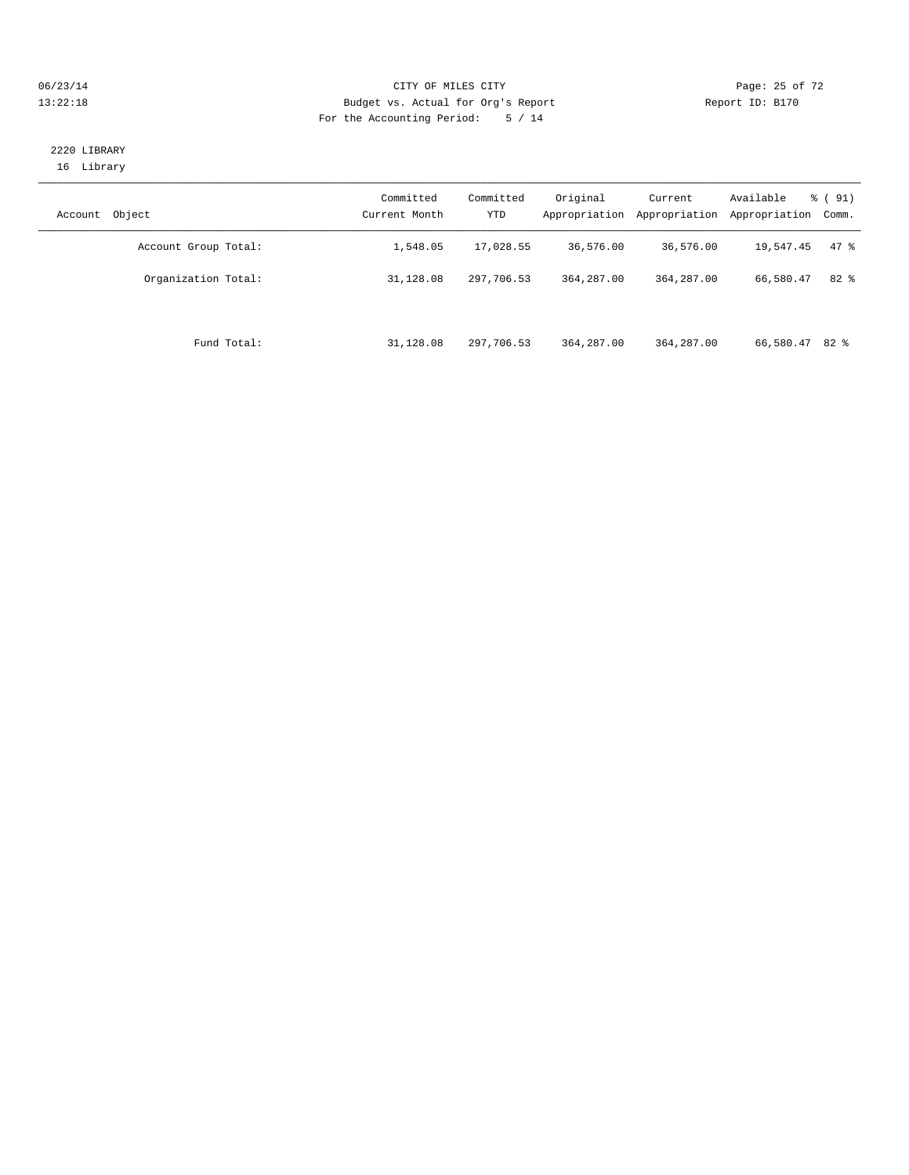#### 06/23/14 Page: 25 of 72 13:22:18 Budget vs. Actual for Org's Report Report ID: B170 For the Accounting Period: 5 / 14

## 2220 LIBRARY 16 Library

| Object<br>Account    | Committed<br>Current Month | Committed<br><b>YTD</b> | Original<br>Appropriation | Current<br>Appropriation | Available<br>Appropriation | $\frac{6}{6}$ (91)<br>Comm. |
|----------------------|----------------------------|-------------------------|---------------------------|--------------------------|----------------------------|-----------------------------|
| Account Group Total: | 1,548.05                   | 17,028.55               | 36,576.00                 | 36,576.00                | 19,547.45                  | 47.8                        |
| Organization Total:  | 31,128.08                  | 297,706.53              | 364, 287, 00              | 364, 287, 00             | 66,580.47                  | $82*$                       |
| Fund Total:          | 31,128.08                  | 297,706.53              | 364, 287, 00              | 364, 287, 00             | 66,580.47 82 %             |                             |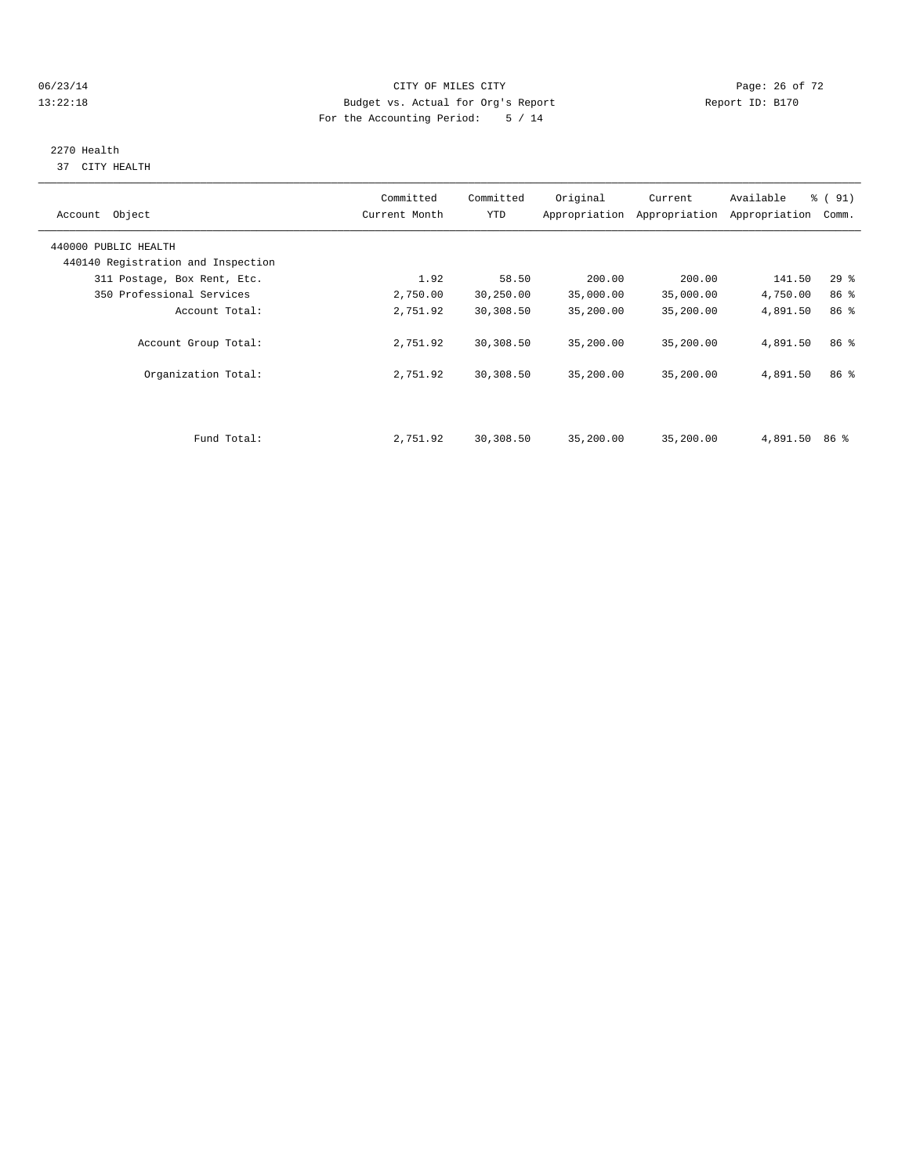#### 06/23/14 Page: 26 of 72 13:22:18 Budget vs. Actual for Org's Report Report ID: B170 For the Accounting Period: 5 / 14

# 2270 Health

37 CITY HEALTH

| Account Object                     | Committed<br>Current Month | Committed<br>YTD | Original  | Current<br>Appropriation Appropriation | Available<br>Appropriation | $\frac{1}{6}$ (91)<br>Comm. |
|------------------------------------|----------------------------|------------------|-----------|----------------------------------------|----------------------------|-----------------------------|
| 440000 PUBLIC HEALTH               |                            |                  |           |                                        |                            |                             |
| 440140 Registration and Inspection |                            |                  |           |                                        |                            |                             |
| 311 Postage, Box Rent, Etc.        | 1.92                       | 58.50            | 200.00    | 200.00                                 | 141.50                     | $29$ $%$                    |
| 350 Professional Services          | 2,750.00                   | 30,250.00        | 35,000.00 | 35,000.00                              | 4,750.00                   | 86 %                        |
| Account Total:                     | 2,751.92                   | 30,308.50        | 35,200.00 | 35,200.00                              | 4,891.50                   | 86 %                        |
| Account Group Total:               | 2,751.92                   | 30,308.50        | 35,200.00 | 35,200.00                              | 4,891.50                   | 86 <sup>8</sup>             |
| Organization Total:                | 2,751.92                   | 30,308.50        | 35,200.00 | 35,200.00                              | 4,891.50                   | 86 %                        |
|                                    |                            |                  |           |                                        |                            |                             |
| Fund Total:                        | 2,751.92                   | 30,308.50        | 35,200.00 | 35,200.00                              | 4,891.50                   | 86 %                        |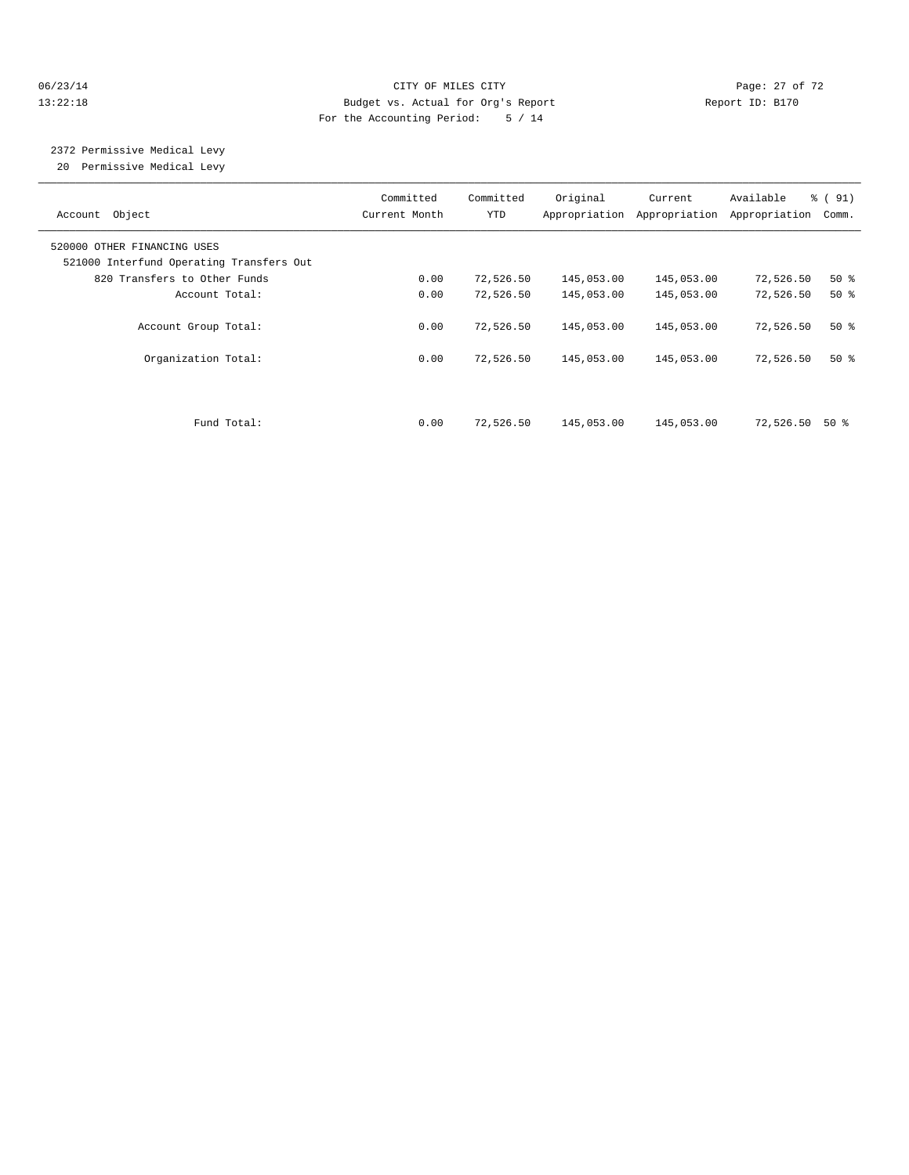#### 06/23/14 Page: 27 of 72 13:22:18 Budget vs. Actual for Org's Report Report ID: B170 For the Accounting Period: 5 / 14

 2372 Permissive Medical Levy 20 Permissive Medical Levy

| Object<br>Account                        | Committed<br>Current Month | Committed<br>YTD | Original<br>Appropriation | Current<br>Appropriation | Available<br>Appropriation | % (91)<br>Comm. |
|------------------------------------------|----------------------------|------------------|---------------------------|--------------------------|----------------------------|-----------------|
| 520000 OTHER FINANCING USES              |                            |                  |                           |                          |                            |                 |
| 521000 Interfund Operating Transfers Out |                            |                  |                           |                          |                            |                 |
| 820 Transfers to Other Funds             | 0.00                       | 72,526.50        | 145,053.00                | 145,053.00               | 72,526.50                  | $50*$           |
| Account Total:                           | 0.00                       | 72,526.50        | 145,053.00                | 145,053.00               | 72,526.50                  | $50*$           |
| Account Group Total:                     | 0.00                       | 72,526.50        | 145,053.00                | 145,053.00               | 72,526.50                  | $50*$           |
| Organization Total:                      | 0.00                       | 72,526.50        | 145,053.00                | 145,053.00               | 72,526.50                  | $50*$           |
| Fund Total:                              | 0.00                       | 72,526.50        | 145,053.00                | 145,053.00               | 72,526.50                  | 50 %            |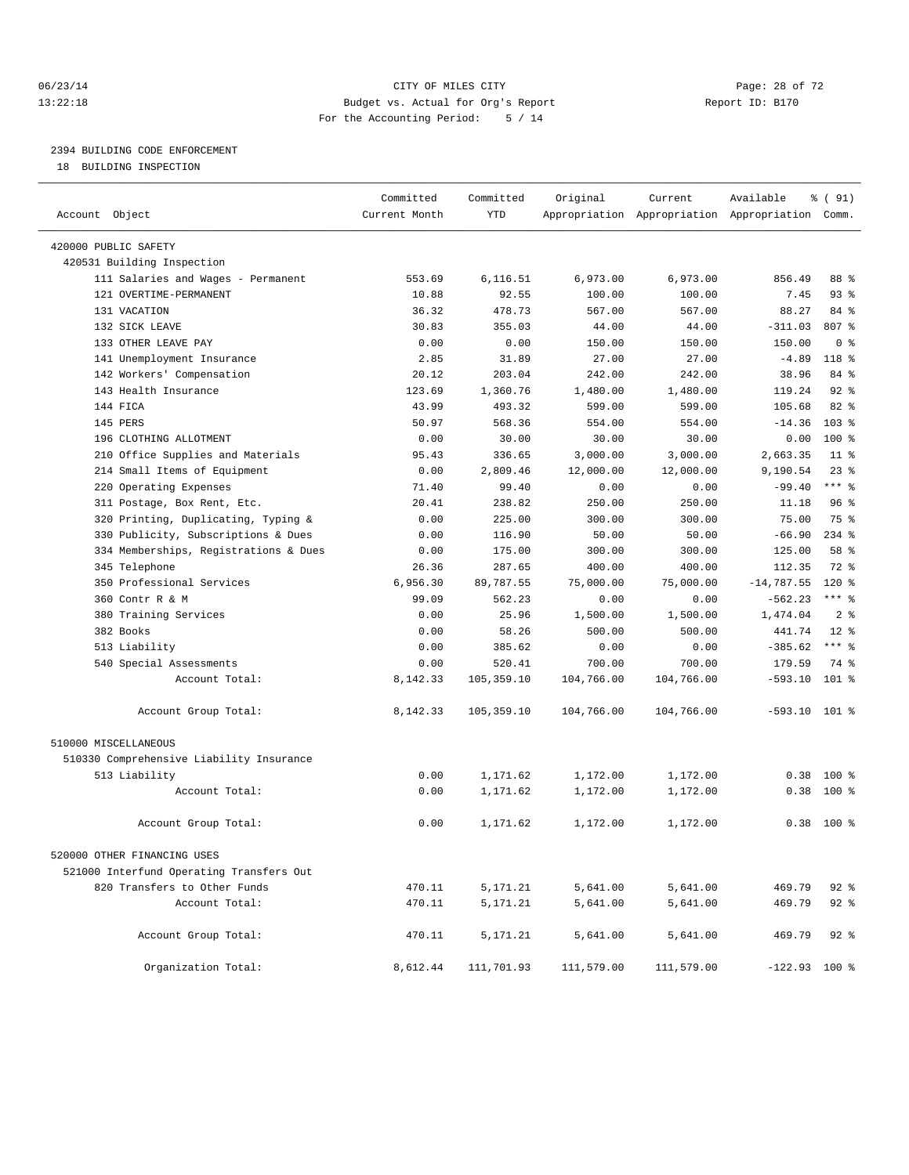#### 06/23/14 Page: 28 of 72 13:22:18 Budget vs. Actual for Org's Report Report ID: B170 For the Accounting Period: 5 / 14

————————————————————————————————————————————————————————————————————————————————————————————————————————————————————————————————————

# 2394 BUILDING CODE ENFORCEMENT

18 BUILDING INSPECTION

|                                          | Committed     | Committed  | Original   | Current    | Available                                       | % ( 91)        |
|------------------------------------------|---------------|------------|------------|------------|-------------------------------------------------|----------------|
| Account Object                           | Current Month | YTD        |            |            | Appropriation Appropriation Appropriation Comm. |                |
| 420000 PUBLIC SAFETY                     |               |            |            |            |                                                 |                |
| 420531 Building Inspection               |               |            |            |            |                                                 |                |
| 111 Salaries and Wages - Permanent       | 553.69        | 6,116.51   | 6,973.00   | 6,973.00   | 856.49                                          | 88 %           |
| 121 OVERTIME-PERMANENT                   | 10.88         | 92.55      | 100.00     | 100.00     | 7.45                                            | $93$ $%$       |
| 131 VACATION                             | 36.32         | 478.73     | 567.00     | 567.00     | 88.27                                           | 84 %           |
| 132 SICK LEAVE                           | 30.83         | 355.03     | 44.00      | 44.00      | $-311.03$                                       | 807 %          |
| 133 OTHER LEAVE PAY                      | 0.00          | 0.00       | 150.00     | 150.00     | 150.00                                          | 0 <sup>8</sup> |
| 141 Unemployment Insurance               | 2.85          | 31.89      | 27.00      | 27.00      | $-4.89$                                         | 118 %          |
| 142 Workers' Compensation                | 20.12         | 203.04     | 242.00     | 242.00     | 38.96                                           | 84 %           |
| 143 Health Insurance                     | 123.69        | 1,360.76   | 1,480.00   | 1,480.00   | 119.24                                          | $92$ %         |
| 144 FICA                                 | 43.99         | 493.32     | 599.00     | 599.00     | 105.68                                          | 82 %           |
| 145 PERS                                 | 50.97         | 568.36     | 554.00     | 554.00     | $-14.36$                                        | 103 %          |
| 196 CLOTHING ALLOTMENT                   | 0.00          | 30.00      | 30.00      | 30.00      | 0.00                                            | $100*$         |
| 210 Office Supplies and Materials        | 95.43         | 336.65     | 3,000.00   | 3,000.00   | 2,663.35                                        | $11*$          |
| 214 Small Items of Equipment             | 0.00          | 2,809.46   | 12,000.00  | 12,000.00  | 9,190.54                                        | 23%            |
| 220 Operating Expenses                   | 71.40         | 99.40      | 0.00       | 0.00       | $-99.40$                                        | $***$ $-$      |
| 311 Postage, Box Rent, Etc.              | 20.41         | 238.82     | 250.00     | 250.00     | 11.18                                           | 96%            |
| 320 Printing, Duplicating, Typing &      | 0.00          | 225.00     | 300.00     | 300.00     | 75.00                                           | 75 %           |
| 330 Publicity, Subscriptions & Dues      | 0.00          | 116.90     | 50.00      | 50.00      | $-66.90$                                        | $234$ $%$      |
| 334 Memberships, Registrations & Dues    | 0.00          | 175.00     | 300.00     | 300.00     | 125.00                                          | 58 %           |
| 345 Telephone                            | 26.36         | 287.65     | 400.00     | 400.00     | 112.35                                          | 72 %           |
| 350 Professional Services                | 6,956.30      | 89,787.55  | 75,000.00  | 75,000.00  | $-14,787.55$                                    | 120 %          |
| 360 Contr R & M                          | 99.09         | 562.23     | 0.00       | 0.00       | $-562.23$                                       | $***$ $-$      |
| 380 Training Services                    | 0.00          | 25.96      | 1,500.00   | 1,500.00   | 1,474.04                                        | 2 <sup>°</sup> |
| 382 Books                                | 0.00          | 58.26      | 500.00     | 500.00     | 441.74                                          | $12*$          |
| 513 Liability                            | 0.00          | 385.62     | 0.00       | 0.00       | $-385.62$                                       | $***$ 8        |
| 540 Special Assessments                  | 0.00          | 520.41     | 700.00     | 700.00     | 179.59                                          | 74 %           |
| Account Total:                           | 8,142.33      | 105,359.10 | 104,766.00 | 104,766.00 | $-593.10$                                       | 101 %          |
| Account Group Total:                     | 8,142.33      | 105,359.10 | 104,766.00 | 104,766.00 | $-593.10$ 101 %                                 |                |
| 510000 MISCELLANEOUS                     |               |            |            |            |                                                 |                |
| 510330 Comprehensive Liability Insurance |               |            |            |            |                                                 |                |
| 513 Liability                            | 0.00          | 1,171.62   | 1,172.00   | 1,172.00   | 0.38                                            | $100*$         |
| Account Total:                           | 0.00          | 1,171.62   | 1,172.00   | 1,172.00   | 0.38                                            | 100 %          |
|                                          |               |            |            |            |                                                 |                |
| Account Group Total:                     | 0.00          | 1,171.62   | 1,172.00   | 1,172.00   |                                                 | $0.38$ 100 %   |
| 520000 OTHER FINANCING USES              |               |            |            |            |                                                 |                |
| 521000 Interfund Operating Transfers Out |               |            |            |            |                                                 |                |
| 820 Transfers to Other Funds             | 470.11        | 5,171.21   | 5,641.00   | 5,641.00   | 469.79                                          | 92 %           |
| Account Total:                           | 470.11        | 5,171.21   | 5,641.00   | 5,641.00   | 469.79                                          | $92$ $%$       |
| Account Group Total:                     | 470.11        | 5,171.21   | 5,641.00   | 5,641.00   | 469.79                                          | 92 %           |
| Organization Total:                      | 8,612.44      | 111,701.93 | 111,579.00 | 111,579.00 | $-122.93$ 100 %                                 |                |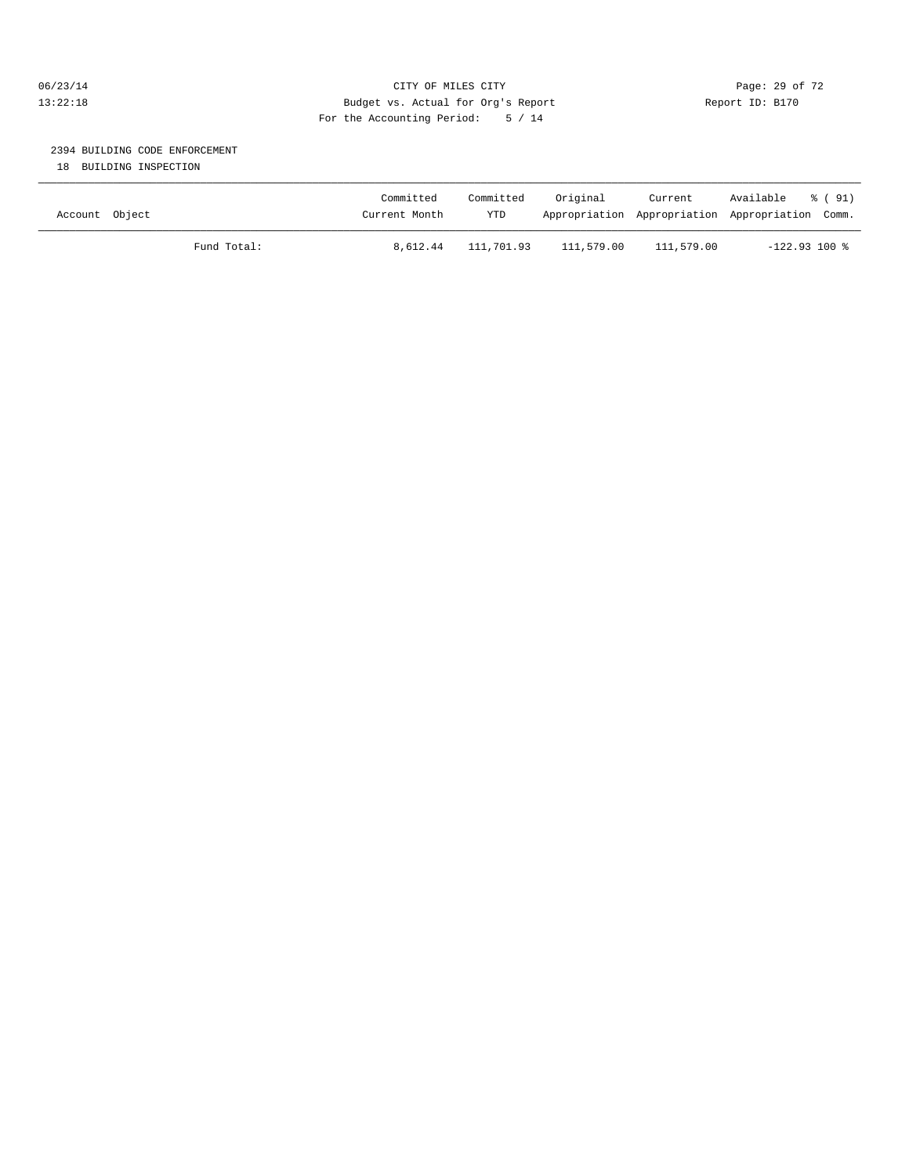## 06/23/14 Page: 29 of 72 13:22:18 Budget vs. Actual for Org's Report Report ID: B170 For the Accounting Period: 5 / 14

# 2394 BUILDING CODE ENFORCEMENT

18 BUILDING INSPECTION

| Account Object |             | Committed<br>Current Month | Committed<br>YTD | Original   | Current    | Available<br>% (91)<br>Appropriation Appropriation Appropriation Comm. |
|----------------|-------------|----------------------------|------------------|------------|------------|------------------------------------------------------------------------|
|                | Fund Total: | 8,612.44                   | 111,701.93       | 111,579.00 | 111,579.00 | $-122.93$ 100 %                                                        |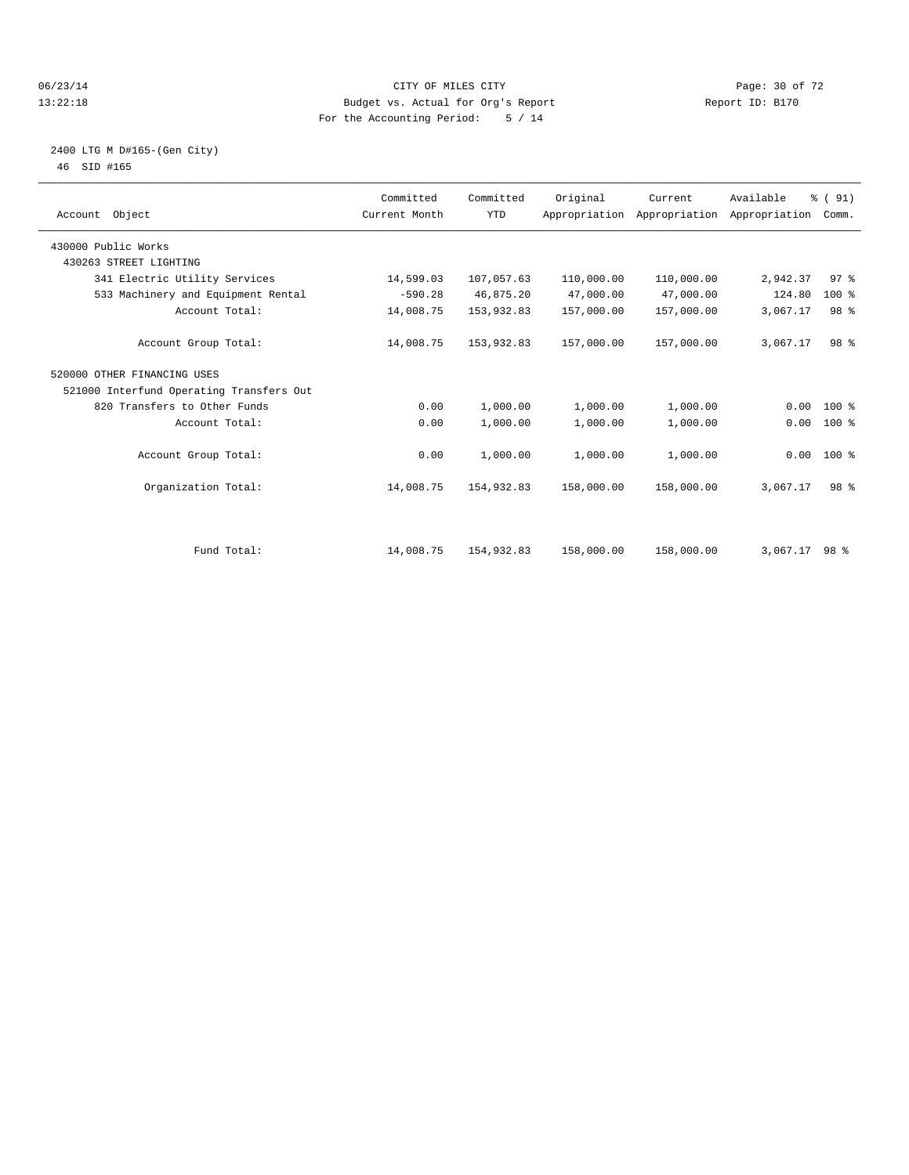#### 06/23/14 Page: 30 of 72 13:22:18 Budget vs. Actual for Org's Report Report ID: B170 For the Accounting Period: 5 / 14

## 2400 LTG M D#165-(Gen City) 46 SID #165

| Account Object                           | Committed<br>Current Month | Committed<br><b>YTD</b> | Original   | Current<br>Appropriation Appropriation Appropriation | Available | % (91)<br>Comm. |  |
|------------------------------------------|----------------------------|-------------------------|------------|------------------------------------------------------|-----------|-----------------|--|
| 430000 Public Works                      |                            |                         |            |                                                      |           |                 |  |
| 430263 STREET LIGHTING                   |                            |                         |            |                                                      |           |                 |  |
| 341 Electric Utility Services            | 14,599.03                  | 107,057.63              | 110,000.00 | 110,000.00                                           | 2,942.37  | 97%             |  |
| 533 Machinery and Equipment Rental       | $-590.28$                  | 46,875.20               | 47,000.00  | 47,000.00                                            | 124.80    | $100*$          |  |
| Account Total:                           | 14,008.75                  | 153,932.83              | 157,000.00 | 157,000.00                                           | 3,067.17  | 98 %            |  |
| Account Group Total:                     | 14,008.75                  | 153,932.83              | 157,000.00 | 157,000.00                                           | 3,067.17  | 98 %            |  |
| 520000 OTHER FINANCING USES              |                            |                         |            |                                                      |           |                 |  |
| 521000 Interfund Operating Transfers Out |                            |                         |            |                                                      |           |                 |  |
| 820 Transfers to Other Funds             | 0.00                       | 1,000.00                | 1,000.00   | 1,000.00                                             | 0.00      | $100*$          |  |
| Account Total:                           | 0.00                       | 1,000.00                | 1,000.00   | 1,000.00                                             | 0.00      | 100 %           |  |
| Account Group Total:                     | 0.00                       | 1,000.00                | 1,000.00   | 1,000.00                                             |           | $0.00$ 100 %    |  |
| Organization Total:                      | 14,008.75                  | 154,932.83              | 158,000.00 | 158,000.00                                           | 3,067.17  | 98 %            |  |
|                                          |                            |                         |            |                                                      |           |                 |  |
| Fund Total:                              | 14,008.75                  | 154,932.83              | 158,000.00 | 158,000.00                                           | 3,067.17  | 98 %            |  |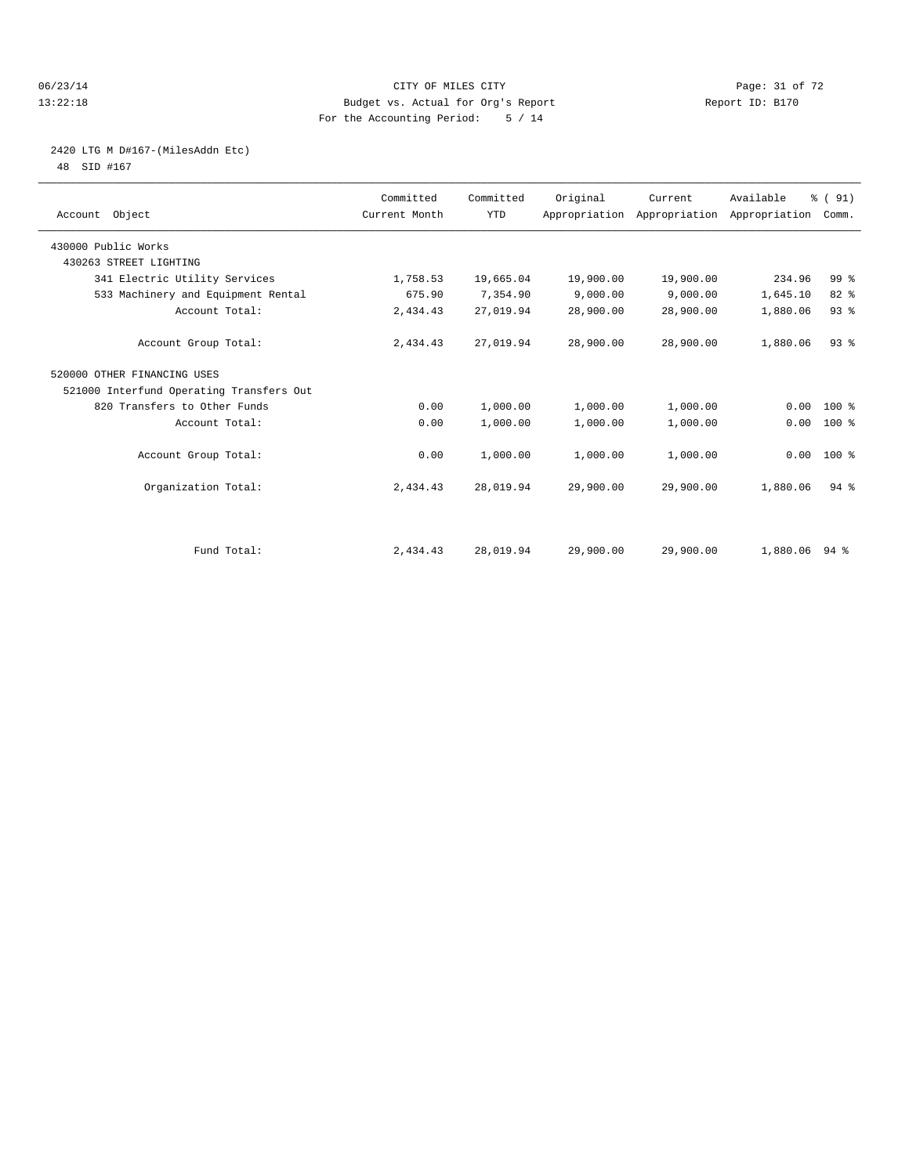#### 06/23/14 Page: 31 of 72 13:22:18 Budget vs. Actual for Org's Report Report ID: B170 For the Accounting Period: 5 / 14

# 2420 LTG M D#167-(MilesAddn Etc)

48 SID #167

| Account Object                           | Committed<br>Current Month | Committed<br><b>YTD</b> | Original  | Current   | Available<br>Appropriation Appropriation Appropriation | % (91)<br>Comm. |  |
|------------------------------------------|----------------------------|-------------------------|-----------|-----------|--------------------------------------------------------|-----------------|--|
| 430000 Public Works                      |                            |                         |           |           |                                                        |                 |  |
| 430263 STREET LIGHTING                   |                            |                         |           |           |                                                        |                 |  |
| 341 Electric Utility Services            | 1,758.53                   | 19,665.04               | 19,900.00 | 19,900.00 | 234.96                                                 | 99 <sup>8</sup> |  |
| 533 Machinery and Equipment Rental       | 675.90                     | 7,354.90                | 9,000.00  | 9,000.00  | 1,645.10                                               | 82 %            |  |
| Account Total:                           | 2,434.43                   | 27,019.94               | 28,900.00 | 28,900.00 | 1,880.06                                               | 93 <sup>8</sup> |  |
| Account Group Total:                     | 2,434.43                   | 27,019.94               | 28,900.00 | 28,900.00 | 1,880.06                                               | 93 <sup>8</sup> |  |
| 520000 OTHER FINANCING USES              |                            |                         |           |           |                                                        |                 |  |
| 521000 Interfund Operating Transfers Out |                            |                         |           |           |                                                        |                 |  |
| 820 Transfers to Other Funds             | 0.00                       | 1,000.00                | 1,000.00  | 1,000.00  | 0.00                                                   | $100*$          |  |
| Account Total:                           | 0.00                       | 1,000.00                | 1,000.00  | 1,000.00  | 0.00                                                   | 100 %           |  |
| Account Group Total:                     | 0.00                       | 1,000.00                | 1,000.00  | 1,000.00  | $0.00$ 100 %                                           |                 |  |
| Organization Total:                      | 2,434.43                   | 28,019.94               | 29,900.00 | 29,900.00 | 1,880.06                                               | $94$ $%$        |  |
|                                          |                            |                         |           |           |                                                        |                 |  |
| Fund Total:                              | 2,434.43                   | 28,019.94               | 29,900.00 | 29,900.00 | 1,880.06 94 %                                          |                 |  |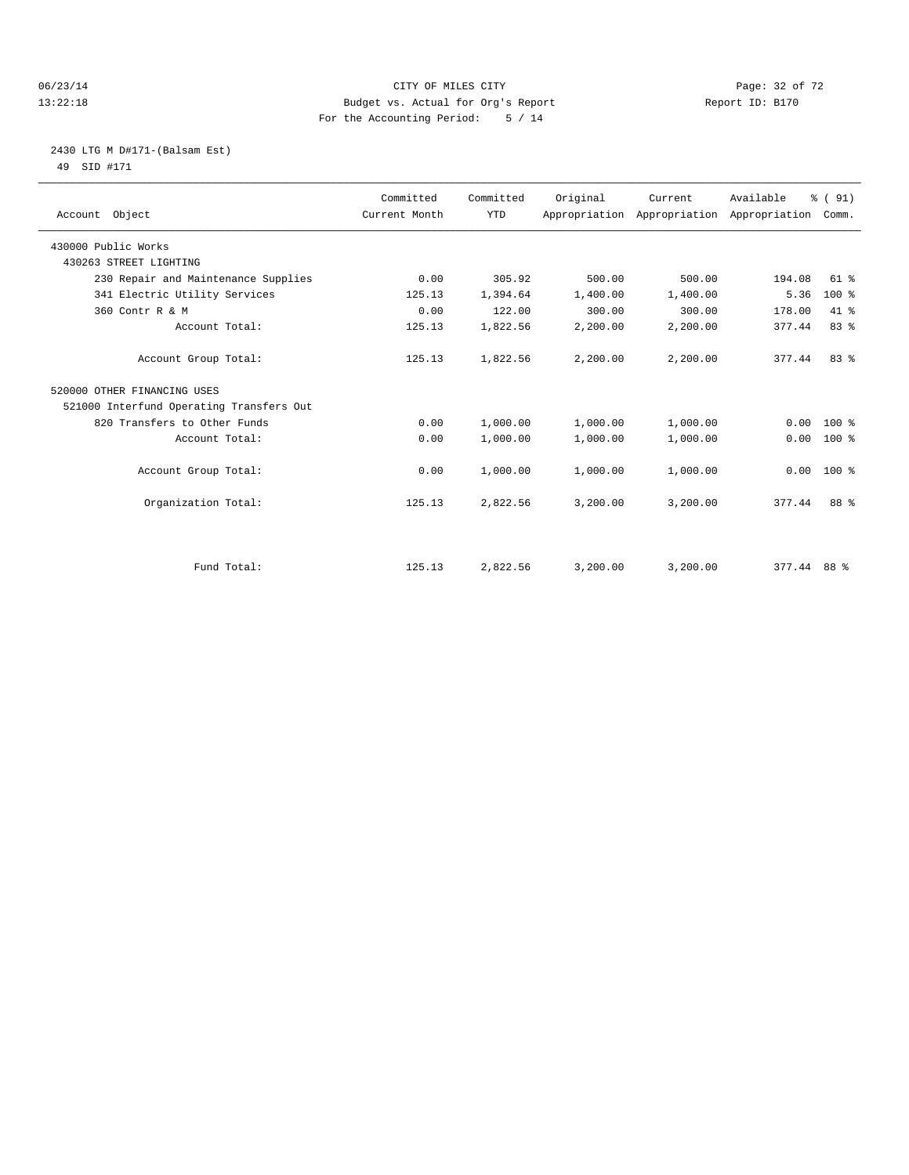#### 06/23/14 Page: 32 of 72 13:22:18 Budget vs. Actual for Org's Report Report ID: B170 For the Accounting Period: 5 / 14

## 2430 LTG M D#171-(Balsam Est) 49 SID #171

| Account Object                           | Committed<br>Current Month | Committed<br><b>YTD</b> | Original | Current  | Available<br>Appropriation Appropriation Appropriation Comm. | % (91)   |  |
|------------------------------------------|----------------------------|-------------------------|----------|----------|--------------------------------------------------------------|----------|--|
| 430000 Public Works                      |                            |                         |          |          |                                                              |          |  |
| 430263 STREET LIGHTING                   |                            |                         |          |          |                                                              |          |  |
| 230 Repair and Maintenance Supplies      | 0.00                       | 305.92                  | 500.00   | 500.00   | 194.08                                                       | $61$ $%$ |  |
| 341 Electric Utility Services            | 125.13                     | 1,394.64                | 1,400.00 | 1,400.00 | 5.36                                                         | $100*$   |  |
| 360 Contr R & M                          | 0.00                       | 122.00                  | 300.00   | 300.00   | 178.00                                                       | $41*$    |  |
| Account Total:                           | 125.13                     | 1,822.56                | 2,200.00 | 2,200.00 | 377.44                                                       | 83%      |  |
| Account Group Total:                     | 125.13                     | 1,822.56                | 2,200.00 | 2,200.00 | 377.44                                                       | 83%      |  |
| 520000 OTHER FINANCING USES              |                            |                         |          |          |                                                              |          |  |
| 521000 Interfund Operating Transfers Out |                            |                         |          |          |                                                              |          |  |
| 820 Transfers to Other Funds             | 0.00                       | 1,000.00                | 1,000.00 | 1,000.00 | 0.00                                                         | $100*$   |  |
| Account Total:                           | 0.00                       | 1,000.00                | 1,000.00 | 1,000.00 | 0.00                                                         | 100 %    |  |
| Account Group Total:                     | 0.00                       | 1,000.00                | 1,000.00 | 1,000.00 | 0.00                                                         | $100*$   |  |
| Organization Total:                      | 125.13                     | 2,822.56                | 3,200.00 | 3,200.00 | 377.44                                                       | 88 %     |  |
|                                          |                            |                         |          |          |                                                              |          |  |
| Fund Total:                              | 125.13                     | 2,822.56                | 3,200.00 | 3,200.00 | $377.44$ 88 %                                                |          |  |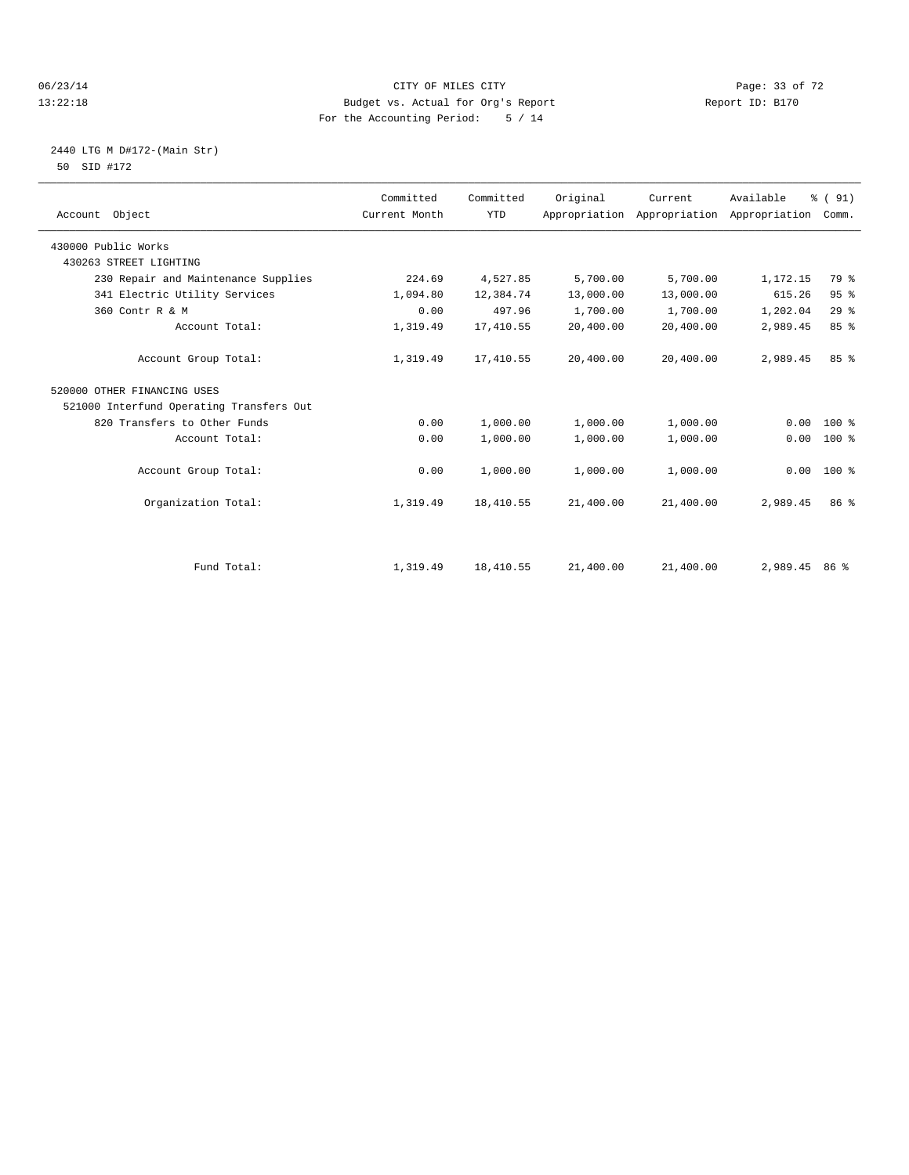#### 06/23/14 Page: 33 of 72 13:22:18 Budget vs. Actual for Org's Report Report ID: B170 For the Accounting Period: 5 / 14

## 2440 LTG M D#172-(Main Str) 50 SID #172

|                                          | Committed     | Committed  | Original  | Current                                   | Available   | % (91)          |  |
|------------------------------------------|---------------|------------|-----------|-------------------------------------------|-------------|-----------------|--|
| Account Object                           | Current Month | <b>YTD</b> |           | Appropriation Appropriation Appropriation |             | Comm.           |  |
| 430000 Public Works                      |               |            |           |                                           |             |                 |  |
| 430263 STREET LIGHTING                   |               |            |           |                                           |             |                 |  |
| 230 Repair and Maintenance Supplies      | 224.69        | 4,527.85   | 5,700.00  | 5,700.00                                  | 1,172.15    | 79 %            |  |
| 341 Electric Utility Services            | 1,094.80      | 12,384.74  | 13,000.00 | 13,000.00                                 | 615.26      | 95%             |  |
| 360 Contr R & M                          | 0.00          | 497.96     | 1,700.00  | 1,700.00                                  | 1,202.04    | 29%             |  |
| Account Total:                           | 1,319.49      | 17,410.55  | 20,400.00 | 20,400.00                                 | 2,989.45    | 85 %            |  |
| Account Group Total:                     | 1,319.49      | 17,410.55  | 20,400.00 | 20,400.00                                 | 2,989.45    | 85 <sup>8</sup> |  |
| 520000 OTHER FINANCING USES              |               |            |           |                                           |             |                 |  |
| 521000 Interfund Operating Transfers Out |               |            |           |                                           |             |                 |  |
| 820 Transfers to Other Funds             | 0.00          | 1,000.00   | 1,000.00  | 1,000.00                                  | 0.00        | $100*$          |  |
| Account Total:                           | 0.00          | 1,000.00   | 1,000.00  | 1,000.00                                  | 0.00        | 100 %           |  |
| Account Group Total:                     | 0.00          | 1,000.00   | 1,000.00  | 1,000.00                                  | 0.00        | $100*$          |  |
| Organization Total:                      | 1,319.49      | 18,410.55  | 21,400.00 | 21,400.00                                 | 2,989.45    | 86 <sup>8</sup> |  |
|                                          |               |            |           |                                           |             |                 |  |
| Fund Total:                              | 1,319.49      | 18,410.55  | 21,400.00 | 21,400.00                                 | 2.989.45 86 |                 |  |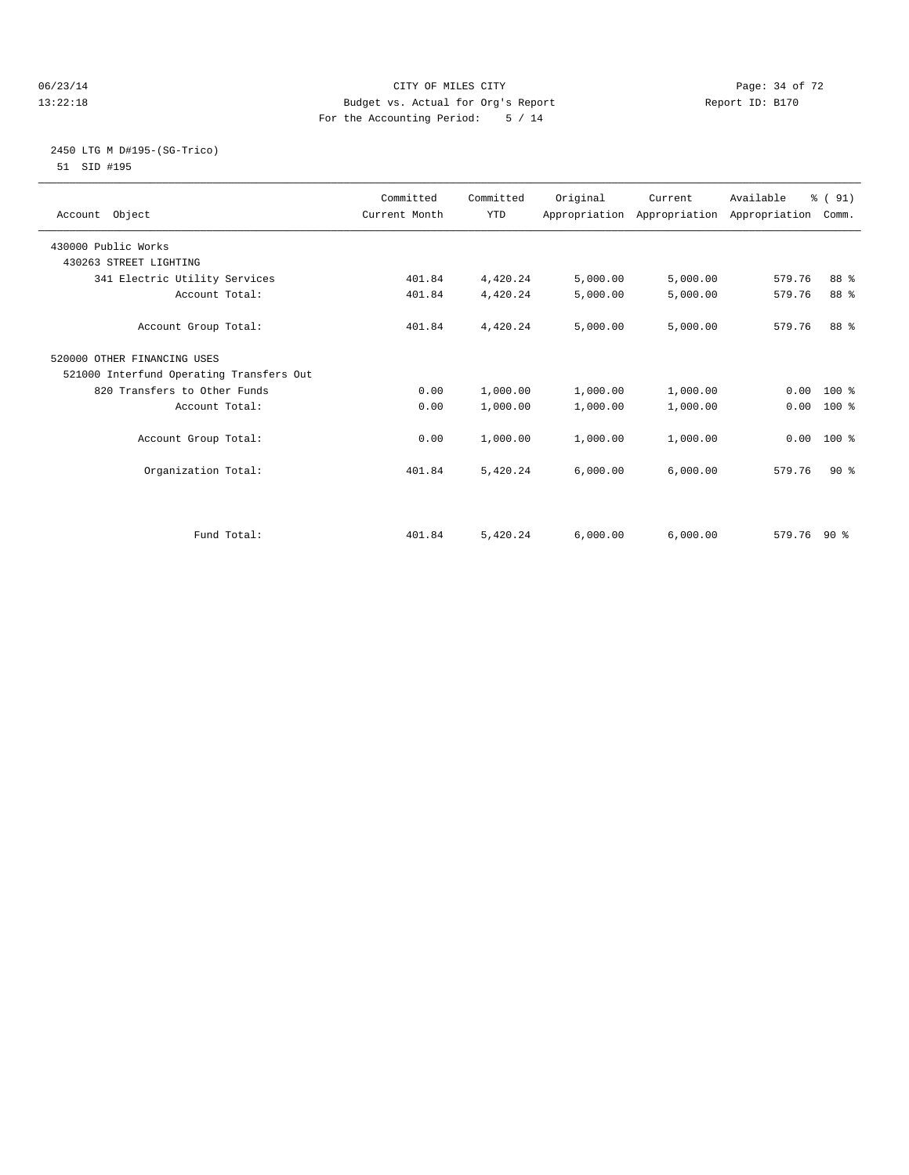#### 06/23/14 Page: 34 of 72 13:22:18 Budget vs. Actual for Org's Report Report ID: B170 For the Accounting Period: 5 / 14

## 2450 LTG M D#195-(SG-Trico) 51 SID #195

| Account Object                           | Committed<br>Current Month | Committed<br><b>YTD</b> | Original | Current  | Available<br>Appropriation Appropriation Appropriation | % (91)<br>Comm. |  |
|------------------------------------------|----------------------------|-------------------------|----------|----------|--------------------------------------------------------|-----------------|--|
| 430000 Public Works                      |                            |                         |          |          |                                                        |                 |  |
| 430263 STREET LIGHTING                   |                            |                         |          |          |                                                        |                 |  |
| 341 Electric Utility Services            | 401.84                     | 4,420.24                | 5,000.00 | 5,000.00 | 579.76                                                 | 88 %            |  |
| Account Total:                           | 401.84                     | 4,420.24                | 5,000.00 | 5,000.00 | 579.76                                                 | 88 %            |  |
| Account Group Total:                     | 401.84                     | 4,420.24                | 5,000.00 | 5,000.00 | 579.76                                                 | 88 %            |  |
| 520000 OTHER FINANCING USES              |                            |                         |          |          |                                                        |                 |  |
| 521000 Interfund Operating Transfers Out |                            |                         |          |          |                                                        |                 |  |
| 820 Transfers to Other Funds             | 0.00                       | 1,000.00                | 1,000.00 | 1,000.00 | $0.00$ 100 %                                           |                 |  |
| Account Total:                           | 0.00                       | 1,000.00                | 1,000.00 | 1,000.00 | 0.00                                                   | $100*$          |  |
| Account Group Total:                     | 0.00                       | 1,000.00                | 1,000.00 | 1,000.00 | 0.00                                                   | $100*$          |  |
| Organization Total:                      | 401.84                     | 5,420.24                | 6,000.00 | 6,000.00 | 579.76                                                 | $90*$           |  |
|                                          |                            |                         |          |          |                                                        |                 |  |
| Fund Total:                              | 401.84                     | 5,420.24                | 6.000.00 | 6.000.00 | $579.76$ 90 %                                          |                 |  |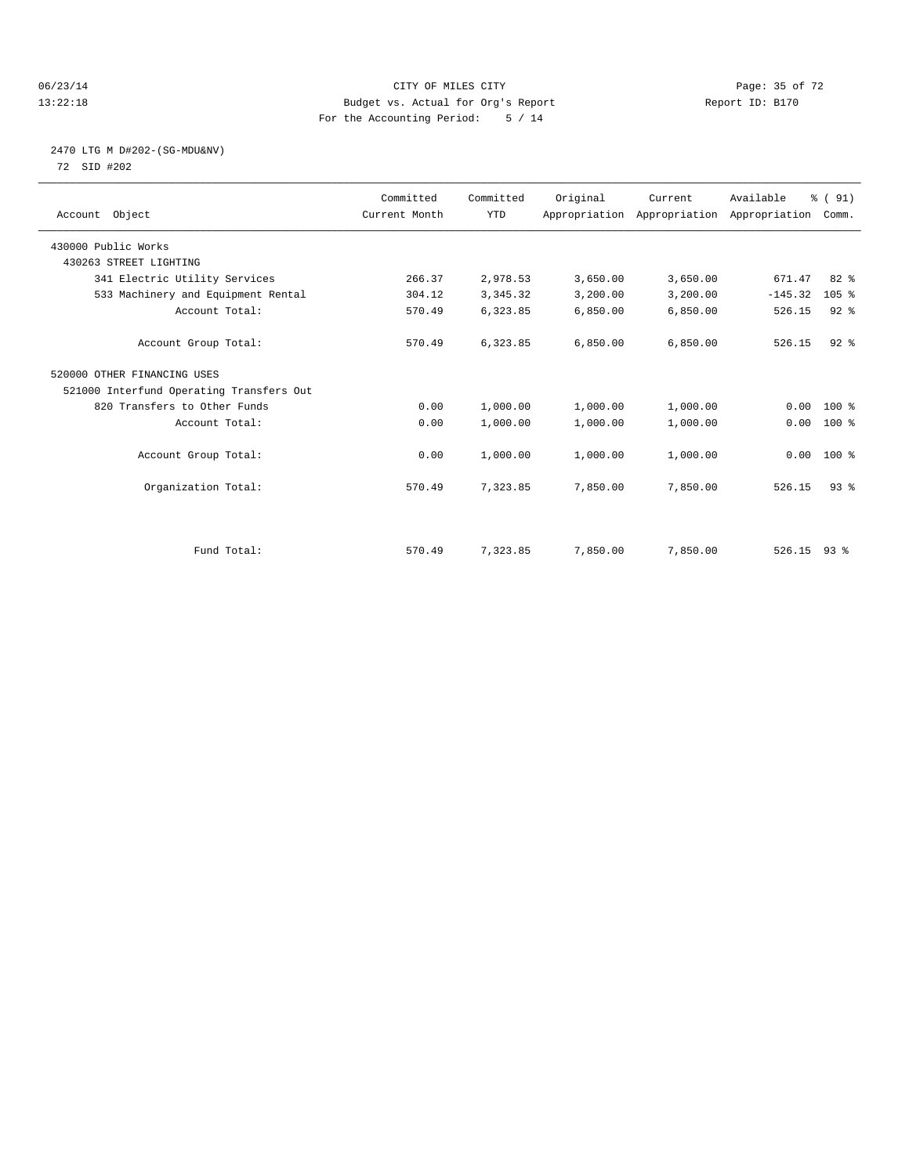#### 06/23/14 Page: 35 of 72 13:22:18 Budget vs. Actual for Org's Report Report ID: B170 For the Accounting Period: 5 / 14

## 2470 LTG M D#202-(SG-MDU&NV) 72 SID #202

| Account Object                           | Committed<br>Current Month | Committed<br><b>YTD</b> | Original | Current<br>Appropriation Appropriation Appropriation | Available     | % (91)<br>Comm. |  |
|------------------------------------------|----------------------------|-------------------------|----------|------------------------------------------------------|---------------|-----------------|--|
|                                          |                            |                         |          |                                                      |               |                 |  |
| 430000 Public Works                      |                            |                         |          |                                                      |               |                 |  |
| 430263 STREET LIGHTING                   |                            |                         |          |                                                      |               |                 |  |
| 341 Electric Utility Services            | 266.37                     | 2,978.53                | 3,650.00 | 3,650.00                                             | 671.47        | $82*$           |  |
| 533 Machinery and Equipment Rental       | 304.12                     | 3, 345. 32              | 3,200.00 | 3,200.00                                             | $-145.32$     | 105%            |  |
| Account Total:                           | 570.49                     | 6,323.85                | 6,850.00 | 6,850.00                                             | 526.15        | $92$ $%$        |  |
| Account Group Total:                     | 570.49                     | 6,323.85                | 6.850.00 | 6,850.00                                             | 526.15        | $92$ $%$        |  |
| 520000 OTHER FINANCING USES              |                            |                         |          |                                                      |               |                 |  |
| 521000 Interfund Operating Transfers Out |                            |                         |          |                                                      |               |                 |  |
| 820 Transfers to Other Funds             | 0.00                       | 1,000.00                | 1,000.00 | 1,000.00                                             | 0.00          | 100 %           |  |
| Account Total:                           | 0.00                       | 1,000.00                | 1,000.00 | 1,000.00                                             | 0.00          | 100 %           |  |
| Account Group Total:                     | 0.00                       | 1,000.00                | 1,000.00 | 1,000.00                                             |               | $0.00$ 100 %    |  |
| Organization Total:                      | 570.49                     | 7,323.85                | 7,850.00 | 7,850.00                                             | 526.15        | 93 <sup>8</sup> |  |
|                                          |                            |                         |          |                                                      |               |                 |  |
| Fund Total:                              | 570.49                     | 7,323.85                | 7,850.00 | 7,850.00                                             | $526.15$ 93 % |                 |  |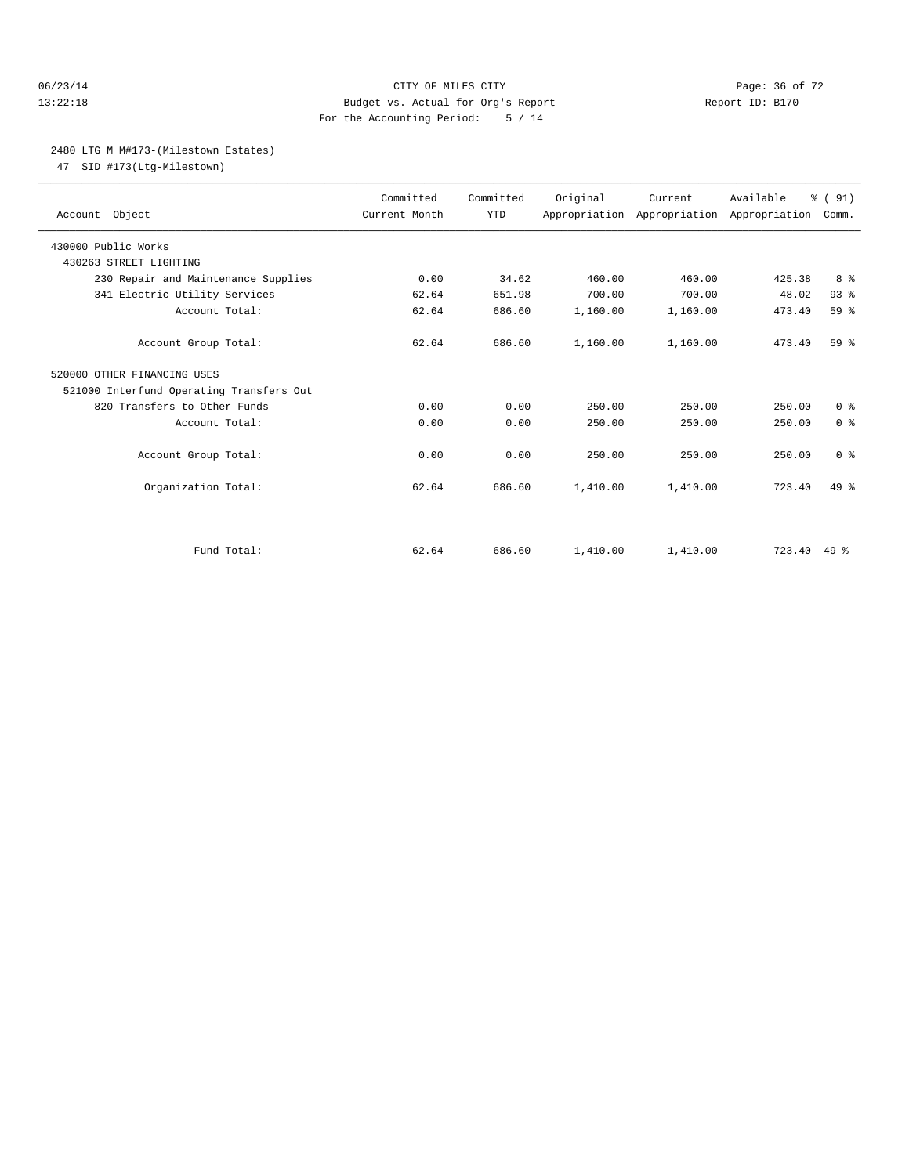#### 06/23/14 Page: 36 of 72 13:22:18 Budget vs. Actual for Org's Report Report ID: B170 For the Accounting Period: 5 / 14

#### 2480 LTG M M#173-(Milestown Estates)

47 SID #173(Ltg-Milestown)

| Account Object                           | Committed<br>Current Month | Committed<br><b>YTD</b> | Original | Current<br>Appropriation Appropriation Appropriation | Available   | % (91)<br>Comm. |  |
|------------------------------------------|----------------------------|-------------------------|----------|------------------------------------------------------|-------------|-----------------|--|
| 430000 Public Works                      |                            |                         |          |                                                      |             |                 |  |
| 430263 STREET LIGHTING                   |                            |                         |          |                                                      |             |                 |  |
| 230 Repair and Maintenance Supplies      | 0.00                       | 34.62                   | 460.00   | 460.00                                               | 425.38      | 8 %             |  |
| 341 Electric Utility Services            | 62.64                      | 651.98                  | 700.00   | 700.00                                               | 48.02       | 93%             |  |
| Account Total:                           | 62.64                      | 686.60                  | 1,160.00 | 1,160.00                                             | 473.40      | 59 <sub>8</sub> |  |
| Account Group Total:                     | 62.64                      | 686.60                  | 1,160.00 | 1,160.00                                             | 473.40      | 59 <sup>8</sup> |  |
| 520000 OTHER FINANCING USES              |                            |                         |          |                                                      |             |                 |  |
| 521000 Interfund Operating Transfers Out |                            |                         |          |                                                      |             |                 |  |
| 820 Transfers to Other Funds             | 0.00                       | 0.00                    | 250.00   | 250.00                                               | 250.00      | 0 <sup>8</sup>  |  |
| Account Total:                           | 0.00                       | 0.00                    | 250.00   | 250.00                                               | 250.00      | 0 <sup>8</sup>  |  |
| Account Group Total:                     | 0.00                       | 0.00                    | 250.00   | 250.00                                               | 250.00      | 0 <sup>8</sup>  |  |
| Organization Total:                      | 62.64                      | 686.60                  | 1,410.00 | 1,410.00                                             | 723.40      | 49.8            |  |
|                                          |                            |                         |          |                                                      |             |                 |  |
| Fund Total:                              | 62.64                      | 686.60                  | 1,410.00 | 1,410.00                                             | 723.40 49 % |                 |  |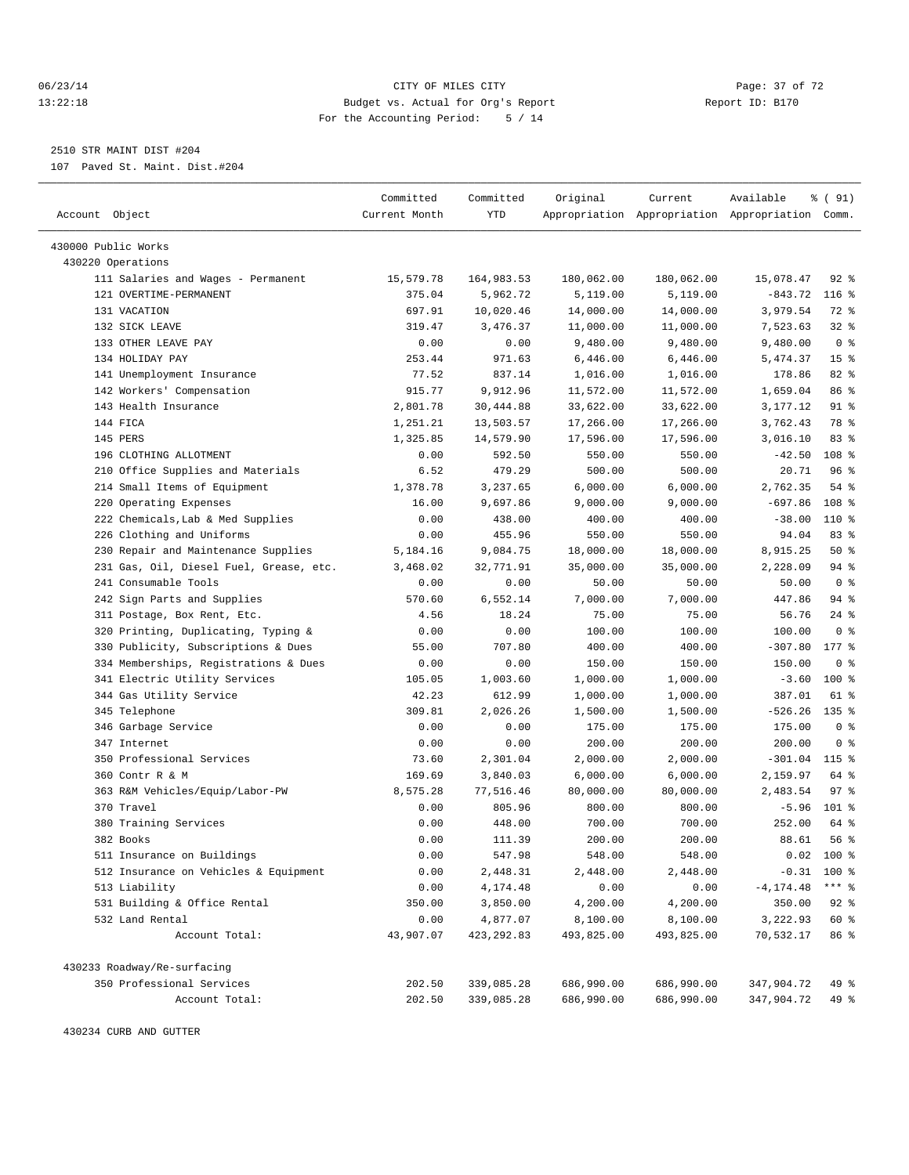#### 06/23/14 Page: 37 of 72 13:22:18 Budget vs. Actual for Org's Report Report ID: B170 For the Accounting Period: 5 / 14

————————————————————————————————————————————————————————————————————————————————————————————————————————————————————————————————————

2510 STR MAINT DIST #204

107 Paved St. Maint. Dist.#204

|                                                                 | Committed     | Committed          | Original           | Current            | Available                                       | % ( 91)                 |
|-----------------------------------------------------------------|---------------|--------------------|--------------------|--------------------|-------------------------------------------------|-------------------------|
| Account Object                                                  | Current Month | YTD                |                    |                    | Appropriation Appropriation Appropriation Comm. |                         |
|                                                                 |               |                    |                    |                    |                                                 |                         |
| 430000 Public Works<br>430220 Operations                        |               |                    |                    |                    |                                                 |                         |
| 111 Salaries and Wages - Permanent                              | 15,579.78     | 164,983.53         | 180,062.00         | 180,062.00         | 15,078.47                                       | $92$ $%$                |
| 121 OVERTIME-PERMANENT                                          | 375.04        | 5,962.72           | 5,119.00           | 5,119.00           | $-843.72$                                       | $116$ %                 |
| 131 VACATION                                                    | 697.91        | 10,020.46          | 14,000.00          | 14,000.00          | 3,979.54                                        | 72 %                    |
| 132 SICK LEAVE                                                  | 319.47        | 3,476.37           | 11,000.00          | 11,000.00          | 7,523.63                                        | $32$ $%$                |
| 133 OTHER LEAVE PAY                                             | 0.00          | 0.00               | 9,480.00           | 9,480.00           | 9,480.00                                        | 0 <sup>8</sup>          |
| 134 HOLIDAY PAY                                                 | 253.44        | 971.63             | 6,446.00           | 6,446.00           | 5,474.37                                        | 15 <sup>8</sup>         |
| 141 Unemployment Insurance                                      | 77.52         | 837.14             | 1,016.00           | 1,016.00           | 178.86                                          | $82$ $%$                |
| 142 Workers' Compensation                                       | 915.77        | 9,912.96           | 11,572.00          | 11,572.00          | 1,659.04                                        | 86 %                    |
| 143 Health Insurance                                            | 2,801.78      | 30,444.88          | 33,622.00          | 33,622.00          | 3,177.12                                        | $91$ %                  |
| 144 FICA                                                        | 1,251.21      | 13,503.57          | 17,266.00          | 17,266.00          | 3,762.43                                        | 78 %                    |
| 145 PERS                                                        | 1,325.85      | 14,579.90          | 17,596.00          | 17,596.00          | 3,016.10                                        | 83%                     |
| 196 CLOTHING ALLOTMENT                                          | 0.00          | 592.50             | 550.00             | 550.00             | $-42.50$                                        | 108 %                   |
| 210 Office Supplies and Materials                               | 6.52          | 479.29             | 500.00             | 500.00             | 20.71                                           | 96%                     |
|                                                                 | 1,378.78      | 3,237.65           | 6,000.00           | 6,000.00           | 2,762.35                                        | 54 %                    |
| 214 Small Items of Equipment<br>220 Operating Expenses          | 16.00         |                    |                    |                    | $-697.86$                                       | 108 <sup>8</sup>        |
| 222 Chemicals, Lab & Med Supplies                               | 0.00          | 9,697.86<br>438.00 | 9,000.00<br>400.00 | 9,000.00<br>400.00 | $-38.00$                                        | 110 %                   |
| 226 Clothing and Uniforms                                       | 0.00          | 455.96             | 550.00             | 550.00             | 94.04                                           | 83%                     |
|                                                                 |               |                    | 18,000.00          |                    |                                                 | 50%                     |
| 230 Repair and Maintenance Supplies                             | 5,184.16      | 9,084.75           |                    | 18,000.00          | 8,915.25                                        |                         |
| 231 Gas, Oil, Diesel Fuel, Grease, etc.<br>241 Consumable Tools | 3,468.02      | 32,771.91          | 35,000.00          | 35,000.00          | 2,228.09                                        | 94 %<br>0 <sup>8</sup>  |
| 242 Sign Parts and Supplies                                     | 0.00          | 0.00               | 50.00              | 50.00              | 50.00                                           |                         |
|                                                                 | 570.60        | 6,552.14           | 7,000.00           | 7,000.00           | 447.86                                          | 94 %<br>$24$ %          |
| 311 Postage, Box Rent, Etc.                                     | 4.56          | 18.24              | 75.00              | 75.00              | 56.76                                           |                         |
| 320 Printing, Duplicating, Typing &                             | 0.00          | 0.00               | 100.00             | 100.00             | 100.00                                          | 0 <sup>8</sup><br>177 % |
| 330 Publicity, Subscriptions & Dues                             | 55.00         | 707.80             | 400.00             | 400.00             | $-307.80$                                       | 0 <sup>8</sup>          |
| 334 Memberships, Registrations & Dues                           | 0.00          | 0.00               | 150.00             | 150.00             | 150.00                                          |                         |
| 341 Electric Utility Services                                   | 105.05        | 1,003.60           | 1,000.00           | 1,000.00           | $-3.60$                                         | $100$ %                 |
| 344 Gas Utility Service                                         | 42.23         | 612.99             | 1,000.00           | 1,000.00           | 387.01                                          | 61 %                    |
| 345 Telephone                                                   | 309.81        | 2,026.26           | 1,500.00           | 1,500.00           | $-526.26$                                       | $135$ %                 |
| 346 Garbage Service                                             | 0.00          | 0.00               | 175.00             | 175.00             | 175.00                                          | 0 <sup>8</sup>          |
| 347 Internet                                                    | 0.00          | 0.00               | 200.00             | 200.00             | 200.00                                          | 0 <sup>8</sup>          |
| 350 Professional Services                                       | 73.60         | 2,301.04           | 2,000.00           | 2,000.00           | $-301.04$                                       | 115 %                   |
| 360 Contr R & M                                                 | 169.69        | 3,840.03           | 6,000.00           | 6,000.00           | 2,159.97                                        | 64 %                    |
| 363 R&M Vehicles/Equip/Labor-PW                                 | 8,575.28      | 77,516.46          | 80,000.00          | 80,000.00          | 2,483.54                                        | 97%                     |
| 370 Travel                                                      | 0.00          | 805.96             | 800.00             | 800.00             | $-5.96$                                         | 101 %                   |
| 380 Training Services                                           | 0.00          | 448.00             | 700.00             | 700.00             | 252.00                                          | 64 %                    |
| 382 Books                                                       | 0.00          | 111.39             | 200.00             | 200.00             | 88.61                                           | 56 %                    |
| 511 Insurance on Buildings                                      | 0.00          | 547.98             | 548.00             | 548.00             | 0.02                                            | $100*$                  |
| 512 Insurance on Vehicles & Equipment                           | 0.00          | 2,448.31           | 2,448.00           | 2,448.00           |                                                 | $-0.31$ 100 %           |
| 513 Liability                                                   | 0.00          | 4,174.48           | 0.00               | 0.00               | $-4, 174.48$                                    | $***$ $_{8}$            |
| 531 Building & Office Rental                                    | 350.00        | 3,850.00           | 4,200.00           | 4,200.00           | 350.00                                          | $92$ $%$                |
| 532 Land Rental                                                 | 0.00          | 4,877.07           | 8,100.00           | 8,100.00           | 3,222.93                                        | 60 %                    |
| Account Total:                                                  | 43,907.07     | 423, 292.83        | 493,825.00         | 493,825.00         | 70,532.17                                       | 86 %                    |
| 430233 Roadway/Re-surfacing                                     |               |                    |                    |                    |                                                 |                         |
| 350 Professional Services                                       | 202.50        | 339,085.28         | 686,990.00         | 686,990.00         | 347,904.72                                      | 49 %                    |
| Account Total:                                                  | 202.50        | 339,085.28         | 686,990.00         | 686,990.00         | 347,904.72                                      | 49 %                    |

430234 CURB AND GUTTER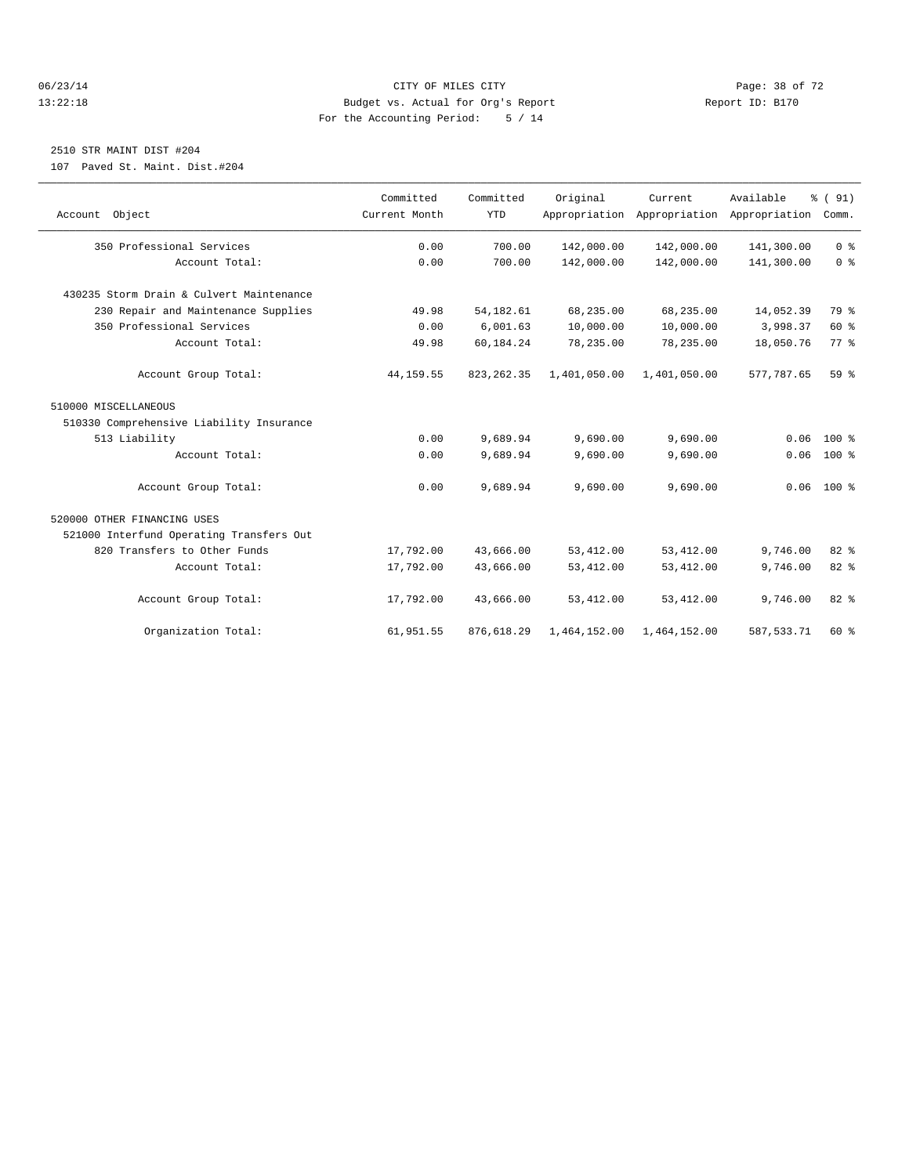#### 06/23/14 Page: 38 of 72 13:22:18 Budget vs. Actual for Org's Report Report ID: B170 For the Accounting Period: 5 / 14

## 2510 STR MAINT DIST #204

107 Paved St. Maint. Dist.#204

| Account Object                           | Committed<br>Current Month | Committed<br><b>YTD</b> | Original     | Current.<br>Appropriation Appropriation Appropriation | Available  | % (91)<br>Comm. |
|------------------------------------------|----------------------------|-------------------------|--------------|-------------------------------------------------------|------------|-----------------|
| 350 Professional Services                | 0.00                       | 700.00                  | 142,000.00   | 142,000.00                                            | 141,300.00 | 0 <sup>8</sup>  |
| Account Total:                           | 0.00                       | 700.00                  | 142,000.00   | 142,000.00                                            | 141,300.00 | 0 <sup>8</sup>  |
| 430235 Storm Drain & Culvert Maintenance |                            |                         |              |                                                       |            |                 |
| 230 Repair and Maintenance Supplies      | 49.98                      | 54, 182.61              | 68,235.00    | 68,235.00                                             | 14,052.39  | 79 %            |
| 350 Professional Services                | 0.00                       | 6.001.63                | 10,000.00    | 10,000.00                                             | 3,998.37   | 60 %            |
| Account Total:                           | 49.98                      | 60,184.24               | 78,235.00    | 78,235.00                                             | 18,050.76  | 77.8            |
| Account Group Total:                     | 44, 159.55                 | 823, 262.35             | 1,401,050.00 | 1,401,050.00                                          | 577,787.65 | 59 <sub>8</sub> |
| 510000 MISCELLANEOUS                     |                            |                         |              |                                                       |            |                 |
| 510330 Comprehensive Liability Insurance |                            |                         |              |                                                       |            |                 |
| 513 Liability                            | 0.00                       | 9,689.94                | 9,690.00     | 9,690.00                                              | 0.06       | $100*$          |
| Account Total:                           | 0.00                       | 9,689.94                | 9,690.00     | 9,690.00                                              | 0.06       | $100*$          |
| Account Group Total:                     | 0.00                       | 9,689.94                | 9,690.00     | 9,690.00                                              |            | $0.06$ 100 %    |
| 520000 OTHER FINANCING USES              |                            |                         |              |                                                       |            |                 |
| 521000 Interfund Operating Transfers Out |                            |                         |              |                                                       |            |                 |
| 820 Transfers to Other Funds             | 17,792.00                  | 43,666.00               | 53, 412.00   | 53, 412.00                                            | 9,746.00   | 82%             |
| Account Total:                           | 17,792.00                  | 43,666.00               | 53, 412.00   | 53, 412.00                                            | 9,746.00   | 82 %            |
| Account Group Total:                     | 17,792.00                  | 43,666.00               | 53, 412.00   | 53, 412.00                                            | 9,746.00   | 82%             |
| Organization Total:                      | 61,951.55                  | 876,618.29              | 1,464,152.00 | 1,464,152.00                                          | 587.533.71 | $60*$           |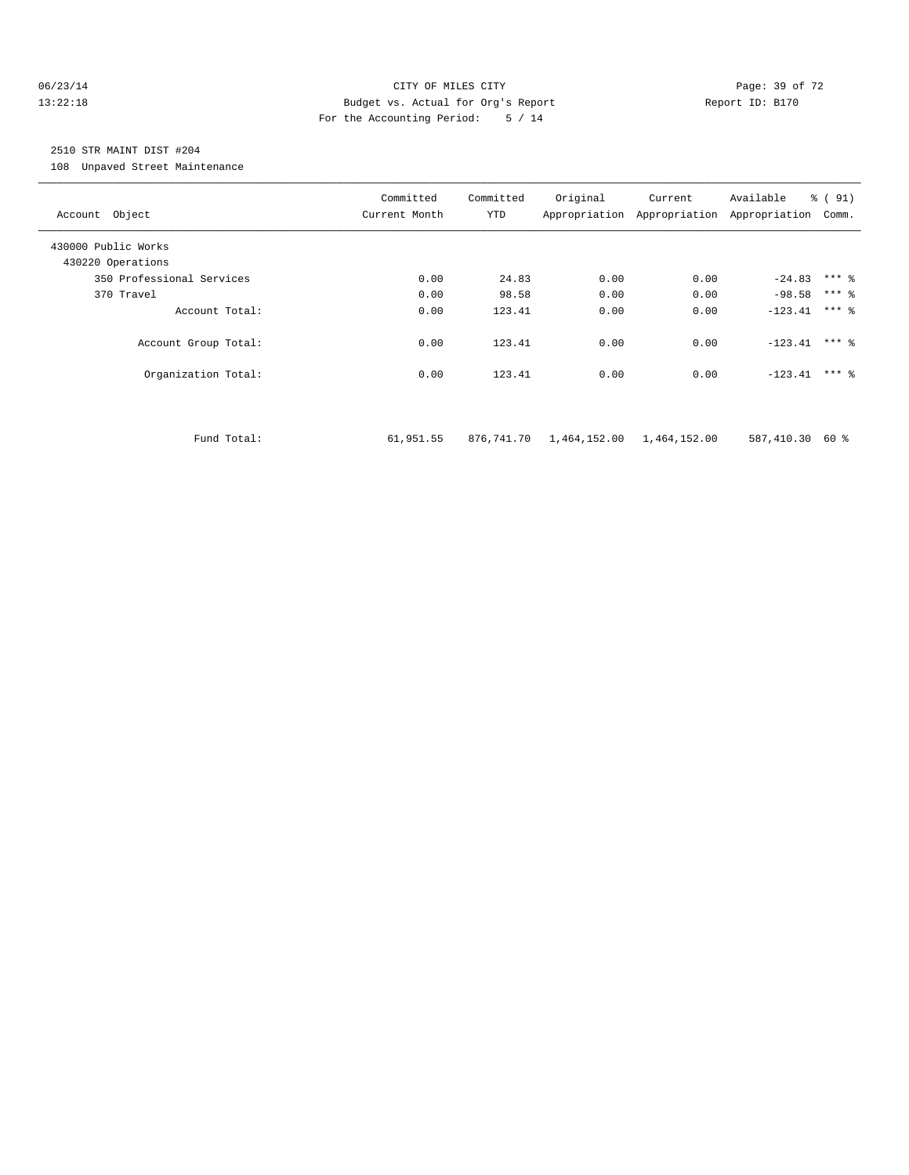#### 06/23/14 Page: 39 of 72 13:22:18 Budget vs. Actual for Org's Report Report ID: B170 For the Accounting Period: 5 / 14

## 2510 STR MAINT DIST #204

108 Unpaved Street Maintenance

| Account Object            | Committed<br>Current Month | Committed<br>YTD | Original                  | Current | Available<br>Appropriation Appropriation Appropriation | $\frac{1}{6}$ (91)<br>Comm. |
|---------------------------|----------------------------|------------------|---------------------------|---------|--------------------------------------------------------|-----------------------------|
| 430000 Public Works       |                            |                  |                           |         |                                                        |                             |
| 430220 Operations         |                            |                  |                           |         |                                                        |                             |
| 350 Professional Services | 0.00                       | 24.83            | 0.00                      | 0.00    | $-24.83$ *** $\frac{6}{3}$                             |                             |
| 370 Travel                | 0.00                       | 98.58            | 0.00                      | 0.00    | $-98.58$ *** %                                         |                             |
| Account Total:            | 0.00                       | 123.41           | 0.00                      | 0.00    | $-123.41$                                              | $***$ 2                     |
| Account Group Total:      | 0.00                       | 123.41           | 0.00                      | 0.00    | $-123.41$ *** &                                        |                             |
| Organization Total:       | 0.00                       | 123.41           | 0.00                      | 0.00    | $-123.41$ *** &                                        |                             |
|                           |                            |                  |                           |         |                                                        |                             |
| Fund Total:               | 61,951.55                  | 876,741.70       | 1,464,152.00 1,464,152.00 |         | 587,410.30                                             | 60 %                        |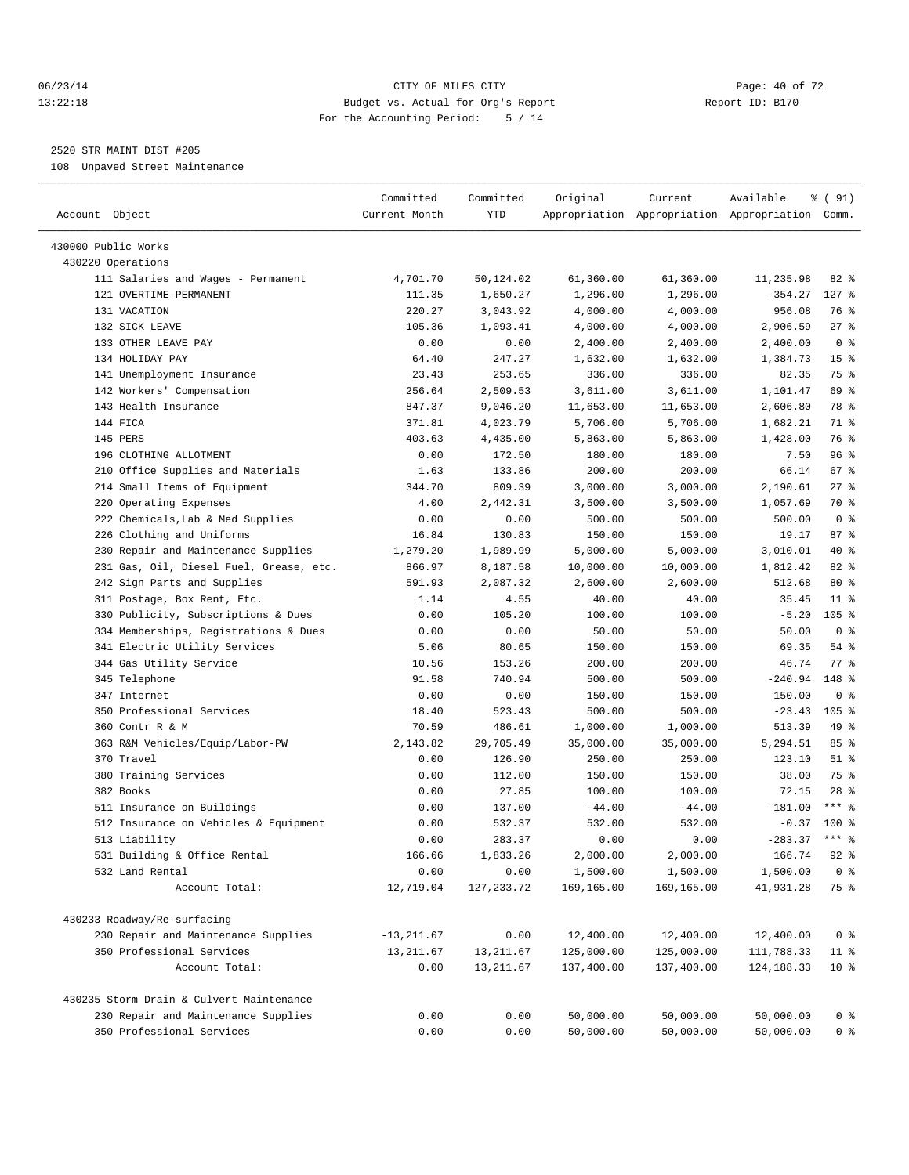#### 06/23/14 Page: 40 of 72 13:22:18 Budget vs. Actual for Org's Report Report ID: B170 For the Accounting Period: 5 / 14

————————————————————————————————————————————————————————————————————————————————————————————————————————————————————————————————————

### 2520 STR MAINT DIST #205

108 Unpaved Street Maintenance

|                                          | Committed     | Committed   | Original   | Current    | Available                                       | $\frac{1}{6}$ (91) |  |
|------------------------------------------|---------------|-------------|------------|------------|-------------------------------------------------|--------------------|--|
| Account Object                           | Current Month | YTD         |            |            | Appropriation Appropriation Appropriation Comm. |                    |  |
| 430000 Public Works                      |               |             |            |            |                                                 |                    |  |
| 430220 Operations                        |               |             |            |            |                                                 |                    |  |
| 111 Salaries and Wages - Permanent       | 4,701.70      | 50,124.02   | 61,360.00  | 61,360.00  | 11,235.98                                       | 82 %               |  |
| 121 OVERTIME-PERMANENT                   | 111.35        | 1,650.27    | 1,296.00   | 1,296.00   | $-354.27$                                       | $127$ %            |  |
| 131 VACATION                             | 220.27        | 3,043.92    | 4,000.00   | 4,000.00   | 956.08                                          | 76 %               |  |
| 132 SICK LEAVE                           | 105.36        | 1,093.41    | 4,000.00   | 4,000.00   | 2,906.59                                        | 27%                |  |
| 133 OTHER LEAVE PAY                      | 0.00          | 0.00        | 2,400.00   | 2,400.00   | 2,400.00                                        | 0 <sup>8</sup>     |  |
| 134 HOLIDAY PAY                          | 64.40         | 247.27      | 1,632.00   | 1,632.00   | 1,384.73                                        | 15 <sup>8</sup>    |  |
| 141 Unemployment Insurance               | 23.43         | 253.65      | 336.00     | 336.00     | 82.35                                           | 75 %               |  |
| 142 Workers' Compensation                | 256.64        | 2,509.53    | 3,611.00   | 3,611.00   | 1,101.47                                        | 69 %               |  |
| 143 Health Insurance                     | 847.37        | 9,046.20    | 11,653.00  | 11,653.00  | 2,606.80                                        | 78 %               |  |
| 144 FICA                                 | 371.81        | 4,023.79    | 5,706.00   | 5,706.00   | 1,682.21                                        | 71 %               |  |
| 145 PERS                                 | 403.63        | 4,435.00    | 5,863.00   | 5,863.00   | 1,428.00                                        | 76 %               |  |
| 196 CLOTHING ALLOTMENT                   | 0.00          | 172.50      | 180.00     | 180.00     | 7.50                                            | 96%                |  |
| 210 Office Supplies and Materials        | 1.63          | 133.86      | 200.00     | 200.00     | 66.14                                           | 67 %               |  |
| 214 Small Items of Equipment             | 344.70        | 809.39      | 3,000.00   | 3,000.00   | 2,190.61                                        | 27%                |  |
| 220 Operating Expenses                   | 4.00          | 2,442.31    | 3,500.00   | 3,500.00   | 1,057.69                                        | 70 %               |  |
| 222 Chemicals, Lab & Med Supplies        | 0.00          | 0.00        | 500.00     | 500.00     | 500.00                                          | 0 <sup>8</sup>     |  |
| 226 Clothing and Uniforms                | 16.84         | 130.83      | 150.00     | 150.00     | 19.17                                           | 87%                |  |
| 230 Repair and Maintenance Supplies      | 1,279.20      | 1,989.99    | 5,000.00   | 5,000.00   | 3,010.01                                        | 40 %               |  |
| 231 Gas, Oil, Diesel Fuel, Grease, etc.  | 866.97        | 8,187.58    | 10,000.00  | 10,000.00  | 1,812.42                                        | $82$ $%$           |  |
| 242 Sign Parts and Supplies              | 591.93        | 2,087.32    | 2,600.00   | 2,600.00   | 512.68                                          | $80*$              |  |
| 311 Postage, Box Rent, Etc.              | 1.14          | 4.55        | 40.00      | 40.00      | 35.45                                           | $11$ %             |  |
| 330 Publicity, Subscriptions & Dues      | 0.00          | 105.20      | 100.00     | 100.00     | $-5.20$                                         | 105 <sub>8</sub>   |  |
| 334 Memberships, Registrations & Dues    | 0.00          | 0.00        | 50.00      | 50.00      | 50.00                                           | 0 <sup>8</sup>     |  |
| 341 Electric Utility Services            | 5.06          | 80.65       | 150.00     | 150.00     | 69.35                                           | 54 %               |  |
| 344 Gas Utility Service                  | 10.56         | 153.26      | 200.00     | 200.00     | 46.74                                           | 77.8               |  |
| 345 Telephone                            | 91.58         | 740.94      | 500.00     | 500.00     | $-240.94$                                       | 148 %              |  |
| 347 Internet                             | 0.00          | 0.00        | 150.00     | 150.00     | 150.00                                          | 0 <sup>8</sup>     |  |
| 350 Professional Services                | 18.40         | 523.43      | 500.00     | 500.00     | $-23.43$                                        | $105$ %            |  |
| 360 Contr R & M                          | 70.59         | 486.61      | 1,000.00   | 1,000.00   | 513.39                                          | 49 %               |  |
| 363 R&M Vehicles/Equip/Labor-PW          | 2,143.82      | 29,705.49   | 35,000.00  | 35,000.00  | 5,294.51                                        | 85%                |  |
| 370 Travel                               | 0.00          | 126.90      | 250.00     | 250.00     | 123.10                                          | $51$ %             |  |
| 380 Training Services                    | 0.00          | 112.00      | 150.00     | 150.00     | 38.00                                           | 75 %               |  |
| 382 Books                                | 0.00          | 27.85       | 100.00     | 100.00     | 72.15                                           | $28$ %             |  |
| 511 Insurance on Buildings               | 0.00          | 137.00      | $-44.00$   | $-44.00$   | $-181.00$                                       | $***$ 8            |  |
| 512 Insurance on Vehicles & Equipment    | 0.00          | 532.37      | 532.00     | 532.00     | $-0.37$                                         | 100 %              |  |
| 513 Liability                            | 0.00          | 283.37      | 0.00       | 0.00       | $-283.37$                                       | $***$ $_{8}$       |  |
| 531 Building & Office Rental             | 166.66        | 1,833.26    | 2,000.00   | 2,000.00   | 166.74                                          | $92$ $%$           |  |
| 532 Land Rental                          | 0.00          | 0.00        | 1,500.00   | 1,500.00   | 1,500.00                                        | 0 <sup>8</sup>     |  |
| Account Total:                           | 12,719.04     | 127, 233.72 | 169,165.00 | 169,165.00 | 41,931.28                                       | 75 %               |  |
| 430233 Roadway/Re-surfacing              |               |             |            |            |                                                 |                    |  |
| 230 Repair and Maintenance Supplies      | $-13, 211.67$ | 0.00        | 12,400.00  | 12,400.00  | 12,400.00                                       | 0 <sup>8</sup>     |  |
| 350 Professional Services                | 13, 211.67    | 13, 211.67  | 125,000.00 | 125,000.00 | 111,788.33                                      | $11*$              |  |
| Account Total:                           | 0.00          | 13, 211.67  | 137,400.00 | 137,400.00 | 124, 188. 33                                    | 10 <sup>°</sup>    |  |
| 430235 Storm Drain & Culvert Maintenance |               |             |            |            |                                                 |                    |  |
| 230 Repair and Maintenance Supplies      | 0.00          | 0.00        | 50,000.00  | 50,000.00  | 50,000.00                                       | 0 <sup>8</sup>     |  |
| 350 Professional Services                | 0.00          | 0.00        | 50,000.00  | 50,000.00  | 50,000.00                                       | 0 <sup>8</sup>     |  |
|                                          |               |             |            |            |                                                 |                    |  |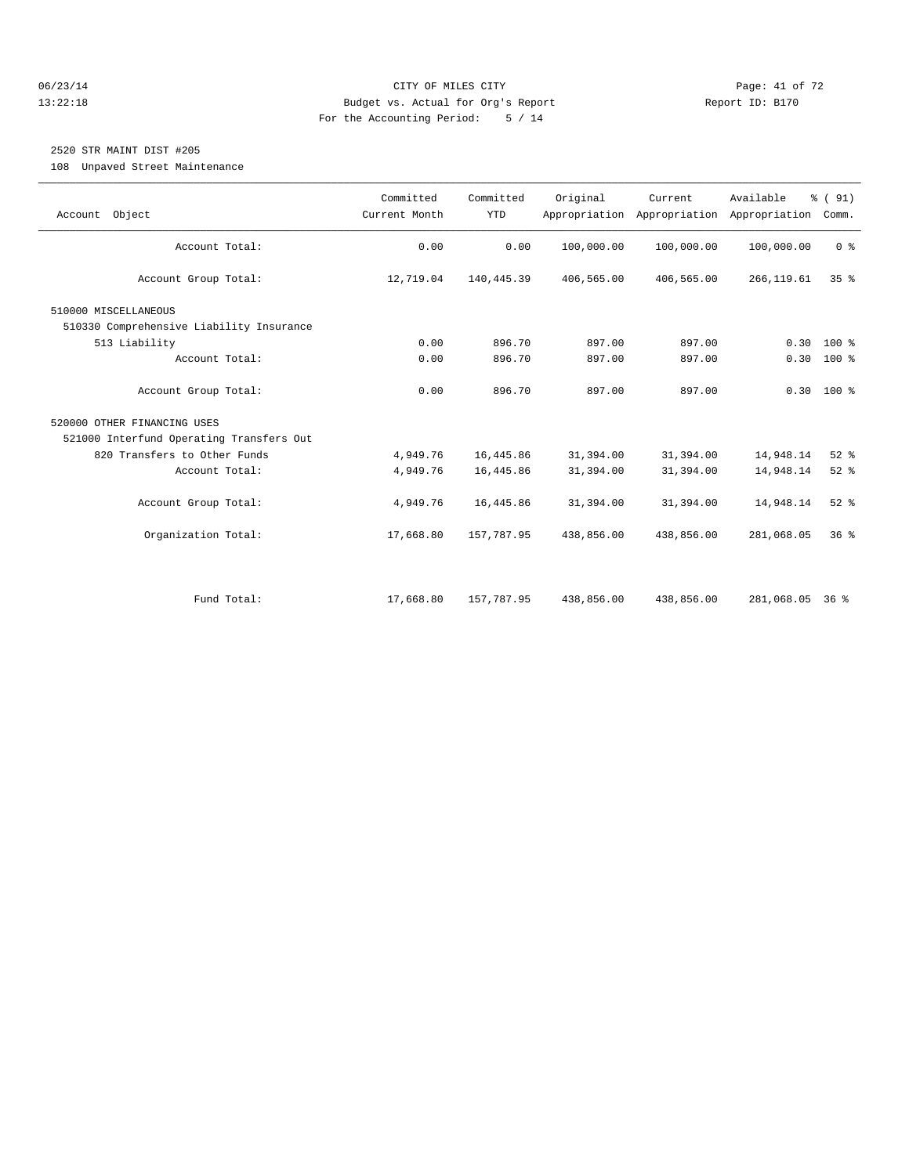#### 06/23/14 Page: 41 of 72 13:22:18 Budget vs. Actual for Org's Report Report ID: B170 For the Accounting Period: 5 / 14

## 2520 STR MAINT DIST #205

108 Unpaved Street Maintenance

| Account Object                           | Committed<br>Current Month | Committed<br><b>YTD</b> | Original   | Current<br>Appropriation Appropriation | Available<br>Appropriation | % (91)<br>Comm. |  |
|------------------------------------------|----------------------------|-------------------------|------------|----------------------------------------|----------------------------|-----------------|--|
| Account Total:                           | 0.00                       | 0.00                    | 100,000.00 | 100,000.00                             | 100,000.00                 | 0 <sup>8</sup>  |  |
| Account Group Total:                     | 12,719.04                  | 140,445.39              | 406,565.00 | 406,565.00                             | 266, 119.61                | 35 <sup>8</sup> |  |
| 510000 MISCELLANEOUS                     |                            |                         |            |                                        |                            |                 |  |
| 510330 Comprehensive Liability Insurance |                            |                         |            |                                        |                            |                 |  |
| 513 Liability                            | 0.00                       | 896.70                  | 897.00     | 897.00                                 | 0.30                       | $100*$          |  |
| Account Total:                           | 0.00                       | 896.70                  | 897.00     | 897.00                                 |                            | $0.30 100$ %    |  |
| Account Group Total:                     | 0.00                       | 896.70                  | 897.00     | 897.00                                 |                            | $0.30$ 100 %    |  |
| 520000 OTHER FINANCING USES              |                            |                         |            |                                        |                            |                 |  |
| 521000 Interfund Operating Transfers Out |                            |                         |            |                                        |                            |                 |  |
| 820 Transfers to Other Funds             | 4,949.76                   | 16, 445.86              | 31,394.00  | 31,394.00                              | 14,948.14                  | $52$ $%$        |  |
| Account Total:                           | 4,949.76                   | 16, 445.86              | 31,394.00  | 31,394.00                              | 14,948.14                  | $52$ $%$        |  |
| Account Group Total:                     | 4,949.76                   | 16,445.86               | 31,394.00  | 31,394.00                              | 14,948.14                  | $52$ $%$        |  |
| Organization Total:                      | 17,668.80                  | 157,787.95              | 438,856.00 | 438,856.00                             | 281,068.05                 | 36 <sup>8</sup> |  |
|                                          |                            |                         |            |                                        |                            |                 |  |
| Fund Total:                              | 17,668.80                  | 157,787.95              | 438,856.00 | 438,856.00                             | 281,068.05                 | $36*$           |  |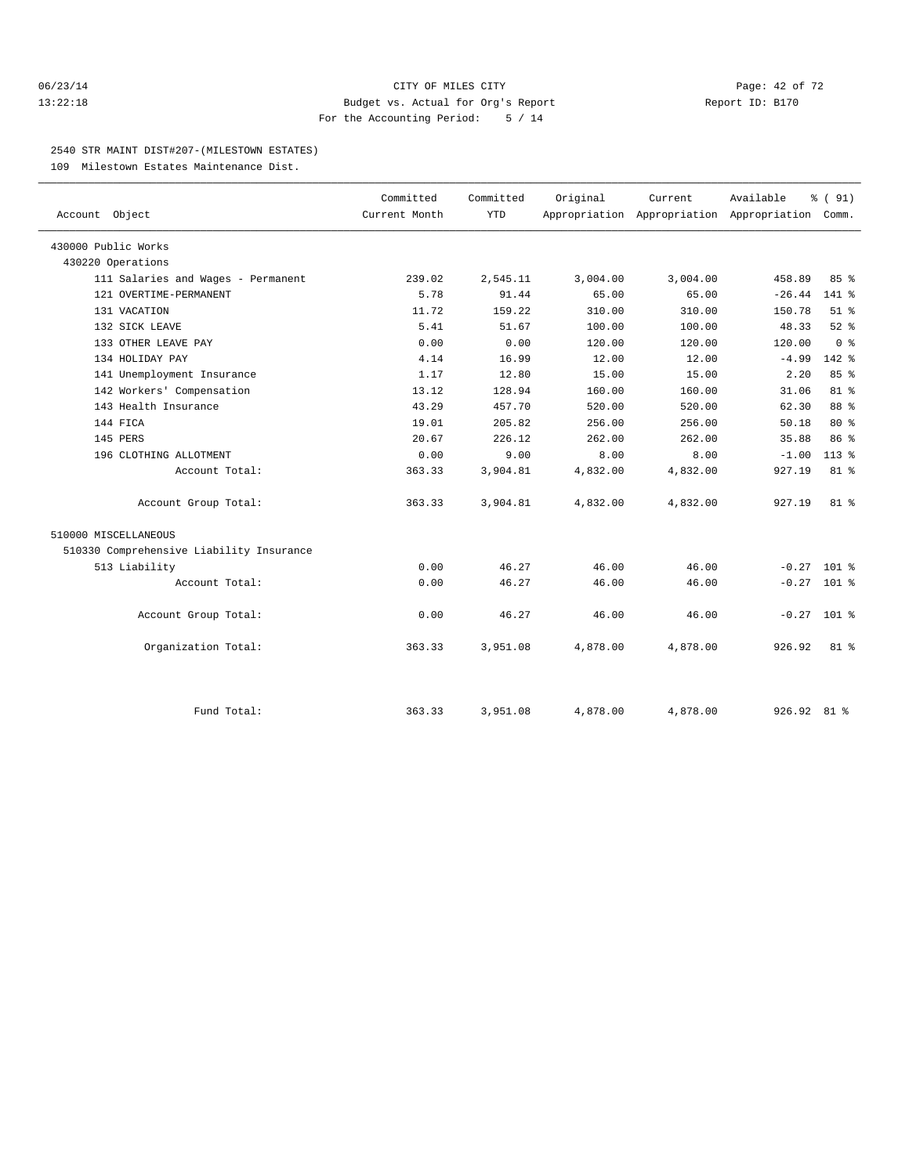#### 06/23/14 Page: 42 of 72 13:22:18 Budget vs. Actual for Org's Report Report ID: B170 For the Accounting Period: 5 / 14

#### 2540 STR MAINT DIST#207-(MILESTOWN ESTATES)

109 Milestown Estates Maintenance Dist.

| Account Object                           | Committed<br>Current Month | Committed<br><b>YTD</b> | Original | Current<br>Appropriation Appropriation Appropriation | Available     | % (91)<br>Comm. |  |
|------------------------------------------|----------------------------|-------------------------|----------|------------------------------------------------------|---------------|-----------------|--|
|                                          |                            |                         |          |                                                      |               |                 |  |
| 430000 Public Works                      |                            |                         |          |                                                      |               |                 |  |
| 430220 Operations                        |                            |                         |          |                                                      |               |                 |  |
| 111 Salaries and Wages - Permanent       | 239.02                     | 2,545.11                | 3,004.00 | 3,004.00                                             | 458.89        | 85%             |  |
| 121 OVERTIME-PERMANENT                   | 5.78                       | 91.44                   | 65.00    | 65.00                                                | $-26.44$      | $141$ %         |  |
| 131 VACATION                             | 11.72                      | 159.22                  | 310.00   | 310.00                                               | 150.78        | $51$ $%$        |  |
| 132 SICK LEAVE                           | 5.41                       | 51.67                   | 100.00   | 100.00                                               | 48.33         | $52$ $%$        |  |
| 133 OTHER LEAVE PAY                      | 0.00                       | 0.00                    | 120.00   | 120.00                                               | 120.00        | 0 <sup>8</sup>  |  |
| 134 HOLIDAY PAY                          | 4.14                       | 16.99                   | 12.00    | 12.00                                                | $-4.99$       | $142$ $%$       |  |
| 141 Unemployment Insurance               | 1.17                       | 12.80                   | 15.00    | 15.00                                                | 2.20          | 85%             |  |
| 142 Workers' Compensation                | 13.12                      | 128.94                  | 160.00   | 160.00                                               | 31.06         | 81 %            |  |
| 143 Health Insurance                     | 43.29                      | 457.70                  | 520.00   | 520.00                                               | 62.30         | 88 %            |  |
| 144 FICA                                 | 19.01                      | 205.82                  | 256.00   | 256.00                                               | 50.18         | $80*$           |  |
| 145 PERS                                 | 20.67                      | 226.12                  | 262.00   | 262.00                                               | 35.88         | 86 %            |  |
| 196 CLOTHING ALLOTMENT                   | 0.00                       | 9.00                    | 8.00     | 8.00                                                 | $-1.00$       | $113*$          |  |
| Account Total:                           | 363.33                     | 3,904.81                | 4,832.00 | 4,832.00                                             | 927.19        | $81*$           |  |
| Account Group Total:                     | 363.33                     | 3,904.81                | 4,832.00 | 4,832.00                                             | 927.19        | $81$ %          |  |
| 510000 MISCELLANEOUS                     |                            |                         |          |                                                      |               |                 |  |
| 510330 Comprehensive Liability Insurance |                            |                         |          |                                                      |               |                 |  |
| 513 Liability                            | 0.00                       | 46.27                   | 46.00    | 46.00                                                | $-0.27$ 101 % |                 |  |
| Account Total:                           | 0.00                       | 46.27                   | 46.00    | 46.00                                                | $-0.27$ 101 % |                 |  |
| Account Group Total:                     | 0.00                       | 46.27                   | 46.00    | 46.00                                                | $-0.27$ 101 % |                 |  |
| Organization Total:                      | 363.33                     | 3,951.08                | 4,878.00 | 4,878.00                                             | 926.92        | $81$ %          |  |
|                                          |                            |                         |          |                                                      |               |                 |  |
| Fund Total:                              | 363.33                     | 3,951.08                | 4,878.00 | 4,878.00                                             | 926.92 81 %   |                 |  |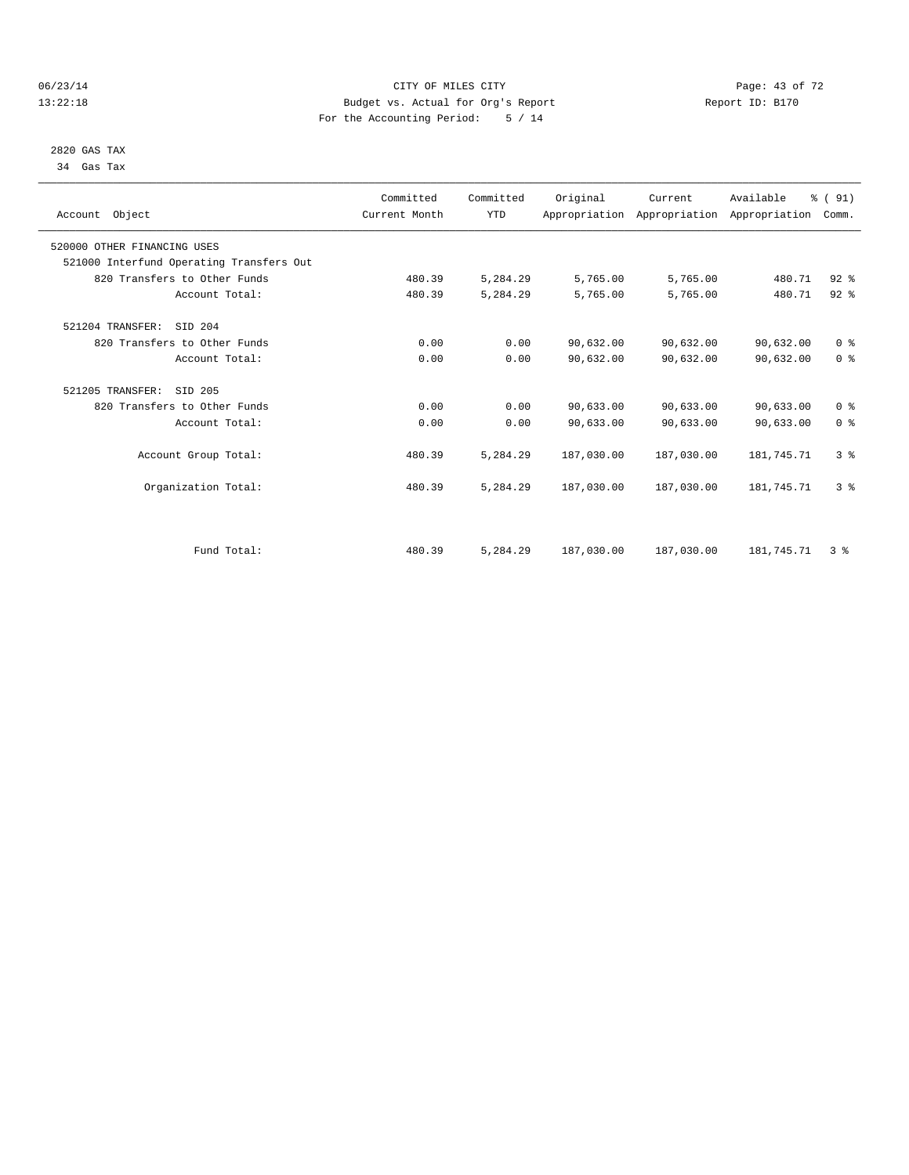#### 06/23/14 Page: 43 of 72 13:22:18 Budget vs. Actual for Org's Report Report ID: B170 For the Accounting Period: 5 / 14

 2820 GAS TAX 34 Gas Tax

| Account Object                           | Committed<br>Current Month | Committed<br><b>YTD</b> | Original   | Current    | Available<br>Appropriation Appropriation Appropriation | % (91)<br>Comm. |  |
|------------------------------------------|----------------------------|-------------------------|------------|------------|--------------------------------------------------------|-----------------|--|
| 520000 OTHER FINANCING USES              |                            |                         |            |            |                                                        |                 |  |
| 521000 Interfund Operating Transfers Out |                            |                         |            |            |                                                        |                 |  |
| 820 Transfers to Other Funds             | 480.39                     | 5,284.29                | 5,765.00   | 5,765.00   | 480.71                                                 | $92$ $%$        |  |
| Account Total:                           | 480.39                     | 5,284.29                | 5,765.00   | 5,765.00   | 480.71                                                 | $92$ $%$        |  |
| 521204 TRANSFER:<br>SID 204              |                            |                         |            |            |                                                        |                 |  |
| 820 Transfers to Other Funds             | 0.00                       | 0.00                    | 90,632.00  | 90,632.00  | 90,632.00                                              | 0 <sup>8</sup>  |  |
| Account Total:                           | 0.00                       | 0.00                    | 90,632.00  | 90,632.00  | 90,632.00                                              | 0 <sup>8</sup>  |  |
| 521205 TRANSFER:<br>SID 205              |                            |                         |            |            |                                                        |                 |  |
| 820 Transfers to Other Funds             | 0.00                       | 0.00                    | 90,633.00  | 90,633.00  | 90,633.00                                              | 0 <sup>8</sup>  |  |
| Account Total:                           | 0.00                       | 0.00                    | 90,633.00  | 90,633.00  | 90,633.00                                              | 0 <sup>8</sup>  |  |
| Account Group Total:                     | 480.39                     | 5,284.29                | 187,030.00 | 187,030.00 | 181,745.71                                             | 3 <sup>8</sup>  |  |
| Organization Total:                      | 480.39                     | 5,284.29                | 187,030.00 | 187,030.00 | 181,745.71                                             | 3 <sup>8</sup>  |  |
|                                          |                            |                         |            |            |                                                        |                 |  |
| Fund Total:                              | 480.39                     | 5,284.29                | 187,030.00 | 187,030.00 | 181,745.71                                             | 3%              |  |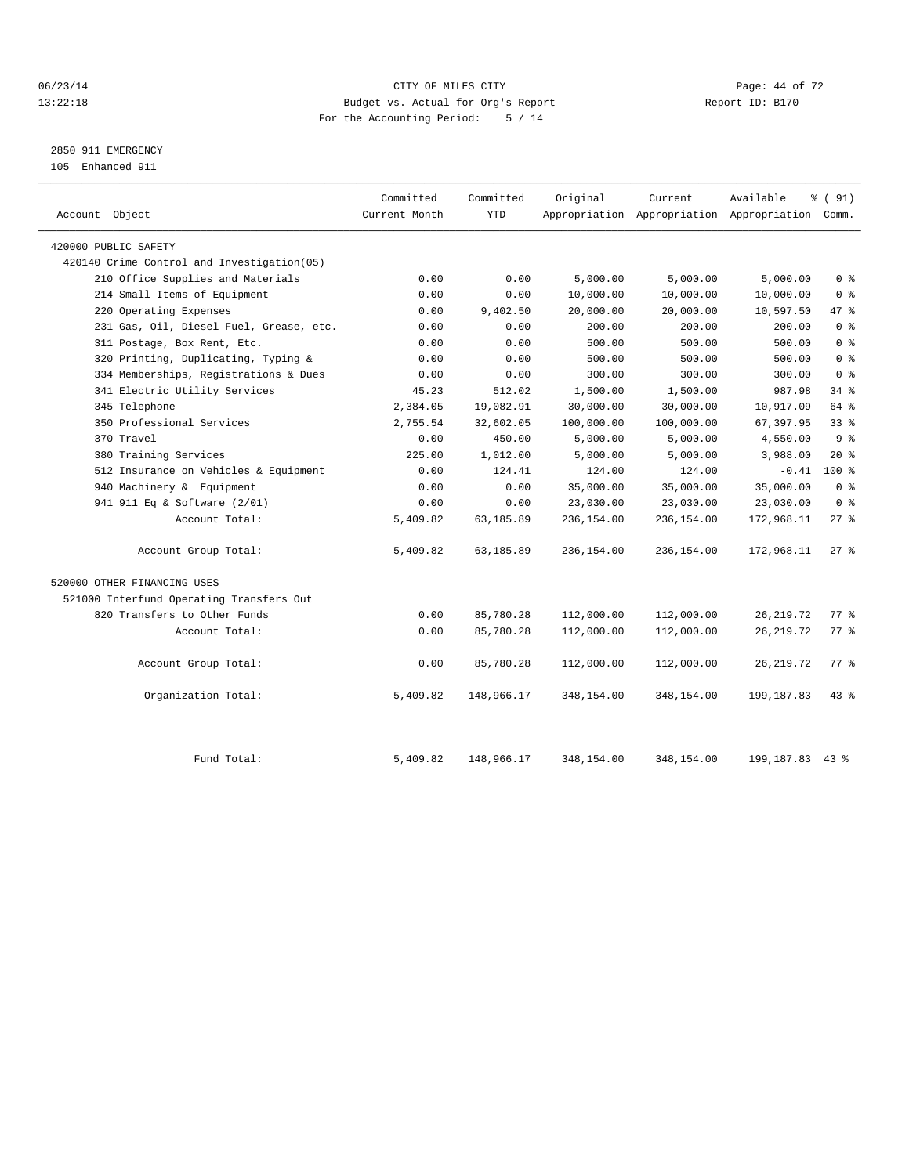#### 06/23/14 Page: 44 of 72 13:22:18 Budget vs. Actual for Org's Report Report ID: B170 For the Accounting Period: 5 / 14

## 2850 911 EMERGENCY

105 Enhanced 911

| Account Object                             | Committed<br>Current Month | Committed<br><b>YTD</b> | Original   | Current    | Available<br>Appropriation Appropriation Appropriation Comm. | % (91)             |
|--------------------------------------------|----------------------------|-------------------------|------------|------------|--------------------------------------------------------------|--------------------|
| 420000 PUBLIC SAFETY                       |                            |                         |            |            |                                                              |                    |
| 420140 Crime Control and Investigation(05) |                            |                         |            |            |                                                              |                    |
| 210 Office Supplies and Materials          | 0.00                       | 0.00                    | 5,000.00   | 5,000.00   | 5,000.00                                                     | 0 <sup>8</sup>     |
| 214 Small Items of Equipment               | 0.00                       | 0.00                    | 10,000.00  | 10,000.00  | 10,000.00                                                    | 0 <sup>8</sup>     |
| 220 Operating Expenses                     | 0.00                       | 9,402.50                | 20,000.00  | 20,000.00  | 10,597.50                                                    | 47 %               |
| 231 Gas, Oil, Diesel Fuel, Grease, etc.    | 0.00                       | 0.00                    | 200.00     | 200.00     | 200.00                                                       | 0 <sup>8</sup>     |
| 311 Postage, Box Rent, Etc.                | 0.00                       | 0.00                    | 500.00     | 500.00     | 500.00                                                       | 0 <sup>8</sup>     |
| 320 Printing, Duplicating, Typing &        | 0.00                       | 0.00                    | 500.00     | 500.00     | 500.00                                                       | 0 <sup>8</sup>     |
| 334 Memberships, Registrations & Dues      | 0.00                       | 0.00                    | 300.00     | 300.00     | 300.00                                                       | 0 <sup>8</sup>     |
| 341 Electric Utility Services              | 45.23                      | 512.02                  | 1,500.00   | 1,500.00   | 987.98                                                       | $34$ $%$           |
| 345 Telephone                              | 2,384.05                   | 19,082.91               | 30,000.00  | 30,000.00  | 10,917.09                                                    | 64 %               |
| 350 Professional Services                  | 2,755.54                   | 32,602.05               | 100,000.00 | 100,000.00 | 67,397.95                                                    | $33$ $%$           |
| 370 Travel                                 | 0.00                       | 450.00                  | 5,000.00   | 5,000.00   | 4,550.00                                                     | 9 <sup>8</sup>     |
| 380 Training Services                      | 225.00                     | 1,012.00                | 5,000.00   | 5,000.00   | 3,988.00                                                     | $20*$              |
| 512 Insurance on Vehicles & Equipment      | 0.00                       | 124.41                  | 124.00     | 124.00     | $-0.41$                                                      | $100*$             |
| 940 Machinery & Equipment                  | 0.00                       | 0.00                    | 35,000.00  | 35,000.00  | 35,000.00                                                    | 0 <sup>8</sup>     |
| 941 911 Eq & Software (2/01)               | 0.00                       | 0.00                    | 23,030.00  | 23,030.00  | 23,030.00                                                    | 0 <sup>8</sup>     |
| Account Total:                             | 5,409.82                   | 63,185.89               | 236,154.00 | 236,154.00 | 172,968.11                                                   | $27$ %             |
| Account Group Total:                       | 5,409.82                   | 63,185.89               | 236,154.00 | 236,154.00 | 172,968.11                                                   | $27*$              |
| 520000 OTHER FINANCING USES                |                            |                         |            |            |                                                              |                    |
| 521000 Interfund Operating Transfers Out   |                            |                         |            |            |                                                              |                    |
| 820 Transfers to Other Funds               | 0.00                       | 85,780.28               | 112,000.00 | 112,000.00 | 26, 219.72                                                   | 77.8               |
| Account Total:                             | 0.00                       | 85,780.28               | 112,000.00 | 112,000.00 | 26, 219.72                                                   | $77$ $\frac{6}{9}$ |
| Account Group Total:                       | 0.00                       | 85,780.28               | 112,000.00 | 112,000.00 | 26, 219.72                                                   | $77$ $\frac{6}{9}$ |
| Organization Total:                        | 5,409.82                   | 148,966.17              | 348,154.00 | 348,154.00 | 199, 187.83                                                  | $43$ %             |
| Fund Total:                                | 5,409.82                   | 148,966.17              | 348,154.00 | 348,154.00 | 199, 187. 83 43 %                                            |                    |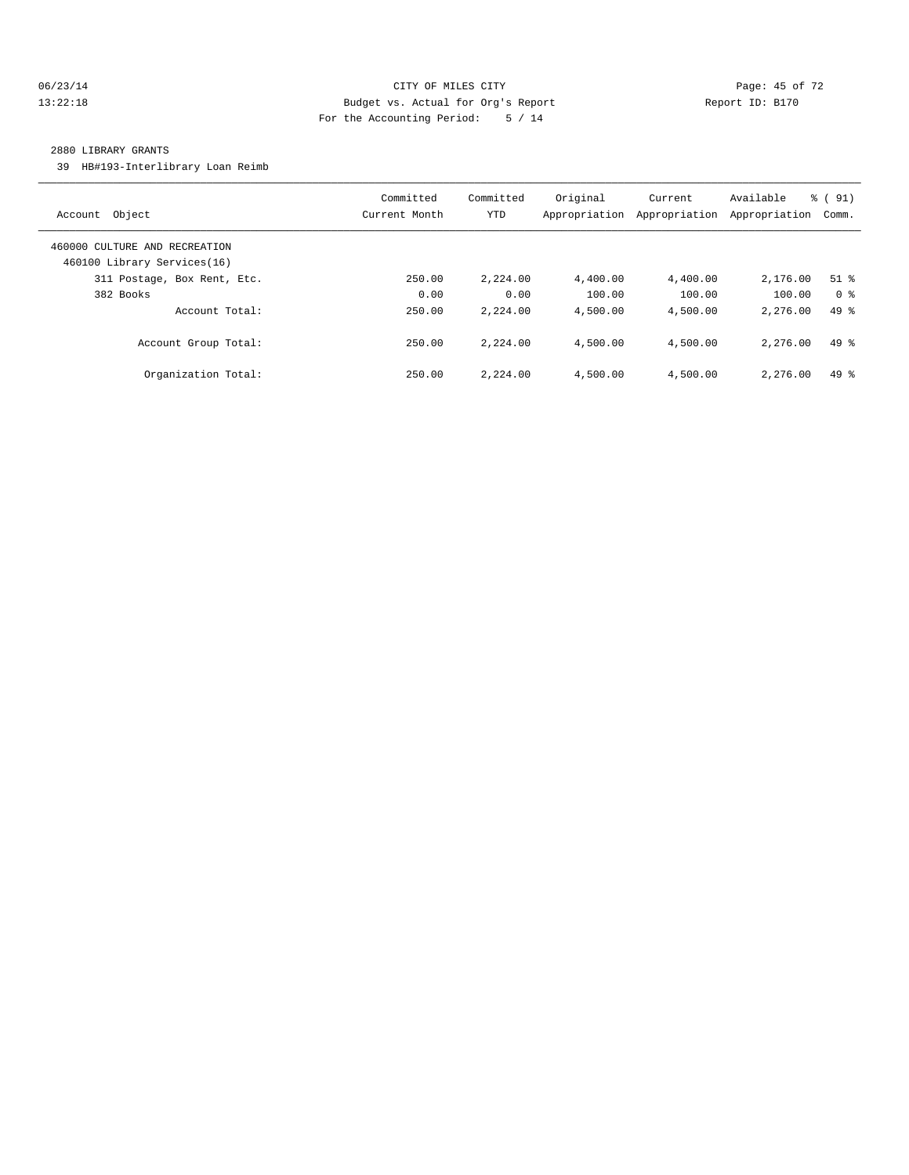#### 06/23/14 Page: 45 of 72 13:22:18 Budget vs. Actual for Org's Report Report ID: B170 For the Accounting Period: 5 / 14

#### 2880 LIBRARY GRANTS

39 HB#193-Interlibrary Loan Reimb

| Object<br>Account                                            | Committed<br>Current Month | Committed<br>YTD | Original<br>Appropriation | Current<br>Appropriation | Available<br>Appropriation | % (91)<br>Comm. |
|--------------------------------------------------------------|----------------------------|------------------|---------------------------|--------------------------|----------------------------|-----------------|
| 460000 CULTURE AND RECREATION<br>460100 Library Services(16) |                            |                  |                           |                          |                            |                 |
| 311 Postage, Box Rent, Etc.                                  | 250.00                     | 2,224.00         | 4,400.00                  | 4,400.00                 | 2,176.00                   | $51$ $%$        |
| 382 Books                                                    | 0.00                       | 0.00             | 100.00                    | 100.00                   | 100.00                     | 0 <sup>8</sup>  |
| Account Total:                                               | 250.00                     | 2,224.00         | 4,500.00                  | 4,500.00                 | 2,276.00                   | $49*$           |
| Account Group Total:                                         | 250.00                     | 2,224.00         | 4,500.00                  | 4,500.00                 | 2,276.00                   | $49*$           |
| Organization Total:                                          | 250.00                     | 2,224.00         | 4,500.00                  | 4,500.00                 | 2,276.00                   | $49*$           |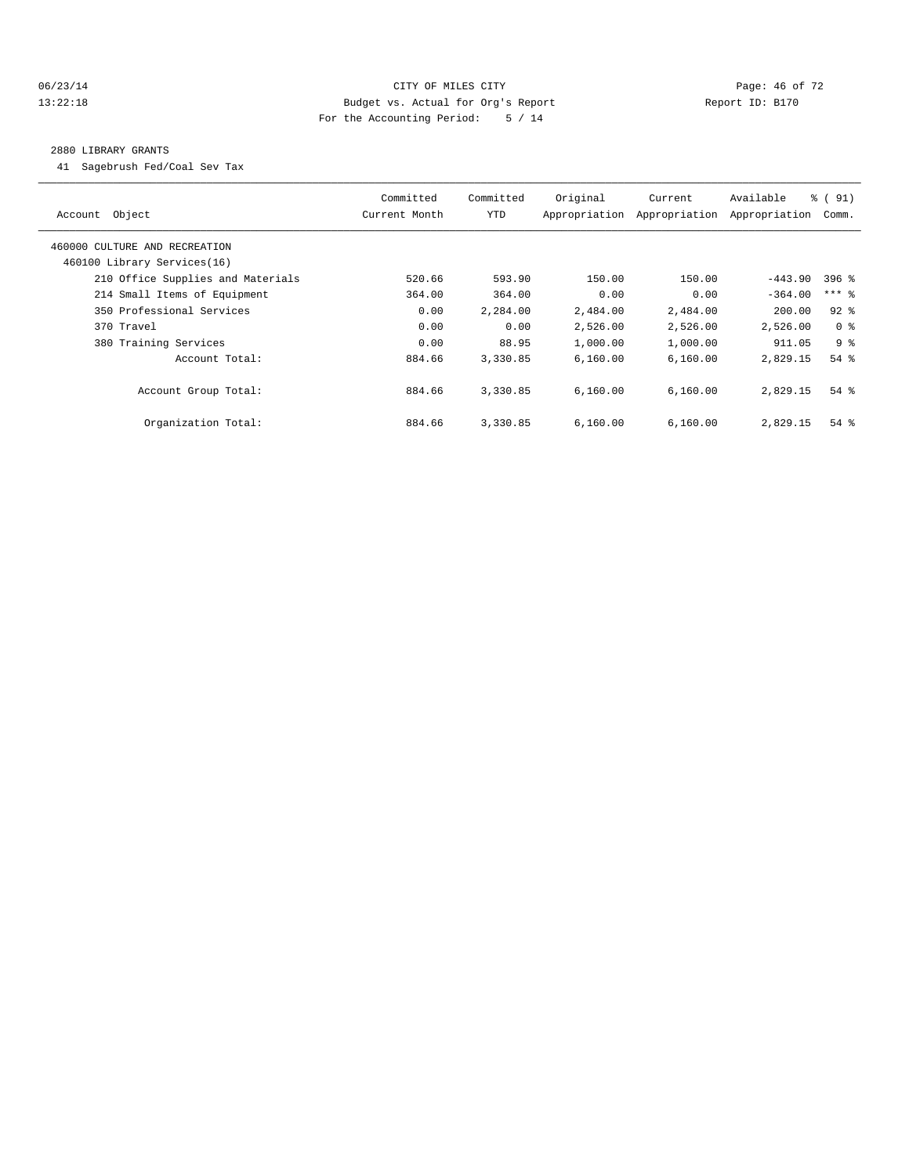#### 06/23/14 Page: 46 of 72 13:22:18 Budget vs. Actual for Org's Report Report ID: B170 For the Accounting Period: 5 / 14

#### 2880 LIBRARY GRANTS

41 Sagebrush Fed/Coal Sev Tax

| Object<br>Account                 | Committed<br>Current Month | Committed<br><b>YTD</b> | Original<br>Appropriation | Current<br>Appropriation | Available<br>Appropriation | $\frac{1}{6}$ (91)<br>Comm. |  |
|-----------------------------------|----------------------------|-------------------------|---------------------------|--------------------------|----------------------------|-----------------------------|--|
| 460000 CULTURE AND RECREATION     |                            |                         |                           |                          |                            |                             |  |
| 460100 Library Services(16)       |                            |                         |                           |                          |                            |                             |  |
| 210 Office Supplies and Materials | 520.66                     | 593.90                  | 150.00                    | 150.00                   | $-443.90$                  | $396$ %                     |  |
| 214 Small Items of Equipment      | 364.00                     | 364.00                  | 0.00                      | 0.00                     | $-364.00$                  | $***$ 8                     |  |
| 350 Professional Services         | 0.00                       | 2,284.00                | 2,484.00                  | 2,484.00                 | 200.00                     | $92$ $%$                    |  |
| 370 Travel                        | 0.00                       | 0.00                    | 2,526.00                  | 2,526.00                 | 2,526.00                   | 0 <sup>8</sup>              |  |
| 380 Training Services             | 0.00                       | 88.95                   | 1,000.00                  | 1,000.00                 | 911.05                     | 9 <sup>8</sup>              |  |
| Account Total:                    | 884.66                     | 3,330.85                | 6.160.00                  | 6,160.00                 | 2,829.15                   | $54$ $%$                    |  |
| Account Group Total:              | 884.66                     | 3,330.85                | 6.160.00                  | 6.160.00                 | 2,829.15                   | $54$ $%$                    |  |
| Organization Total:               | 884.66                     | 3,330.85                | 6,160.00                  | 6,160.00                 | 2,829.15                   | $54$ $%$                    |  |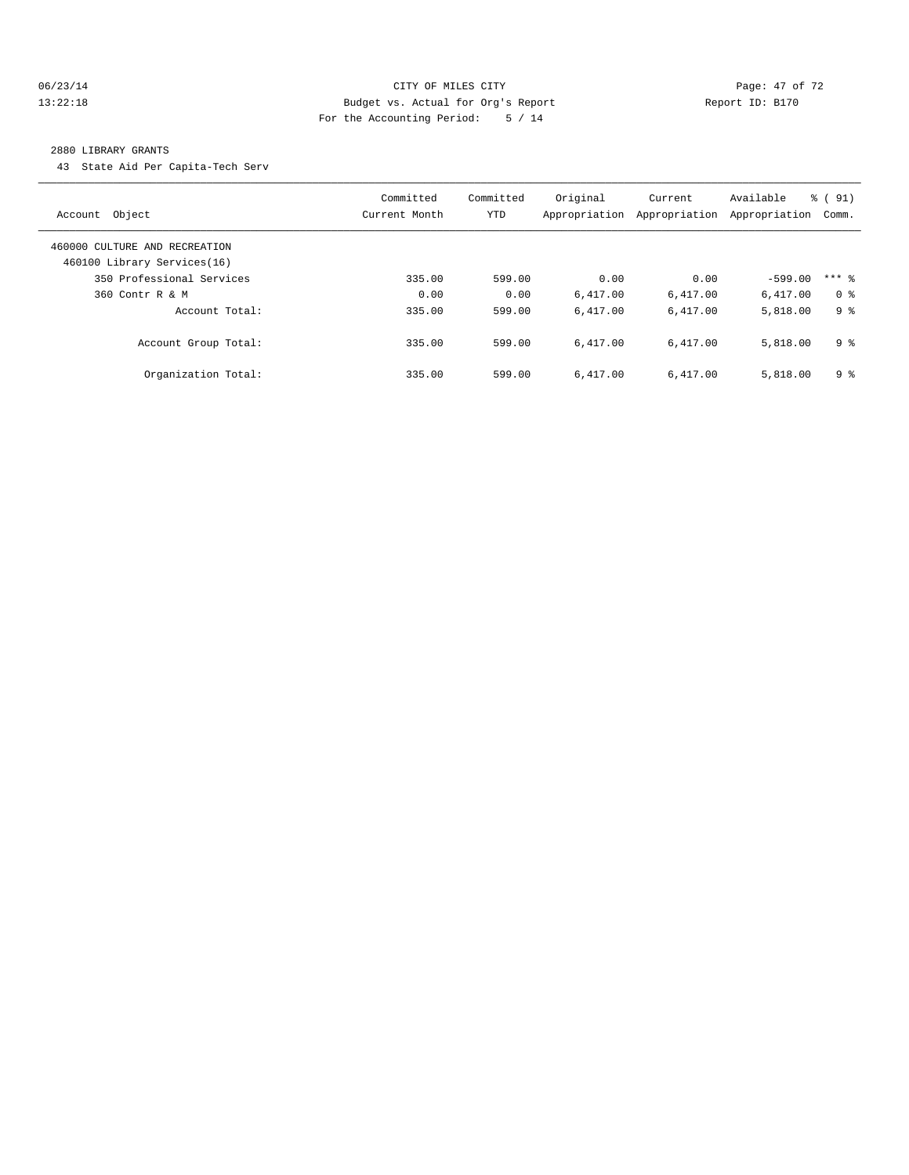#### 06/23/14 Page: 47 of 72 13:22:18 Budget vs. Actual for Org's Report Report ID: B170 For the Accounting Period: 5 / 14

#### 2880 LIBRARY GRANTS

43 State Aid Per Capita-Tech Serv

| Object<br>Account                                            | Committed<br>Current Month | Committed<br><b>YTD</b> | Original<br>Appropriation | Current<br>Appropriation | Available<br>Appropriation | % (91)<br>Comm. |
|--------------------------------------------------------------|----------------------------|-------------------------|---------------------------|--------------------------|----------------------------|-----------------|
| 460000 CULTURE AND RECREATION<br>460100 Library Services(16) |                            |                         |                           |                          |                            |                 |
| 350 Professional Services                                    | 335.00                     | 599.00                  | 0.00                      | 0.00                     | $-599.00$                  | $***$ 2         |
| 360 Contr R & M                                              | 0.00                       | 0.00                    | 6.417.00                  | 6,417.00                 | 6,417.00                   | 0 <sup>8</sup>  |
| Account Total:                                               | 335.00                     | 599.00                  | 6.417.00                  | 6.417.00                 | 5,818.00                   | 9 %             |
| Account Group Total:                                         | 335.00                     | 599.00                  | 6.417.00                  | 6.417.00                 | 5,818.00                   | 9 <sup>°</sup>  |
| Organization Total:                                          | 335.00                     | 599.00                  | 6.417.00                  | 6.417.00                 | 5,818.00                   | 9 <sup>8</sup>  |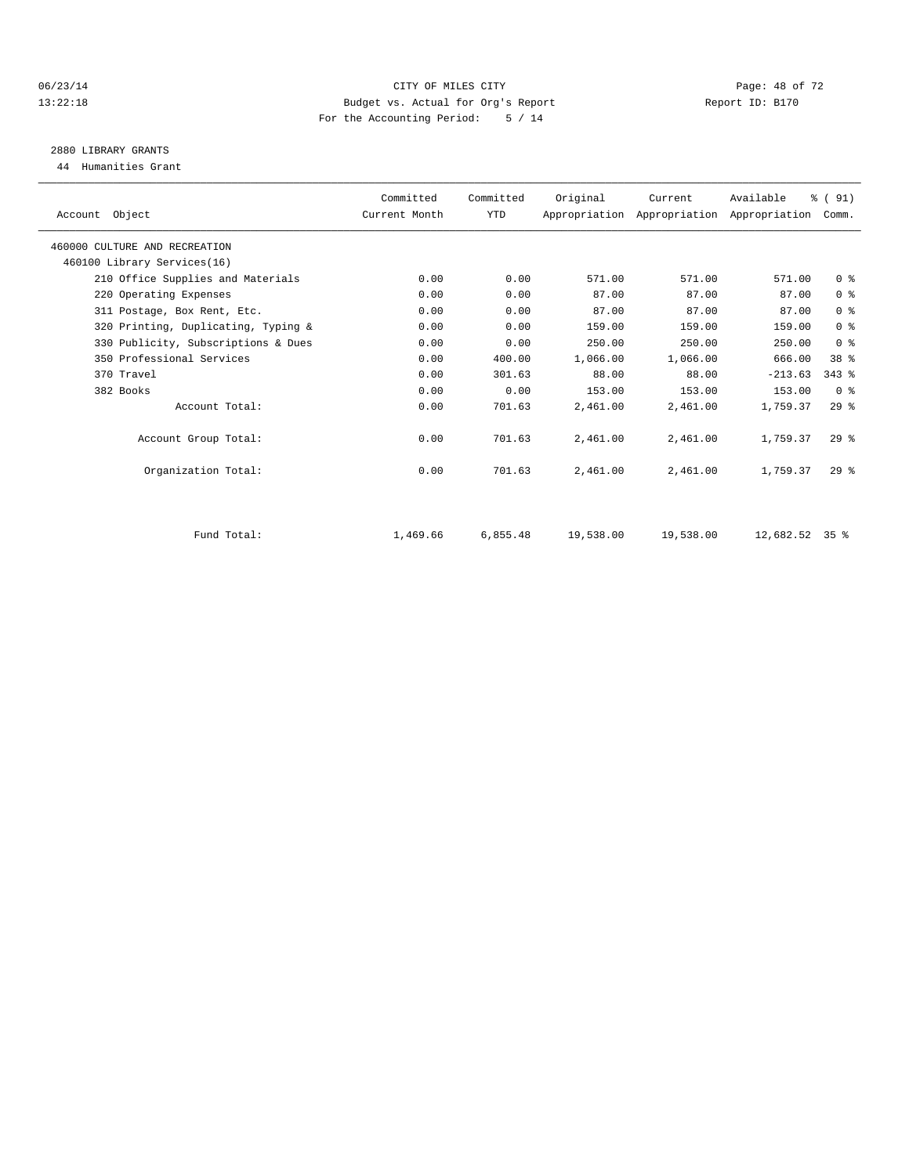#### 06/23/14 Page: 48 of 72 13:22:18 Budget vs. Actual for Org's Report Report ID: B170 For the Accounting Period: 5 / 14

## 2880 LIBRARY GRANTS

44 Humanities Grant

| Account Object                      | Committed<br>Current Month | Committed<br><b>YTD</b> | Original  | Current   | Available<br>Appropriation Appropriation Appropriation | % (91)<br>Comm. |  |
|-------------------------------------|----------------------------|-------------------------|-----------|-----------|--------------------------------------------------------|-----------------|--|
| 460000 CULTURE AND RECREATION       |                            |                         |           |           |                                                        |                 |  |
| 460100 Library Services(16)         |                            |                         |           |           |                                                        |                 |  |
| 210 Office Supplies and Materials   | 0.00                       | 0.00                    | 571.00    | 571.00    | 571.00                                                 | 0 <sup>8</sup>  |  |
| 220 Operating Expenses              | 0.00                       | 0.00                    | 87.00     | 87.00     | 87.00                                                  | 0 <sup>8</sup>  |  |
| 311 Postage, Box Rent, Etc.         | 0.00                       | 0.00                    | 87.00     | 87.00     | 87.00                                                  | 0 <sup>8</sup>  |  |
| 320 Printing, Duplicating, Typing & | 0.00                       | 0.00                    | 159.00    | 159.00    | 159.00                                                 | 0 <sup>8</sup>  |  |
| 330 Publicity, Subscriptions & Dues | 0.00                       | 0.00                    | 250.00    | 250.00    | 250.00                                                 | 0 <sup>8</sup>  |  |
| 350 Professional Services           | 0.00                       | 400.00                  | 1,066.00  | 1,066.00  | 666.00                                                 | 38 <sup>8</sup> |  |
| 370 Travel                          | 0.00                       | 301.63                  | 88.00     | 88.00     | $-213.63$                                              | $343$ $%$       |  |
| 382 Books                           | 0.00                       | 0.00                    | 153.00    | 153.00    | 153.00                                                 | 0 <sup>8</sup>  |  |
| Account Total:                      | 0.00                       | 701.63                  | 2,461.00  | 2,461.00  | 1,759.37                                               | 29%             |  |
| Account Group Total:                | 0.00                       | 701.63                  | 2,461.00  | 2,461.00  | 1,759.37                                               | $29*$           |  |
| Organization Total:                 | 0.00                       | 701.63                  | 2,461.00  | 2,461.00  | 1,759.37                                               | 29 <sup>8</sup> |  |
|                                     |                            |                         |           |           |                                                        |                 |  |
| Fund Total:                         | 1,469.66                   | 6,855.48                | 19,538.00 | 19,538.00 | $12,682.52$ 35 %                                       |                 |  |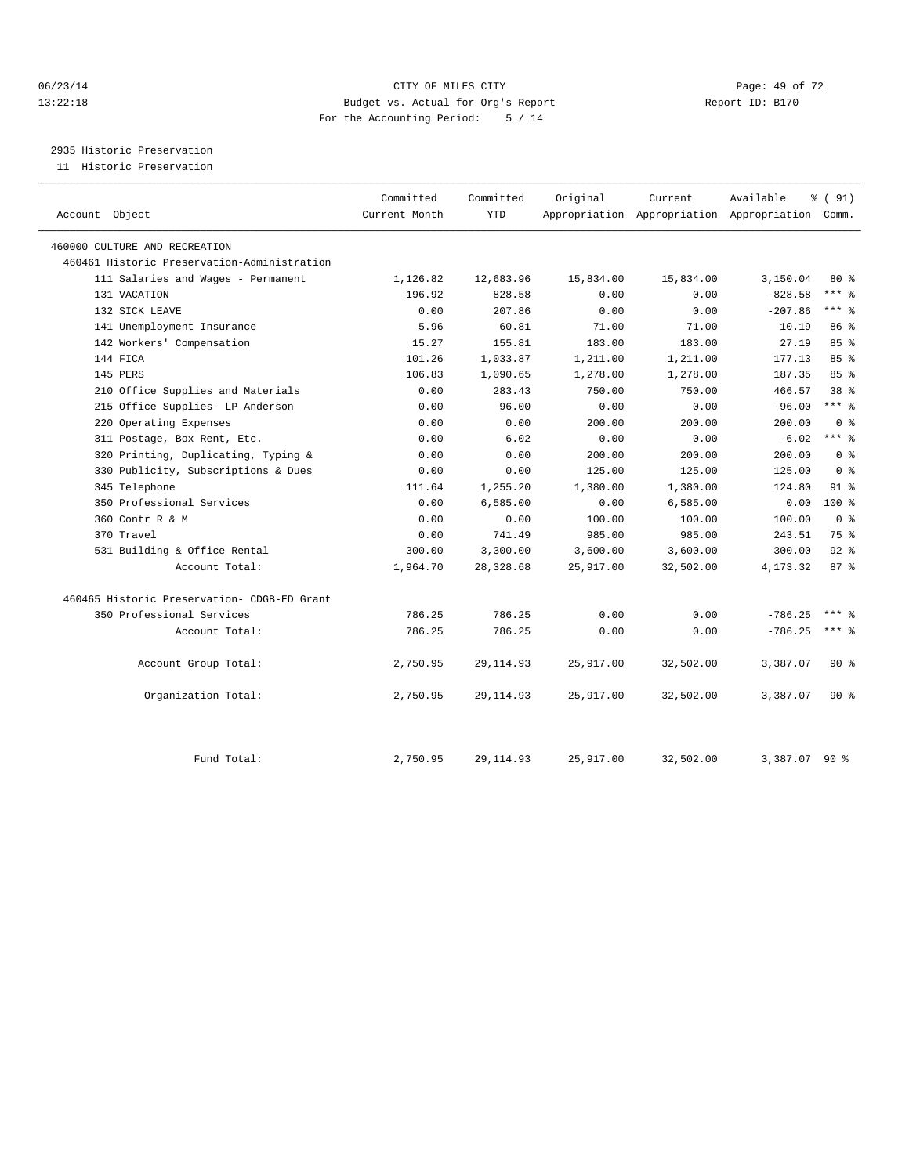#### 06/23/14 Page: 49 of 72 13:22:18 Budget vs. Actual for Org's Report Report ID: B170 For the Accounting Period: 5 / 14

2935 Historic Preservation

11 Historic Preservation

| Account Object                              | Committed<br>Current Month | Committed<br><b>YTD</b> | Original  | Current   | Available<br>Appropriation Appropriation Appropriation Comm. | % (91)          |
|---------------------------------------------|----------------------------|-------------------------|-----------|-----------|--------------------------------------------------------------|-----------------|
| 460000 CULTURE AND RECREATION               |                            |                         |           |           |                                                              |                 |
| 460461 Historic Preservation-Administration |                            |                         |           |           |                                                              |                 |
| 111 Salaries and Wages - Permanent          | 1,126.82                   | 12,683.96               | 15,834.00 | 15,834.00 | 3,150.04                                                     | 80%             |
| 131 VACATION                                | 196.92                     | 828.58                  | 0.00      | 0.00      | $-828.58$                                                    | $***$ $_{8}$    |
| 132 SICK LEAVE                              | 0.00                       | 207.86                  | 0.00      | 0.00      | $-207.86$                                                    | $***$ $-$       |
| 141 Unemployment Insurance                  | 5.96                       | 60.81                   | 71.00     | 71.00     | 10.19                                                        | $86*$           |
| 142 Workers' Compensation                   | 15.27                      | 155.81                  | 183.00    | 183.00    | 27.19                                                        | 85%             |
| 144 FICA                                    | 101.26                     | 1,033.87                | 1,211.00  | 1,211.00  | 177.13                                                       | $85 - 26$       |
| 145 PERS                                    | 106.83                     | 1,090.65                | 1,278.00  | 1,278.00  | 187.35                                                       | 85%             |
| 210 Office Supplies and Materials           | 0.00                       | 283.43                  | 750.00    | 750.00    | 466.57                                                       | 38 <sup>8</sup> |
| 215 Office Supplies- LP Anderson            | 0.00                       | 96.00                   | 0.00      | 0.00      | $-96.00$                                                     | $***$ $=$       |
| 220 Operating Expenses                      | 0.00                       | 0.00                    | 200.00    | 200.00    | 200.00                                                       | 0 <sup>8</sup>  |
| 311 Postage, Box Rent, Etc.                 | 0.00                       | 6.02                    | 0.00      | 0.00      | $-6.02$                                                      | $***$ 8         |
| 320 Printing, Duplicating, Typing &         | 0.00                       | 0.00                    | 200.00    | 200.00    | 200.00                                                       | 0 <sup>8</sup>  |
| 330 Publicity, Subscriptions & Dues         | 0.00                       | 0.00                    | 125.00    | 125.00    | 125.00                                                       | 0 <sup>8</sup>  |
| 345 Telephone                               | 111.64                     | 1,255.20                | 1,380.00  | 1,380.00  | 124.80                                                       | 91 <sub>8</sub> |
| 350 Professional Services                   | 0.00                       | 6,585.00                | 0.00      | 6,585.00  | 0.00                                                         | $100*$          |
| 360 Contr R & M                             | 0.00                       | 0.00                    | 100.00    | 100.00    | 100.00                                                       | 0 <sup>8</sup>  |
| 370 Travel                                  | 0.00                       | 741.49                  | 985.00    | 985.00    | 243.51                                                       | 75 %            |
| 531 Building & Office Rental                | 300.00                     | 3,300.00                | 3,600.00  | 3,600.00  | 300.00                                                       | $92$ $%$        |
| Account Total:                              | 1,964.70                   | 28,328.68               | 25,917.00 | 32,502.00 | 4,173.32                                                     | 87%             |
| 460465 Historic Preservation- CDGB-ED Grant |                            |                         |           |           |                                                              |                 |
| 350 Professional Services                   | 786.25                     | 786.25                  | 0.00      | 0.00      | $-786.25$                                                    | $***$ $%$       |
| Account Total:                              | 786.25                     | 786.25                  | 0.00      | 0.00      | $-786.25$                                                    | $***$ $_{8}$    |
| Account Group Total:                        | 2,750.95                   | 29, 114.93              | 25,917.00 | 32,502.00 | 3,387.07                                                     | $90*$           |
| Organization Total:                         | 2,750.95                   | 29, 114.93              | 25,917.00 | 32,502.00 | 3,387.07                                                     | $90*$           |
| Fund Total:                                 | 2,750.95                   | 29, 114.93              | 25,917.00 | 32,502.00 | 3,387.07 90 %                                                |                 |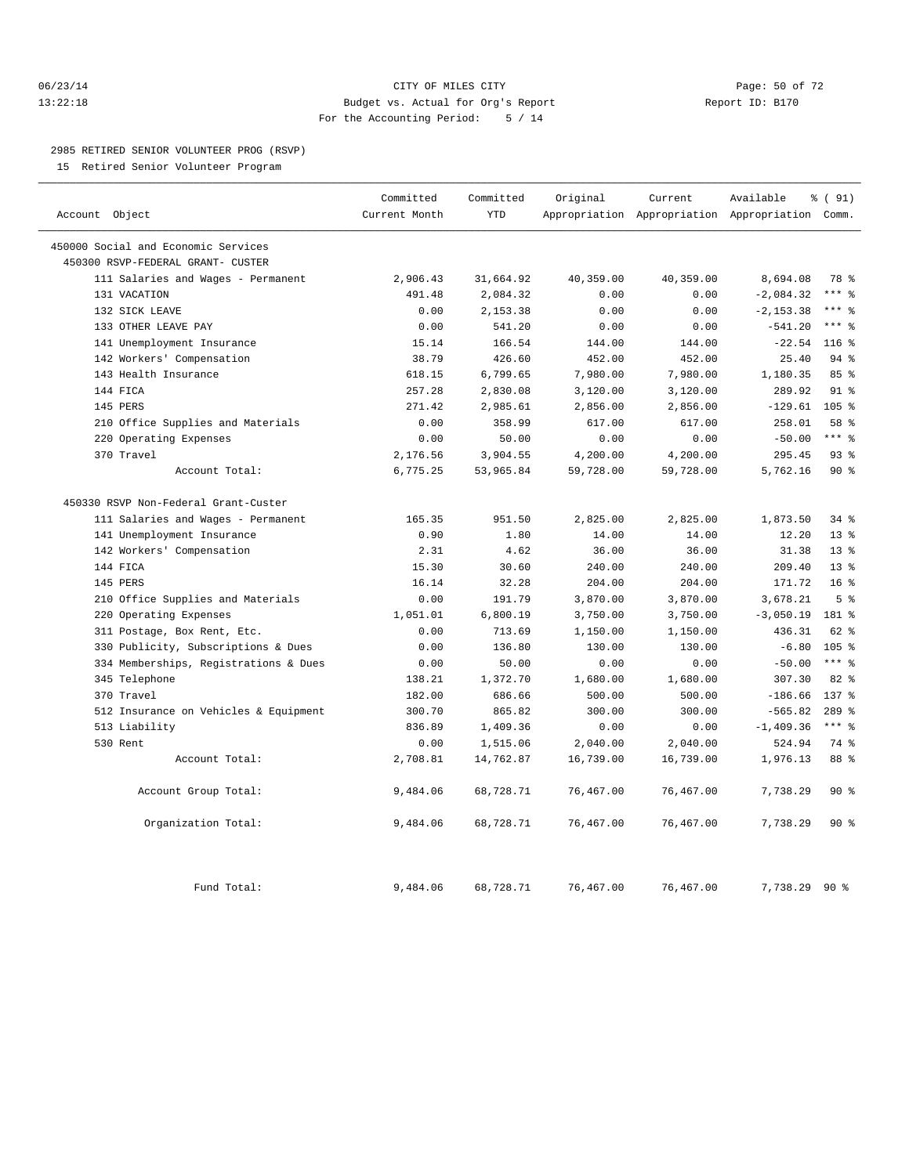#### 06/23/14 Page: 50 of 72 13:22:18 Budget vs. Actual for Org's Report Report ID: B170 For the Accounting Period: 5 / 14

#### 2985 RETIRED SENIOR VOLUNTEER PROG (RSVP)

15 Retired Senior Volunteer Program

|                                       | Committed     | Committed  | Original  | Current   | Available                                       | % (91)           |  |
|---------------------------------------|---------------|------------|-----------|-----------|-------------------------------------------------|------------------|--|
| Account Object                        | Current Month | <b>YTD</b> |           |           | Appropriation Appropriation Appropriation Comm. |                  |  |
| 450000 Social and Economic Services   |               |            |           |           |                                                 |                  |  |
| 450300 RSVP-FEDERAL GRANT- CUSTER     |               |            |           |           |                                                 |                  |  |
| 111 Salaries and Wages - Permanent    | 2,906.43      | 31,664.92  | 40,359.00 | 40,359.00 | 8,694.08                                        | 78 %             |  |
| 131 VACATION                          | 491.48        | 2,084.32   | 0.00      | 0.00      | $-2,084.32$                                     | $***$ 2          |  |
| 132 SICK LEAVE                        | 0.00          | 2,153.38   | 0.00      | 0.00      | $-2, 153.38$                                    | $***$ 2          |  |
| 133 OTHER LEAVE PAY                   | 0.00          | 541.20     | 0.00      | 0.00      | $-541.20$                                       | $***$ 8          |  |
| 141 Unemployment Insurance            | 15.14         | 166.54     | 144.00    | 144.00    | $-22.54$                                        | $116$ %          |  |
| 142 Workers' Compensation             | 38.79         | 426.60     | 452.00    | 452.00    | 25.40                                           | 94 %             |  |
| 143 Health Insurance                  | 618.15        | 6,799.65   | 7,980.00  | 7,980.00  | 1,180.35                                        | 85%              |  |
| 144 FICA                              | 257.28        | 2,830.08   | 3,120.00  | 3,120.00  | 289.92                                          | $91$ $%$         |  |
| 145 PERS                              | 271.42        | 2,985.61   | 2,856.00  | 2,856.00  | $-129.61$                                       | 105 <sub>8</sub> |  |
| 210 Office Supplies and Materials     | 0.00          | 358.99     | 617.00    | 617.00    | 258.01                                          | 58 %             |  |
| 220 Operating Expenses                | 0.00          | 50.00      | 0.00      | 0.00      | $-50.00$                                        | $***$ 8          |  |
| 370 Travel                            | 2,176.56      | 3,904.55   | 4,200.00  | 4,200.00  | 295.45                                          | 93%              |  |
| Account Total:                        | 6,775.25      | 53,965.84  | 59,728.00 | 59,728.00 | 5,762.16                                        | $90*$            |  |
| 450330 RSVP Non-Federal Grant-Custer  |               |            |           |           |                                                 |                  |  |
| 111 Salaries and Wages - Permanent    | 165.35        | 951.50     | 2,825.00  | 2,825.00  | 1,873.50                                        | $34$ $%$         |  |
| 141 Unemployment Insurance            | 0.90          | 1.80       | 14.00     | 14.00     | 12.20                                           | $13*$            |  |
| 142 Workers' Compensation             | 2.31          | 4.62       | 36.00     | 36.00     | 31.38                                           | 13 <sup>°</sup>  |  |
| 144 FICA                              | 15.30         | 30.60      | 240.00    | 240.00    | 209.40                                          | 13 <sup>8</sup>  |  |
| 145 PERS                              | 16.14         | 32.28      | 204.00    | 204.00    | 171.72                                          | 16 <sup>8</sup>  |  |
| 210 Office Supplies and Materials     | 0.00          | 191.79     | 3,870.00  | 3,870.00  | 3,678.21                                        | 5 <sup>°</sup>   |  |
| 220 Operating Expenses                | 1,051.01      | 6,800.19   | 3,750.00  | 3,750.00  | $-3,050.19$                                     | 181 %            |  |
| 311 Postage, Box Rent, Etc.           | 0.00          | 713.69     | 1,150.00  | 1,150.00  | 436.31                                          | 62 %             |  |
| 330 Publicity, Subscriptions & Dues   | 0.00          | 136.80     | 130.00    | 130.00    | $-6.80$                                         | 105 <sub>8</sub> |  |
| 334 Memberships, Registrations & Dues | 0.00          | 50.00      | 0.00      | 0.00      | $-50.00$                                        | $***$ $-$        |  |
| 345 Telephone                         | 138.21        | 1,372.70   | 1,680.00  | 1,680.00  | 307.30                                          | 82%              |  |
| 370 Travel                            | 182.00        | 686.66     | 500.00    | 500.00    | $-186.66$                                       | 137.8            |  |
| 512 Insurance on Vehicles & Equipment | 300.70        | 865.82     | 300.00    | 300.00    | $-565.82$                                       | $289$ $%$        |  |
| 513 Liability                         | 836.89        | 1,409.36   | 0.00      | 0.00      | $-1,409.36$                                     | $***$ 8          |  |
| 530 Rent                              | 0.00          | 1,515.06   | 2,040.00  | 2,040.00  | 524.94                                          | 74 %             |  |
| Account Total:                        | 2,708.81      | 14,762.87  | 16,739.00 | 16,739.00 | 1,976.13                                        | 88 %             |  |
| Account Group Total:                  | 9,484.06      | 68,728.71  | 76,467.00 | 76,467.00 | 7,738.29                                        | 90%              |  |
| Organization Total:                   | 9,484.06      | 68,728.71  | 76,467.00 | 76,467.00 | 7,738.29                                        | $90*$            |  |
| Fund Total:                           | 9,484.06      | 68,728.71  | 76,467.00 | 76,467.00 | 7,738.29 90 %                                   |                  |  |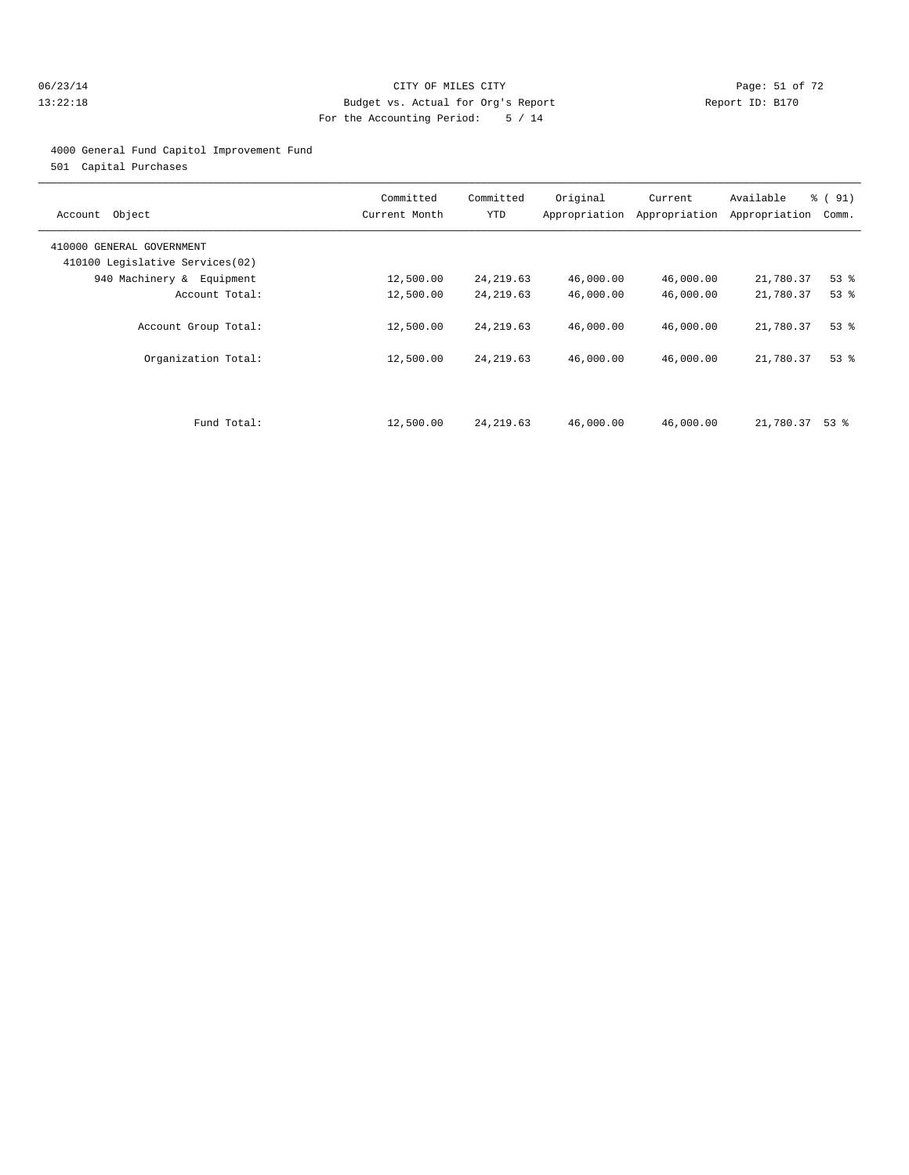#### 06/23/14 Page: 51 of 72 13:22:18 Budget vs. Actual for Org's Report Report ID: B170 For the Accounting Period: 5 / 14

#### 4000 General Fund Capitol Improvement Fund

501 Capital Purchases

| Object<br>Account                                            | Committed<br>Current Month | Committed<br>YTD | Original<br>Appropriation | Current<br>Appropriation | Available<br>Appropriation | % (91)<br>Comm. |
|--------------------------------------------------------------|----------------------------|------------------|---------------------------|--------------------------|----------------------------|-----------------|
| 410000 GENERAL GOVERNMENT<br>410100 Legislative Services(02) |                            |                  |                           |                          |                            |                 |
| 940 Machinery & Equipment                                    | 12,500.00                  | 24, 219.63       | 46,000.00                 | 46,000.00                | 21,780.37                  | $53$ $%$        |
| Account Total:                                               | 12,500.00                  | 24, 219.63       | 46,000.00                 | 46,000.00                | 21,780.37                  | $53$ $%$        |
| Account Group Total:                                         | 12,500.00                  | 24, 219.63       | 46,000.00                 | 46,000.00                | 21,780.37                  | $53$ $%$        |
| Organization Total:                                          | 12,500.00                  | 24, 219.63       | 46,000.00                 | 46,000.00                | 21,780.37                  | 53%             |
|                                                              |                            |                  |                           |                          |                            |                 |
| Fund Total:                                                  | 12,500.00                  | 24, 219.63       | 46,000.00                 | 46,000.00                | 21,780.37                  | 53 %            |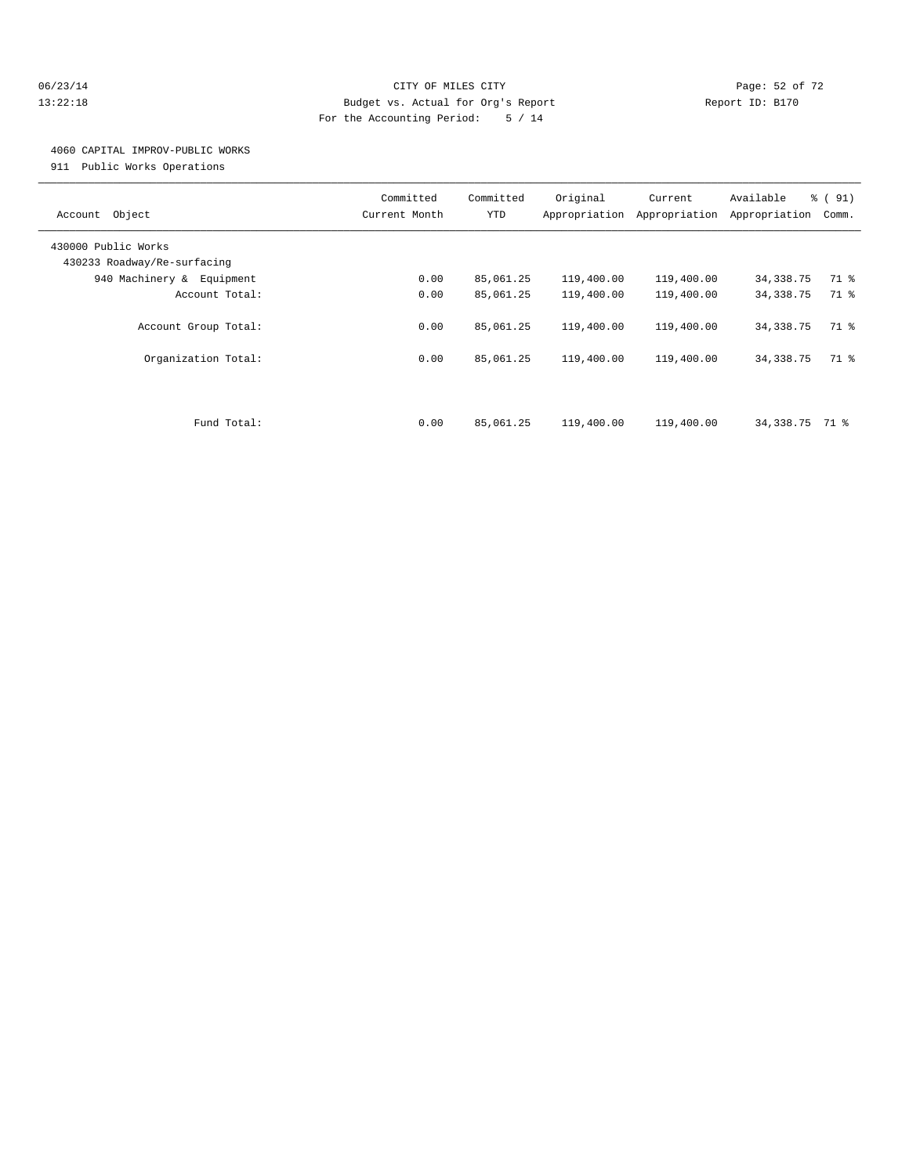#### 06/23/14 Page: 52 of 72 13:22:18 Budget vs. Actual for Org's Report Report ID: B170 For the Accounting Period: 5 / 14

### 4060 CAPITAL IMPROV-PUBLIC WORKS

911 Public Works Operations

| Object<br>Account                                  | Committed<br>Current Month | Committed<br><b>YTD</b> | Original<br>Appropriation | Current<br>Appropriation | Available<br>Appropriation | % (91)<br>Comm. |
|----------------------------------------------------|----------------------------|-------------------------|---------------------------|--------------------------|----------------------------|-----------------|
| 430000 Public Works<br>430233 Roadway/Re-surfacing |                            |                         |                           |                          |                            |                 |
| 940 Machinery & Equipment                          | 0.00                       | 85,061.25               | 119,400.00                | 119,400.00               | 34,338.75                  | 71 %            |
| Account Total:                                     | 0.00                       | 85,061.25               | 119,400.00                | 119,400.00               | 34, 338.75                 | 71 %            |
| Account Group Total:                               | 0.00                       | 85,061.25               | 119,400.00                | 119,400.00               | 34, 338. 75                | 71 %            |
| Organization Total:                                | 0.00                       | 85,061.25               | 119,400.00                | 119,400.00               | 34, 338. 75                | 71 %            |
| Fund Total:                                        | 0.00                       | 85,061.25               | 119,400.00                | 119,400.00               | 34,338.75                  | 71 %            |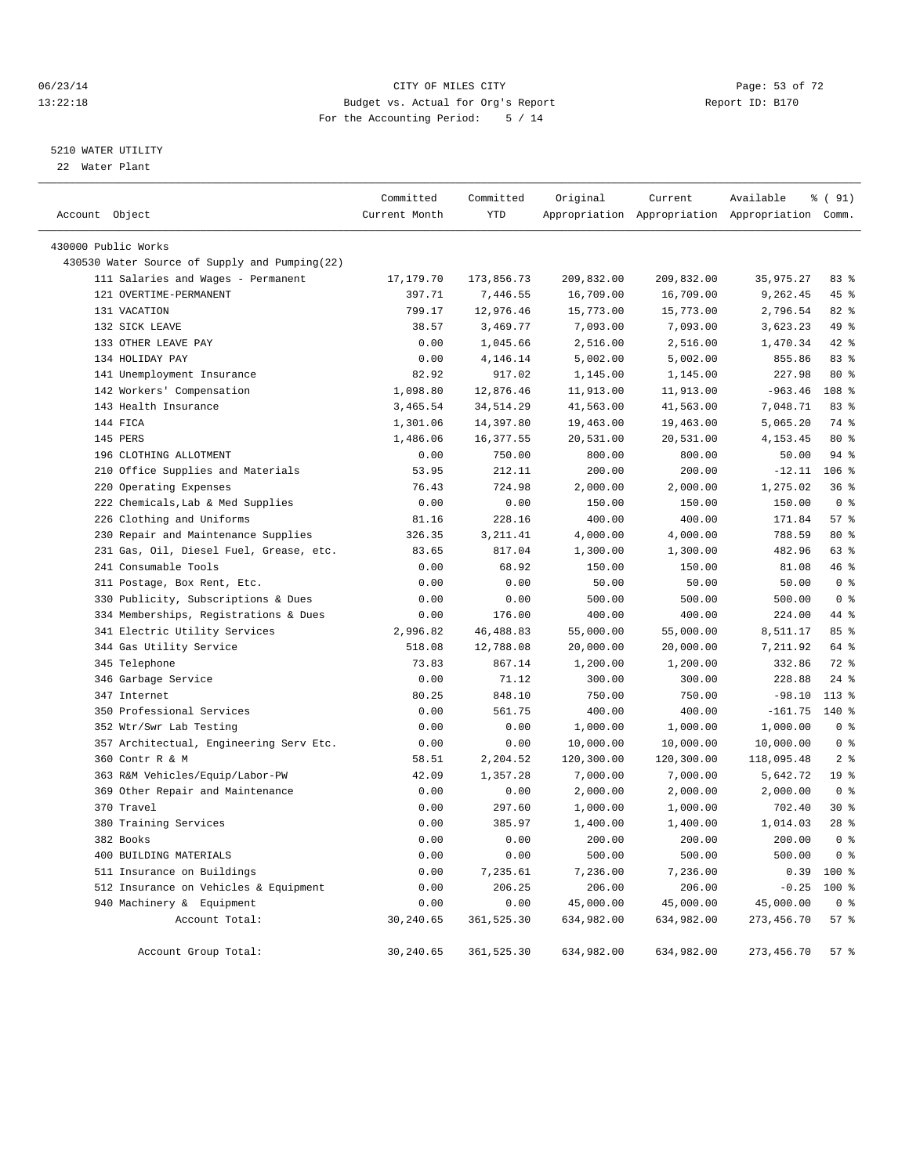#### 06/23/14 Page: 53 of 72 13:22:18 Budget vs. Actual for Org's Report Report ID: B170 For the Accounting Period: 5 / 14

#### 5210 WATER UTILITY

22 Water Plant

| Account Object |                                               | Committed<br>Current Month | Committed<br>YTD | Original   | Current    | Available<br>Appropriation Appropriation Appropriation Comm. | % ( 91)         |
|----------------|-----------------------------------------------|----------------------------|------------------|------------|------------|--------------------------------------------------------------|-----------------|
|                |                                               |                            |                  |            |            |                                                              |                 |
|                | 430000 Public Works                           |                            |                  |            |            |                                                              |                 |
|                | 430530 Water Source of Supply and Pumping(22) |                            |                  |            |            |                                                              |                 |
|                | 111 Salaries and Wages - Permanent            | 17,179.70                  | 173,856.73       | 209,832.00 | 209,832.00 | 35,975.27                                                    | 83%             |
|                | 121 OVERTIME-PERMANENT                        | 397.71                     | 7,446.55         | 16,709.00  | 16,709.00  | 9,262.45                                                     | 45 %            |
|                | 131 VACATION                                  | 799.17                     | 12,976.46        | 15,773.00  | 15,773.00  | 2,796.54                                                     | $82$ $%$        |
|                | 132 SICK LEAVE                                | 38.57                      | 3,469.77         | 7,093.00   | 7,093.00   | 3,623.23                                                     | 49 %            |
|                | 133 OTHER LEAVE PAY                           | 0.00                       | 1,045.66         | 2,516.00   | 2,516.00   | 1,470.34                                                     | 42 %            |
|                | 134 HOLIDAY PAY                               | 0.00                       | 4,146.14         | 5,002.00   | 5,002.00   | 855.86                                                       | 83%             |
|                | 141 Unemployment Insurance                    | 82.92                      | 917.02           | 1,145.00   | 1,145.00   | 227.98                                                       | 80 %            |
|                | 142 Workers' Compensation                     | 1,098.80                   | 12,876.46        | 11,913.00  | 11,913.00  | $-963.46$                                                    | 108 %           |
|                | 143 Health Insurance                          | 3,465.54                   | 34, 514.29       | 41,563.00  | 41,563.00  | 7,048.71                                                     | 83%             |
|                | 144 FICA                                      | 1,301.06                   | 14,397.80        | 19,463.00  | 19,463.00  | 5,065.20                                                     | 74 %            |
|                | 145 PERS                                      | 1,486.06                   | 16,377.55        | 20,531.00  | 20,531.00  | 4,153.45                                                     | $80*$           |
|                | 196 CLOTHING ALLOTMENT                        | 0.00                       | 750.00           | 800.00     | 800.00     | 50.00                                                        | 94 %            |
|                | 210 Office Supplies and Materials             | 53.95                      | 212.11           | 200.00     | 200.00     | $-12.11$                                                     | $106$ %         |
|                | 220 Operating Expenses                        | 76.43                      | 724.98           | 2,000.00   | 2,000.00   | 1,275.02                                                     | 36%             |
|                | 222 Chemicals, Lab & Med Supplies             | 0.00                       | 0.00             | 150.00     | 150.00     | 150.00                                                       | 0 <sup>8</sup>  |
|                | 226 Clothing and Uniforms                     | 81.16                      | 228.16           | 400.00     | 400.00     | 171.84                                                       | 57%             |
|                | 230 Repair and Maintenance Supplies           | 326.35                     | 3, 211.41        | 4,000.00   | 4,000.00   | 788.59                                                       | 80 %            |
|                | 231 Gas, Oil, Diesel Fuel, Grease, etc.       | 83.65                      | 817.04           | 1,300.00   | 1,300.00   | 482.96                                                       | 63 %            |
|                | 241 Consumable Tools                          | 0.00                       | 68.92            | 150.00     | 150.00     | 81.08                                                        | 46 %            |
|                | 311 Postage, Box Rent, Etc.                   | 0.00                       | 0.00             | 50.00      | 50.00      | 50.00                                                        | 0 <sup>8</sup>  |
|                | 330 Publicity, Subscriptions & Dues           | 0.00                       | 0.00             | 500.00     | 500.00     | 500.00                                                       | 0 <sup>8</sup>  |
|                | 334 Memberships, Registrations & Dues         | 0.00                       | 176.00           | 400.00     | 400.00     | 224.00                                                       | 44 %            |
|                | 341 Electric Utility Services                 | 2,996.82                   | 46, 488.83       | 55,000.00  | 55,000.00  | 8,511.17                                                     | 85%             |
|                | 344 Gas Utility Service                       | 518.08                     | 12,788.08        | 20,000.00  | 20,000.00  | 7,211.92                                                     | 64 %            |
|                | 345 Telephone                                 | 73.83                      | 867.14           | 1,200.00   | 1,200.00   | 332.86                                                       | 72 %            |
|                | 346 Garbage Service                           | 0.00                       | 71.12            | 300.00     | 300.00     | 228.88                                                       | $24$ %          |
|                | 347 Internet                                  | 80.25                      | 848.10           | 750.00     | 750.00     | $-98.10$                                                     | $113$ %         |
|                | 350 Professional Services                     | 0.00                       | 561.75           | 400.00     | 400.00     | $-161.75$                                                    | $140*$          |
|                | 352 Wtr/Swr Lab Testing                       | 0.00                       | 0.00             | 1,000.00   | 1,000.00   | 1,000.00                                                     | 0 <sup>8</sup>  |
|                | 357 Architectual, Engineering Serv Etc.       | 0.00                       | 0.00             | 10,000.00  | 10,000.00  | 10,000.00                                                    | 0 <sup>8</sup>  |
|                | 360 Contr R & M                               | 58.51                      | 2,204.52         | 120,300.00 | 120,300.00 | 118,095.48                                                   | 2 <sup>8</sup>  |
|                | 363 R&M Vehicles/Equip/Labor-PW               | 42.09                      | 1,357.28         | 7,000.00   | 7,000.00   | 5,642.72                                                     | 19 <sup>°</sup> |
| 369            | Other Repair and Maintenance                  | 0.00                       | 0.00             | 2,000.00   | 2,000.00   | 2,000.00                                                     | 0 <sup>8</sup>  |
|                | 370 Travel                                    | 0.00                       | 297.60           | 1,000.00   | 1,000.00   | 702.40                                                       | $30*$           |
|                | 380 Training Services                         | 0.00                       | 385.97           | 1,400.00   | 1,400.00   | 1,014.03                                                     | 28%             |
|                | 382 Books                                     | 0.00                       | 0.00             | 200.00     | 200.00     | 200.00                                                       | 0 <sup>8</sup>  |
|                | 400 BUILDING MATERIALS                        | 0.00                       | 0.00             | 500.00     | 500.00     | 500.00                                                       | 0 <sup>8</sup>  |
|                | 511 Insurance on Buildings                    | 0.00                       | 7,235.61         | 7,236.00   | 7,236.00   | 0.39                                                         | 100 %           |
|                | 512 Insurance on Vehicles & Equipment         | 0.00                       | 206.25           | 206.00     | 206.00     | $-0.25$                                                      | 100 %           |
|                | 940 Machinery & Equipment                     | 0.00                       | 0.00             | 45,000.00  | 45,000.00  | 45,000.00                                                    | 0 <sup>8</sup>  |
|                | Account Total:                                | 30,240.65                  | 361,525.30       | 634,982.00 | 634,982.00 | 273, 456.70                                                  | 57%             |
|                | Account Group Total:                          | 30,240.65                  | 361,525.30       | 634,982.00 | 634,982.00 | 273, 456.70                                                  | 57%             |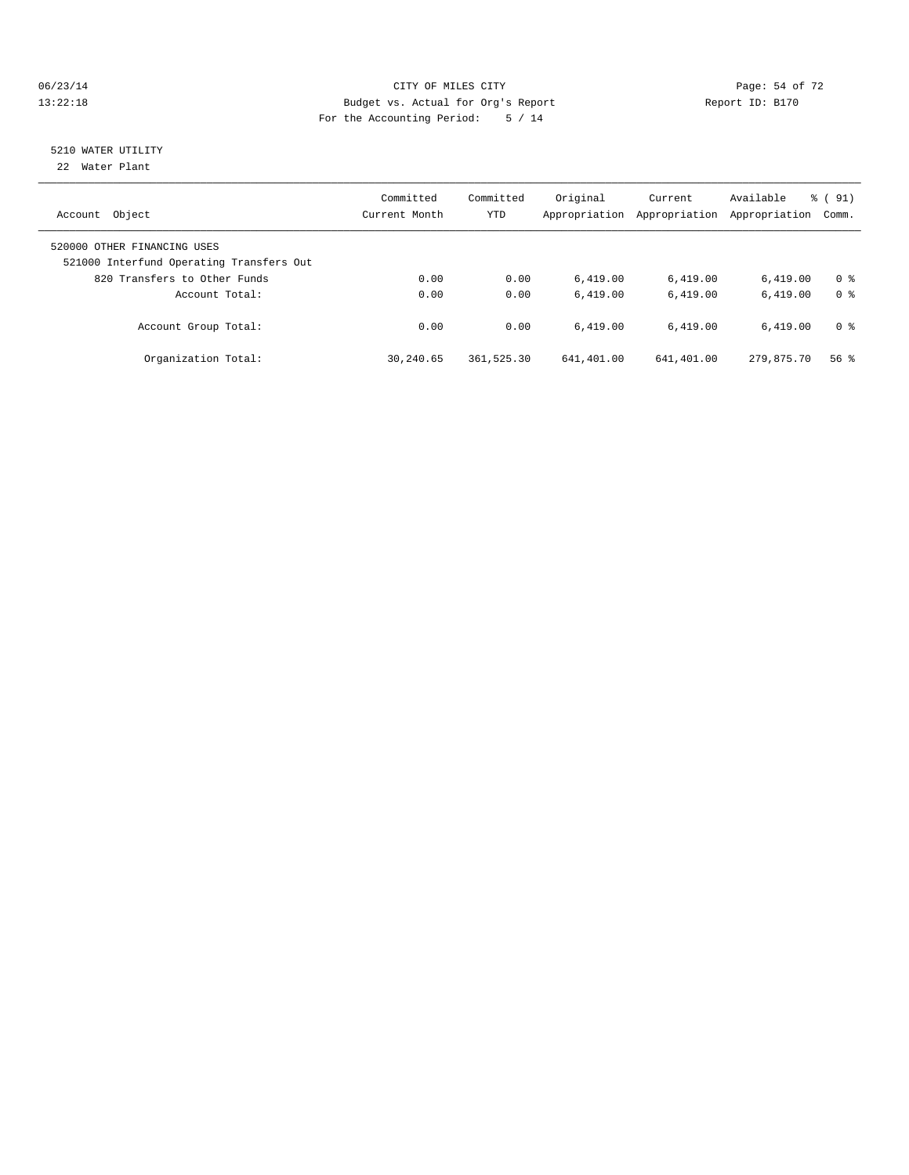#### 06/23/14 Page: 54 of 72 13:22:18 Budget vs. Actual for Org's Report Report ID: B170 For the Accounting Period: 5 / 14

# 5210 WATER UTILITY

22 Water Plant

| Object<br>Account                                                       | Committed<br>Current Month | Committed<br><b>YTD</b> | Original<br>Appropriation | Current<br>Appropriation | Available<br>Appropriation | % (91)<br>Comm. |
|-------------------------------------------------------------------------|----------------------------|-------------------------|---------------------------|--------------------------|----------------------------|-----------------|
| 520000 OTHER FINANCING USES<br>521000 Interfund Operating Transfers Out |                            |                         |                           |                          |                            |                 |
| 820 Transfers to Other Funds                                            | 0.00                       | 0.00                    | 6.419.00                  | 6,419.00                 | 6.419.00                   | 0 <sup>8</sup>  |
| Account Total:                                                          | 0.00                       | 0.00                    | 6.419.00                  | 6.419.00                 | 6.419.00                   | 0 <sup>8</sup>  |
| Account Group Total:                                                    | 0.00                       | 0.00                    | 6.419.00                  | 6.419.00                 | 6.419.00                   | 0 <sup>8</sup>  |
| Organization Total:                                                     | 30,240.65                  | 361,525.30              | 641,401.00                | 641,401.00               | 279,875.70                 | 56%             |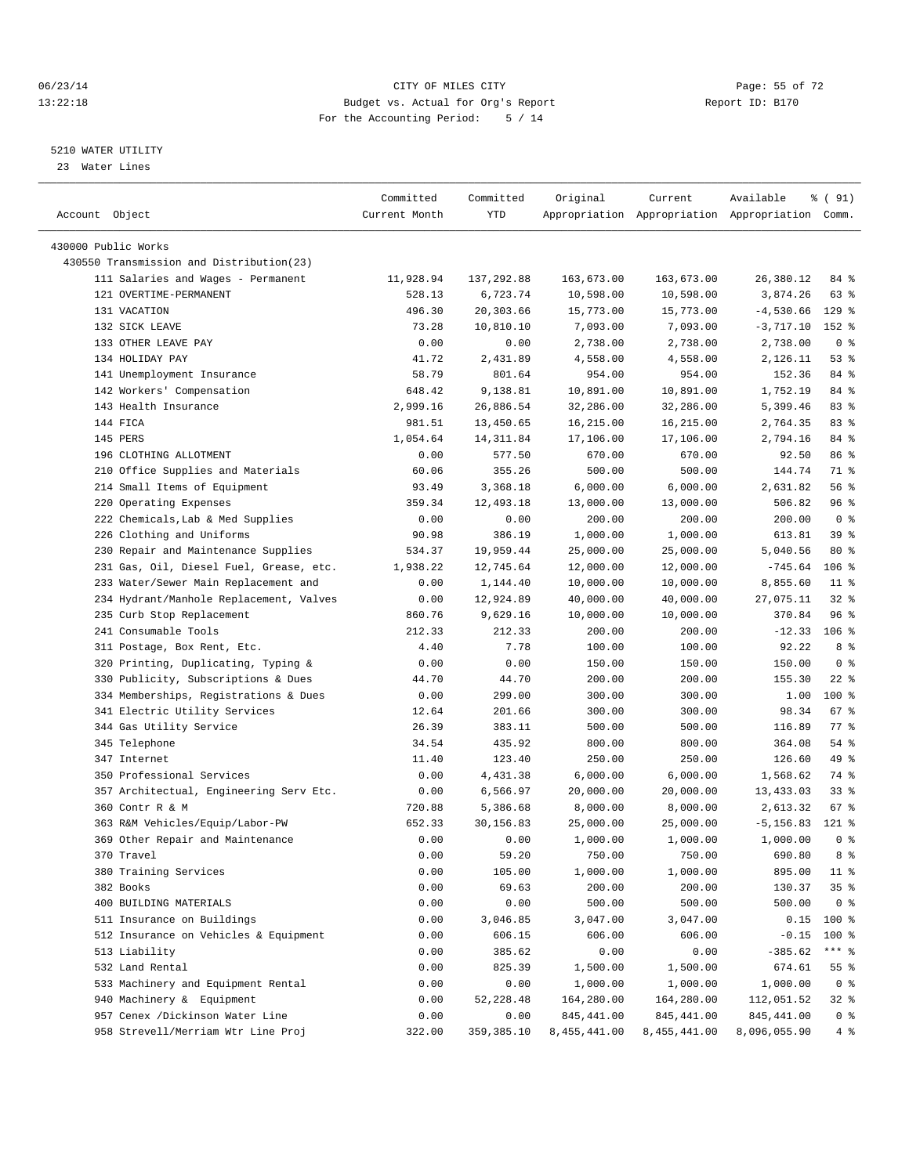#### 06/23/14 Page: 55 of 72 13:22:18 Budget vs. Actual for Org's Report Report ID: B170 For the Accounting Period: 5 / 14

————————————————————————————————————————————————————————————————————————————————————————————————————————————————————————————————————

#### 5210 WATER UTILITY

23 Water Lines

|                                          | Committed      | Committed  | Original         | Current      | Available                                       | % ( 91)        |
|------------------------------------------|----------------|------------|------------------|--------------|-------------------------------------------------|----------------|
| Account Object                           | Current Month  | YTD        |                  |              | Appropriation Appropriation Appropriation Comm. |                |
| 430000 Public Works                      |                |            |                  |              |                                                 |                |
| 430550 Transmission and Distribution(23) |                |            |                  |              |                                                 |                |
| 111 Salaries and Wages - Permanent       | 11,928.94      | 137,292.88 | 163,673.00       | 163,673.00   | 26,380.12                                       | 84 %           |
| 121 OVERTIME-PERMANENT                   | 528.13         | 6,723.74   | 10,598.00        | 10,598.00    | 3,874.26                                        | 63 %           |
| 131 VACATION                             | 496.30         | 20,303.66  | 15,773.00        | 15,773.00    | $-4,530.66$                                     | $129$ %        |
| 132 SICK LEAVE                           | 73.28          | 10,810.10  | 7,093.00         | 7,093.00     | $-3,717.10$                                     | 152 %          |
| 133 OTHER LEAVE PAY                      | 0.00           | 0.00       | 2,738.00         | 2,738.00     | 2,738.00                                        | 0 <sup>8</sup> |
| 134 HOLIDAY PAY                          | 41.72          | 2,431.89   | 4,558.00         | 4,558.00     | 2,126.11                                        | $53$ $%$       |
| 141 Unemployment Insurance               | 58.79          | 801.64     | 954.00           | 954.00       | 152.36                                          | 84 %           |
| 142 Workers' Compensation                | 648.42         | 9,138.81   | 10,891.00        | 10,891.00    | 1,752.19                                        | 84 %           |
| 143 Health Insurance                     | 2,999.16       | 26,886.54  | 32,286.00        | 32,286.00    | 5,399.46                                        | 83 %           |
| 144 FICA                                 | 981.51         | 13,450.65  | 16,215.00        | 16,215.00    | 2,764.35                                        | 83%            |
| 145 PERS                                 | 1,054.64       | 14, 311.84 | 17,106.00        | 17,106.00    | 2,794.16                                        | 84 %           |
| 196 CLOTHING ALLOTMENT                   | 0.00           | 577.50     | 670.00           | 670.00       | 92.50                                           | 86 %           |
| 210 Office Supplies and Materials        | 60.06          | 355.26     | 500.00           | 500.00       | 144.74                                          | 71 %           |
| 214 Small Items of Equipment             | 93.49          | 3,368.18   | 6,000.00         | 6,000.00     | 2,631.82                                        | 56%            |
| 220 Operating Expenses                   | 359.34         | 12,493.18  | 13,000.00        | 13,000.00    | 506.82                                          | 96%            |
| 222 Chemicals, Lab & Med Supplies        | 0.00           | 0.00       | 200.00           | 200.00       | 200.00                                          | 0 <sup>8</sup> |
| 226 Clothing and Uniforms                | 90.98          | 386.19     | 1,000.00         | 1,000.00     | 613.81                                          | 39 %           |
| 230 Repair and Maintenance Supplies      | 534.37         | 19,959.44  | 25,000.00        | 25,000.00    | 5,040.56                                        | 80 %           |
| 231 Gas, Oil, Diesel Fuel, Grease, etc.  | 1,938.22       | 12,745.64  | 12,000.00        | 12,000.00    | $-745.64$                                       | $106$ %        |
| 233 Water/Sewer Main Replacement and     | 0.00           | 1,144.40   | 10,000.00        | 10,000.00    | 8,855.60                                        | $11*$          |
| 234 Hydrant/Manhole Replacement, Valves  | 0.00           | 12,924.89  | 40,000.00        | 40,000.00    | 27,075.11                                       | $32$ $%$       |
| 235 Curb Stop Replacement                | 860.76         | 9,629.16   | 10,000.00        | 10,000.00    | 370.84                                          | 96%            |
| 241 Consumable Tools                     | 212.33         | 212.33     | 200.00           | 200.00       | $-12.33$                                        | $106$ %        |
| 311 Postage, Box Rent, Etc.              | 4.40           | 7.78       | 100.00           | 100.00       | 92.22                                           | 8 %            |
| 320 Printing, Duplicating, Typing &      | 0.00           | 0.00       | 150.00           | 150.00       | 150.00                                          | 0 <sup>8</sup> |
| 330 Publicity, Subscriptions & Dues      | 44.70          | 44.70      | 200.00           | 200.00       | 155.30                                          | $22$ %         |
| 334 Memberships, Registrations & Dues    | 0.00           | 299.00     | 300.00           | 300.00       | 1.00                                            | $100*$         |
| 341 Electric Utility Services            |                | 201.66     | 300.00           | 300.00       | 98.34                                           | 67 %           |
| 344 Gas Utility Service                  | 12.64<br>26.39 | 383.11     |                  | 500.00       | 116.89                                          | 77.8           |
| 345 Telephone                            | 34.54          | 435.92     | 500.00<br>800.00 | 800.00       | 364.08                                          | 54 %           |
| 347 Internet                             | 11.40          | 123.40     | 250.00           | 250.00       | 126.60                                          | 49 %           |
| 350 Professional Services                | 0.00           | 4,431.38   | 6,000.00         | 6,000.00     | 1,568.62                                        | 74 %           |
| 357 Architectual, Engineering Serv Etc.  | 0.00           | 6,566.97   | 20,000.00        | 20,000.00    | 13,433.03                                       | $33$ $%$       |
| 360 Contr R & M                          | 720.88         | 5,386.68   | 8,000.00         | 8,000.00     | 2,613.32                                        | 67 %           |
| 363 R&M Vehicles/Equip/Labor-PW          | 652.33         | 30,156.83  | 25,000.00        | 25,000.00    | $-5, 156.83$                                    | $121$ %        |
| 369 Other Repair and Maintenance         | 0.00           | 0.00       | 1,000.00         | 1,000.00     | 1,000.00                                        | 0 <sup>8</sup> |
| 370 Travel                               | 0.00           | 59.20      | 750.00           | 750.00       | 690.80                                          | 8 %            |
| 380 Training Services                    | 0.00           | 105.00     | 1,000.00         | 1,000.00     | 895.00                                          | $11$ %         |
| 382 Books                                | 0.00           | 69.63      | 200.00           | 200.00       | 130.37                                          | 35%            |
| 400 BUILDING MATERIALS                   | 0.00           | 0.00       | 500.00           | 500.00       | 500.00                                          | 0 <sup>8</sup> |
| 511 Insurance on Buildings               | 0.00           | 3,046.85   | 3,047.00         | 3,047.00     | 0.15                                            | $100$ %        |
| 512 Insurance on Vehicles & Equipment    | 0.00           | 606.15     | 606.00           | 606.00       | $-0.15$                                         | $100$ %        |
| 513 Liability                            | 0.00           | 385.62     | 0.00             | 0.00         | $-385.62$                                       | $***$ $_{8}$   |
| 532 Land Rental                          | 0.00           | 825.39     | 1,500.00         | 1,500.00     | 674.61                                          | 55 %           |
| 533 Machinery and Equipment Rental       | 0.00           | 0.00       | 1,000.00         | 1,000.00     | 1,000.00                                        | 0 <sup>8</sup> |
| 940 Machinery & Equipment                | 0.00           | 52, 228.48 | 164,280.00       | 164,280.00   | 112,051.52                                      | 32 %           |
| 957 Cenex /Dickinson Water Line          | 0.00           | 0.00       | 845, 441.00      | 845, 441.00  | 845, 441.00                                     | 0 <sup>8</sup> |
| 958 Strevell/Merriam Wtr Line Proj       | 322.00         | 359,385.10 | 8,455,441.00     | 8,455,441.00 | 8,096,055.90                                    | 4%             |
|                                          |                |            |                  |              |                                                 |                |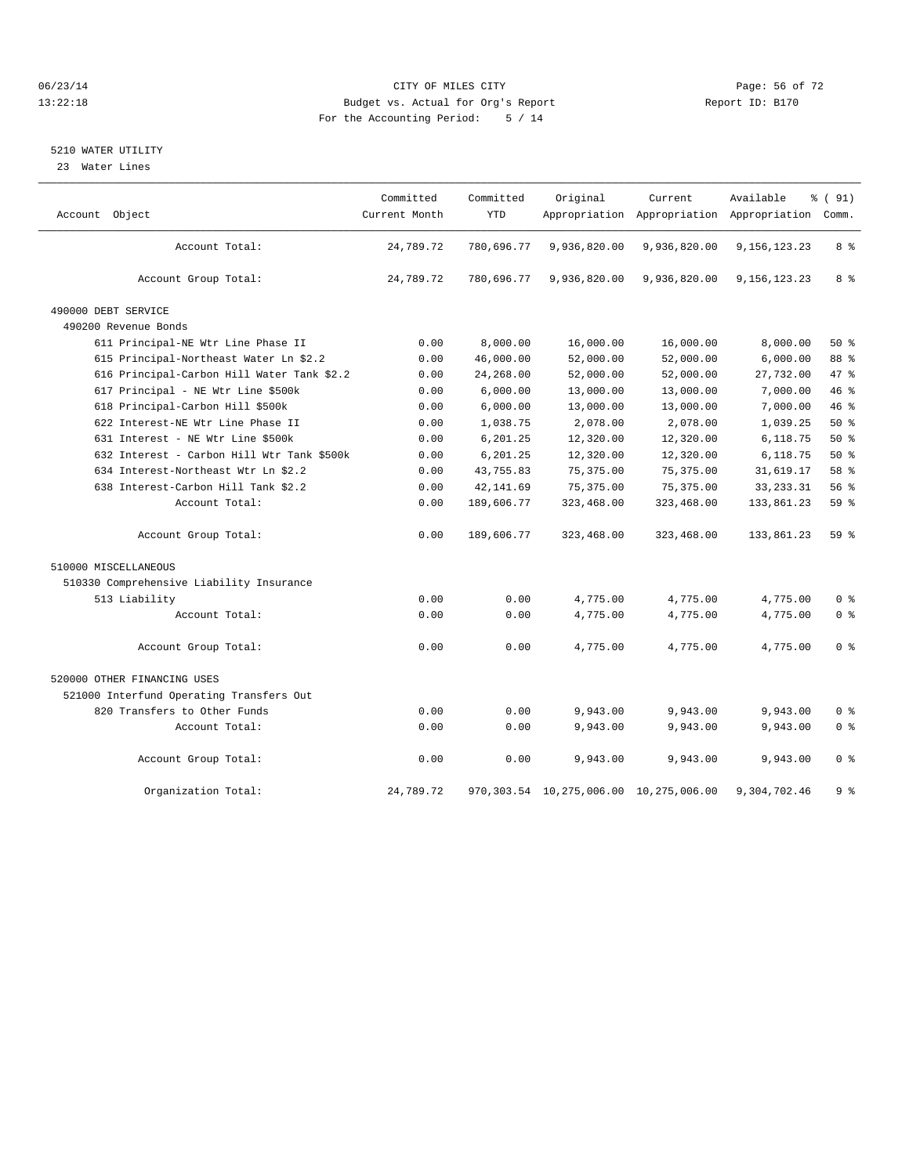#### 06/23/14 Page: 56 of 72 13:22:18 Budget vs. Actual for Org's Report Report ID: B170 For the Accounting Period: 5 / 14

#### 5210 WATER UTILITY

23 Water Lines

| Account Object                             | Committed<br>Current Month | Committed<br><b>YTD</b> | Original                                    | Current      | Available<br>Appropriation Appropriation Appropriation Comm. | % (91)         |
|--------------------------------------------|----------------------------|-------------------------|---------------------------------------------|--------------|--------------------------------------------------------------|----------------|
|                                            |                            |                         |                                             |              |                                                              |                |
| Account Total:                             | 24,789.72                  | 780,696.77              | 9,936,820.00                                | 9,936,820.00 | 9,156,123.23                                                 | 8 %            |
| Account Group Total:                       | 24,789.72                  | 780,696.77              | 9,936,820.00                                | 9,936,820.00 | 9,156,123.23                                                 | 8 %            |
| 490000 DEBT SERVICE                        |                            |                         |                                             |              |                                                              |                |
| 490200 Revenue Bonds                       |                            |                         |                                             |              |                                                              |                |
| 611 Principal-NE Wtr Line Phase II         | 0.00                       | 8,000.00                | 16,000.00                                   | 16,000.00    | 8,000.00                                                     | 50%            |
| 615 Principal-Northeast Water Ln \$2.2     | 0.00                       | 46,000.00               | 52,000.00                                   | 52,000.00    | 6,000.00                                                     | 88 %           |
| 616 Principal-Carbon Hill Water Tank \$2.2 | 0.00                       | 24,268.00               | 52,000.00                                   | 52,000.00    | 27,732.00                                                    | 47.8           |
| 617 Principal - NE Wtr Line \$500k         | 0.00                       | 6,000.00                | 13,000.00                                   | 13,000.00    | 7,000.00                                                     | 46 %           |
| 618 Principal-Carbon Hill \$500k           | 0.00                       | 6,000.00                | 13,000.00                                   | 13,000.00    | 7,000.00                                                     | 46%            |
| 622 Interest-NE Wtr Line Phase II          | 0.00                       | 1,038.75                | 2,078.00                                    | 2,078.00     | 1,039.25                                                     | 50%            |
| 631 Interest - NE Wtr Line \$500k          | 0.00                       | 6,201.25                | 12,320.00                                   | 12,320.00    | 6,118.75                                                     | 50%            |
| 632 Interest - Carbon Hill Wtr Tank \$500k | 0.00                       | 6,201.25                | 12,320.00                                   | 12,320.00    | 6,118.75                                                     | $50*$          |
| 634 Interest-Northeast Wtr Ln \$2.2        | 0.00                       | 43,755.83               | 75, 375.00                                  | 75, 375.00   | 31,619.17                                                    | 58 %           |
| 638 Interest-Carbon Hill Tank \$2.2        | 0.00                       | 42, 141.69              | 75, 375.00                                  | 75, 375.00   | 33, 233. 31                                                  | 56%            |
| Account Total:                             | 0.00                       | 189,606.77              | 323,468.00                                  | 323,468.00   | 133,861.23                                                   | 59%            |
| Account Group Total:                       | 0.00                       | 189,606.77              | 323,468.00                                  | 323,468.00   | 133,861.23                                                   | 59 %           |
| 510000 MISCELLANEOUS                       |                            |                         |                                             |              |                                                              |                |
| 510330 Comprehensive Liability Insurance   |                            |                         |                                             |              |                                                              |                |
| 513 Liability                              | 0.00                       | 0.00                    | 4,775.00                                    | 4,775.00     | 4,775.00                                                     | 0 <sup>8</sup> |
| Account Total:                             | 0.00                       | 0.00                    | 4,775.00                                    | 4,775.00     | 4,775.00                                                     | 0 <sup>8</sup> |
| Account Group Total:                       | 0.00                       | 0.00                    | 4,775.00                                    | 4,775.00     | 4,775.00                                                     | 0 <sup>8</sup> |
| 520000 OTHER FINANCING USES                |                            |                         |                                             |              |                                                              |                |
| 521000 Interfund Operating Transfers Out   |                            |                         |                                             |              |                                                              |                |
| 820 Transfers to Other Funds               | 0.00                       | 0.00                    | 9,943.00                                    | 9,943.00     | 9,943.00                                                     | 0 <sup>8</sup> |
| Account Total:                             | 0.00                       | 0.00                    | 9,943.00                                    | 9,943.00     | 9,943.00                                                     | 0 <sup>8</sup> |
| Account Group Total:                       | 0.00                       | 0.00                    | 9,943.00                                    | 9,943.00     | 9,943.00                                                     | 0 <sup>8</sup> |
| Organization Total:                        | 24,789.72                  |                         | 970, 303.54 10, 275, 006.00 10, 275, 006.00 |              | 9,304,702.46                                                 | 9 <sup>8</sup> |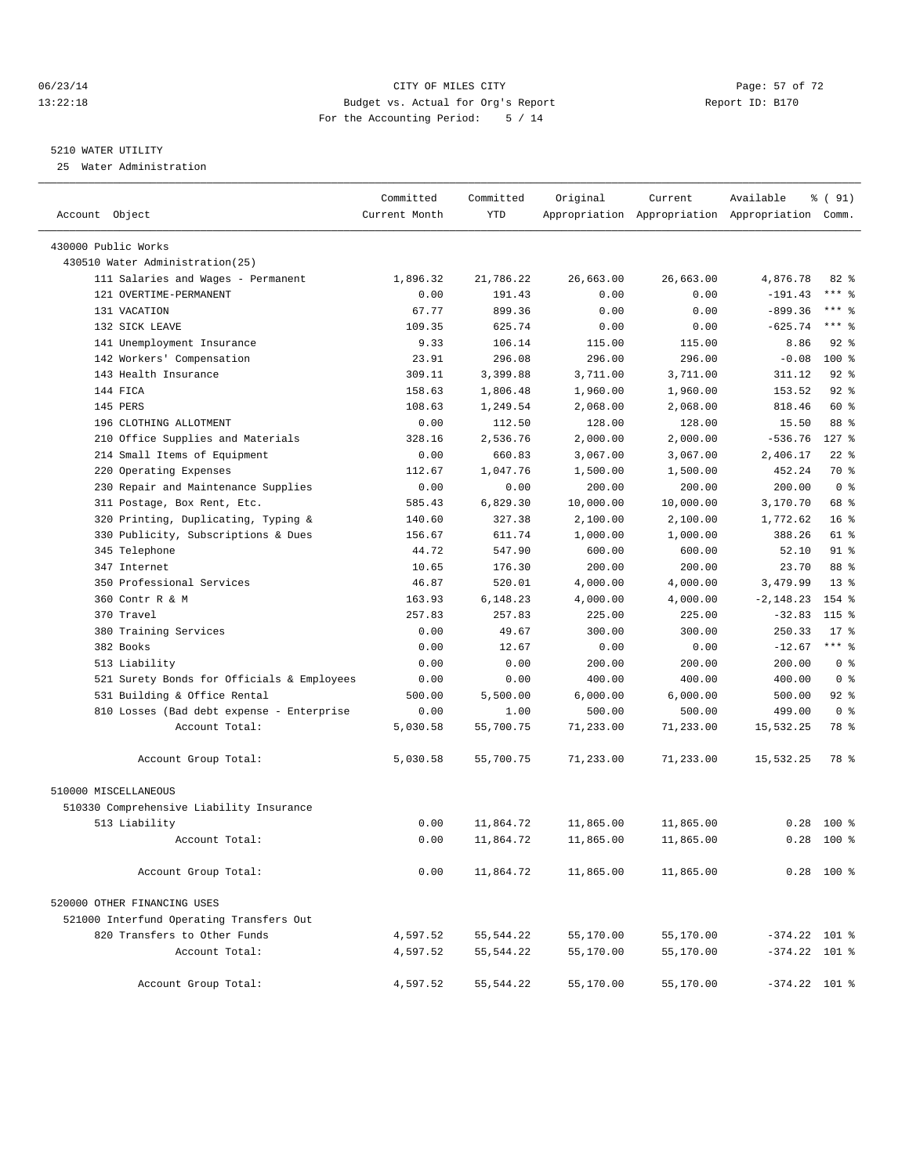#### 06/23/14 Page: 57 of 72 13:22:18 Budget vs. Actual for Org's Report Report ID: B170 For the Accounting Period: 5 / 14

#### 5210 WATER UTILITY

25 Water Administration

| Account Object                             | Committed<br>Current Month | Committed<br><b>YTD</b> | Original               | Current   | Available<br>Appropriation Appropriation Appropriation Comm. | % ( 91)         |  |
|--------------------------------------------|----------------------------|-------------------------|------------------------|-----------|--------------------------------------------------------------|-----------------|--|
| 430000 Public Works                        |                            |                         |                        |           |                                                              |                 |  |
| 430510 Water Administration(25)            |                            |                         |                        |           |                                                              |                 |  |
| 111 Salaries and Wages - Permanent         | 1,896.32                   | 21,786.22               | 26,663.00              | 26,663.00 | 4,876.78                                                     | $82$ $%$        |  |
| 121 OVERTIME-PERMANENT                     | 0.00                       | 191.43                  | 0.00                   | 0.00      | $-191.43$                                                    | $***$ $%$       |  |
| 131 VACATION                               | 67.77                      | 899.36                  | 0.00                   | 0.00      | $-899.36$                                                    | $***$ $-$       |  |
| 132 SICK LEAVE                             | 109.35                     | 625.74                  | 0.00                   | 0.00      | $-625.74$                                                    | $***$ $=$       |  |
| 141 Unemployment Insurance                 | 9.33                       | 106.14                  | 115.00                 | 115.00    | 8.86                                                         | $92$ $%$        |  |
| 142 Workers' Compensation                  | 23.91                      | 296.08                  | 296.00                 | 296.00    | $-0.08$                                                      | $100$ %         |  |
| 143 Health Insurance                       | 309.11                     | 3,399.88                | 3,711.00               | 3,711.00  | 311.12                                                       | $92$ $%$        |  |
| 144 FICA                                   | 158.63                     | 1,806.48                | 1,960.00               | 1,960.00  | 153.52                                                       | $92$ $%$        |  |
| 145 PERS                                   | 108.63                     | 1,249.54                | 2,068.00               | 2,068.00  | 818.46                                                       | 60 %            |  |
| 196 CLOTHING ALLOTMENT                     | 0.00                       | 112.50                  | 128.00                 | 128.00    | 15.50                                                        | 88 %            |  |
| 210 Office Supplies and Materials          | 328.16                     | 2,536.76                | 2,000.00               | 2,000.00  | $-536.76$                                                    | $127$ %         |  |
| 214 Small Items of Equipment               | 0.00                       | 660.83                  | 3,067.00               | 3,067.00  | 2,406.17                                                     | $22$ %          |  |
| Operating Expenses<br>220                  | 112.67                     | 1,047.76                | 1,500.00               | 1,500.00  | 452.24                                                       | 70 %            |  |
| 230 Repair and Maintenance Supplies        | 0.00                       | 0.00                    | 200.00                 | 200.00    | 200.00                                                       | 0 <sup>8</sup>  |  |
| 311 Postage, Box Rent, Etc.                | 585.43                     | 6,829.30                | 10,000.00              | 10,000.00 | 3,170.70                                                     | 68 %            |  |
| 320 Printing, Duplicating, Typing &        | 140.60                     | 327.38                  | 2,100.00               | 2,100.00  | 1,772.62                                                     | 16 <sup>8</sup> |  |
| 330 Publicity, Subscriptions & Dues        | 156.67                     | 611.74                  | 1,000.00               | 1,000.00  | 388.26                                                       | 61 %            |  |
| 345 Telephone                              | 44.72                      | 547.90                  | 600.00                 | 600.00    | 52.10                                                        | $91$ %          |  |
| 347 Internet                               | 10.65                      | 176.30                  | 200.00                 | 200.00    | 23.70                                                        | 88 %            |  |
| 350 Professional Services                  | 46.87                      | 520.01                  | 4,000.00               | 4,000.00  | 3,479.99                                                     | $13*$           |  |
| 360 Contr R & M                            | 163.93                     | 6,148.23                | 4,000.00               | 4,000.00  | $-2, 148.23$                                                 | 154 %           |  |
| 370 Travel                                 | 257.83                     | 257.83                  | 225.00                 | 225.00    | $-32.83$                                                     | 115 %           |  |
| 380 Training Services                      | 0.00                       | 49.67                   | 300.00                 | 300.00    | 250.33                                                       | $17*$           |  |
| 382 Books                                  | 0.00                       | 12.67                   | 0.00                   | 0.00      | $-12.67$                                                     | $***$ $-$       |  |
| 513 Liability                              | 0.00                       | 0.00                    | 200.00                 | 200.00    | 200.00                                                       | 0 <sup>8</sup>  |  |
| 521 Surety Bonds for Officials & Employees | 0.00                       | 0.00                    | 400.00                 | 400.00    | 400.00                                                       | 0 <sup>8</sup>  |  |
| 531 Building & Office Rental               | 500.00                     | 5,500.00                | 6,000.00               | 6,000.00  | 500.00                                                       | $92$ $%$        |  |
| 810 Losses (Bad debt expense - Enterprise  | 0.00                       | 1.00                    | 500.00                 | 500.00    | 499.00                                                       | 0 <sup>8</sup>  |  |
| Account Total:                             | 5,030.58                   | 55,700.75               | 71,233.00              | 71,233.00 | 15,532.25                                                    | 78 %            |  |
| Account Group Total:                       | 5,030.58                   | 55,700.75               | 71,233.00              | 71,233.00 | 15,532.25                                                    | 78 %            |  |
| 510000 MISCELLANEOUS                       |                            |                         |                        |           |                                                              |                 |  |
|                                            |                            |                         |                        |           |                                                              |                 |  |
| 510330 Comprehensive Liability Insurance   |                            |                         |                        | 11,865.00 | 0.28                                                         | $100*$          |  |
| 513 Liability<br>Account Total:            | 0.00<br>0.00               | 11,864.72               | 11,865.00<br>11,865.00 |           | 0.28                                                         | $100*$          |  |
|                                            |                            | 11,864.72               |                        | 11,865.00 |                                                              |                 |  |
| Account Group Total:                       | 0.00                       | 11,864.72               | 11,865.00              | 11,865.00 |                                                              | $0.28$ 100 %    |  |
| 520000 OTHER FINANCING USES                |                            |                         |                        |           |                                                              |                 |  |
| 521000 Interfund Operating Transfers Out   |                            |                         |                        |           |                                                              |                 |  |
| 820 Transfers to Other Funds               | 4,597.52                   | 55,544.22               | 55,170.00              | 55,170.00 | $-374.22$ 101 %                                              |                 |  |
| Account Total:                             | 4,597.52                   | 55,544.22               | 55,170.00              | 55,170.00 | $-374.22$ 101 %                                              |                 |  |
| Account Group Total:                       | 4,597.52                   | 55,544.22               | 55,170.00              | 55,170.00 | $-374.22$ 101 %                                              |                 |  |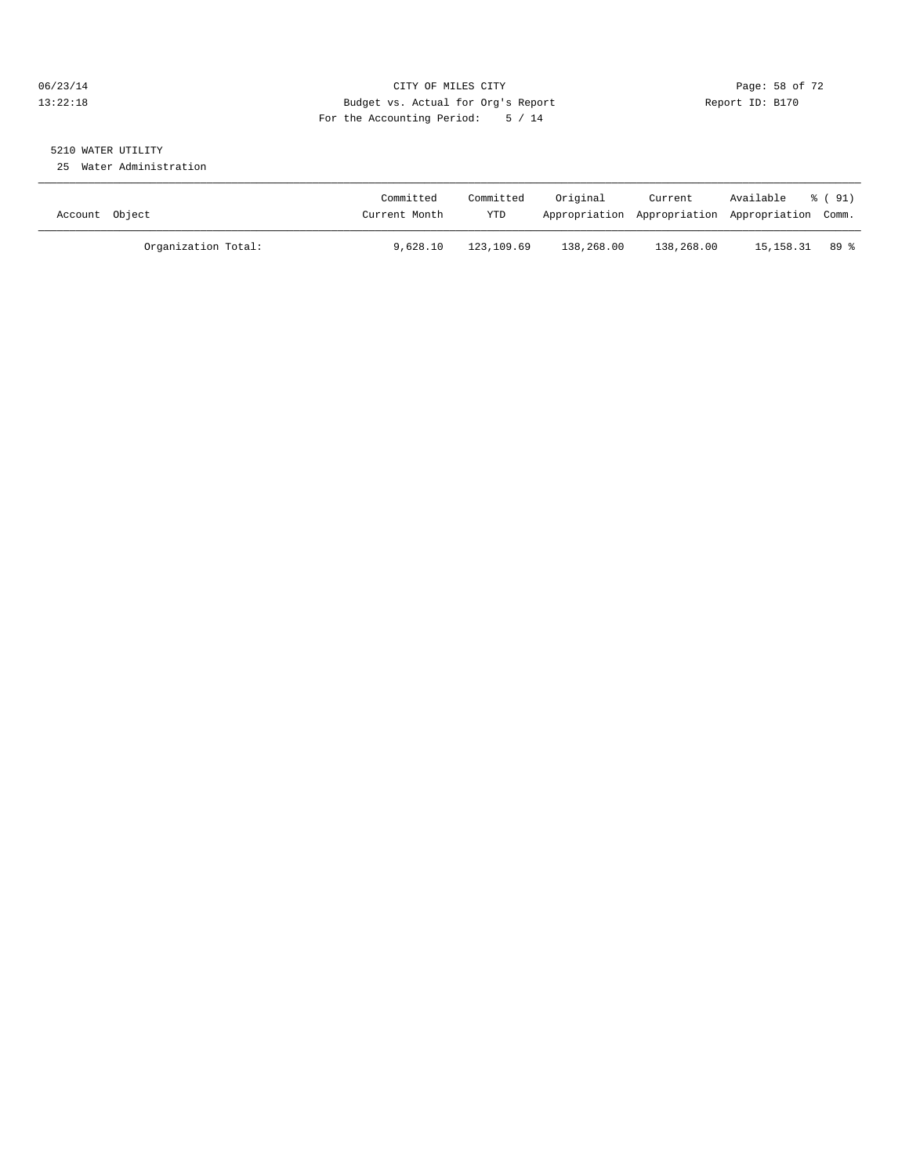#### 06/23/14 Page: 58 of 72 13:22:18 Budget vs. Actual for Org's Report Report ID: B170 For the Accounting Period: 5 / 14

# 5210 WATER UTILITY

25 Water Administration

| Account Object      | Committed<br>Current Month | Committed<br>YTD | Original   | Current<br>Appropriation Appropriation Appropriation Comm. | Available | 8 (91) |
|---------------------|----------------------------|------------------|------------|------------------------------------------------------------|-----------|--------|
| Organization Total: | 9,628.10                   | 123,109.69       | 138,268.00 | 138,268.00                                                 | 15,158.31 | 89 %   |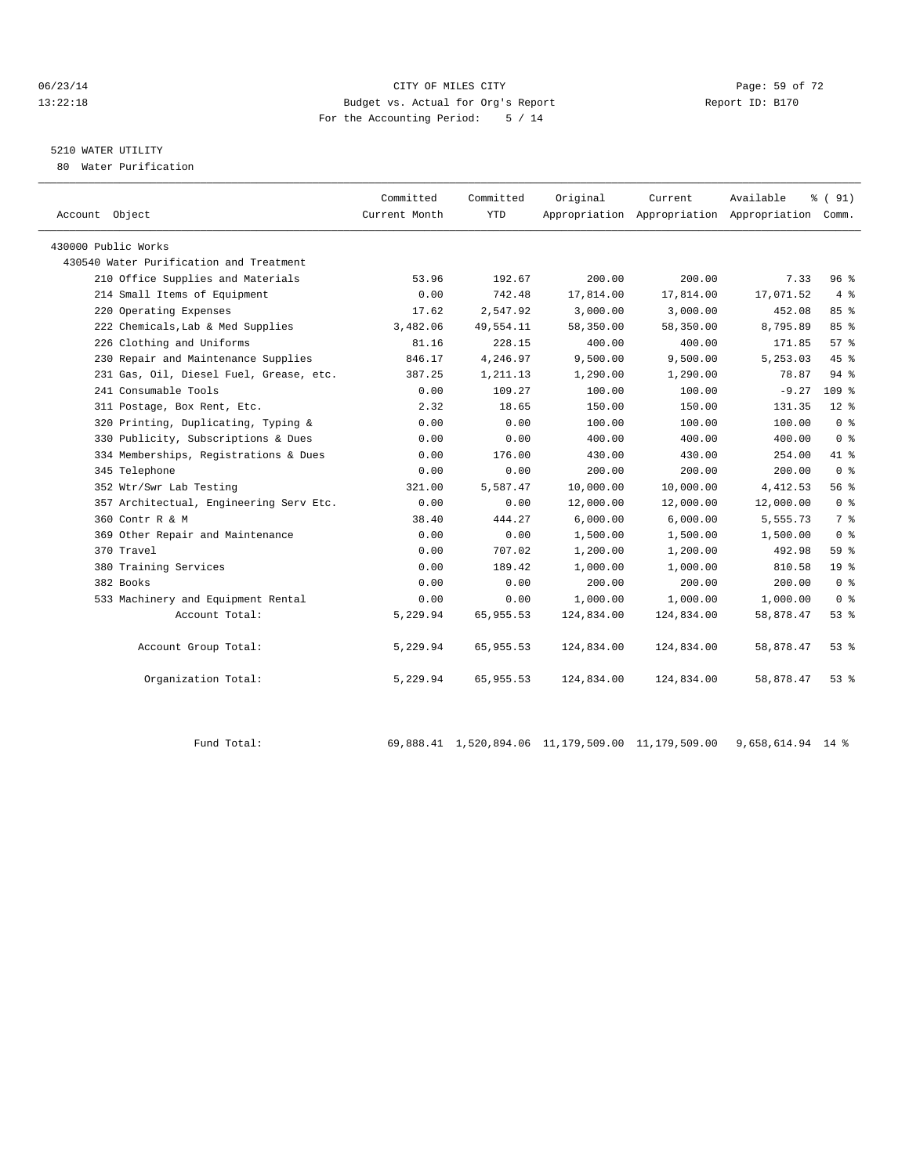#### 06/23/14 Page: 59 of 72 13:22:18 Budget vs. Actual for Org's Report Report ID: B170 For the Accounting Period: 5 / 14

## 5210 WATER UTILITY

80 Water Purification

| Account Object                          | Committed<br>Current Month | Committed<br><b>YTD</b> | Original   | Current    | Available<br>Appropriation Appropriation Appropriation Comm. | $\frac{1}{6}$ (91) |  |
|-----------------------------------------|----------------------------|-------------------------|------------|------------|--------------------------------------------------------------|--------------------|--|
|                                         |                            |                         |            |            |                                                              |                    |  |
| 430000 Public Works                     |                            |                         |            |            |                                                              |                    |  |
| 430540 Water Purification and Treatment |                            |                         |            |            |                                                              |                    |  |
| 210 Office Supplies and Materials       | 53.96                      | 192.67                  | 200.00     | 200.00     | 7.33                                                         | 96%                |  |
| 214 Small Items of Equipment            | 0.00                       | 742.48                  | 17,814.00  | 17,814.00  | 17,071.52                                                    | $4 \text{ }$       |  |
| 220 Operating Expenses                  | 17.62                      | 2,547.92                | 3,000.00   | 3,000.00   | 452.08                                                       | 85%                |  |
| 222 Chemicals, Lab & Med Supplies       | 3,482.06                   | 49,554.11               | 58,350.00  | 58,350.00  | 8,795.89                                                     | 85 %               |  |
| 226 Clothing and Uniforms               | 81.16                      | 228.15                  | 400.00     | 400.00     | 171.85                                                       | $57*$              |  |
| 230 Repair and Maintenance Supplies     | 846.17                     | 4,246.97                | 9,500.00   | 9,500.00   | 5,253.03                                                     | 45%                |  |
| 231 Gas, Oil, Diesel Fuel, Grease, etc. | 387.25                     | 1,211.13                | 1,290.00   | 1,290.00   | 78.87                                                        | $94$ $%$           |  |
| 241 Consumable Tools                    | 0.00                       | 109.27                  | 100.00     | 100.00     | $-9.27$                                                      | 109 <sup>8</sup>   |  |
| 311 Postage, Box Rent, Etc.             | 2.32                       | 18.65                   | 150.00     | 150.00     | 131.35                                                       | $12*$              |  |
| 320 Printing, Duplicating, Typing &     | 0.00                       | 0.00                    | 100.00     | 100.00     | 100.00                                                       | 0 <sup>8</sup>     |  |
| 330 Publicity, Subscriptions & Dues     | 0.00                       | 0.00                    | 400.00     | 400.00     | 400.00                                                       | 0 <sup>8</sup>     |  |
| 334 Memberships, Registrations & Dues   | 0.00                       | 176.00                  | 430.00     | 430.00     | 254.00                                                       | 41 %               |  |
| 345 Telephone                           | 0.00                       | 0.00                    | 200.00     | 200.00     | 200.00                                                       | 0 <sup>8</sup>     |  |
| 352 Wtr/Swr Lab Testing                 | 321.00                     | 5,587.47                | 10,000.00  | 10,000.00  | 4, 412.53                                                    | 56%                |  |
| 357 Architectual, Engineering Serv Etc. | 0.00                       | 0.00                    | 12,000.00  | 12,000.00  | 12,000.00                                                    | 0 <sup>8</sup>     |  |
| 360 Contr R & M                         | 38.40                      | 444.27                  | 6,000.00   | 6,000.00   | 5,555.73                                                     | 7 %                |  |
| 369 Other Repair and Maintenance        | 0.00                       | 0.00                    | 1,500.00   | 1,500.00   | 1,500.00                                                     | 0 <sup>8</sup>     |  |
| 370 Travel                              | 0.00                       | 707.02                  | 1,200.00   | 1,200.00   | 492.98                                                       | 59 <sub>8</sub>    |  |
| 380 Training Services                   | 0.00                       | 189.42                  | 1,000.00   | 1,000.00   | 810.58                                                       | 19 <sup>°</sup>    |  |
| 382 Books                               | 0.00                       | 0.00                    | 200.00     | 200.00     | 200.00                                                       | 0 <sup>8</sup>     |  |
| 533 Machinery and Equipment Rental      | 0.00                       | 0.00                    | 1,000.00   | 1,000.00   | 1,000.00                                                     | 0 <sup>8</sup>     |  |
| Account Total:                          | 5,229.94                   | 65,955.53               | 124,834.00 | 124,834.00 | 58,878.47                                                    | $53*$              |  |
|                                         |                            |                         |            |            |                                                              |                    |  |
| Account Group Total:                    | 5,229.94                   | 65,955.53               | 124,834.00 | 124,834.00 | 58,878.47                                                    | 53%                |  |
|                                         |                            |                         |            |            |                                                              |                    |  |
| Organization Total:                     | 5,229.94                   | 65,955.53               | 124,834.00 | 124,834.00 | 58,878.47                                                    | $53$ $%$           |  |
|                                         |                            |                         |            |            |                                                              |                    |  |

Fund Total: 69,888.41 1,520,894.06 11,179,509.00 11,179,509.00 9,658,614.94 14 %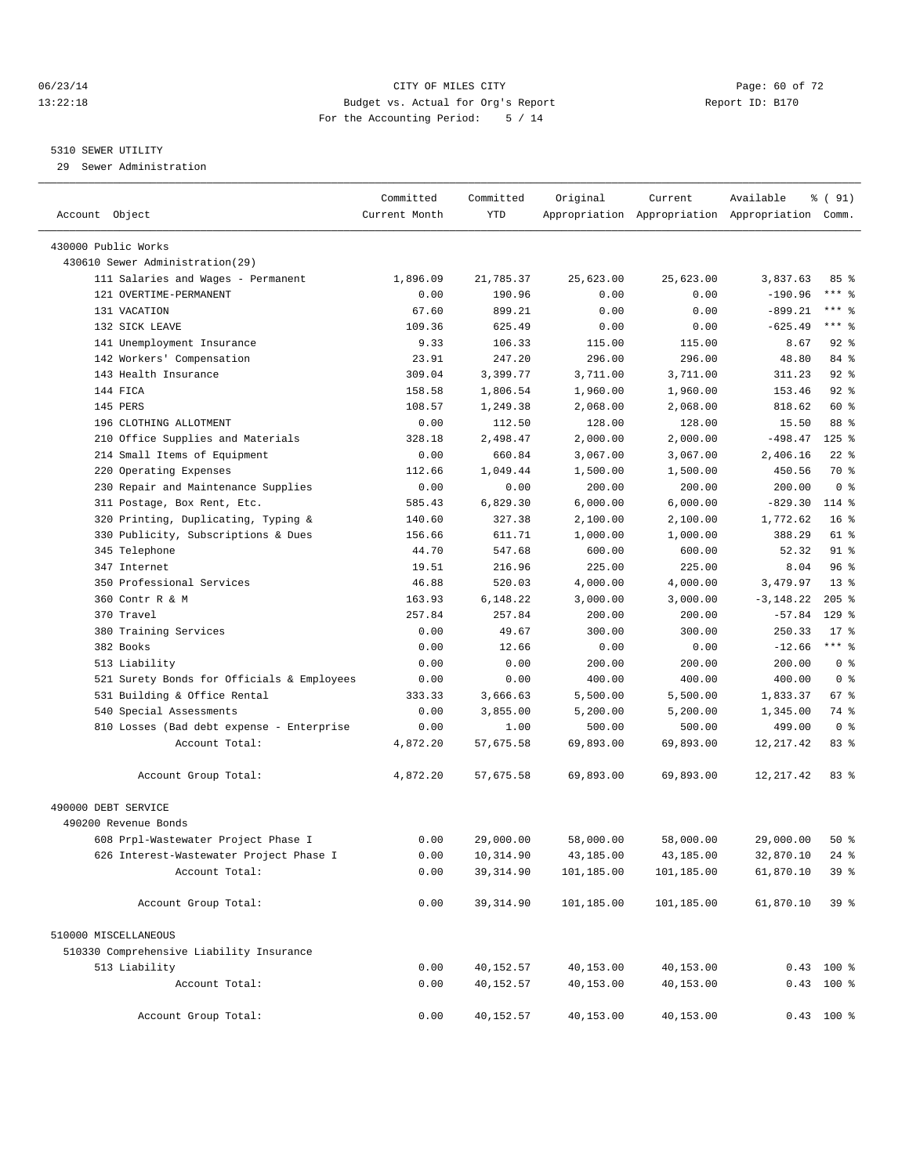#### 06/23/14 Page: 60 of 72 13:22:18 Budget vs. Actual for Org's Report Report ID: B170 For the Accounting Period: 5 / 14

————————————————————————————————————————————————————————————————————————————————————————————————————————————————————————————————————

#### 5310 SEWER UTILITY

29 Sewer Administration

|                                                             | Committed        | Committed         | Original            | Current             | Available                                       | $\frac{1}{6}$ (91) |  |
|-------------------------------------------------------------|------------------|-------------------|---------------------|---------------------|-------------------------------------------------|--------------------|--|
| Account Object                                              | Current Month    | YTD               |                     |                     | Appropriation Appropriation Appropriation Comm. |                    |  |
| 430000 Public Works                                         |                  |                   |                     |                     |                                                 |                    |  |
| 430610 Sewer Administration(29)                             |                  |                   |                     |                     |                                                 |                    |  |
| 111 Salaries and Wages - Permanent                          | 1,896.09         | 21,785.37         | 25,623.00           | 25,623.00           | 3,837.63                                        | 85%                |  |
| 121 OVERTIME-PERMANENT                                      | 0.00             | 190.96            | 0.00                | 0.00                | $-190.96$                                       | $***$ $-$          |  |
| 131 VACATION                                                | 67.60            | 899.21            | 0.00                | 0.00                | $-899.21$                                       | *** 응              |  |
| 132 SICK LEAVE                                              | 109.36           | 625.49            | 0.00                | 0.00                | $-625.49$                                       | $***$ $-$          |  |
| 141 Unemployment Insurance                                  | 9.33             | 106.33            | 115.00              | 115.00              | 8.67                                            | $92$ $%$           |  |
| 142 Workers' Compensation                                   | 23.91            | 247.20            | 296.00              | 296.00              | 48.80                                           | 84 %               |  |
| 143 Health Insurance                                        | 309.04           | 3,399.77          | 3,711.00            | 3,711.00            | 311.23                                          | $92$ $%$           |  |
| 144 FICA                                                    | 158.58           | 1,806.54          | 1,960.00            | 1,960.00            | 153.46                                          | $92$ $%$           |  |
| 145 PERS                                                    | 108.57           | 1,249.38          | 2,068.00            | 2,068.00            | 818.62                                          | 60 %               |  |
| 196 CLOTHING ALLOTMENT                                      | 0.00             | 112.50            | 128.00              | 128.00              | 15.50                                           | 88 %               |  |
| 210 Office Supplies and Materials                           | 328.18           | 2,498.47          | 2,000.00            | 2,000.00            | $-498.47$                                       | $125$ %            |  |
| 214 Small Items of Equipment                                | 0.00             | 660.84            | 3,067.00            | 3,067.00            | 2,406.16                                        | $22$ %             |  |
| 220 Operating Expenses                                      | 112.66           | 1,049.44          | 1,500.00            | 1,500.00            | 450.56                                          | 70 %               |  |
| 230 Repair and Maintenance Supplies                         | 0.00             | 0.00              | 200.00              | 200.00              | 200.00                                          | 0 <sup>8</sup>     |  |
| 311 Postage, Box Rent, Etc.                                 | 585.43           | 6,829.30          | 6,000.00            | 6,000.00            | $-829.30$                                       | 114 %              |  |
| 320 Printing, Duplicating, Typing &                         | 140.60           | 327.38            | 2,100.00            | 2,100.00            | 1,772.62                                        | 16 <sup>°</sup>    |  |
| 330 Publicity, Subscriptions & Dues                         | 156.66           | 611.71            | 1,000.00            | 1,000.00            | 388.29                                          | 61 %               |  |
| 345 Telephone                                               | 44.70            | 547.68            | 600.00              | 600.00              | 52.32                                           | $91$ %             |  |
| 347 Internet                                                | 19.51            | 216.96            | 225.00              | 225.00              | 8.04                                            | 96 <sup>°</sup>    |  |
| 350 Professional Services                                   | 46.88            | 520.03            | 4,000.00            | 4,000.00            | 3,479.97                                        | $13*$              |  |
| 360 Contr R & M                                             | 163.93           | 6,148.22          | 3,000.00            | 3,000.00            | $-3, 148.22$                                    | $205$ %            |  |
| 370 Travel                                                  | 257.84           | 257.84            | 200.00              | 200.00              | $-57.84$                                        | $129$ %            |  |
| 380 Training Services                                       | 0.00             | 49.67             | 300.00              | 300.00              | 250.33                                          | $17$ %             |  |
| 382 Books                                                   |                  | 12.66             |                     |                     | $-12.66$                                        | $***$ $%$          |  |
| 513 Liability                                               | 0.00<br>0.00     | 0.00              | 0.00<br>200.00      | 0.00<br>200.00      | 200.00                                          | 0 <sup>8</sup>     |  |
| 521 Surety Bonds for Officials & Employees                  | 0.00             | 0.00              | 400.00              | 400.00              | 400.00                                          | 0 <sup>8</sup>     |  |
| 531 Building & Office Rental                                | 333.33           | 3,666.63          | 5,500.00            | 5,500.00            | 1,833.37                                        | 67 %               |  |
| 540 Special Assessments                                     | 0.00             | 3,855.00          |                     |                     |                                                 | 74 %               |  |
|                                                             |                  |                   | 5,200.00            | 5,200.00            | 1,345.00<br>499.00                              | 0 <sup>8</sup>     |  |
| 810 Losses (Bad debt expense - Enterprise<br>Account Total: | 0.00<br>4,872.20 | 1.00<br>57,675.58 | 500.00<br>69,893.00 | 500.00<br>69,893.00 | 12, 217.42                                      | 83%                |  |
|                                                             |                  |                   |                     |                     |                                                 |                    |  |
| Account Group Total:                                        | 4,872.20         | 57,675.58         | 69,893.00           | 69,893.00           | 12, 217.42                                      | 83%                |  |
| 490000 DEBT SERVICE                                         |                  |                   |                     |                     |                                                 |                    |  |
| 490200 Revenue Bonds                                        |                  |                   |                     |                     |                                                 |                    |  |
| 608 Prpl-Wastewater Project Phase I                         | 0.00             | 29,000.00         | 58,000.00           | 58,000.00           | 29,000.00                                       | $50*$              |  |
| 626 Interest-Wastewater Project Phase I                     | 0.00             | 10,314.90         | 43,185.00           | 43,185.00           | 32,870.10                                       | $24$ %             |  |
| Account Total:                                              | 0.00             | 39, 314.90        | 101,185.00          | 101,185.00          | 61,870.10                                       | 39 %               |  |
| Account Group Total:                                        | 0.00             | 39, 314.90        | 101,185.00          | 101,185.00          | 61,870.10                                       | 39 <sup>8</sup>    |  |
| 510000 MISCELLANEOUS                                        |                  |                   |                     |                     |                                                 |                    |  |
| 510330 Comprehensive Liability Insurance                    |                  |                   |                     |                     |                                                 |                    |  |
| 513 Liability                                               | 0.00             | 40,152.57         | 40,153.00           | 40,153.00           |                                                 | $0.43$ 100 %       |  |
| Account Total:                                              | 0.00             | 40,152.57         | 40,153.00           | 40,153.00           |                                                 | $0.43$ 100 %       |  |
| Account Group Total:                                        | 0.00             | 40,152.57         | 40,153.00           | 40,153.00           |                                                 | $0.43$ 100 %       |  |
|                                                             |                  |                   |                     |                     |                                                 |                    |  |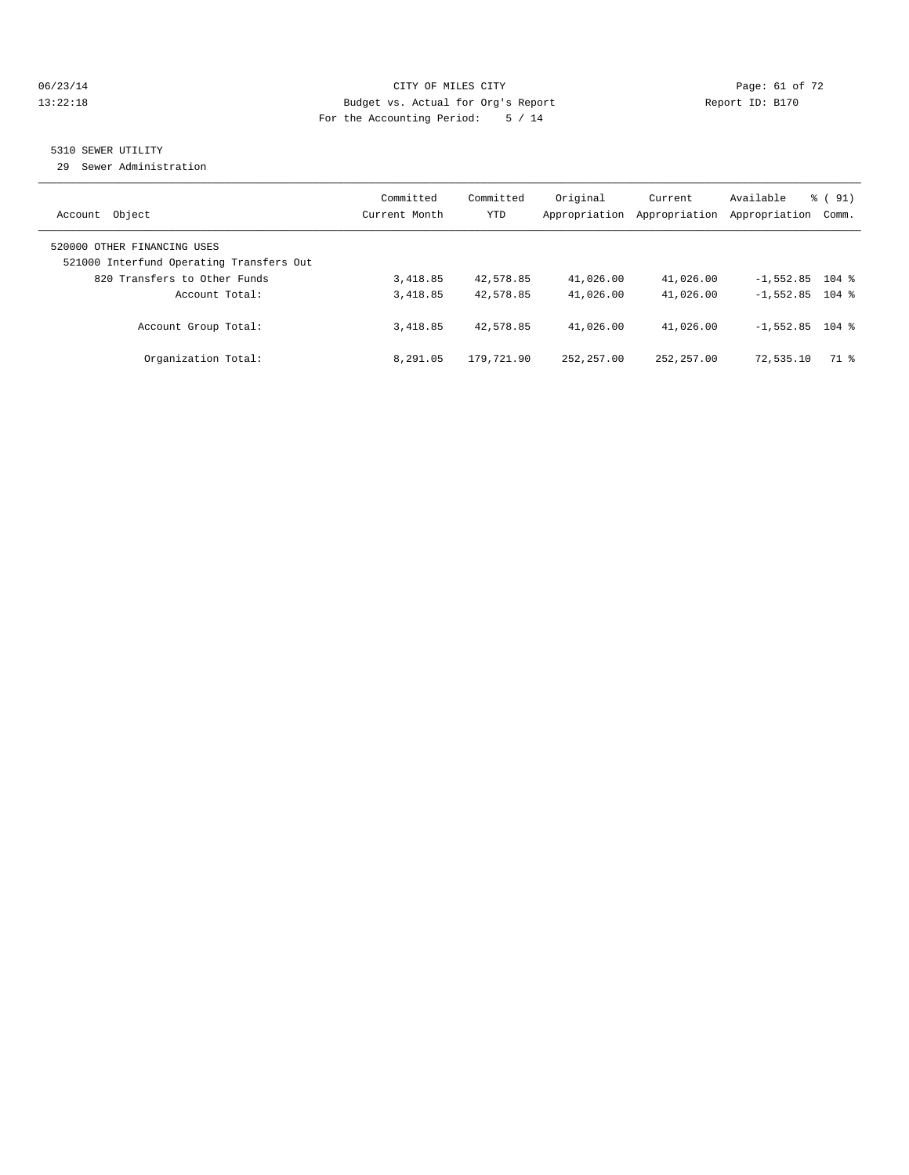#### 06/23/14 Page: 61 of 72 13:22:18 Budget vs. Actual for Org's Report Report ID: B170 For the Accounting Period: 5 / 14

## 5310 SEWER UTILITY

29 Sewer Administration

| Object                                                                                                  | Committed     | Committed  | Original      | Current       | Available         | $\frac{1}{6}$ (91) |
|---------------------------------------------------------------------------------------------------------|---------------|------------|---------------|---------------|-------------------|--------------------|
| Account                                                                                                 | Current Month | <b>YTD</b> | Appropriation | Appropriation | Appropriation     | Comm.              |
| 520000 OTHER FINANCING USES<br>521000 Interfund Operating Transfers Out<br>820 Transfers to Other Funds | 3,418.85      | 42,578.85  | 41,026.00     | 41,026.00     | $-1,552.85$ 104 % |                    |
| Account Total:                                                                                          | 3,418.85      | 42,578.85  | 41,026.00     | 41,026.00     | $-1.552.85$ 104 % |                    |
| Account Group Total:                                                                                    | 3,418.85      | 42,578.85  | 41,026.00     | 41,026.00     | $-1.552.85$ 104 % |                    |
| Organization Total:                                                                                     | 8,291.05      | 179,721.90 | 252, 257, 00  | 252, 257, 00  | 72,535.10         | 71 %               |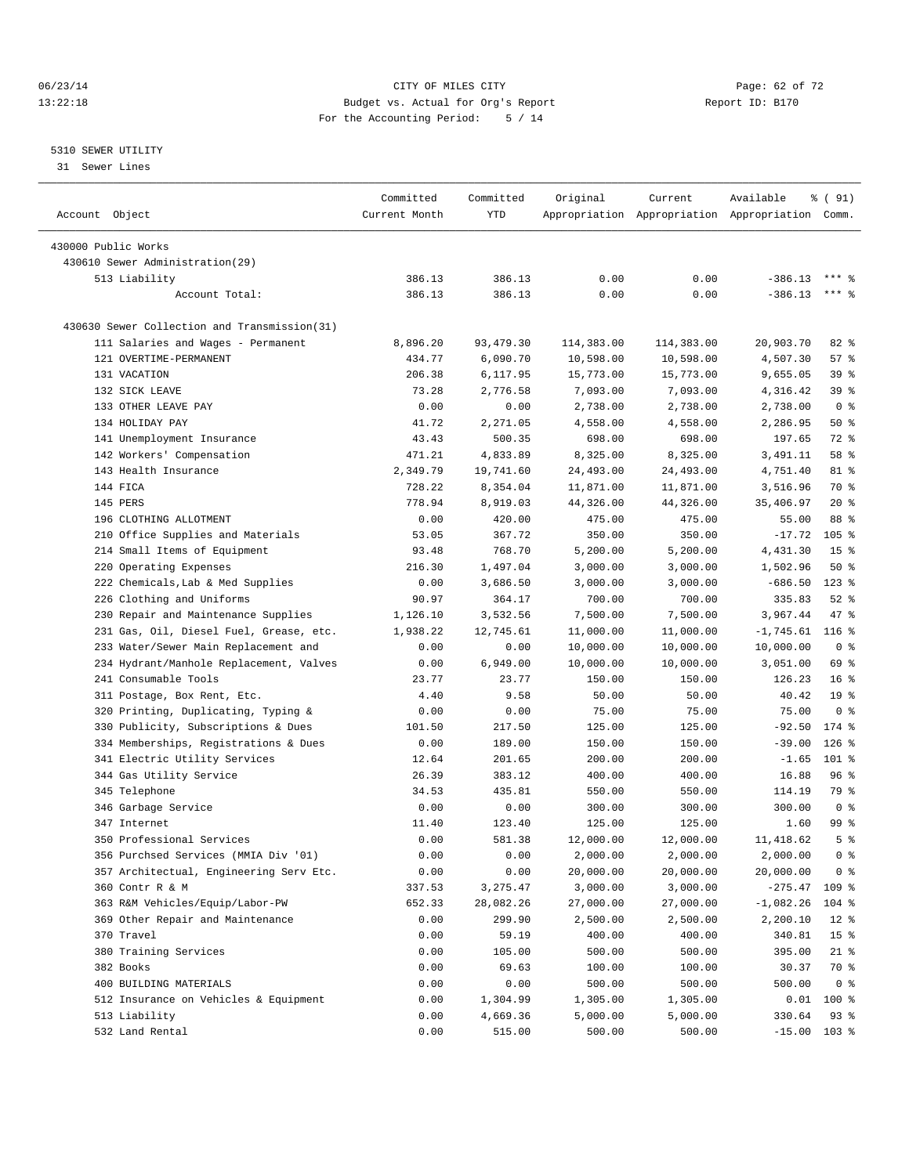06/23/14 Page: 62 of 72 13:22:18 Budget vs. Actual for Org's Report Report ID: B170 For the Accounting Period: 5 / 14

————————————————————————————————————————————————————————————————————————————————————————————————————————————————————————————————————

#### 5310 SEWER UTILITY

31 Sewer Lines

|                |                                              | Committed     | Committed  | Original   | Current                                         | Available       | % ( 91)                   |
|----------------|----------------------------------------------|---------------|------------|------------|-------------------------------------------------|-----------------|---------------------------|
| Account Object |                                              | Current Month | <b>YTD</b> |            | Appropriation Appropriation Appropriation Comm. |                 |                           |
|                | 430000 Public Works                          |               |            |            |                                                 |                 |                           |
|                | 430610 Sewer Administration(29)              |               |            |            |                                                 |                 |                           |
|                | 513 Liability                                | 386.13        | 386.13     | 0.00       | 0.00                                            | $-386.13$       | $***$ 2                   |
|                | Account Total:                               | 386.13        | 386.13     | 0.00       | 0.00                                            | $-386.13$       | *** 음                     |
|                |                                              |               |            |            |                                                 |                 |                           |
|                | 430630 Sewer Collection and Transmission(31) |               |            |            |                                                 |                 |                           |
|                | 111 Salaries and Wages - Permanent           | 8,896.20      | 93,479.30  | 114,383.00 | 114,383.00                                      | 20,903.70       | $82$ $%$                  |
|                | 121 OVERTIME-PERMANENT                       | 434.77        | 6,090.70   | 10,598.00  | 10,598.00                                       | 4,507.30        | 57%                       |
|                | 131 VACATION                                 | 206.38        | 6,117.95   | 15,773.00  | 15,773.00                                       | 9,655.05        | 39%                       |
|                | 132 SICK LEAVE                               | 73.28         | 2,776.58   | 7,093.00   | 7,093.00                                        | 4,316.42        | 39 %                      |
|                | 133 OTHER LEAVE PAY                          | 0.00          | 0.00       | 2,738.00   | 2,738.00                                        | 2,738.00        | 0 <sup>8</sup>            |
|                | 134 HOLIDAY PAY                              | 41.72         | 2,271.05   | 4,558.00   | 4,558.00                                        | 2,286.95        | 50%                       |
|                | 141 Unemployment Insurance                   | 43.43         | 500.35     | 698.00     | 698.00                                          | 197.65          | 72 %                      |
|                | 142 Workers' Compensation                    | 471.21        | 4,833.89   | 8,325.00   | 8,325.00                                        | 3,491.11        | 58 %                      |
|                | 143 Health Insurance                         | 2,349.79      | 19,741.60  | 24,493.00  | 24,493.00                                       | 4,751.40        | 81 %                      |
|                | 144 FICA                                     | 728.22        | 8,354.04   | 11,871.00  | 11,871.00                                       | 3,516.96        | 70 %                      |
|                | 145 PERS                                     | 778.94        | 8,919.03   | 44,326.00  | 44,326.00                                       | 35,406.97       | $20*$                     |
|                | 196 CLOTHING ALLOTMENT                       | 0.00          | 420.00     | 475.00     | 475.00                                          | 55.00           | 88 %                      |
|                | 210 Office Supplies and Materials            | 53.05         | 367.72     | 350.00     | 350.00                                          | $-17.72$        | 105 <sup>8</sup>          |
|                | 214 Small Items of Equipment                 | 93.48         | 768.70     | 5,200.00   | 5,200.00                                        | 4,431.30        | 15 <sup>°</sup>           |
|                | 220 Operating Expenses                       | 216.30        | 1,497.04   | 3,000.00   | 3,000.00                                        | 1,502.96        | 50%                       |
|                | 222 Chemicals, Lab & Med Supplies            | 0.00          | 3,686.50   | 3,000.00   | 3,000.00                                        | $-686.50$       | $123$ %                   |
|                | 226 Clothing and Uniforms                    | 90.97         | 364.17     | 700.00     | 700.00                                          | 335.83          | $52$ $%$                  |
|                | 230 Repair and Maintenance Supplies          | 1,126.10      | 3,532.56   | 7,500.00   | 7,500.00                                        | 3,967.44        | 47 %                      |
|                | 231 Gas, Oil, Diesel Fuel, Grease, etc.      | 1,938.22      | 12,745.61  | 11,000.00  | 11,000.00                                       | $-1,745.61$     | $116$ %                   |
|                | 233 Water/Sewer Main Replacement and         | 0.00          | 0.00       | 10,000.00  | 10,000.00                                       | 10,000.00       | 0 <sup>8</sup>            |
|                | 234 Hydrant/Manhole Replacement, Valves      | 0.00          | 6,949.00   | 10,000.00  | 10,000.00                                       | 3,051.00        | 69 %                      |
|                | 241 Consumable Tools                         | 23.77         | 23.77      | 150.00     | 150.00                                          | 126.23          | 16 <sup>8</sup>           |
|                | 311 Postage, Box Rent, Etc.                  | 4.40          | 9.58       | 50.00      | 50.00                                           | 40.42           | 19 <sup>°</sup>           |
|                | 320 Printing, Duplicating, Typing &          | 0.00          | 0.00       | 75.00      | 75.00                                           | 75.00           | 0 <sup>8</sup>            |
|                | 330 Publicity, Subscriptions & Dues          | 101.50        | 217.50     | 125.00     | 125.00                                          | $-92.50$        | 174 %                     |
|                | 334 Memberships, Registrations & Dues        | 0.00          | 189.00     | 150.00     | 150.00                                          | $-39.00$        | $126$ %                   |
|                | 341 Electric Utility Services                | 12.64         | 201.65     | 200.00     | 200.00                                          | $-1.65$         | 101 %                     |
|                | 344 Gas Utility Service                      | 26.39         | 383.12     | 400.00     | 400.00                                          | 16.88           | 96 %                      |
|                | 345 Telephone                                | 34.53         | 435.81     | 550.00     | 550.00                                          | 114.19          | 79 %                      |
|                | 346 Garbage Service                          | 0.00          | 0.00       | 300.00     | 300.00                                          | 300.00          | 0 <sup>8</sup>            |
|                | 347 Internet                                 | 11.40         | 123.40     | 125.00     | 125.00                                          | 1.60            | 99 %                      |
|                | 350 Professional Services                    | 0.00          | 581.38     | 12,000.00  | 12,000.00                                       | 11,418.62       | 5 <sup>°</sup>            |
|                | 356 Purchsed Services (MMIA Div '01)         | 0.00          | 0.00       | 2,000.00   | 2,000.00                                        | $2,000.00$ 0 %  |                           |
|                | 357 Architectual, Engineering Serv Etc.      | 0.00          | 0.00       | 20,000.00  | 20,000.00                                       | 20,000.00       | 0 <sup>8</sup>            |
|                | 360 Contr R & M                              | 337.53        | 3,275.47   | 3,000.00   | 3,000.00                                        | $-275.47$ 109 % |                           |
|                | 363 R&M Vehicles/Equip/Labor-PW              | 652.33        | 28,082.26  | 27,000.00  | 27,000.00                                       | -1,082.26       | $104$ %                   |
|                | 369 Other Repair and Maintenance             | 0.00          | 299.90     | 2,500.00   | 2,500.00                                        | 2,200.10        |                           |
|                | 370 Travel                                   | 0.00          | 59.19      | 400.00     | 400.00                                          | 340.81          | $12$ %<br>15 <sup>°</sup> |
|                | 380 Training Services                        | 0.00          | 105.00     | 500.00     | 500.00                                          | 395.00          | $21$ %                    |
|                |                                              |               |            |            |                                                 |                 |                           |
|                | 382 Books<br>400 BUILDING MATERIALS          | 0.00          | 69.63      | 100.00     | 100.00                                          | 30.37           | 70 %                      |
|                |                                              | 0.00          | 0.00       | 500.00     | 500.00                                          | 500.00          | 0 <sup>8</sup>            |
|                | 512 Insurance on Vehicles & Equipment        | 0.00          | 1,304.99   | 1,305.00   | 1,305.00                                        | 0.01            | 100 %                     |
|                | 513 Liability                                | 0.00          | 4,669.36   | 5,000.00   | 5,000.00                                        | 330.64          | 93%                       |
|                | 532 Land Rental                              | 0.00          | 515.00     | 500.00     | 500.00                                          |                 | $-15.00$ 103 %            |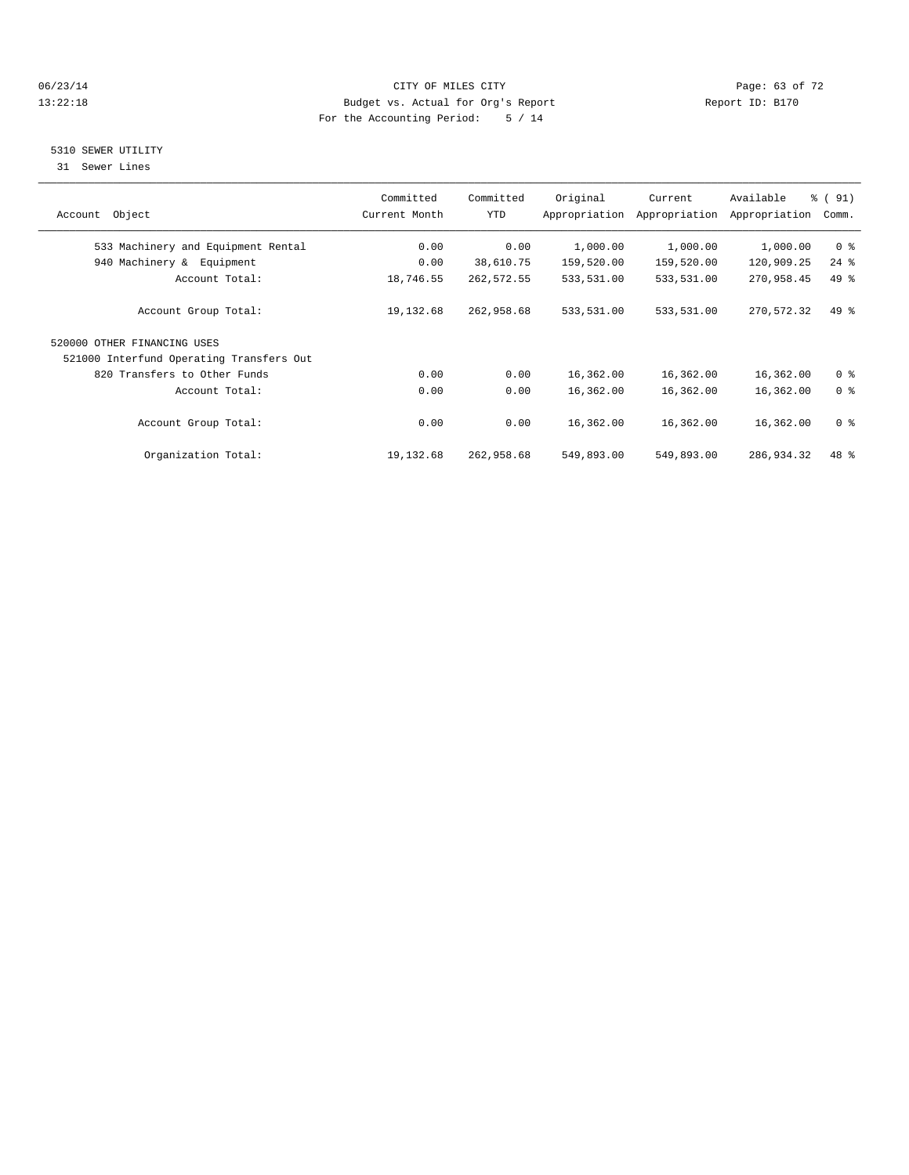#### 06/23/14 Page: 63 of 72 13:22:18 Budget vs. Actual for Org's Report Report ID: B170 For the Accounting Period: 5 / 14

#### 5310 SEWER UTILITY

31 Sewer Lines

| Account Object                           | Committed<br>Current Month | Committed<br>YTD | Original   | Current<br>Appropriation Appropriation | Available<br>Appropriation | $\frac{1}{6}$ (91)<br>Comm. |
|------------------------------------------|----------------------------|------------------|------------|----------------------------------------|----------------------------|-----------------------------|
| 533 Machinery and Equipment Rental       | 0.00                       | 0.00             | 1,000.00   | 1,000.00                               | 1,000.00                   | 0 <sup>8</sup>              |
| 940 Machinery & Equipment                | 0.00                       | 38,610.75        | 159,520.00 | 159,520.00                             | 120,909.25                 | $24$ %                      |
| Account Total:                           | 18,746.55                  | 262,572.55       | 533,531.00 | 533,531.00                             | 270,958.45                 | 49 %                        |
| Account Group Total:                     | 19,132.68                  | 262,958.68       | 533,531.00 | 533,531.00                             | 270,572.32                 | $49*$                       |
| 520000 OTHER FINANCING USES              |                            |                  |            |                                        |                            |                             |
| 521000 Interfund Operating Transfers Out |                            |                  |            |                                        |                            |                             |
| 820 Transfers to Other Funds             | 0.00                       | 0.00             | 16,362.00  | 16,362.00                              | 16,362.00                  | 0 <sup>8</sup>              |
| Account Total:                           | 0.00                       | 0.00             | 16,362.00  | 16,362.00                              | 16,362.00                  | 0 <sup>8</sup>              |
| Account Group Total:                     | 0.00                       | 0.00             | 16,362.00  | 16,362.00                              | 16,362.00                  | 0 <sup>8</sup>              |
| Organization Total:                      | 19,132.68                  | 262,958.68       | 549,893.00 | 549,893.00                             | 286,934.32                 | 48 %                        |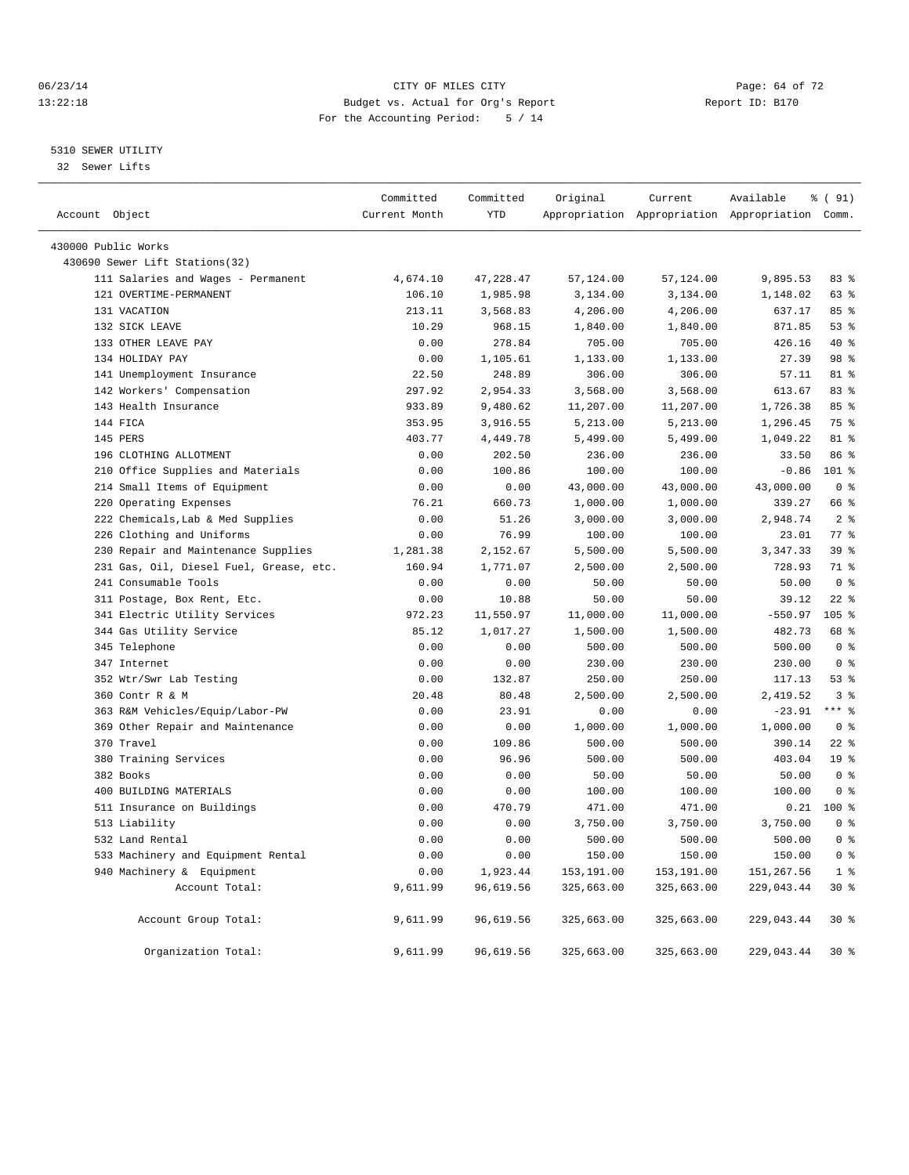#### 06/23/14 Page: 64 of 72 13:22:18 Budget vs. Actual for Org's Report Report ID: B170 For the Accounting Period: 5 / 14

#### 5310 SEWER UTILITY

32 Sewer Lifts

| Account Object |                                                                 | Committed<br>Current Month | Committed<br>YTD | Original          | Current              | Available<br>Appropriation Appropriation Appropriation Comm. | % ( 91)                |
|----------------|-----------------------------------------------------------------|----------------------------|------------------|-------------------|----------------------|--------------------------------------------------------------|------------------------|
|                |                                                                 |                            |                  |                   |                      |                                                              |                        |
|                | 430000 Public Works                                             |                            |                  |                   |                      |                                                              |                        |
|                | 430690 Sewer Lift Stations(32)                                  |                            |                  |                   |                      |                                                              |                        |
|                | 111 Salaries and Wages - Permanent                              | 4,674.10                   | 47,228.47        | 57,124.00         | 57,124.00            | 9,895.53                                                     | 83%                    |
|                | 121 OVERTIME-PERMANENT                                          | 106.10                     | 1,985.98         | 3,134.00          | 3,134.00             | 1,148.02                                                     | 63 %                   |
|                | 131 VACATION                                                    | 213.11                     | 3,568.83         | 4,206.00          | 4,206.00             | 637.17                                                       | 85%                    |
|                | 132 SICK LEAVE                                                  | 10.29                      | 968.15           | 1,840.00          | 1,840.00             | 871.85                                                       | $53$ $%$               |
|                | 133 OTHER LEAVE PAY                                             | 0.00                       | 278.84           | 705.00            | 705.00               | 426.16                                                       | 40 %                   |
|                | 134 HOLIDAY PAY                                                 | 0.00                       | 1,105.61         | 1,133.00          | 1,133.00             | 27.39                                                        | 98 %                   |
|                | 141 Unemployment Insurance                                      | 22.50                      | 248.89           | 306.00            | 306.00               | 57.11                                                        | 81 %                   |
|                | 142 Workers' Compensation                                       | 297.92                     | 2,954.33         | 3,568.00          | 3,568.00             | 613.67                                                       | 83 %                   |
|                | 143 Health Insurance                                            | 933.89                     | 9,480.62         | 11,207.00         | 11,207.00            | 1,726.38                                                     | 85%                    |
|                | 144 FICA                                                        | 353.95                     | 3,916.55         | 5,213.00          | 5,213.00             | 1,296.45                                                     | 75 %                   |
|                | 145 PERS                                                        | 403.77                     | 4,449.78         | 5,499.00          | 5,499.00             | 1,049.22                                                     | 81 %                   |
|                | 196 CLOTHING ALLOTMENT                                          | 0.00                       | 202.50           | 236.00            | 236.00               | 33.50                                                        | 86 %                   |
|                | 210 Office Supplies and Materials                               | 0.00                       | 100.86           | 100.00            | 100.00               | $-0.86$                                                      | 101 %                  |
|                | 214 Small Items of Equipment                                    | 0.00                       | 0.00             | 43,000.00         | 43,000.00            | 43,000.00                                                    | 0 <sup>8</sup>         |
|                | 220 Operating Expenses                                          | 76.21                      | 660.73           | 1,000.00          | 1,000.00             | 339.27                                                       | 66 %                   |
|                | 222 Chemicals, Lab & Med Supplies                               | 0.00                       | 51.26            | 3,000.00          | 3,000.00             | 2,948.74                                                     | 2 <sub>8</sub>         |
|                | 226 Clothing and Uniforms<br>Repair and Maintenance Supplies    | 0.00                       | 76.99            | 100.00            | 100.00               | 23.01                                                        | 77.8                   |
| 230            |                                                                 | 1,281.38                   | 2,152.67         | 5,500.00          | 5,500.00<br>2,500.00 | 3,347.33<br>728.93                                           | 39 %                   |
|                | 231 Gas, Oil, Diesel Fuel, Grease, etc.<br>241 Consumable Tools | 160.94<br>0.00             | 1,771.07<br>0.00 | 2,500.00<br>50.00 | 50.00                | 50.00                                                        | 71 %<br>0 <sup>8</sup> |
|                |                                                                 | 0.00                       | 10.88            | 50.00             | 50.00                | 39.12                                                        | $22$ %                 |
|                | 311 Postage, Box Rent, Etc.<br>341 Electric Utility Services    | 972.23                     | 11,550.97        | 11,000.00         | 11,000.00            | $-550.97$                                                    | 105 %                  |
|                | 344 Gas Utility Service                                         | 85.12                      | 1,017.27         | 1,500.00          | 1,500.00             | 482.73                                                       | 68 %                   |
|                | 345 Telephone                                                   | 0.00                       | 0.00             | 500.00            | 500.00               | 500.00                                                       | 0 <sup>8</sup>         |
|                | 347 Internet                                                    | 0.00                       | 0.00             | 230.00            | 230.00               | 230.00                                                       | 0 <sup>8</sup>         |
|                | 352 Wtr/Swr Lab Testing                                         | 0.00                       | 132.87           | 250.00            | 250.00               | 117.13                                                       | 53%                    |
|                | 360 Contr R & M                                                 | 20.48                      | 80.48            | 2,500.00          | 2,500.00             | 2,419.52                                                     | 3 <sup>8</sup>         |
|                | 363 R&M Vehicles/Equip/Labor-PW                                 | 0.00                       | 23.91            | 0.00              | 0.00                 | $-23.91$                                                     | $***$ $%$              |
|                | 369 Other Repair and Maintenance                                | 0.00                       | 0.00             | 1,000.00          | 1,000.00             | 1,000.00                                                     | 0 <sup>8</sup>         |
|                | 370 Travel                                                      | 0.00                       | 109.86           | 500.00            | 500.00               | 390.14                                                       | $22$ %                 |
|                | 380 Training Services                                           | 0.00                       | 96.96            | 500.00            | 500.00               | 403.04                                                       | 19 <sup>°</sup>        |
|                | 382 Books                                                       | 0.00                       | 0.00             | 50.00             | 50.00                | 50.00                                                        | 0 <sup>8</sup>         |
|                | 400 BUILDING MATERIALS                                          | 0.00                       | 0.00             | 100.00            | 100.00               | 100.00                                                       | 0 <sup>8</sup>         |
|                | 511 Insurance on Buildings                                      | 0.00                       | 470.79           | 471.00            | 471.00               | 0.21                                                         | $100*$                 |
|                | 513 Liability                                                   | 0.00                       | 0.00             | 3,750.00          | 3,750.00             | 3,750.00                                                     | 0 <sup>8</sup>         |
|                | 532 Land Rental                                                 | 0.00                       | 0.00             | 500.00            | 500.00               | 500.00                                                       | 0 <sup>8</sup>         |
|                | 533 Machinery and Equipment Rental                              | 0.00                       | 0.00             | 150.00            | 150.00               | 150.00                                                       | 0 <sup>8</sup>         |
|                | 940 Machinery & Equipment                                       | 0.00                       | 1,923.44         | 153,191.00        | 153,191.00           | 151, 267.56                                                  | 1 <sup>8</sup>         |
|                | Account Total:                                                  | 9,611.99                   | 96,619.56        | 325,663.00        | 325,663.00           | 229,043.44                                                   | 30 %                   |
|                |                                                                 |                            |                  |                   |                      |                                                              |                        |
|                | Account Group Total:                                            | 9,611.99                   | 96,619.56        | 325,663.00        | 325,663.00           | 229,043.44                                                   | $30*$                  |
|                | Organization Total:                                             | 9,611.99                   | 96,619.56        | 325,663.00        | 325,663.00           | 229,043.44                                                   | 30%                    |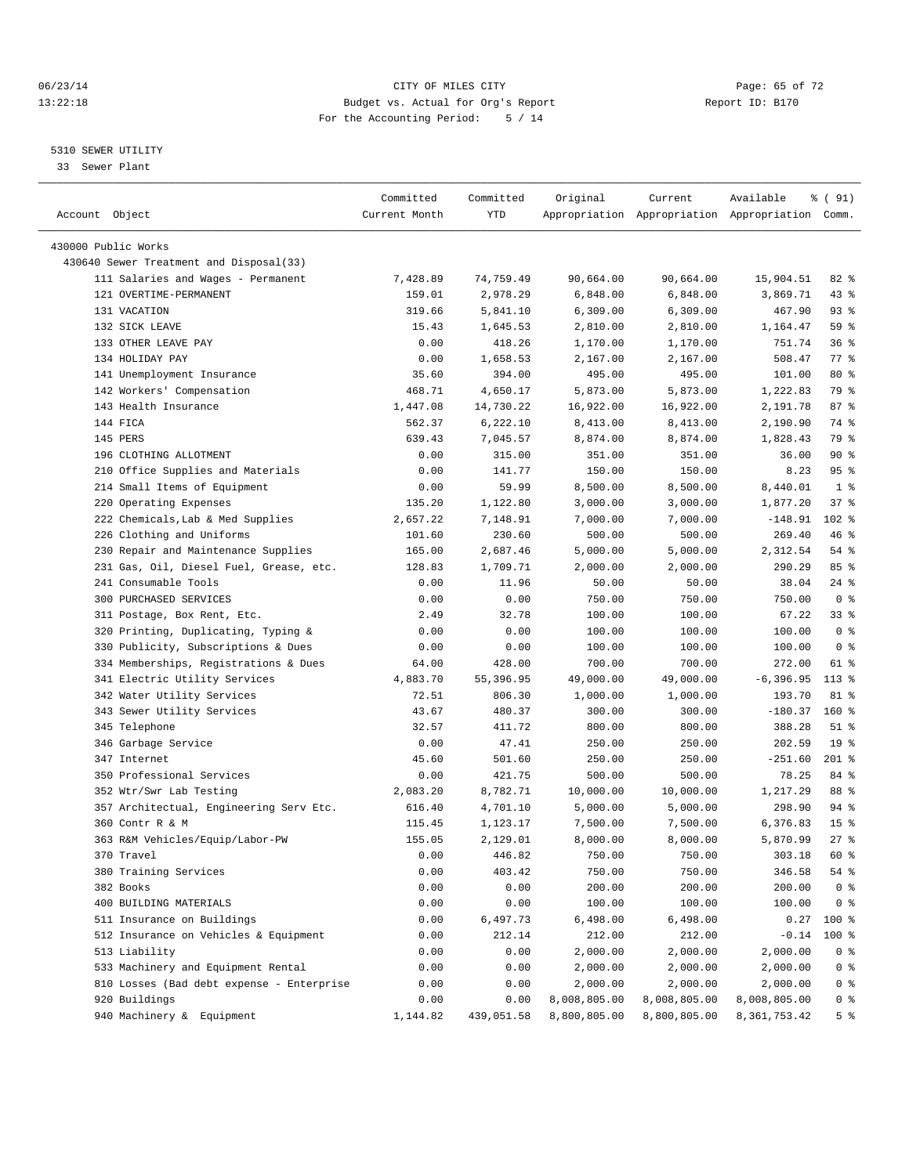#### 06/23/14 Page: 65 of 72 13:22:18 Budget vs. Actual for Org's Report Report ID: B170 For the Accounting Period: 5 / 14

————————————————————————————————————————————————————————————————————————————————————————————————————————————————————————————————————

#### 5310 SEWER UTILITY

33 Sewer Plant

|                                           | Committed     | Committed  | Original     | Current      | Available                                       | $\frac{1}{6}$ (91) |
|-------------------------------------------|---------------|------------|--------------|--------------|-------------------------------------------------|--------------------|
| Account Object                            | Current Month | YTD        |              |              | Appropriation Appropriation Appropriation Comm. |                    |
|                                           |               |            |              |              |                                                 |                    |
| 430000 Public Works                       |               |            |              |              |                                                 |                    |
| 430640 Sewer Treatment and Disposal(33)   |               |            |              |              |                                                 |                    |
| 111 Salaries and Wages - Permanent        | 7,428.89      | 74,759.49  | 90,664.00    | 90,664.00    | 15,904.51                                       | 82 %               |
| 121 OVERTIME-PERMANENT                    | 159.01        | 2,978.29   | 6,848.00     | 6,848.00     | 3,869.71                                        | $43$ %             |
| 131 VACATION                              | 319.66        | 5,841.10   | 6,309.00     | 6,309.00     | 467.90                                          | $93$ $%$           |
| 132 SICK LEAVE                            | 15.43         | 1,645.53   | 2,810.00     | 2,810.00     | 1,164.47                                        | 59 %               |
| 133 OTHER LEAVE PAY                       | 0.00          | 418.26     | 1,170.00     | 1,170.00     | 751.74                                          | 36%                |
| 134 HOLIDAY PAY                           | 0.00          | 1,658.53   | 2,167.00     | 2,167.00     | 508.47                                          | 77.8               |
| 141 Unemployment Insurance                | 35.60         | 394.00     | 495.00       | 495.00       | 101.00                                          | 80 %               |
| 142 Workers' Compensation                 | 468.71        | 4,650.17   | 5,873.00     | 5,873.00     | 1,222.83                                        | 79 %               |
| 143 Health Insurance                      | 1,447.08      | 14,730.22  | 16,922.00    | 16,922.00    | 2,191.78                                        | 87%                |
| 144 FICA                                  | 562.37        | 6,222.10   | 8,413.00     | 8,413.00     | 2,190.90                                        | 74 %               |
| 145 PERS                                  | 639.43        | 7,045.57   | 8,874.00     | 8,874.00     | 1,828.43                                        | 79 %               |
| 196 CLOTHING ALLOTMENT                    | 0.00          | 315.00     | 351.00       | 351.00       | 36.00                                           | 90%                |
| 210 Office Supplies and Materials         | 0.00          | 141.77     | 150.00       | 150.00       | 8.23                                            | 95%                |
| 214 Small Items of Equipment              | 0.00          | 59.99      | 8,500.00     | 8,500.00     | 8,440.01                                        | 1 <sup>8</sup>     |
| 220 Operating Expenses                    | 135.20        | 1,122.80   | 3,000.00     | 3,000.00     | 1,877.20                                        | 37%                |
| 222 Chemicals, Lab & Med Supplies         | 2,657.22      | 7,148.91   | 7,000.00     | 7,000.00     | $-148.91$                                       | 102 %              |
| 226 Clothing and Uniforms                 | 101.60        | 230.60     | 500.00       | 500.00       | 269.40                                          | 46 %               |
| 230 Repair and Maintenance Supplies       | 165.00        | 2,687.46   | 5,000.00     | 5,000.00     | 2,312.54                                        | 54 %               |
| 231 Gas, Oil, Diesel Fuel, Grease, etc.   | 128.83        | 1,709.71   | 2,000.00     | 2,000.00     | 290.29                                          | 85%                |
| 241 Consumable Tools                      | 0.00          | 11.96      | 50.00        | 50.00        | 38.04                                           | $24$ %             |
| 300 PURCHASED SERVICES                    | 0.00          | 0.00       | 750.00       | 750.00       | 750.00                                          | 0 <sup>8</sup>     |
| 311 Postage, Box Rent, Etc.               | 2.49          | 32.78      | 100.00       | 100.00       | 67.22                                           | 338                |
| 320 Printing, Duplicating, Typing &       | 0.00          | 0.00       | 100.00       | 100.00       | 100.00                                          | 0 <sup>8</sup>     |
| 330 Publicity, Subscriptions & Dues       | 0.00          | 0.00       | 100.00       | 100.00       | 100.00                                          | 0 <sup>8</sup>     |
| 334 Memberships, Registrations & Dues     | 64.00         | 428.00     | 700.00       | 700.00       | 272.00                                          | 61 %               |
| 341 Electric Utility Services             | 4,883.70      | 55,396.95  | 49,000.00    | 49,000.00    | $-6, 396.95$                                    | $113*$             |
| 342 Water Utility Services                | 72.51         | 806.30     | 1,000.00     | 1,000.00     | 193.70                                          | 81 %               |
| 343 Sewer Utility Services                | 43.67         | 480.37     | 300.00       | 300.00       | $-180.37$                                       | $160*$             |
| 345 Telephone                             | 32.57         | 411.72     | 800.00       | 800.00       | 388.28                                          | $51$ %             |
| 346 Garbage Service                       | 0.00          | 47.41      | 250.00       | 250.00       | 202.59                                          | 19 <sup>°</sup>    |
| 347 Internet                              | 45.60         | 501.60     | 250.00       | 250.00       | $-251.60$                                       | $201$ %            |
| 350 Professional Services                 | 0.00          | 421.75     | 500.00       | 500.00       | 78.25                                           | 84 %               |
| 352 Wtr/Swr Lab Testing                   | 2,083.20      | 8,782.71   | 10,000.00    | 10,000.00    | 1,217.29                                        | 88 %               |
| 357 Architectual, Engineering Serv Etc.   | 616.40        | 4,701.10   | 5,000.00     | 5,000.00     | 298.90                                          | 94 %               |
| 360 Contr R & M                           | 115.45        | 1,123.17   | 7,500.00     | 7,500.00     | 6,376.83                                        | 15 <sup>8</sup>    |
| 363 R&M Vehicles/Equip/Labor-PW           | 155.05        | 2,129.01   | 8,000.00     | 8,000.00     | 5,870.99                                        | $27$ %             |
| 370 Travel                                | 0.00          | 446.82     | 750.00       | 750.00       | 303.18                                          | 60 %               |
| 380 Training Services                     | 0.00          | 403.42     | 750.00       | 750.00       | 346.58                                          | 54 %               |
| 382 Books                                 | 0.00          | 0.00       | 200.00       | 200.00       | 200.00                                          | 0 <sup>8</sup>     |
| 400 BUILDING MATERIALS                    | 0.00          | 0.00       | 100.00       | 100.00       | 100.00                                          | 0 <sup>8</sup>     |
| 511 Insurance on Buildings                | 0.00          | 6,497.73   | 6,498.00     | 6,498.00     | 0.27                                            | 100 %              |
| 512 Insurance on Vehicles & Equipment     | 0.00          | 212.14     | 212.00       | 212.00       | $-0.14$                                         | 100 %              |
| 513 Liability                             | 0.00          | 0.00       | 2,000.00     | 2,000.00     | 2,000.00                                        | 0 <sup>8</sup>     |
| 533 Machinery and Equipment Rental        | 0.00          | 0.00       | 2,000.00     | 2,000.00     | 2,000.00                                        | 0 <sup>8</sup>     |
| 810 Losses (Bad debt expense - Enterprise | 0.00          | 0.00       | 2,000.00     | 2,000.00     | 2,000.00                                        | 0 <sup>8</sup>     |
| 920 Buildings                             | 0.00          | 0.00       | 8,008,805.00 | 8,008,805.00 | 8,008,805.00                                    | $0$ %              |
| 940 Machinery & Equipment                 | 1,144.82      | 439,051.58 | 8,800,805.00 | 8,800,805.00 | 8, 361, 753. 42                                 | 5 <sup>°</sup>     |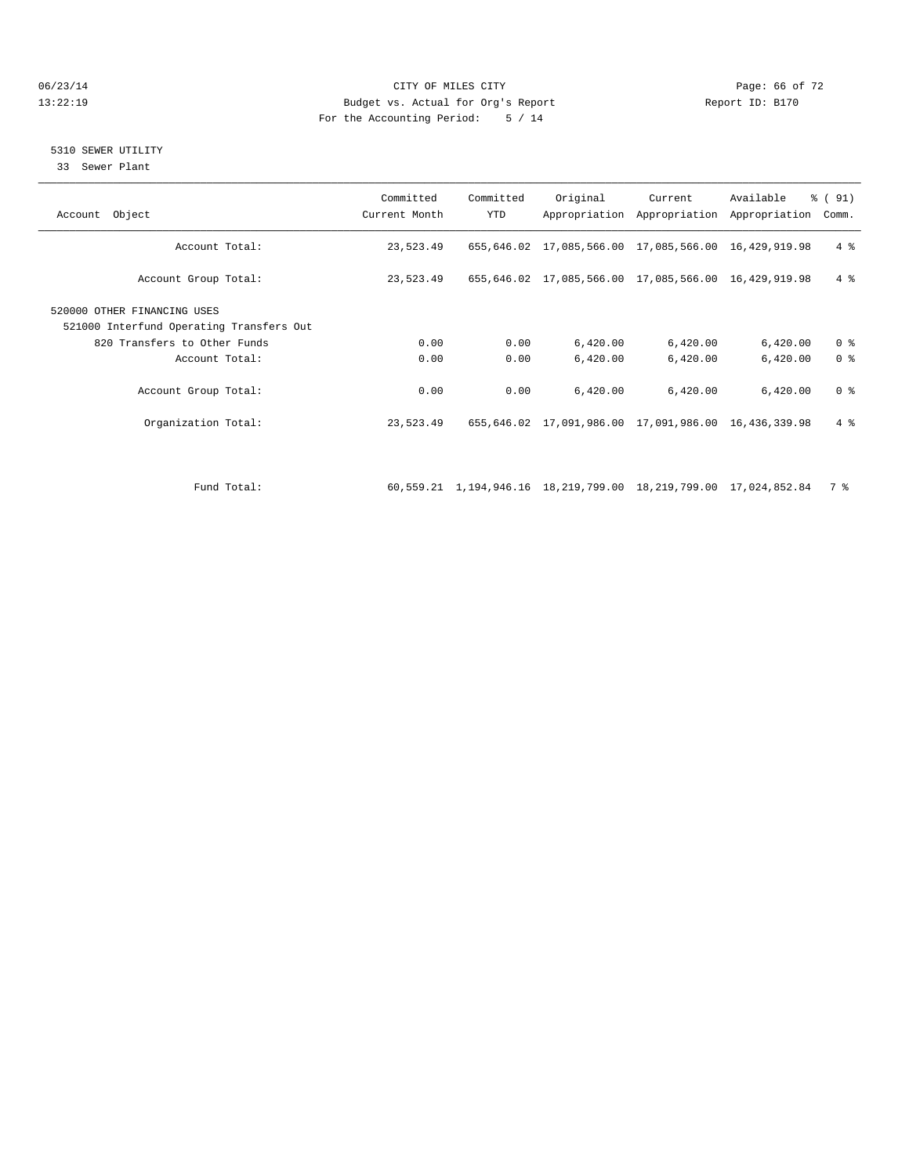#### 06/23/14 Page: 66 of 72 13:22:19 Budget vs. Actual for Org's Report Report ID: B170 For the Accounting Period: 5 / 14

#### 5310 SEWER UTILITY

33 Sewer Plant

| Account Object                                                          | Committed<br>Current Month | Committed<br><b>YTD</b> | Original                                                         | Current  | Available<br>Appropriation Appropriation Appropriation | $\frac{1}{6}$ (91)<br>Comm. |
|-------------------------------------------------------------------------|----------------------------|-------------------------|------------------------------------------------------------------|----------|--------------------------------------------------------|-----------------------------|
| Account Total:                                                          | 23,523.49                  |                         | 655,646.02 17,085,566.00 17,085,566.00 16,429,919.98             |          |                                                        | 4%                          |
| Account Group Total:                                                    | 23,523.49                  |                         | 655,646.02 17,085,566.00 17,085,566.00 16,429,919.98             |          |                                                        | $4 \text{ }$                |
| 520000 OTHER FINANCING USES<br>521000 Interfund Operating Transfers Out |                            |                         |                                                                  |          |                                                        |                             |
| 820 Transfers to Other Funds                                            | 0.00                       | 0.00                    | 6,420.00                                                         | 6,420.00 | 6,420.00                                               | 0 <sup>8</sup>              |
| Account Total:                                                          | 0.00                       | 0.00                    | 6,420.00                                                         | 6,420.00 | 6,420.00                                               | 0 <sup>8</sup>              |
| Account Group Total:                                                    | 0.00                       | 0.00                    | 6,420.00                                                         | 6,420.00 | 6,420.00                                               | 0 <sup>8</sup>              |
| Organization Total:                                                     | 23,523.49                  |                         | 655,646.02 17,091,986.00 17,091,986.00 16,436,339.98             |          |                                                        | $4 \text{ }$                |
|                                                                         |                            |                         |                                                                  |          |                                                        |                             |
| Fund Total:                                                             |                            |                         | 60,559.21 1,194,946.16 18,219,799.00 18,219,799.00 17,024,852.84 |          |                                                        | 7 %                         |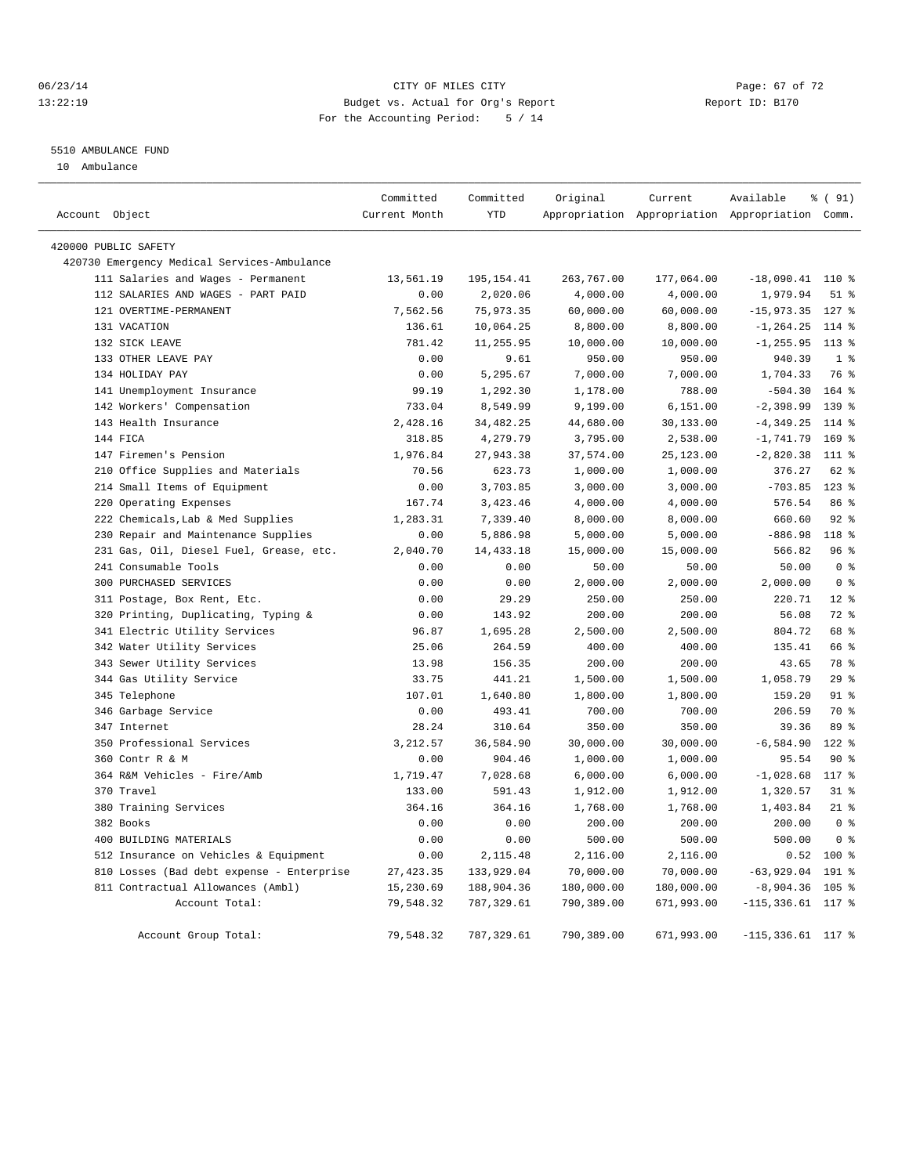#### 06/23/14 Page: 67 of 72 13:22:19 Budget vs. Actual for Org's Report Report ID: B170 For the Accounting Period: 5 / 14

#### 5510 AMBULANCE FUND

10 Ambulance

|                                             | Committed     | Committed   | Original   | Current    | Available                                       | % (91)           |
|---------------------------------------------|---------------|-------------|------------|------------|-------------------------------------------------|------------------|
| Account Object                              | Current Month | <b>YTD</b>  |            |            | Appropriation Appropriation Appropriation Comm. |                  |
| 420000 PUBLIC SAFETY                        |               |             |            |            |                                                 |                  |
| 420730 Emergency Medical Services-Ambulance |               |             |            |            |                                                 |                  |
| 111 Salaries and Wages - Permanent          | 13,561.19     | 195, 154.41 | 263,767.00 | 177,064.00 | $-18,090.41$ 110 %                              |                  |
| 112 SALARIES AND WAGES - PART PAID          | 0.00          | 2,020.06    | 4,000.00   | 4,000.00   | 1,979.94                                        | $51$ %           |
| 121 OVERTIME-PERMANENT                      | 7,562.56      | 75,973.35   | 60,000.00  | 60,000.00  | $-15,973.35$                                    | $127$ %          |
| 131 VACATION                                | 136.61        | 10,064.25   | 8,800.00   | 8,800.00   | $-1, 264.25$                                    | 114 %            |
| 132 SICK LEAVE                              | 781.42        | 11,255.95   | 10,000.00  | 10,000.00  | $-1, 255.95$ 113 %                              |                  |
| 133 OTHER LEAVE PAY                         | 0.00          | 9.61        | 950.00     | 950.00     | 940.39                                          | 1 <sup>8</sup>   |
| 134 HOLIDAY PAY                             | 0.00          | 5,295.67    | 7,000.00   | 7,000.00   | 1,704.33                                        | 76 %             |
| 141 Unemployment Insurance                  | 99.19         | 1,292.30    | 1,178.00   | 788.00     | $-504.30$                                       | $164$ %          |
| 142 Workers' Compensation                   | 733.04        | 8,549.99    | 9,199.00   | 6,151.00   | $-2,398.99$                                     | 139.8            |
| 143 Health Insurance                        | 2,428.16      | 34, 482. 25 | 44,680.00  | 30,133.00  | $-4, 349.25$                                    | 114 %            |
| 144 FICA                                    | 318.85        | 4,279.79    | 3,795.00   | 2,538.00   | $-1,741.79$                                     | 169 %            |
| 147 Firemen's Pension                       | 1,976.84      | 27,943.38   | 37,574.00  | 25,123.00  | $-2,820.38$                                     | 111 %            |
| 210 Office Supplies and Materials           | 70.56         | 623.73      | 1,000.00   | 1,000.00   | 376.27                                          | 62 %             |
| 214 Small Items of Equipment                | 0.00          | 3,703.85    | 3,000.00   | 3,000.00   | $-703.85$                                       | $123$ $%$        |
| 220 Operating Expenses                      | 167.74        | 3,423.46    | 4,000.00   | 4,000.00   | 576.54                                          | 86 %             |
| 222 Chemicals, Lab & Med Supplies           | 1,283.31      | 7,339.40    | 8,000.00   | 8,000.00   | 660.60                                          | 92%              |
| 230 Repair and Maintenance Supplies         | 0.00          | 5,886.98    | 5,000.00   | 5,000.00   | $-886.98$                                       | 118 <sup>°</sup> |
| 231 Gas, Oil, Diesel Fuel, Grease, etc.     | 2,040.70      | 14, 433.18  | 15,000.00  | 15,000.00  | 566.82                                          | 96%              |
| 241 Consumable Tools                        | 0.00          | 0.00        | 50.00      | 50.00      | 50.00                                           | 0 <sup>8</sup>   |
| 300 PURCHASED SERVICES                      | 0.00          | 0.00        | 2,000.00   | 2,000.00   | 2,000.00                                        | 0 <sup>8</sup>   |
| 311 Postage, Box Rent, Etc.                 | 0.00          | 29.29       | 250.00     | 250.00     | 220.71                                          | $12*$            |
| 320 Printing, Duplicating, Typing &         | 0.00          | 143.92      | 200.00     | 200.00     | 56.08                                           | $72$ $%$         |
| 341 Electric Utility Services               | 96.87         | 1,695.28    | 2,500.00   | 2,500.00   | 804.72                                          | 68 %             |
| 342 Water Utility Services                  | 25.06         | 264.59      | 400.00     | 400.00     | 135.41                                          | 66 %             |
| 343 Sewer Utility Services                  | 13.98         | 156.35      | 200.00     | 200.00     | 43.65                                           | 78 %             |
| 344 Gas Utility Service                     | 33.75         | 441.21      | 1,500.00   | 1,500.00   | 1,058.79                                        | 29%              |
| 345 Telephone                               | 107.01        | 1,640.80    | 1,800.00   | 1,800.00   | 159.20                                          | $91$ %           |
| 346 Garbage Service                         | 0.00          | 493.41      | 700.00     | 700.00     | 206.59                                          | 70 %             |
| 347 Internet                                | 28.24         | 310.64      | 350.00     | 350.00     | 39.36                                           | 89 %             |
| 350 Professional Services                   | 3,212.57      | 36,584.90   | 30,000.00  | 30,000.00  | $-6,584.90$                                     | $122$ $%$        |
| 360 Contr R & M                             | 0.00          | 904.46      | 1,000.00   | 1,000.00   | 95.54                                           | $90*$            |
| 364 R&M Vehicles - Fire/Amb                 | 1,719.47      | 7,028.68    | 6,000.00   | 6,000.00   | $-1,028.68$                                     | 117 %            |
| 370 Travel                                  | 133.00        | 591.43      | 1,912.00   | 1,912.00   | 1,320.57                                        | 31.8             |
| 380 Training Services                       | 364.16        | 364.16      | 1,768.00   | 1,768.00   | 1,403.84                                        | $21$ %           |
| 382 Books                                   | 0.00          | 0.00        | 200.00     | 200.00     | 200.00                                          | 0 <sup>8</sup>   |
| 400 BUILDING MATERIALS                      | 0.00          | 0.00        | 500.00     | 500.00     | 500.00                                          | 0 <sup>8</sup>   |
| 512 Insurance on Vehicles & Equipment       | 0.00          | 2,115.48    | 2,116.00   | 2,116.00   |                                                 | $0.52$ 100 %     |
| 810 Losses (Bad debt expense - Enterprise   | 27, 423.35    | 133,929.04  | 70,000.00  | 70,000.00  | $-63,929.04$                                    | 191 %            |
| 811 Contractual Allowances (Ambl)           | 15,230.69     | 188,904.36  | 180,000.00 | 180,000.00 | $-8,904.36$                                     | $105$ %          |
| Account Total:                              | 79,548.32     | 787, 329.61 | 790,389.00 | 671,993.00 | $-115, 336.61$                                  | 117 %            |
| Account Group Total:                        | 79,548.32     | 787, 329.61 | 790,389.00 | 671,993.00 | $-115,336.61$ 117 %                             |                  |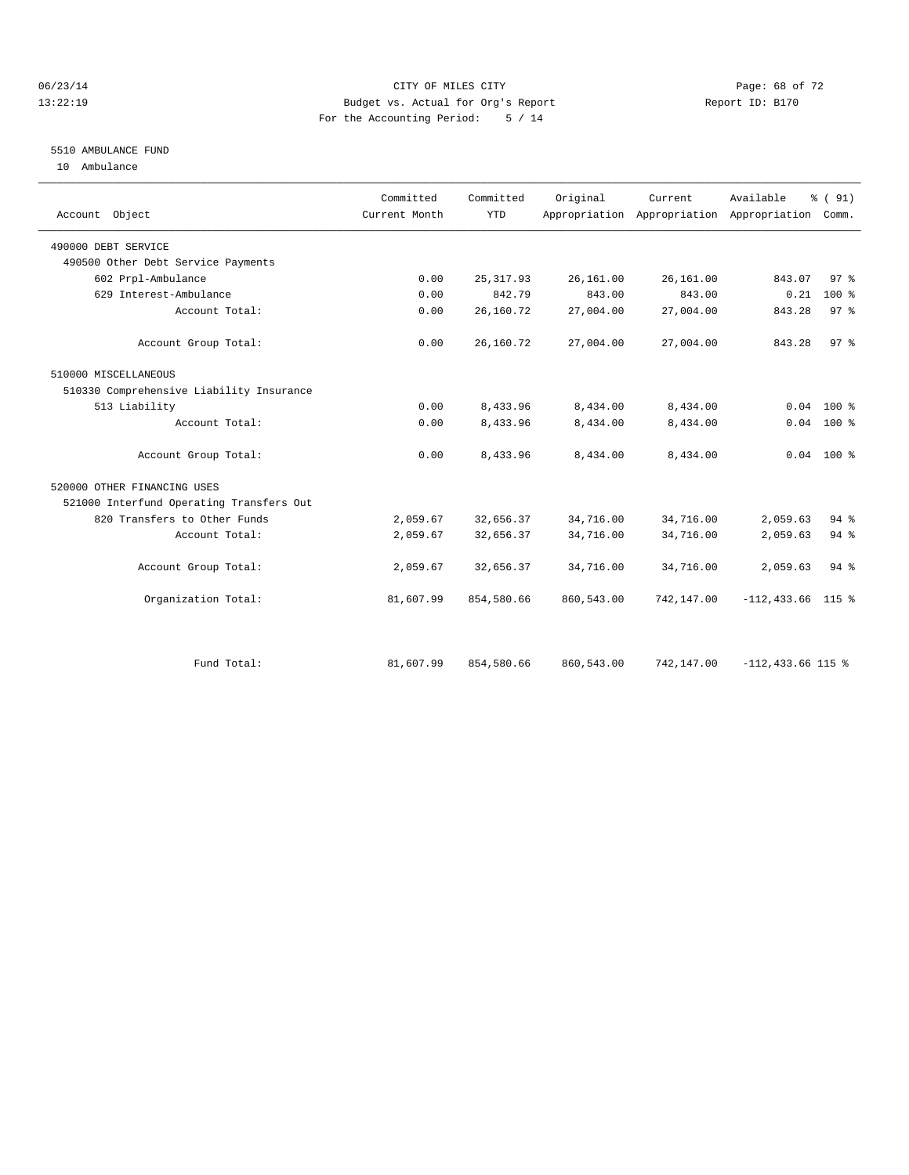#### 06/23/14 Page: 68 of 72 13:22:19 Budget vs. Actual for Org's Report Report ID: B170 For the Accounting Period: 5 / 14

### 5510 AMBULANCE FUND

10 Ambulance

| Account Object                           | Committed<br>Current Month | Committed<br><b>YTD</b> | Original   | Current.   | Available<br>Appropriation Appropriation Appropriation Comm. | % (91)          |
|------------------------------------------|----------------------------|-------------------------|------------|------------|--------------------------------------------------------------|-----------------|
| 490000 DEBT SERVICE                      |                            |                         |            |            |                                                              |                 |
| 490500 Other Debt Service Payments       |                            |                         |            |            |                                                              |                 |
| 602 Prpl-Ambulance                       | 0.00                       | 25, 317.93              | 26,161.00  | 26,161.00  | 843.07                                                       | 97%             |
| 629 Interest-Ambulance                   | 0.00                       | 842.79                  | 843.00     | 843.00     | 0.21                                                         | $100*$          |
| Account Total:                           | 0.00                       | 26,160.72               | 27,004.00  | 27,004.00  | 843.28                                                       | 97 <sup>8</sup> |
| Account Group Total:                     | 0.00                       | 26,160.72               | 27,004.00  | 27,004.00  | 843.28                                                       | 97%             |
| 510000 MISCELLANEOUS                     |                            |                         |            |            |                                                              |                 |
| 510330 Comprehensive Liability Insurance |                            |                         |            |            |                                                              |                 |
| 513 Liability                            | 0.00                       | 8,433.96                | 8,434.00   | 8,434.00   | 0.04                                                         | $100*$          |
| Account Total:                           | 0.00                       | 8,433.96                | 8,434.00   | 8,434.00   |                                                              | $0.04$ 100 %    |
| Account Group Total:                     | 0.00                       | 8,433.96                | 8,434.00   | 8,434.00   |                                                              | $0.04$ 100 %    |
| 520000 OTHER FINANCING USES              |                            |                         |            |            |                                                              |                 |
| 521000 Interfund Operating Transfers Out |                            |                         |            |            |                                                              |                 |
| 820 Transfers to Other Funds             | 2,059.67                   | 32,656.37               | 34,716.00  | 34,716.00  | 2,059.63                                                     | 94 %            |
| Account Total:                           | 2,059.67                   | 32,656.37               | 34,716.00  | 34,716.00  | 2,059.63                                                     | $94$ $%$        |
| Account Group Total:                     | 2,059.67                   | 32,656.37               | 34,716.00  | 34,716.00  | 2,059.63                                                     | $94$ $%$        |
| Organization Total:                      | 81,607.99                  | 854,580.66              | 860,543.00 | 742,147.00 | $-112, 433.66$ 115 %                                         |                 |
|                                          |                            |                         |            |            |                                                              |                 |
| Fund Total:                              | 81,607.99                  | 854,580.66              | 860,543.00 | 742,147.00 | $-112,433.66$ 115 %                                          |                 |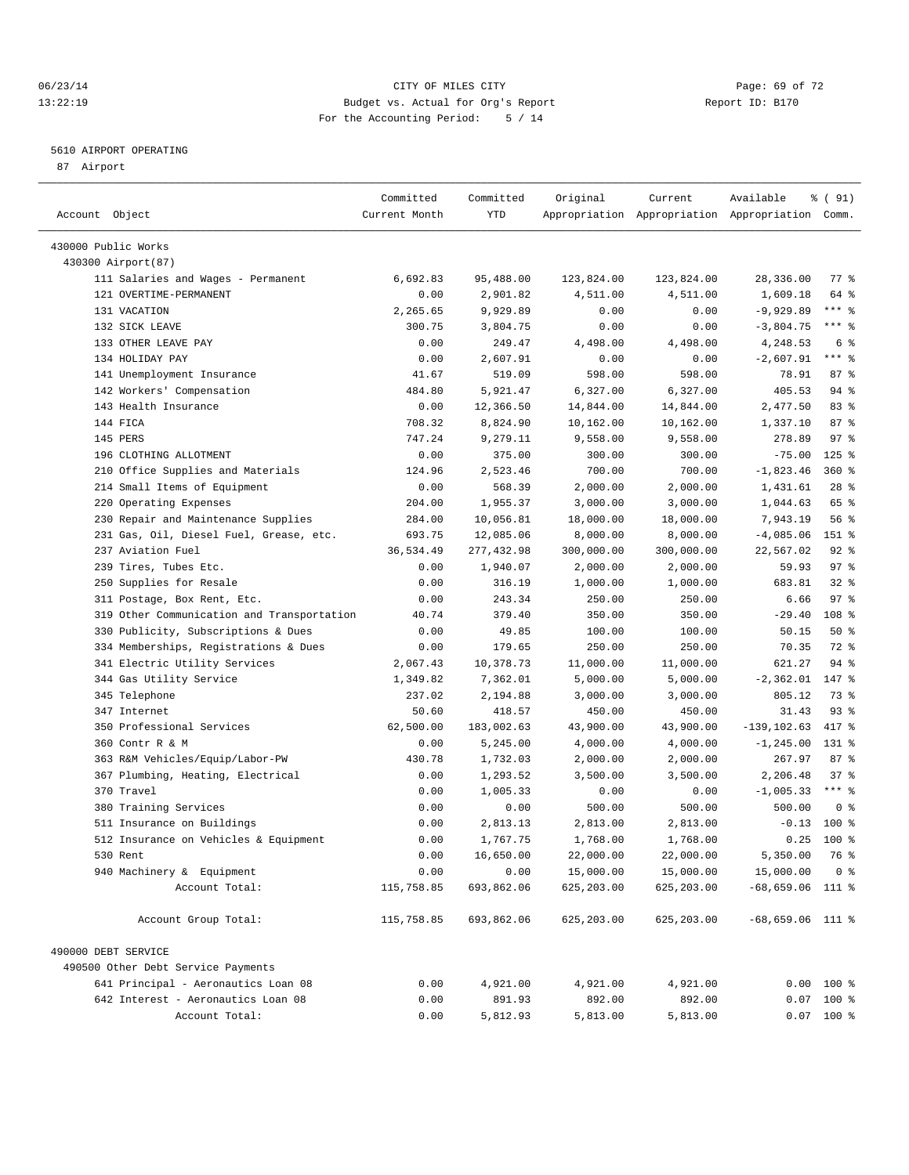#### 06/23/14 Page: 69 of 72 13:22:19 Budget vs. Actual for Org's Report Report ID: B170 For the Accounting Period: 5 / 14

————————————————————————————————————————————————————————————————————————————————————————————————————————————————————————————————————

#### 5610 AIRPORT OPERATING

87 Airport

|                                            | Committed      | Committed             | Original           | Current               | Available                                       | ៖ ( 91)             |
|--------------------------------------------|----------------|-----------------------|--------------------|-----------------------|-------------------------------------------------|---------------------|
| Account Object                             | Current Month  | YTD                   |                    |                       | Appropriation Appropriation Appropriation Comm. |                     |
|                                            |                |                       |                    |                       |                                                 |                     |
| 430000 Public Works                        |                |                       |                    |                       |                                                 |                     |
| 430300 Airport (87)                        |                |                       |                    |                       | 28,336.00                                       |                     |
| 111 Salaries and Wages - Permanent         | 6,692.83       | 95,488.00             | 123,824.00         | 123,824.00            |                                                 | $77$ $\frac{6}{9}$  |
| 121 OVERTIME-PERMANENT                     | 0.00           | 2,901.82              | 4,511.00           | 4,511.00              | 1,609.18                                        | 64 %<br>$***$ 8     |
| 131 VACATION                               | 2,265.65       | 9,929.89              | 0.00               | 0.00                  | $-9,929.89$                                     | $***$ $_{8}$        |
| 132 SICK LEAVE<br>133 OTHER LEAVE PAY      | 300.75<br>0.00 | 3,804.75<br>249.47    | 0.00<br>4,498.00   | 0.00<br>4,498.00      | $-3,804.75$<br>4,248.53                         | 6 %                 |
| 134 HOLIDAY PAY                            | 0.00           | 2,607.91              | 0.00               | 0.00                  | $-2,607.91$                                     | $***$ 8             |
| 141 Unemployment Insurance                 | 41.67          | 519.09                | 598.00             | 598.00                | 78.91                                           | 87%                 |
| 142 Workers' Compensation                  | 484.80         | 5,921.47              | 6,327.00           | 6,327.00              | 405.53                                          | 94 %                |
| 143 Health Insurance                       |                |                       | 14,844.00          |                       |                                                 | 83 %                |
| 144 FICA                                   | 0.00<br>708.32 | 12,366.50<br>8,824.90 |                    | 14,844.00             | 2,477.50                                        | 87%                 |
| 145 PERS                                   | 747.24         | 9,279.11              | 10,162.00          | 10,162.00<br>9,558.00 | 1,337.10<br>278.89                              | $97$ $%$            |
| 196 CLOTHING ALLOTMENT                     | 0.00           | 375.00                | 9,558.00<br>300.00 | 300.00                | $-75.00$                                        | $125$ %             |
| 210 Office Supplies and Materials          | 124.96         | 2,523.46              | 700.00             | 700.00                | $-1,823.46$                                     | $360$ %             |
| 214 Small Items of Equipment               | 0.00           | 568.39                | 2,000.00           | 2,000.00              | 1,431.61                                        | $28$ %              |
| 220 Operating Expenses                     | 204.00         | 1,955.37              | 3,000.00           | 3,000.00              | 1,044.63                                        | 65 %                |
| 230 Repair and Maintenance Supplies        | 284.00         | 10,056.81             | 18,000.00          | 18,000.00             | 7,943.19                                        | 56%                 |
| 231 Gas, Oil, Diesel Fuel, Grease, etc.    | 693.75         | 12,085.06             | 8,000.00           | 8,000.00              | $-4,085.06$                                     | 151 %               |
| 237 Aviation Fuel                          | 36,534.49      | 277,432.98            | 300,000.00         | 300,000.00            | 22,567.02                                       | $92$ $%$            |
| 239 Tires, Tubes Etc.                      | 0.00           | 1,940.07              | 2,000.00           | 2,000.00              | 59.93                                           | 97%                 |
| 250 Supplies for Resale                    | 0.00           | 316.19                | 1,000.00           | 1,000.00              | 683.81                                          | $32$ $%$            |
| 311 Postage, Box Rent, Etc.                | 0.00           | 243.34                | 250.00             | 250.00                | 6.66                                            | 97%                 |
| 319 Other Communication and Transportation | 40.74          | 379.40                | 350.00             | 350.00                | $-29.40$                                        | 108 %               |
| 330 Publicity, Subscriptions & Dues        | 0.00           | 49.85                 | 100.00             | 100.00                | 50.15                                           | 50%                 |
| 334 Memberships, Registrations & Dues      | 0.00           | 179.65                | 250.00             | 250.00                | 70.35                                           | 72 %                |
| 341 Electric Utility Services              | 2,067.43       | 10,378.73             | 11,000.00          | 11,000.00             | 621.27                                          | 94 %                |
| 344 Gas Utility Service                    | 1,349.82       | 7,362.01              | 5,000.00           | 5,000.00              | $-2, 362.01$                                    | 147 %               |
| 345 Telephone                              | 237.02         | 2,194.88              | 3,000.00           | 3,000.00              | 805.12                                          | 73 %                |
| 347 Internet                               | 50.60          | 418.57                | 450.00             | 450.00                | 31.43                                           | 93%                 |
| 350 Professional Services                  | 62,500.00      | 183,002.63            | 43,900.00          | 43,900.00             | $-139, 102.63$                                  | 417 %               |
| 360 Contr R & M                            | 0.00           | 5,245.00              | 4,000.00           | 4,000.00              | $-1, 245.00$                                    | $131$ $\frac{1}{8}$ |
| 363 R&M Vehicles/Equip/Labor-PW            | 430.78         | 1,732.03              | 2,000.00           | 2,000.00              | 267.97                                          | 87%                 |
| 367 Plumbing, Heating, Electrical          | 0.00           | 1,293.52              | 3,500.00           | 3,500.00              | 2,206.48                                        | 37%                 |
| 370 Travel                                 | 0.00           | 1,005.33              | 0.00               | 0.00                  | $-1,005.33$                                     | $***$ $%$           |
| 380 Training Services                      | 0.00           | 0.00                  | 500.00             | 500.00                | 500.00                                          | 0 <sup>8</sup>      |
| 511 Insurance on Buildings                 | 0.00           | 2,813.13              | 2,813.00           | 2,813.00              | $-0.13$                                         | $100$ %             |
| 512 Insurance on Vehicles & Equipment      | 0.00           | 1,767.75              | 1,768.00           | 1,768.00              | 0.25                                            | 100 %               |
| 530 Rent                                   | 0.00           | 16,650.00             | 22,000.00          | 22,000.00             | 5,350.00                                        | 76 %                |
| 940 Machinery & Equipment                  | 0.00           | 0.00                  | 15,000.00          | 15,000.00             | 15,000.00                                       | 0 <sup>8</sup>      |
| Account Total:                             | 115,758.85     | 693,862.06            | 625,203.00         | 625,203.00            | $-68,659.06$ 111 %                              |                     |
| Account Group Total:                       | 115,758.85     | 693,862.06            | 625, 203.00        | 625,203.00            | $-68,659.06$ 111 %                              |                     |
|                                            |                |                       |                    |                       |                                                 |                     |
| 490000 DEBT SERVICE                        |                |                       |                    |                       |                                                 |                     |
| 490500 Other Debt Service Payments         |                |                       |                    |                       |                                                 |                     |
| 641 Principal - Aeronautics Loan 08        | 0.00           | 4,921.00              | 4,921.00           | 4,921.00              |                                                 | $0.00$ 100 %        |
| 642 Interest - Aeronautics Loan 08         | 0.00           | 891.93                | 892.00             | 892.00                |                                                 | $0.07$ 100 %        |
| Account Total:                             | 0.00           | 5,812.93              | 5,813.00           | 5,813.00              |                                                 | $0.07$ 100 %        |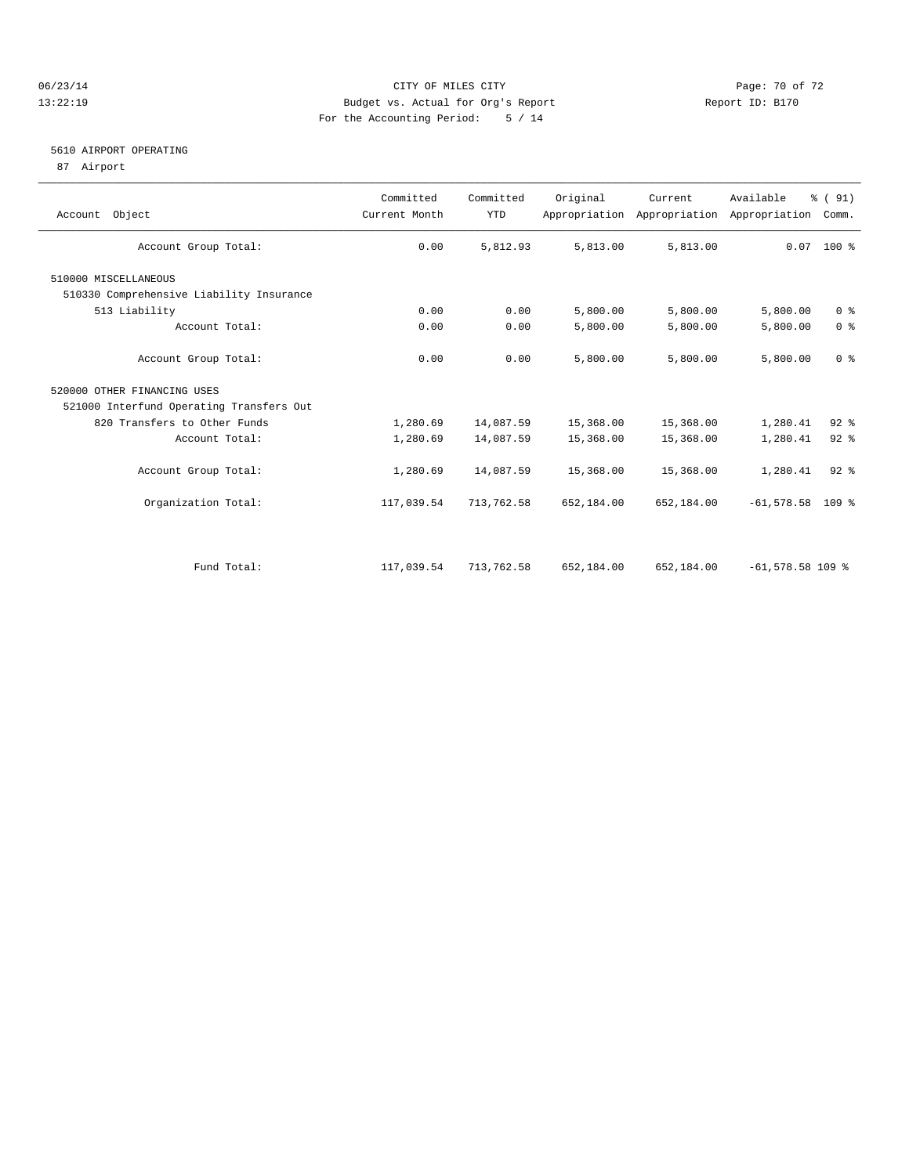#### 06/23/14 Page: 70 of 72 13:22:19 Budget vs. Actual for Org's Report Report ID: B170 For the Accounting Period: 5 / 14

#### 5610 AIRPORT OPERATING

87 Airport

| Account Object                           | Committed<br>Current Month | Committed<br><b>YTD</b> | Original   | Current<br>Appropriation Appropriation Appropriation | Available          | % (91)<br>Comm. |
|------------------------------------------|----------------------------|-------------------------|------------|------------------------------------------------------|--------------------|-----------------|
| Account Group Total:                     | 0.00                       | 5,812.93                | 5,813.00   | 5,813.00                                             |                    | $0.07$ 100 %    |
| 510000 MISCELLANEOUS                     |                            |                         |            |                                                      |                    |                 |
| 510330 Comprehensive Liability Insurance |                            |                         |            |                                                      |                    |                 |
| 513 Liability                            | 0.00                       | 0.00                    | 5,800.00   | 5,800.00                                             | 5,800.00           | 0 <sup>8</sup>  |
| Account Total:                           | 0.00                       | 0.00                    | 5,800.00   | 5,800.00                                             | 5,800.00           | 0 <sup>8</sup>  |
| Account Group Total:                     | 0.00                       | 0.00                    | 5,800.00   | 5,800.00                                             | 5,800.00           | 0 <sup>8</sup>  |
| 520000 OTHER FINANCING USES              |                            |                         |            |                                                      |                    |                 |
| 521000 Interfund Operating Transfers Out |                            |                         |            |                                                      |                    |                 |
| 820 Transfers to Other Funds             | 1,280.69                   | 14,087.59               | 15,368.00  | 15,368.00                                            | 1,280.41           | $92$ $%$        |
| Account Total:                           | 1,280.69                   | 14,087.59               | 15,368.00  | 15,368.00                                            | 1,280.41           | $92$ $%$        |
| Account Group Total:                     | 1,280.69                   | 14,087.59               | 15,368.00  | 15,368.00                                            | 1,280.41           | $92$ $%$        |
| Organization Total:                      | 117,039.54                 | 713,762.58              | 652,184.00 | 652,184.00                                           | $-61,578.58$ 109 % |                 |
|                                          |                            |                         |            |                                                      |                    |                 |
| Fund Total:                              | 117,039.54                 | 713,762.58              | 652,184.00 | 652,184.00                                           | $-61,578.58$ 109 % |                 |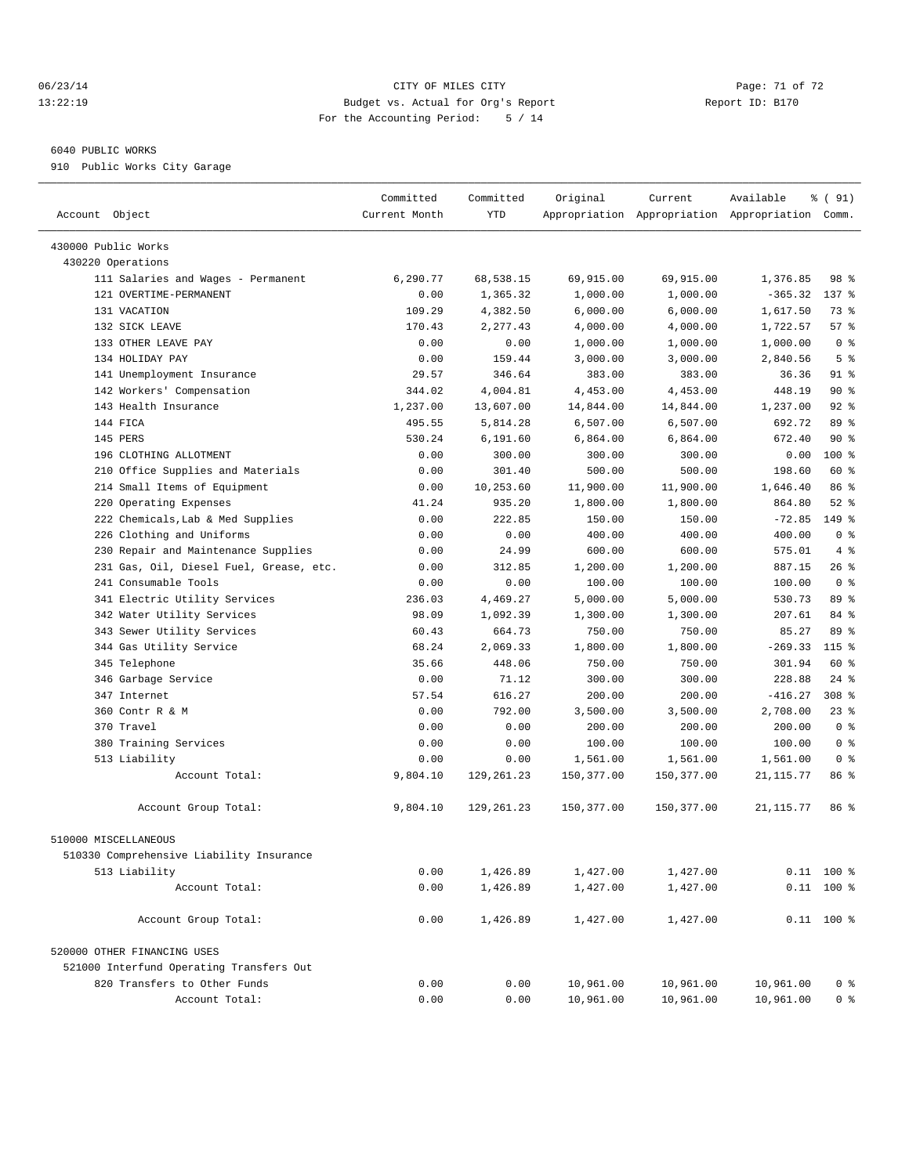#### 06/23/14 Page: 71 of 72 13:22:19 Budget vs. Actual for Org's Report Report ID: B170 For the Accounting Period: 5 / 14

————————————————————————————————————————————————————————————————————————————————————————————————————————————————————————————————————

#### 6040 PUBLIC WORKS

910 Public Works City Garage

|                                                              | Committed     | Committed  | Original           | Current                                         | Available  | % ( 91)               |  |
|--------------------------------------------------------------|---------------|------------|--------------------|-------------------------------------------------|------------|-----------------------|--|
| Account Object                                               | Current Month | YTD        |                    | Appropriation Appropriation Appropriation Comm. |            |                       |  |
|                                                              |               |            |                    |                                                 |            |                       |  |
| 430000 Public Works                                          |               |            |                    |                                                 |            |                       |  |
| 430220 Operations                                            |               |            |                    | 69,915.00                                       |            | 98 %                  |  |
| 111 Salaries and Wages - Permanent<br>121 OVERTIME-PERMANENT | 6,290.77      | 68,538.15  | 69,915.00          |                                                 | 1,376.85   |                       |  |
|                                                              | 0.00          | 1,365.32   | 1,000.00           | 1,000.00                                        | $-365.32$  | $137$ $%$             |  |
| 131 VACATION                                                 | 109.29        | 4,382.50   | 6,000.00           | 6,000.00                                        | 1,617.50   | 73 %                  |  |
| 132 SICK LEAVE                                               | 170.43        | 2,277.43   | 4,000.00           | 4,000.00                                        | 1,722.57   | 57%<br>0 <sup>8</sup> |  |
| 133 OTHER LEAVE PAY<br>134 HOLIDAY PAY                       | 0.00          | 0.00       | 1,000.00           | 1,000.00                                        | 1,000.00   | 5 <sup>°</sup>        |  |
|                                                              | 0.00          | 159.44     | 3,000.00<br>383.00 | 3,000.00                                        | 2,840.56   | 91 %                  |  |
| 141 Unemployment Insurance<br>142 Workers' Compensation      | 29.57         | 346.64     |                    | 383.00                                          | 36.36      | 90%                   |  |
|                                                              | 344.02        | 4,004.81   | 4,453.00           | 4,453.00                                        | 448.19     |                       |  |
| 143 Health Insurance<br>144 FICA                             | 1,237.00      | 13,607.00  | 14,844.00          | 14,844.00                                       | 1,237.00   | $92$ $%$<br>89 %      |  |
|                                                              | 495.55        | 5,814.28   | 6,507.00           | 6,507.00                                        | 692.72     |                       |  |
| 145 PERS                                                     | 530.24        | 6,191.60   | 6,864.00           | 6,864.00                                        | 672.40     | 90%                   |  |
| 196 CLOTHING ALLOTMENT                                       | 0.00          | 300.00     | 300.00             | 300.00                                          | 0.00       | 100 %                 |  |
| 210 Office Supplies and Materials                            | 0.00          | 301.40     | 500.00             | 500.00                                          | 198.60     | 60 %                  |  |
| 214 Small Items of Equipment                                 | 0.00          | 10,253.60  | 11,900.00          | 11,900.00                                       | 1,646.40   | 86 %                  |  |
| 220 Operating Expenses                                       | 41.24         | 935.20     | 1,800.00           | 1,800.00                                        | 864.80     | $52$ $%$              |  |
| 222 Chemicals, Lab & Med Supplies                            | 0.00          | 222.85     | 150.00             | 150.00                                          | $-72.85$   | 149 %                 |  |
| 226 Clothing and Uniforms                                    | 0.00          | 0.00       | 400.00             | 400.00                                          | 400.00     | 0 <sup>8</sup>        |  |
| 230 Repair and Maintenance Supplies                          | 0.00          | 24.99      | 600.00             | 600.00                                          | 575.01     | 4%                    |  |
| 231 Gas, Oil, Diesel Fuel, Grease, etc.                      | 0.00          | 312.85     | 1,200.00           | 1,200.00                                        | 887.15     | 26 %                  |  |
| 241 Consumable Tools                                         | 0.00          | 0.00       | 100.00             | 100.00                                          | 100.00     | 0 <sup>8</sup>        |  |
| 341 Electric Utility Services                                | 236.03        | 4,469.27   | 5,000.00           | 5,000.00                                        | 530.73     | 89 %                  |  |
| 342 Water Utility Services                                   | 98.09         | 1,092.39   | 1,300.00           | 1,300.00                                        | 207.61     | 84 %                  |  |
| 343 Sewer Utility Services                                   | 60.43         | 664.73     | 750.00             | 750.00                                          | 85.27      | 89 %                  |  |
| 344 Gas Utility Service                                      | 68.24         | 2,069.33   | 1,800.00           | 1,800.00                                        | $-269.33$  | $115$ %               |  |
| 345 Telephone                                                | 35.66         | 448.06     | 750.00             | 750.00                                          | 301.94     | 60 %                  |  |
| 346 Garbage Service                                          | 0.00          | 71.12      | 300.00             | 300.00                                          | 228.88     | $24$ %                |  |
| 347 Internet                                                 | 57.54         | 616.27     | 200.00             | 200.00                                          | $-416.27$  | 308 <sup>8</sup>      |  |
| 360 Contr R & M                                              | 0.00          | 792.00     | 3,500.00           | 3,500.00                                        | 2,708.00   | 23%                   |  |
| 370 Travel                                                   | 0.00          | 0.00       | 200.00             | 200.00                                          | 200.00     | 0 <sup>8</sup>        |  |
| 380 Training Services                                        | 0.00          | 0.00       | 100.00             | 100.00                                          | 100.00     | 0 <sup>8</sup>        |  |
| 513 Liability                                                | 0.00          | 0.00       | 1,561.00           | 1,561.00                                        | 1,561.00   | 0 <sup>8</sup>        |  |
| Account Total:                                               | 9,804.10      | 129,261.23 | 150,377.00         | 150,377.00                                      | 21, 115.77 | 86 %                  |  |
| Account Group Total:                                         | 9,804.10      | 129,261.23 | 150,377.00         | 150,377.00                                      | 21,115.77  | 86 %                  |  |
| 510000 MISCELLANEOUS                                         |               |            |                    |                                                 |            |                       |  |
| 510330 Comprehensive Liability Insurance                     |               |            |                    |                                                 |            |                       |  |
| 513 Liability                                                | 0.00          | 1,426.89   | 1,427.00           | 1,427.00                                        |            | $0.11$ 100 %          |  |
| Account Total:                                               | 0.00          | 1,426.89   | 1,427.00           | 1,427.00                                        |            | $0.11$ 100 %          |  |
|                                                              |               |            |                    |                                                 |            |                       |  |
| Account Group Total:                                         | 0.00          | 1,426.89   | 1,427.00           | 1,427.00                                        |            | $0.11$ 100 %          |  |
| 520000 OTHER FINANCING USES                                  |               |            |                    |                                                 |            |                       |  |
| 521000 Interfund Operating Transfers Out                     |               |            |                    |                                                 |            |                       |  |
| 820 Transfers to Other Funds                                 | 0.00          | 0.00       | 10,961.00          | 10,961.00                                       | 10,961.00  | 0 <sup>8</sup>        |  |
| Account Total:                                               | 0.00          | 0.00       | 10,961.00          | 10,961.00                                       | 10,961.00  | 0 <sup>8</sup>        |  |